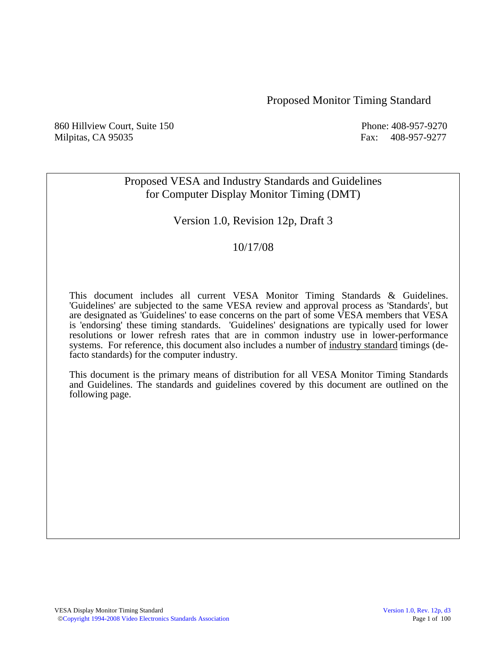#### Proposed Monitor Timing Standard

860 Hillview Court, Suite 150 and Solution 2018 Phone: 408-957-9270 Milpitas, CA 95035 Fax: 408-957-9277

# Proposed VESA and Industry Standards and Guidelines for Computer Display Monitor Timing (DMT)

# Version 1.0, Revision 12p, Draft 3

## 10/17/08

This document includes all current VESA Monitor Timing Standards & Guidelines. 'Guidelines' are subjected to the same VESA review and approval process as 'Standards', but are designated as 'Guidelines' to ease concerns on the part of some VESA members that VESA is 'endorsing' these timing standards. 'Guidelines' designations are typically used for lower resolutions or lower refresh rates that are in common industry use in lower-performance systems. For reference, this document also includes a number of industry standard timings (defacto standards) for the computer industry.

 This document is the primary means of distribution for all VESA Monitor Timing Standards and Guidelines. The standards and guidelines covered by this document are outlined on the following page.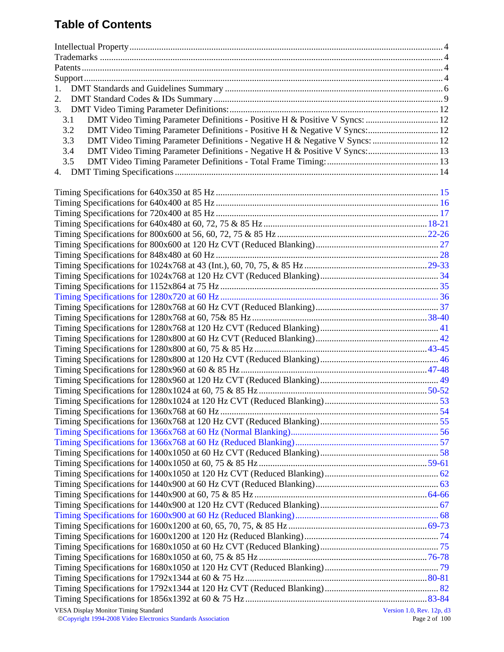# **Table of Contents**

| 1.                                                                                 |                           |
|------------------------------------------------------------------------------------|---------------------------|
| 2.                                                                                 |                           |
|                                                                                    |                           |
| DMT Video Timing Parameter Definitions - Positive H & Positive V Syncs:  12<br>3.1 |                           |
| DMT Video Timing Parameter Definitions - Positive H & Negative V Syncs: 12<br>3.2  |                           |
| DMT Video Timing Parameter Definitions - Negative H & Negative V Syncs:  12<br>3.3 |                           |
| DMT Video Timing Parameter Definitions - Negative H & Positive V Syncs: 13<br>3.4  |                           |
| 3.5                                                                                |                           |
|                                                                                    |                           |
|                                                                                    |                           |
|                                                                                    |                           |
|                                                                                    |                           |
|                                                                                    |                           |
|                                                                                    |                           |
|                                                                                    |                           |
|                                                                                    |                           |
|                                                                                    |                           |
|                                                                                    |                           |
|                                                                                    |                           |
|                                                                                    |                           |
|                                                                                    |                           |
|                                                                                    |                           |
|                                                                                    |                           |
|                                                                                    |                           |
|                                                                                    |                           |
|                                                                                    |                           |
|                                                                                    |                           |
|                                                                                    |                           |
|                                                                                    |                           |
|                                                                                    |                           |
|                                                                                    |                           |
|                                                                                    |                           |
|                                                                                    |                           |
|                                                                                    |                           |
|                                                                                    |                           |
|                                                                                    |                           |
|                                                                                    |                           |
|                                                                                    |                           |
|                                                                                    |                           |
|                                                                                    |                           |
|                                                                                    |                           |
|                                                                                    |                           |
|                                                                                    |                           |
|                                                                                    |                           |
|                                                                                    |                           |
|                                                                                    |                           |
|                                                                                    |                           |
|                                                                                    |                           |
|                                                                                    |                           |
|                                                                                    |                           |
| <b>VESA Display Monitor Timing Standard</b>                                        | Version 1.0, Rev. 12p, d3 |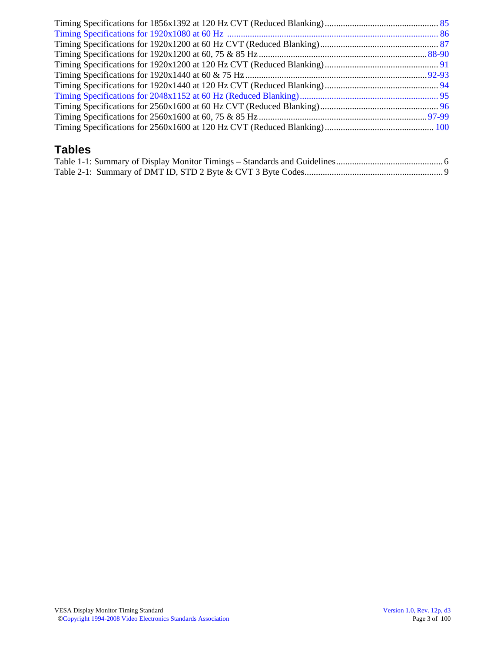# **Tables**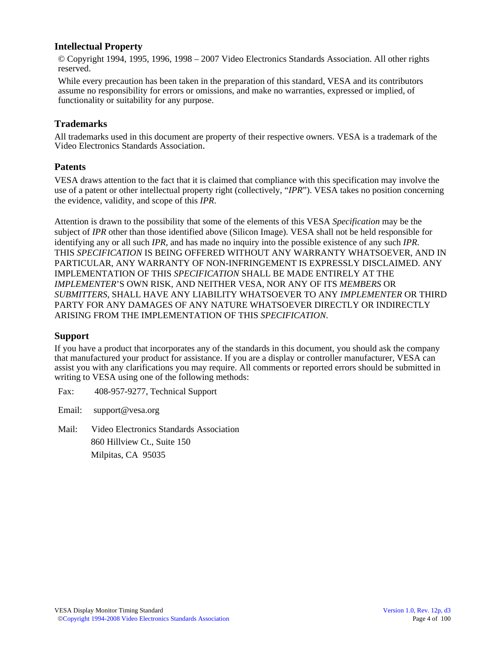#### **Intellectual Property**

© Copyright 1994, 1995, 1996, 1998 – 2007 Video Electronics Standards Association. All other rights reserved.

While every precaution has been taken in the preparation of this standard, VESA and its contributors assume no responsibility for errors or omissions, and make no warranties, expressed or implied, of functionality or suitability for any purpose.

#### **Trademarks**

All trademarks used in this document are property of their respective owners. VESA is a trademark of the Video Electronics Standards Association.

#### **Patents**

VESA draws attention to the fact that it is claimed that compliance with this specification may involve the use of a patent or other intellectual property right (collectively, "*IPR*"). VESA takes no position concerning the evidence, validity, and scope of this *IPR*.

Attention is drawn to the possibility that some of the elements of this VESA *Specification* may be the subject of *IPR* other than those identified above (Silicon Image). VESA shall not be held responsible for identifying any or all such *IPR*, and has made no inquiry into the possible existence of any such *IPR*. THIS *SPECIFICATION* IS BEING OFFERED WITHOUT ANY WARRANTY WHATSOEVER, AND IN PARTICULAR, ANY WARRANTY OF NON-INFRINGEMENT IS EXPRESSLY DISCLAIMED. ANY IMPLEMENTATION OF THIS *SPECIFICATION* SHALL BE MADE ENTIRELY AT THE *IMPLEMENTER*'S OWN RISK, AND NEITHER VESA, NOR ANY OF ITS *MEMBERS* OR *SUBMITTERS*, SHALL HAVE ANY LIABILITY WHATSOEVER TO ANY *IMPLEMENTER* OR THIRD PARTY FOR ANY DAMAGES OF ANY NATURE WHATSOEVER DIRECTLY OR INDIRECTLY ARISING FROM THE IMPLEMENTATION OF THIS *SPECIFICATION*.

#### **Support**

If you have a product that incorporates any of the standards in this document, you should ask the company that manufactured your product for assistance. If you are a display or controller manufacturer, VESA can assist you with any clarifications you may require. All comments or reported errors should be submitted in writing to VESA using one of the following methods:

Fax: 408-957-9277, Technical Support

Email: support@vesa.org

Mail: Video Electronics Standards Association 860 Hillview Ct., Suite 150 Milpitas, CA 95035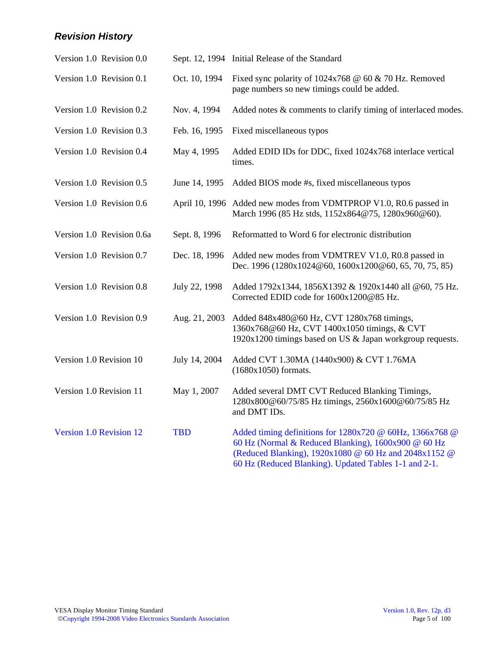# *Revision History*

|                         | Version 1.0 Revision 0.0  |               | Sept. 12, 1994 Initial Release of the Standard                                                                                                                                                                                    |
|-------------------------|---------------------------|---------------|-----------------------------------------------------------------------------------------------------------------------------------------------------------------------------------------------------------------------------------|
|                         | Version 1.0 Revision 0.1  | Oct. 10, 1994 | Fixed sync polarity of $1024x768 \t@ 60 \t& 70 Hz$ . Removed<br>page numbers so new timings could be added.                                                                                                                       |
|                         | Version 1.0 Revision 0.2  | Nov. 4, 1994  | Added notes & comments to clarify timing of interlaced modes.                                                                                                                                                                     |
|                         | Version 1.0 Revision 0.3  | Feb. 16, 1995 | Fixed miscellaneous typos                                                                                                                                                                                                         |
|                         | Version 1.0 Revision 0.4  | May 4, 1995   | Added EDID IDs for DDC, fixed 1024x768 interlace vertical<br>times.                                                                                                                                                               |
|                         | Version 1.0 Revision 0.5  | June 14, 1995 | Added BIOS mode #s, fixed miscellaneous typos                                                                                                                                                                                     |
|                         | Version 1.0 Revision 0.6  |               | April 10, 1996 Added new modes from VDMTPROP V1.0, R0.6 passed in<br>March 1996 (85 Hz stds, 1152x864@75, 1280x960@60).                                                                                                           |
|                         | Version 1.0 Revision 0.6a | Sept. 8, 1996 | Reformatted to Word 6 for electronic distribution                                                                                                                                                                                 |
|                         | Version 1.0 Revision 0.7  | Dec. 18, 1996 | Added new modes from VDMTREV V1.0, R0.8 passed in<br>Dec. 1996 (1280x1024@60, 1600x1200@60, 65, 70, 75, 85)                                                                                                                       |
|                         | Version 1.0 Revision 0.8  | July 22, 1998 | Added 1792x1344, 1856X1392 & 1920x1440 all @60, 75 Hz.<br>Corrected EDID code for 1600x1200@85 Hz.                                                                                                                                |
|                         | Version 1.0 Revision 0.9  | Aug. 21, 2003 | Added 848x480@60 Hz, CVT 1280x768 timings,<br>1360x768@60 Hz, CVT 1400x1050 timings, & CVT<br>1920x1200 timings based on US & Japan workgroup requests.                                                                           |
| Version 1.0 Revision 10 |                           | July 14, 2004 | Added CVT 1.30MA (1440x900) & CVT 1.76MA<br>$(1680x1050)$ formats.                                                                                                                                                                |
| Version 1.0 Revision 11 |                           | May 1, 2007   | Added several DMT CVT Reduced Blanking Timings,<br>1280x800@60/75/85 Hz timings, 2560x1600@60/75/85 Hz<br>and DMT IDs.                                                                                                            |
| Version 1.0 Revision 12 |                           | <b>TBD</b>    | Added timing definitions for 1280x720 @ 60Hz, 1366x768 @<br>60 Hz (Normal & Reduced Blanking), 1600x900 @ 60 Hz<br>(Reduced Blanking), 1920x1080 @ 60 Hz and 2048x1152 @<br>60 Hz (Reduced Blanking). Updated Tables 1-1 and 2-1. |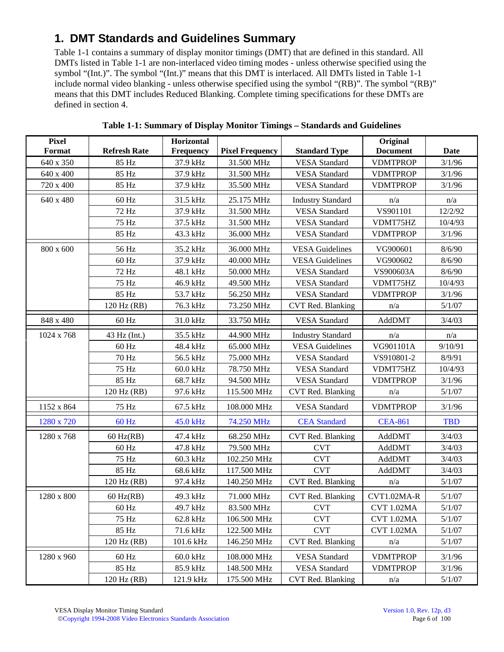# **1. DMT Standards and Guidelines Summary**

Table 1-1 contains a summary of display monitor timings (DMT) that are defined in this standard. All DMTs listed in Table 1-1 are non-interlaced video timing modes - unless otherwise specified using the symbol "(Int.)". The symbol "(Int.)" means that this DMT is interlaced. All DMTs listed in Table 1-1 include normal video blanking - unless otherwise specified using the symbol "(RB)". The symbol "(RB)" means that this DMT includes Reduced Blanking. Complete timing specifications for these DMTs are defined in section 4.

| <b>Pixel</b> |                     | Horizontal       |                        |                          | Original        |             |
|--------------|---------------------|------------------|------------------------|--------------------------|-----------------|-------------|
| Format       | <b>Refresh Rate</b> | <b>Frequency</b> | <b>Pixel Frequency</b> | <b>Standard Type</b>     | <b>Document</b> | <b>Date</b> |
| 640 x 350    | 85 Hz               | 37.9 kHz         | 31.500 MHz             | <b>VESA</b> Standard     | <b>VDMTPROP</b> | 3/1/96      |
| 640 x 400    | 85 Hz               | 37.9 kHz         | 31.500 MHz             | <b>VESA</b> Standard     | <b>VDMTPROP</b> | 3/1/96      |
| 720 x 400    | 85 Hz               | 37.9 kHz         | 35.500 MHz             | <b>VESA</b> Standard     | <b>VDMTPROP</b> | 3/1/96      |
| 640 x 480    | 60 Hz               | 31.5 kHz         | 25.175 MHz             | <b>Industry Standard</b> | n/a             | n/a         |
|              | 72 Hz               | 37.9 kHz         | 31.500 MHz             | <b>VESA</b> Standard     | VS901101        | 12/2/92     |
|              | 75 Hz               | 37.5 kHz         | 31.500 MHz             | <b>VESA</b> Standard     | VDMT75HZ        | 10/4/93     |
|              | 85 Hz               | 43.3 kHz         | 36.000 MHz             | <b>VESA</b> Standard     | <b>VDMTPROP</b> | 3/1/96      |
| 800 x 600    | 56 Hz               | 35.2 kHz         | 36.000 MHz             | <b>VESA Guidelines</b>   | VG900601        | 8/6/90      |
|              | 60 Hz               | 37.9 kHz         | 40.000 MHz             | <b>VESA Guidelines</b>   | VG900602        | 8/6/90      |
|              | 72 Hz               | 48.1 kHz         | 50.000 MHz             | <b>VESA</b> Standard     | VS900603A       | 8/6/90      |
|              | 75 Hz               | 46.9 kHz         | 49.500 MHz             | <b>VESA</b> Standard     | VDMT75HZ        | 10/4/93     |
|              | 85 Hz               | 53.7 kHz         | 56.250 MHz             | <b>VESA</b> Standard     | <b>VDMTPROP</b> | 3/1/96      |
|              | 120 Hz (RB)         | 76.3 kHz         | 73.250 MHz             | CVT Red. Blanking        | n/a             | 5/1/07      |
| 848 x 480    | 60 Hz               | 31.0 kHz         | 33.750 MHz             | <b>VESA</b> Standard     | AddDMT          | 3/4/03      |
| 1024 x 768   | 43 Hz (Int.)        | 35.5 kHz         | 44.900 MHz             | <b>Industry Standard</b> | n/a             | n/a         |
|              | 60 Hz               | 48.4 kHz         | 65.000 MHz             | <b>VESA Guidelines</b>   | VG901101A       | 9/10/91     |
|              | 70 Hz               | 56.5 kHz         | 75.000 MHz             | <b>VESA</b> Standard     | VS910801-2      | 8/9/91      |
|              | 75 Hz               | 60.0 kHz         | 78.750 MHz             | <b>VESA</b> Standard     | VDMT75HZ        | 10/4/93     |
|              | 85 Hz               | 68.7 kHz         | 94.500 MHz             | <b>VESA</b> Standard     | <b>VDMTPROP</b> | 3/1/96      |
|              | 120 Hz (RB)         | 97.6 kHz         | 115.500 MHz            | CVT Red. Blanking        | n/a             | 5/1/07      |
| 1152 x 864   | 75 Hz               | 67.5 kHz         | 108.000 MHz            | <b>VESA</b> Standard     | <b>VDMTPROP</b> | 3/1/96      |
| 1280 x 720   | 60 Hz               | 45.0 kHz         | 74.250 MHz             | <b>CEA</b> Standard      | <b>CEA-861</b>  | <b>TBD</b>  |
| 1280 x 768   | $60$ Hz(RB)         | 47.4 kHz         | 68.250 MHz             | CVT Red. Blanking        | AddDMT          | 3/4/03      |
|              | 60 Hz               | 47.8 kHz         | 79.500 MHz             | <b>CVT</b>               | AddDMT          | 3/4/03      |
|              | 75 Hz               | 60.3 kHz         | 102.250 MHz            | <b>CVT</b>               | AddDMT          | 3/4/03      |
|              | 85 Hz               | 68.6 kHz         | 117.500 MHz            | <b>CVT</b>               | AddDMT          | 3/4/03      |
|              | 120 Hz (RB)         | 97.4 kHz         | 140.250 MHz            | CVT Red. Blanking        | n/a             | 5/1/07      |
| 1280 x 800   | $60$ Hz(RB)         | 49.3 kHz         | 71.000 MHz             | CVT Red. Blanking        | CVT1.02MA-R     | 5/1/07      |
|              | $60$ Hz             | 49.7 kHz         | 83.500 MHz             | <b>CVT</b>               | CVT 1.02MA      | 5/1/07      |
|              | 75 Hz               | 62.8 kHz         | 106.500 MHz            | <b>CVT</b>               | CVT 1.02MA      | 5/1/07      |
|              | 85 Hz               | 71.6 kHz         | 122.500 MHz            | <b>CVT</b>               | CVT 1.02MA      | 5/1/07      |
|              | 120 Hz (RB)         | 101.6 kHz        | 146.250 MHz            | CVT Red. Blanking        | n/a             | 5/1/07      |
| 1280 x 960   | $60$ Hz             | 60.0 kHz         | 108.000 MHz            | <b>VESA</b> Standard     | <b>VDMTPROP</b> | 3/1/96      |
|              | 85 Hz               | 85.9 kHz         | 148.500 MHz            | <b>VESA</b> Standard     | <b>VDMTPROP</b> | 3/1/96      |
|              | 120 Hz (RB)         | 121.9 kHz        | 175.500 MHz            | CVT Red. Blanking        | n/a             | 5/1/07      |

**Table 1-1: Summary of Display Monitor Timings – Standards and Guidelines**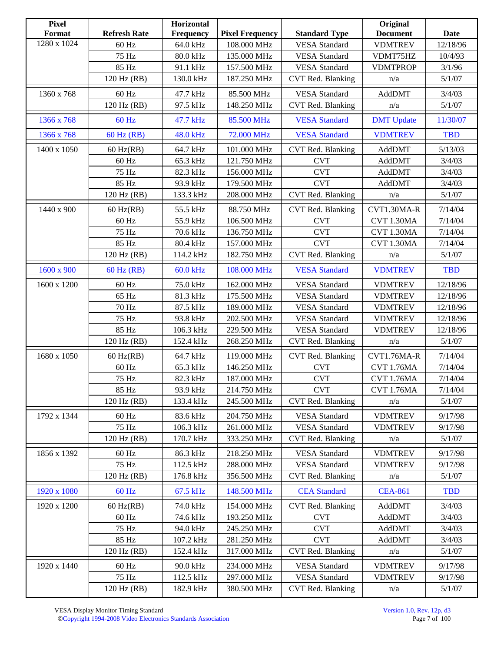| <b>Pixel</b><br>Format | <b>Refresh Rate</b> | Horizontal<br>Frequency | <b>Pixel Frequency</b> | <b>Standard Type</b> | Original<br><b>Document</b> | Date              |
|------------------------|---------------------|-------------------------|------------------------|----------------------|-----------------------------|-------------------|
| 1280 x 1024            | 60 Hz               | 64.0 kHz                | 108.000 MHz            | <b>VESA</b> Standard | <b>VDMTREV</b>              | 12/18/96          |
|                        | 75 Hz               |                         | 135.000 MHz            | <b>VESA</b> Standard |                             |                   |
|                        | 85 Hz               | 80.0 kHz<br>91.1 kHz    | 157.500 MHz            | <b>VESA</b> Standard | VDMT75HZ<br><b>VDMTPROP</b> | 10/4/93<br>3/1/96 |
|                        | 120 Hz (RB)         | 130.0 kHz               | 187.250 MHz            | CVT Red. Blanking    | n/a                         | 5/1/07            |
|                        |                     |                         |                        |                      |                             |                   |
| 1360 x 768             | 60 Hz               | 47.7 kHz                | 85.500 MHz             | <b>VESA</b> Standard | AddDMT                      | 3/4/03            |
|                        | 120 Hz (RB)         | 97.5 kHz                | 148.250 MHz            | CVT Red. Blanking    | n/a                         | 5/1/07            |
| 1366 x 768             | 60 Hz               | 47.7 kHz                | 85.500 MHz             | <b>VESA Standard</b> | <b>DMT</b> Update           | 11/30/07          |
| 1366 x 768             | 60 Hz (RB)          | 48.0 kHz                | 72.000 MHz             | <b>VESA Standard</b> | <b>VDMTREV</b>              | <b>TBD</b>        |
| 1400 x 1050            | $60$ Hz(RB)         | 64.7 kHz                | 101.000 MHz            | CVT Red. Blanking    | AddDMT                      | 5/13/03           |
|                        | $60\ \mathrm{Hz}$   | 65.3 kHz                | 121.750 MHz            | <b>CVT</b>           | AddDMT                      | 3/4/03            |
|                        | 75 Hz               | 82.3 kHz                | 156.000 MHz            | <b>CVT</b>           | AddDMT                      | 3/4/03            |
|                        | 85 Hz               | 93.9 kHz                | 179.500 MHz            | <b>CVT</b>           | AddDMT                      | 3/4/03            |
|                        | 120 Hz (RB)         | 133.3 kHz               | 208.000 MHz            | CVT Red. Blanking    | n/a                         | 5/1/07            |
| 1440 x 900             | $60$ Hz(RB)         | 55.5 kHz                | 88.750 MHz             | CVT Red. Blanking    | CVT1.30MA-R                 | 7/14/04           |
|                        | $60\ \mathrm{Hz}$   | 55.9 kHz                | 106.500 MHz            | <b>CVT</b>           | CVT 1.30MA                  | 7/14/04           |
|                        | 75 Hz               | 70.6 kHz                | 136.750 MHz            | <b>CVT</b>           | CVT 1.30MA                  | 7/14/04           |
|                        | 85 Hz               | 80.4 kHz                | 157.000 MHz            | <b>CVT</b>           | <b>CVT 1.30MA</b>           | 7/14/04           |
|                        | 120 Hz (RB)         | 114.2 kHz               | 182.750 MHz            | CVT Red. Blanking    | n/a                         | 5/1/07            |
| 1600 x 900             | $60$ Hz (RB)        | 60.0 kHz                | 108.000 MHz            | <b>VESA Standard</b> | <b>VDMTREV</b>              | <b>TBD</b>        |
| 1600 x 1200            | $60\ \mathrm{Hz}$   | 75.0 kHz                | 162.000 MHz            | <b>VESA</b> Standard | <b>VDMTREV</b>              | 12/18/96          |
|                        | 65 Hz               | 81.3 kHz                | 175.500 MHz            | <b>VESA</b> Standard | <b>VDMTREV</b>              | 12/18/96          |
|                        | 70 Hz               | 87.5 kHz                | 189.000 MHz            | <b>VESA</b> Standard | <b>VDMTREV</b>              | 12/18/96          |
|                        | 75 Hz               | 93.8 kHz                | 202.500 MHz            | <b>VESA</b> Standard | <b>VDMTREV</b>              | 12/18/96          |
|                        | 85 Hz               | 106.3 kHz               | 229.500 MHz            | <b>VESA</b> Standard | <b>VDMTREV</b>              | 12/18/96          |
|                        | 120 Hz (RB)         | 152.4 kHz               | 268.250 MHz            | CVT Red. Blanking    | n/a                         | 5/1/07            |
| 1680 x 1050            | $60$ Hz(RB)         | 64.7 kHz                | 119.000 MHz            | CVT Red. Blanking    | CVT1.76MA-R                 | 7/14/04           |
|                        | 60 Hz               | 65.3 kHz                | 146.250 MHz            | <b>CVT</b>           | <b>CVT 1.76MA</b>           | 7/14/04           |
|                        | 75 Hz               | 82.3 kHz                | 187.000 MHz            | <b>CVT</b>           | <b>CVT 1.76MA</b>           | 7/14/04           |
|                        | 85 Hz               | 93.9 kHz                | 214.750 MHz            | <b>CVT</b>           | <b>CVT 1.76MA</b>           | 7/14/04           |
|                        | 120 Hz (RB)         | 133.4 kHz               | 245.500 MHz            | CVT Red. Blanking    | n/a                         | 5/1/07            |
| 1792 x 1344            | 60 Hz               | 83.6 kHz                | 204.750 MHz            | <b>VESA</b> Standard | <b>VDMTREV</b>              | 9/17/98           |
|                        | 75 Hz               | 106.3 kHz               | 261.000 MHz            | <b>VESA</b> Standard | <b>VDMTREV</b>              | 9/17/98           |
|                        | 120 Hz (RB)         | 170.7 kHz               | 333.250 MHz            | CVT Red. Blanking    | n/a                         | 5/1/07            |
| 1856 x 1392            | $60$ Hz             | 86.3 kHz                | 218.250 MHz            | <b>VESA</b> Standard | <b>VDMTREV</b>              | 9/17/98           |
|                        | 75 Hz               | 112.5 kHz               | 288.000 MHz            | <b>VESA</b> Standard | <b>VDMTREV</b>              | 9/17/98           |
|                        | 120 Hz (RB)         | 176.8 kHz               | 356.500 MHz            | CVT Red. Blanking    | n/a                         | 5/1/07            |
| 1920 x 1080            | $60$ Hz             | 67.5 kHz                | 148.500 MHz            | <b>CEA</b> Standard  | <b>CEA-861</b>              | <b>TBD</b>        |
| 1920 x 1200            | $60$ Hz(RB)         | 74.0 kHz                | 154.000 MHz            | CVT Red. Blanking    | AddDMT                      | 3/4/03            |
|                        | 60 Hz               | 74.6 kHz                | 193.250 MHz            | <b>CVT</b>           | AddDMT                      | 3/4/03            |
|                        | 75 Hz               | 94.0 kHz                | 245.250 MHz            | <b>CVT</b>           | AddDMT                      | 3/4/03            |
|                        | 85 Hz               | 107.2 kHz               | 281.250 MHz            | <b>CVT</b>           | AddDMT                      | 3/4/03            |
|                        | 120 Hz (RB)         | 152.4 kHz               | 317.000 MHz            | CVT Red. Blanking    | n/a                         | 5/1/07            |
| 1920 x 1440            | 60 Hz               | 90.0 kHz                | 234.000 MHz            | <b>VESA</b> Standard | <b>VDMTREV</b>              | 9/17/98           |
|                        | 75 Hz               | 112.5 kHz               | 297.000 MHz            | <b>VESA</b> Standard | <b>VDMTREV</b>              | 9/17/98           |
|                        | 120 Hz (RB)         | 182.9 kHz               | 380.500 MHz            | CVT Red. Blanking    | n/a                         | 5/1/07            |
|                        |                     |                         |                        |                      |                             |                   |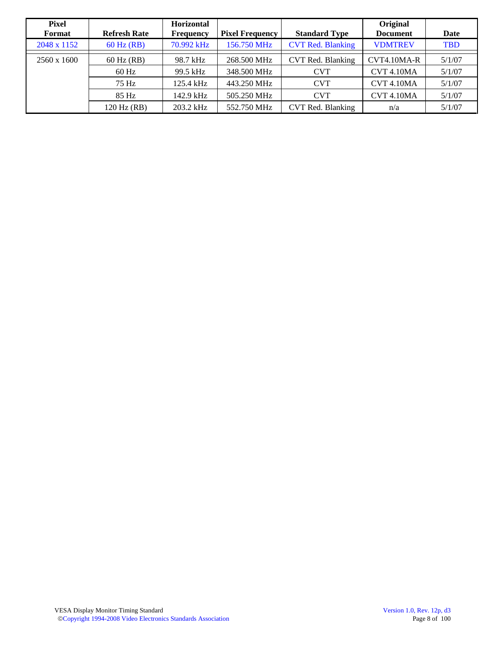| Pixel<br>Format    | <b>Refresh Rate</b> | <b>Horizontal</b><br><b>Frequency</b> | <b>Pixel Frequency</b> | <b>Standard Type</b>     | Original<br><b>Document</b> | Date       |
|--------------------|---------------------|---------------------------------------|------------------------|--------------------------|-----------------------------|------------|
| 2048 x 1152        | $60$ Hz (RB)        | 70.992 kHz                            | 156.750 MHz            | <b>CVT Red. Blanking</b> | <b>VDMTREV</b>              | <b>TBD</b> |
| $2560 \times 1600$ | $60$ Hz $(RB)$      | 98.7 kHz                              | 268.500 MHz            | CVT Red. Blanking        | $CVT4.10MA-R$               | 5/1/07     |
|                    | $60$ Hz             | 99.5 kHz                              | 348.500 MHz            | <b>CVT</b>               | <b>CVT 4.10MA</b>           | 5/1/07     |
|                    | 75 Hz               | 125.4 kHz                             | 443.250 MHz            | <b>CVT</b>               | <b>CVT 4.10MA</b>           | 5/1/07     |
|                    | 85 Hz               | 142.9 kHz                             | 505.250 MHz            | <b>CVT</b>               | <b>CVT 4.10MA</b>           | 5/1/07     |
|                    | 120 Hz (RB)         | 203.2 kHz                             | 552.750 MHz            | CVT Red. Blanking        | n/a                         | 5/1/07     |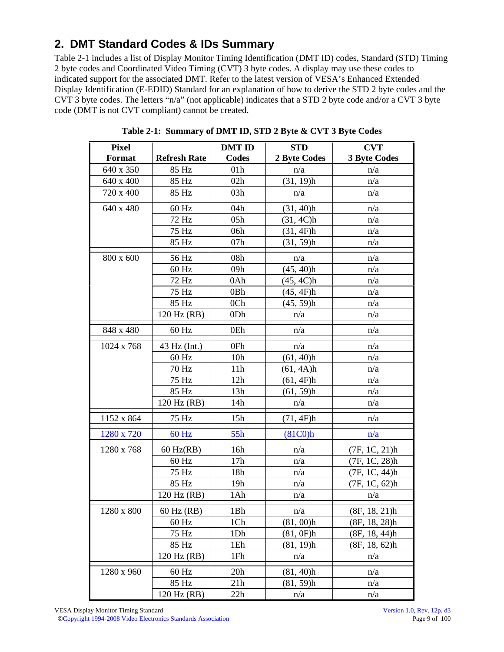# **2. DMT Standard Codes & IDs Summary**

Table 2-1 includes a list of Display Monitor Timing Identification (DMT ID) codes, Standard (STD) Timing 2 byte codes and Coordinated Video Timing (CVT) 3 byte codes. A display may use these codes to indicated support for the associated DMT. Refer to the latest version of VESA's Enhanced Extended Display Identification (E-EDID) Standard for an explanation of how to derive the STD 2 byte codes and the CVT 3 byte codes. The letters "n/a" (not applicable) indicates that a STD 2 byte code and/or a CVT 3 byte code (DMT is not CVT compliant) cannot be created.

| <b>Pixel</b> |                     | <b>DMT ID</b>   | <b>STD</b>                       | <b>CVT</b>          |
|--------------|---------------------|-----------------|----------------------------------|---------------------|
| Format       | <b>Refresh Rate</b> | Codes           | 2 Byte Codes                     | <b>3 Byte Codes</b> |
| 640 x 350    | 85 Hz               | 01 <sub>h</sub> | n/a                              | n/a                 |
| 640 x 400    | 85 Hz               | 02h             | $(31, 19)$ h                     | n/a                 |
| 720 x 400    | 85 Hz               | 03h             | n/a                              | n/a                 |
| 640 x 480    | 60 Hz               | 04h             | (31, 40)h                        | n/a                 |
|              | 72 Hz               | 05h             | (31, 4C)h                        | n/a                 |
|              | 75 Hz               | 06h             | (31, 4F)h                        | n/a                 |
|              | 85 Hz               | 07h             | $(31, 59)$ h                     | n/a                 |
| 800 x 600    | 56 Hz               | 08h             | n/a                              | n/a                 |
|              | 60 Hz               | 09h             | (45, 40)h                        | n/a                 |
|              | 72 Hz               | 0Ah             | (45, 4C)h                        | n/a                 |
|              | 75 Hz               | 0 <sub>Bh</sub> | (45, 4F)h                        | n/a                 |
|              | 85 Hz               | 0 <sub>Ch</sub> | $(45, 59)$ h                     | n/a                 |
|              | 120 Hz (RB)         | 0Dh             | n/a                              | n/a                 |
| 848 x 480    | $60$ Hz             | 0Eh             | n/a                              | n/a                 |
| 1024 x 768   | 43 Hz (Int.)        | 0Fh             | n/a                              | n/a                 |
|              | 60 Hz               | 10 <sub>h</sub> | $(61, 40)$ h                     | n/a                 |
|              | 70 Hz               | 11h             | (61, 4A)h                        | n/a                 |
|              | 75 Hz               | 12h             | (61, 4F)h                        | n/a                 |
|              | 85 Hz               | 13h             | $(61, 59)$ h                     | n/a                 |
|              | 120 Hz (RB)         | 14h             | n/a                              | n/a                 |
| 1152 x 864   | 75 Hz               | 15h             | (71, 4F)h                        | n/a                 |
| 1280 x 720   | $60$ Hz             | 55h             | (81C <sub>0</sub> ) <sub>h</sub> | n/a                 |
| 1280 x 768   | $60$ Hz(RB)         | 16h             | n/a                              | (7F, 1C, 21)h       |
|              | $60$ Hz             | 17h             | n/a                              | (7F, 1C, 28)h       |
|              | 75 Hz               | 18h             | n/a                              | (7F, 1C, 44)h       |
|              | 85 Hz               | 19 <sub>h</sub> | n/a                              | (7F, 1C, 62)h       |
|              | 120 Hz (RB)         | 1Ah             | n/a                              | n/a                 |
| $1280\ge800$ | 60 Hz (RB)          | 1Bh             | n/a                              | (8F, 18, 21)h       |
|              | $60$ Hz             | 1Ch             | $(81, 00)$ h                     | (8F, 18, 28)h       |
|              | 75 Hz               | 1Dh             | (81, 0F)h                        | (8F, 18, 44)h       |
|              | 85 Hz               | 1Eh             | $(81, 19)$ h                     | (8F, 18, 62)h       |
|              | 120 Hz (RB)         | 1Fh             | n/a                              | n/a                 |
| 1280 x 960   | 60 Hz               | 20h             | $(81, 40)$ h                     | n/a                 |
|              | 85 Hz               | 21h             | $(81, 59)$ h                     | n/a                 |
|              | 120 Hz (RB)         | 22h             | n/a                              | n/a                 |

**Table 2-1: Summary of DMT ID, STD 2 Byte & CVT 3 Byte Codes**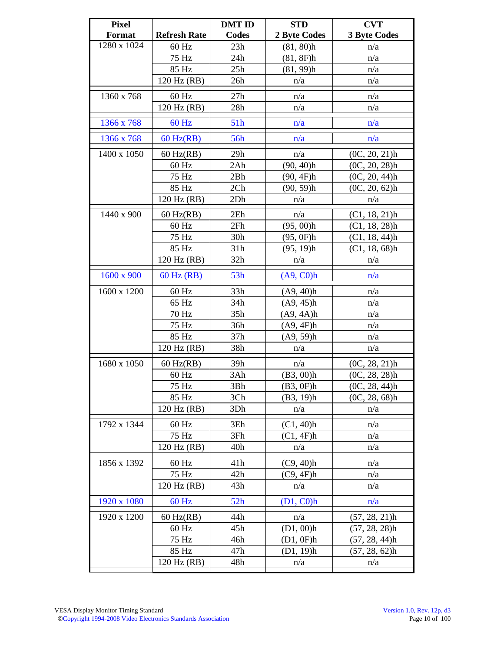| <b>Pixel</b> |                     | <b>DMT ID</b> | <b>STD</b>   | <b>CVT</b>          |
|--------------|---------------------|---------------|--------------|---------------------|
| Format       | <b>Refresh Rate</b> | <b>Codes</b>  | 2 Byte Codes | <b>3 Byte Codes</b> |
| 1280 x 1024  | 60 Hz               | 23h           | $(81, 80)$ h | n/a                 |
|              | 75 Hz               | 24h           | (81, 8F)h    | n/a                 |
|              | 85 Hz               | 25h           | (81, 99)h    | n/a                 |
|              | 120 Hz (RB)         | 26h           | n/a          | n/a                 |
| 1360 x 768   | 60 Hz               | 27h           | n/a          | n/a                 |
|              | 120 Hz (RB)         | 28h           | n/a          | n/a                 |
| 1366 x 768   | $60$ Hz             | 51h           | n/a          | n/a                 |
| 1366 x 768   | $60$ Hz(RB)         | 56h           | n/a          | n/a                 |
| 1400 x 1050  | $60$ Hz(RB)         | 29h           | n/a          | $(0C, 20, 21)$ h    |
|              | 60 Hz               | 2Ah           | $(90, 40)$ h | $(0C, 20, 28)$ h    |
|              | 75 Hz               | 2Bh           | (90, 4F)h    | $(0C, 20, 44)$ h    |
|              | 85 Hz               | 2Ch           | $(90, 59)$ h | (0C, 20, 62)h       |
|              | 120 Hz (RB)         | 2Dh           | n/a          | n/a                 |
| 1440 x 900   | $60$ Hz(RB)         | 2Eh           | n/a          | $(C1, 18, 21)$ h    |
|              | 60 Hz               | 2Fh           | $(95, 00)$ h | $(C1, 18, 28)$ h    |
|              | 75 Hz               | 30h           | (95, 0F)h    | $(C1, 18, 44)$ h    |
|              | 85 Hz               | 31h           | $(95, 19)$ h | (C1, 18, 68)h       |
|              | 120 Hz (RB)         | 32h           | n/a          | n/a                 |
| 1600 x 900   | 60 Hz (RB)          | 53h           | (A9, C0)h    | n/a                 |
| 1600 x 1200  | 60 Hz               | 33h           | (A9, 40)h    | n/a                 |
|              | 65 Hz               | 34h           | (A9, 45)h    | n/a                 |
|              | 70 Hz               | 35h           | (A9, 4A)h    | n/a                 |
|              | 75 Hz               | 36h           | (A9, 4F)h    | n/a                 |
|              | 85 Hz               | 37h           | (A9, 59)h    | n/a                 |
|              | 120 Hz (RB)         | 38h           | n/a          | n/a                 |
| 1680 x 1050  | $60$ Hz(RB)         | 39h           | n/a          | $(0C, 28, 21)$ h    |
|              | 60 Hz               | 3Ah           | $(B3, 00)$ h | $(0C, 28, 28)$ h    |
|              | 75 Hz               | 3Bh           | (B3, 0F)h    | (0C, 28, 44)h       |
|              | 85 Hz               | 3Ch           | (B3, 19)h    | $(0C, 28, 68)$ h    |
|              | 120 Hz (RB)         | 3Dh           | n/a          | n/a                 |
| 1792 x 1344  | 60 Hz               | 3Eh           | $(C1, 40)$ h | n/a                 |
|              | 75 Hz               | 3Fh           | (C1, 4F)h    | n/a                 |
|              | 120 Hz (RB)         | 40h           | n/a          | n/a                 |
| 1856 x 1392  | $60$ Hz             | 41h           | $(C9, 40)$ h | n/a                 |
|              | 75 Hz               | 42h           | (C9, 4F)h    | n/a                 |
|              | 120 Hz (RB)         | 43h           | n/a          | n/a                 |
| 1920 x 1080  | $60$ Hz             | 52h           | $(D1, C0)$ h | n/a                 |
| 1920 x 1200  | $60$ Hz(RB)         | 44h           | n/a          | $(57, 28, 21)$ h    |
|              | $60$ Hz             | 45h           | $(D1, 00)$ h | $(57, 28, 28)$ h    |
|              | 75 Hz               | 46h           | (D1, 0F)h    | $(57, 28, 44)$ h    |
|              | 85 Hz               | 47h           | (D1, 19)h    | $(57, 28, 62)$ h    |
|              | 120 Hz (RB)         | 48h           | n/a          | n/a                 |
|              |                     |               |              |                     |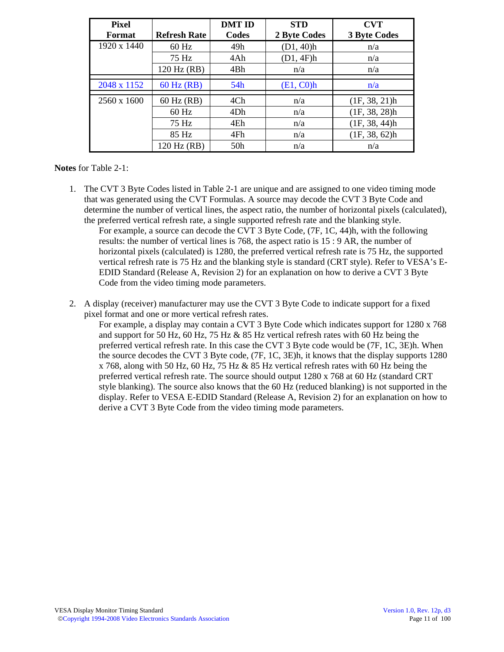| <b>Pixel</b>  |                     | <b>DMT ID</b> | <b>STD</b>   | <b>CVT</b>          |
|---------------|---------------------|---------------|--------------|---------------------|
| <b>Format</b> | <b>Refresh Rate</b> | Codes         | 2 Byte Codes | <b>3 Byte Codes</b> |
| 1920 x 1440   | $60$ Hz             | 49h           | (D1, 40)h    | n/a                 |
|               | 75 Hz               | 4Ah           | (D1, 4F)h    | n/a                 |
|               | 120 Hz (RB)         | 4Bh           | n/a          | n/a                 |
| 2048 x 1152   | $60$ Hz $(RB)$      | 54h           | (E1, CO)h    | n/a                 |
| 2560 x 1600   | 60 Hz (RB)          | 4Ch           | n/a          | (1F, 38, 21)h       |
|               | $60$ Hz             | 4Dh           | n/a          | (1F, 38, 28)h       |
|               | 75 Hz               | 4Eh           | n/a          | (1F, 38, 44)h       |
|               | 85 Hz               | 4Fh           | n/a          | (1F, 38, 62)h       |
|               | 120 Hz (RB)         | 50h           | n/a          | n/a                 |

#### **Notes** for Table 2-1:

- 1. The CVT 3 Byte Codes listed in Table 2-1 are unique and are assigned to one video timing mode that was generated using the CVT Formulas. A source may decode the CVT 3 Byte Code and determine the number of vertical lines, the aspect ratio, the number of horizontal pixels (calculated), the preferred vertical refresh rate, a single supported refresh rate and the blanking style. For example, a source can decode the CVT 3 Byte Code, (7F, 1C, 44)h, with the following results: the number of vertical lines is 768, the aspect ratio is 15 : 9 AR, the number of horizontal pixels (calculated) is 1280, the preferred vertical refresh rate is 75 Hz, the supported vertical refresh rate is 75 Hz and the blanking style is standard (CRT style). Refer to VESA's E-EDID Standard (Release A, Revision 2) for an explanation on how to derive a CVT 3 Byte Code from the video timing mode parameters.
- 2. A display (receiver) manufacturer may use the CVT 3 Byte Code to indicate support for a fixed pixel format and one or more vertical refresh rates.

For example, a display may contain a CVT 3 Byte Code which indicates support for 1280 x 768 and support for 50 Hz, 60 Hz, 75 Hz & 85 Hz vertical refresh rates with 60 Hz being the preferred vertical refresh rate. In this case the CVT 3 Byte code would be (7F, 1C, 3E)h. When the source decodes the CVT 3 Byte code, (7F, 1C, 3E)h, it knows that the display supports 1280 x 768, along with 50 Hz, 60 Hz, 75 Hz & 85 Hz vertical refresh rates with 60 Hz being the preferred vertical refresh rate. The source should output 1280 x 768 at 60 Hz (standard CRT style blanking). The source also knows that the 60 Hz (reduced blanking) is not supported in the display. Refer to VESA E-EDID Standard (Release A, Revision 2) for an explanation on how to derive a CVT 3 Byte Code from the video timing mode parameters.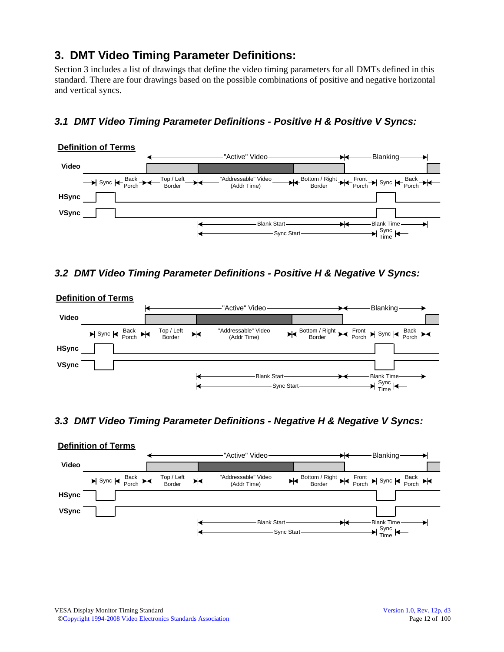# **3. DMT Video Timing Parameter Definitions:**

Section 3 includes a list of drawings that define the video timing parameters for all DMTs defined in this standard. There are four drawings based on the possible combinations of positive and negative horizontal and vertical syncs.

# *3.1 DMT Video Timing Parameter Definitions - Positive H & Positive V Syncs:*



#### *3.2 DMT Video Timing Parameter Definitions - Positive H & Negative V Syncs:*



#### *3.3 DMT Video Timing Parameter Definitions - Negative H & Negative V Syncs:*

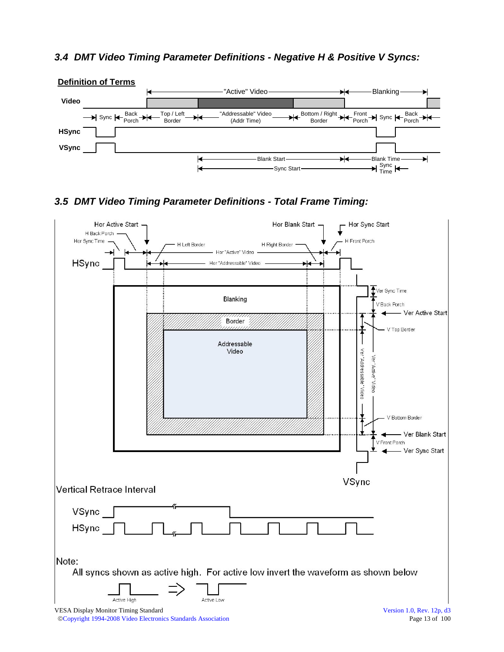#### *3.4 DMT Video Timing Parameter Definitions - Negative H & Positive V Syncs:*



## *3.5 DMT Video Timing Parameter Definitions - Total Frame Timing:*

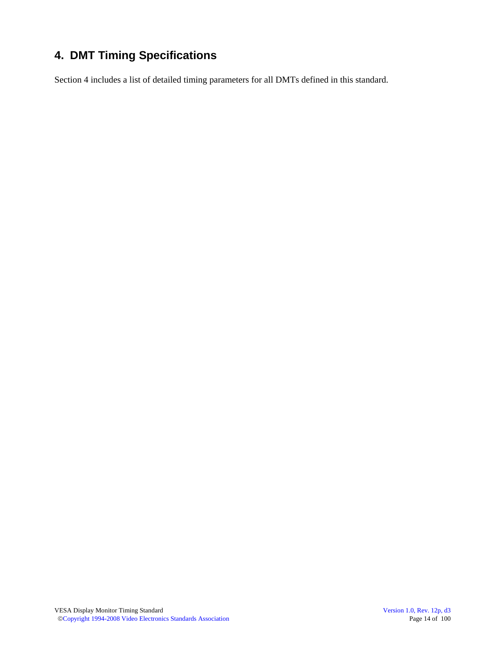# **4. DMT Timing Specifications**

Section 4 includes a list of detailed timing parameters for all DMTs defined in this standard.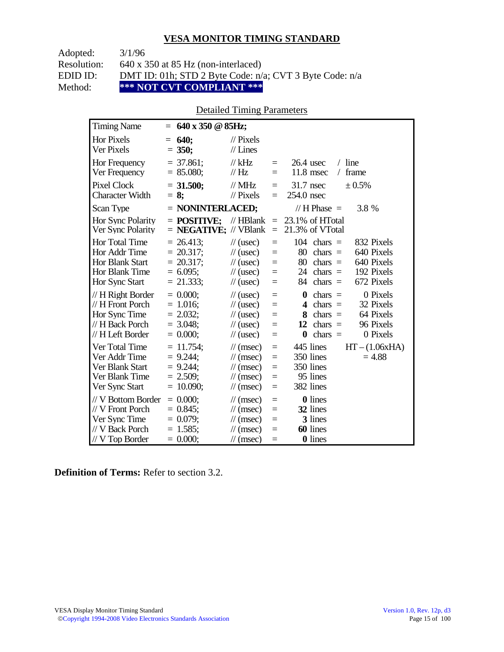Adopted: 3/1/96

Resolution: 640 x 350 at 85 Hz (non-interlaced)

EDID ID: DMT ID: 01h; STD 2 Byte Code: n/a; CVT 3 Byte Code: n/a<br>Method: \*\*\* NOT CVT COMPLIANT \*\*\*

Method: **\*\*\* NOT CVT COMPLIANT \*\*\*** 

## Detailed Timing Parameters

| <b>Timing Name</b>                                                                              | $= 640 \times 350 \text{ } \textcircled{a} 85 \text{Hz};$                  |                                                                                                                                    |                                      |                                                                                                                                                                 |
|-------------------------------------------------------------------------------------------------|----------------------------------------------------------------------------|------------------------------------------------------------------------------------------------------------------------------------|--------------------------------------|-----------------------------------------------------------------------------------------------------------------------------------------------------------------|
| <b>Hor Pixels</b><br><b>Ver Pixels</b>                                                          | 640;<br>$=$<br>$= 350;$                                                    | $\mathcal{U}$ Pixels<br>$//$ Lines                                                                                                 |                                      |                                                                                                                                                                 |
| Hor Frequency<br>Ver Frequency                                                                  | $= 37.861$ ;<br>$= 85.080;$                                                | // $kHz$<br>$\frac{1}{1}$ Hz                                                                                                       | $=$<br>$=$                           | $/$ line<br>$26.4$ usec<br>$11.8$ msec<br>frame<br>$\sqrt{2}$                                                                                                   |
| <b>Pixel Clock</b><br><b>Character Width</b>                                                    | $= 31.500$ ;<br>$= 8$ ;                                                    | $//$ MHz<br>$//$ Pixels                                                                                                            | $=$<br>$=$                           | 31.7 nsec<br>± 0.5%<br>254.0 nsec                                                                                                                               |
| Scan Type                                                                                       | $=$ NONINTERLACED;                                                         |                                                                                                                                    |                                      | // H Phase $=$<br>3.8 %                                                                                                                                         |
| Hor Sync Polarity<br>Ver Sync Polarity                                                          | $=$ POSITIVE:<br>$=$ <b>NEGATIVE;</b> // VBlank                            | // $HBlank =$                                                                                                                      | $=$                                  | 23.1% of HTotal<br>21.3% of VTotal                                                                                                                              |
| Hor Total Time<br>Hor Addr Time<br><b>Hor Blank Start</b><br>Hor Blank Time<br>Hor Sync Start   | $= 26.413$ ;<br>$= 20.317$ ;<br>$= 20.317$ ;<br>$= 6.095$ ;<br>$= 21.333;$ | $\frac{1}{2}$ (usec)<br>$\frac{1}{2}$ (usec)<br>$\frac{1}{2}$ (usec)<br>$\frac{1}{2}$ (usec)<br>$\frac{1}{2}$ (usec)               | $=$<br>$=$<br>$=$<br>$\equiv$<br>$=$ | 104<br>832 Pixels<br>$chars =$<br>640 Pixels<br>80<br>$chars =$<br>80<br>640 Pixels<br>$chars =$<br>192 Pixels<br>24 chars $=$<br>672 Pixels<br>84<br>chars $=$ |
| // H Right Border<br>// H Front Porch<br>Hor Sync Time<br>// H Back Porch<br>// H Left Border   | $= 0.000$<br>$= 1.016$ ;<br>$= 2.032;$<br>$= 3.048$ ;<br>$= 0.000;$        | $\frac{1}{2}$ (usec)<br>$\frac{1}{2}$ (usec)<br>$\frac{1}{2}$ (usec)<br>$\frac{1}{2}$ (usec)<br>$\frac{1}{2}$ (usec)               | $=$<br>$=$<br>$=$<br>$=$<br>$=$      | 0 Pixels<br>0<br>chars $=$<br>32 Pixels<br>4<br>$chars =$<br>64 Pixels<br>8<br>$chars =$<br>96 Pixels<br>12<br>chars $=$<br>$\bf{0}$<br>chars $=$<br>0 Pixels   |
| Ver Total Time<br>Ver Addr Time<br>Ver Blank Start<br>Ver Blank Time<br>Ver Sync Start          | $= 11.754$ ;<br>$= 9.244$ ;<br>$= 9.244$ ;<br>$= 2.509$ ;<br>$= 10.090$ ;  | $\mathcal{U}$ (msec)<br>$\mathcal{U}$ (msec)<br>$\mathcal{U}$ (msec)<br>$\mathcal{U}$ (msec)<br>$\mathcal{U}$ (msec)               | $=$<br>$=$<br>$=$<br>$=$<br>$=$      | 445 lines<br>$HT - (1.06xHA)$<br>350 lines<br>$= 4.88$<br>350 lines<br>95 lines<br>382 lines                                                                    |
| // V Bottom Border<br>// V Front Porch<br>Ver Sync Time<br>// V Back Porch<br>$//$ V Top Border | $= 0.000;$<br>$= 0.845$ ;<br>$= 0.079$ ;<br>$= 1.585$ ;<br>$= 0.000;$      | $\frac{1}{\sqrt{2}}$ (msec)<br>$\mathcal{U}$ (msec)<br>$\mathcal{U}$ (msec)<br>$\frac{1}{\sqrt{2}}$ (msec)<br>$\mathcal{U}$ (msec) | $=$<br>$=$<br>$=$<br>$=$<br>$=$      | <b>0</b> lines<br>32 lines<br>3 lines<br>60 lines<br><b>0</b> lines                                                                                             |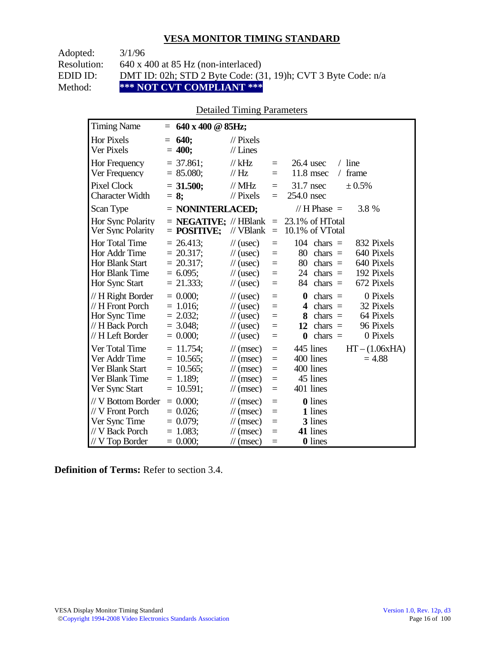Adopted: 3/1/96

Resolution: 640 x 400 at 85 Hz (non-interlaced)

EDID ID: DMT ID: 02h; STD 2 Byte Code: (31, 19)h; CVT 3 Byte Code: n/a<br>Method: \*\*\* NOT CVT COMPLIANT \*\*\*

Method: **\*\*\* NOT CVT COMPLIANT \*\*\*** 

## Detailed Timing Parameters

| <b>Timing Name</b>                                                                                   | $= 640 \times 400 \text{ @ } 85 \text{Hz};$                                |                                                                                                                                                    |                                      |                                                                                                                                                                      |
|------------------------------------------------------------------------------------------------------|----------------------------------------------------------------------------|----------------------------------------------------------------------------------------------------------------------------------------------------|--------------------------------------|----------------------------------------------------------------------------------------------------------------------------------------------------------------------|
| <b>Hor Pixels</b><br><b>Ver Pixels</b>                                                               | <b>640;</b><br>$=$<br>$= 400;$                                             | $\mathcal{U}$ Pixels<br>$//$ Lines                                                                                                                 |                                      |                                                                                                                                                                      |
| Hor Frequency<br>Ver Frequency                                                                       | $=$ 37.861;<br>$= 85.080;$                                                 | $//$ kHz<br>// Hz                                                                                                                                  | $=$<br>$=$                           | $26.4$ usec<br>$/$ line<br>$11.8$ msec<br>frame<br>$\sqrt{2}$                                                                                                        |
| <b>Pixel Clock</b><br><b>Character Width</b>                                                         | $= 31.500;$<br>$= 8$ ;                                                     | $//$ MHz<br>// Pixels                                                                                                                              | $=$<br>$=$                           | 31.7 nsec<br>± 0.5%<br>254.0 nsec                                                                                                                                    |
| Scan Type                                                                                            | $=$ NONINTERLACED;                                                         |                                                                                                                                                    |                                      | // $H$ Phase $=$<br>3.8 %                                                                                                                                            |
| Hor Sync Polarity<br>Ver Sync Polarity                                                               | $=$ <b>NEGATIVE</b> ; $\mathcal{N}$ HBlank<br>$=$ POSITIVE;                | // VBlank                                                                                                                                          | $\equiv$<br>$\equiv$                 | 23.1% of HTotal<br>10.1% of VTotal                                                                                                                                   |
| <b>Hor Total Time</b><br>Hor Addr Time<br><b>Hor Blank Start</b><br>Hor Blank Time<br>Hor Sync Start | $= 26.413$ ;<br>$= 20.317$ ;<br>$= 20.317$ ;<br>$= 6.095$ ;<br>$= 21.333;$ | $\frac{1}{2}$ (usec)<br>$\frac{1}{2}$ (usec)<br>$\frac{1}{2}$ (usec)<br>$\frac{1}{2}$ (usec)<br>$\frac{1}{2}$ (usec)                               | $=$<br>$=$<br>$=$<br>$=$<br>$=$      | 104<br>$chars =$<br>832 Pixels<br>80<br>$chars =$<br>640 Pixels<br>80<br>640 Pixels<br>$chars =$<br>192 Pixels<br>$24$ chars =<br>672 Pixels<br>chars $=$<br>84      |
| // H Right Border<br>// H Front Porch<br>Hor Sync Time<br>// H Back Porch<br>// H Left Border        | $= 0.000$<br>$= 1.016$ ;<br>$= 2.032$ ;<br>$= 3.048$ ;<br>$= 0.000;$       | $\frac{1}{2}$ (usec)<br>$\frac{1}{2}$ (usec)<br>$\frac{1}{2}$ (usec)<br>$\frac{1}{2}$ (usec)<br>$\frac{1}{2}$ (usec)                               | $=$<br>$=$<br>$=$<br>$=$<br>$=$      | 0 Pixels<br>chars $=$<br>$\bf{0}$<br>32 Pixels<br>$chars =$<br>4<br>64 Pixels<br>$chars =$<br>8<br>96 Pixels<br>12<br>$chars =$<br>chars $=$<br>0 Pixels<br>$\bf{0}$ |
| Ver Total Time<br>Ver Addr Time<br>Ver Blank Start<br>Ver Blank Time<br>Ver Sync Start               | $= 11.754$ ;<br>$= 10.565$ ;<br>$= 10.565$ ;<br>$= 1.189;$<br>$= 10.591$ ; | $\frac{1}{\pi}$ (msec)<br>$\frac{1}{\sqrt{2}}$ (msec)<br>$\frac{1}{\sqrt{2}}$ (msec)<br>$\frac{1}{\sqrt{2}}$ (msec)<br>$\frac{1}{\sqrt{2}}$ (msec) | $\equiv$<br>$=$<br>$=$<br>$=$<br>$=$ | 445 lines<br>$HT - (1.06xHA)$<br>400 lines<br>$= 4.88$<br>400 lines<br>45 lines<br>401 lines                                                                         |
| // V Bottom Border<br>// V Front Porch<br>Ver Sync Time<br>// V Back Porch<br>// V Top Border        | $= 0.000;$<br>$= 0.026$ ;<br>$= 0.079;$<br>$= 1.083$ ;<br>$= 0.000;$       | $\frac{1}{\sqrt{2}}$ (msec)<br>$\frac{1}{\sqrt{2}}$ (msec)<br>$\frac{1}{\sqrt{2}}$ (msec)<br>$\mathcal{U}$ (msec)<br>$\frac{1}{\sqrt{2}}$ (msec)   | $=$<br>$=$<br>$=$<br>$=$<br>$=$      | <b>0</b> lines<br>1 lines<br>3 lines<br>41 lines<br><b>0</b> lines                                                                                                   |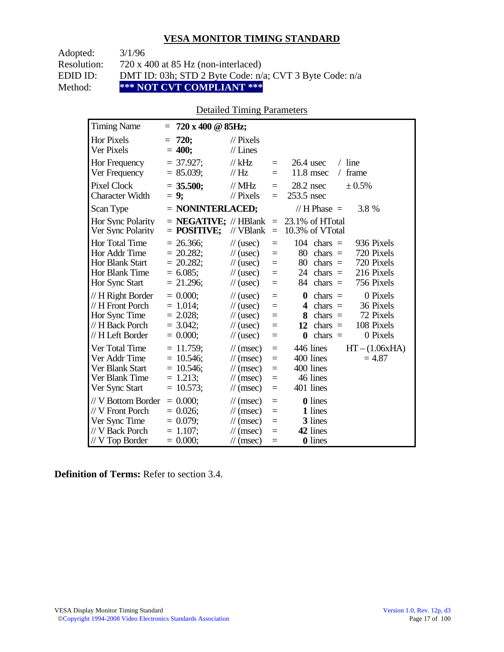Adopted: 3/1/96

Resolution: 720 x 400 at 85 Hz (non-interlaced)

EDID ID: DMT ID: 03h; STD 2 Byte Code: n/a; CVT 3 Byte Code: n/a<br>Method: \*\*\* NOT CVT COMPLIANT \*\*\*

Method: **\*\*\* NOT CVT COMPLIANT \*\*\*** 

## Detailed Timing Parameters

| <b>Timing Name</b>                                                                              | $= 720 \times 400 \text{ @ } 85 \text{Hz};$                                 |                                                                                                                                               |                                      |                                                                                                                                                                               |
|-------------------------------------------------------------------------------------------------|-----------------------------------------------------------------------------|-----------------------------------------------------------------------------------------------------------------------------------------------|--------------------------------------|-------------------------------------------------------------------------------------------------------------------------------------------------------------------------------|
| <b>Hor Pixels</b><br><b>Ver Pixels</b>                                                          | 720;<br>$=$<br>$= 400;$                                                     | $\mathcal{U}$ Pixels<br>$//$ Lines                                                                                                            |                                      |                                                                                                                                                                               |
| <b>Hor Frequency</b><br>Ver Frequency                                                           | $= 37.927$ ;<br>$= 85.039;$                                                 | $//$ kHz<br>// Hz                                                                                                                             | $\equiv$<br>$=$                      | $/$ line<br>$26.4$ usec<br>$11.8$ msec<br>frame<br>$\sqrt{2}$                                                                                                                 |
| <b>Pixel Clock</b><br><b>Character Width</b>                                                    | $= 35.500$ ;<br>$= 9;$                                                      | $//$ MHz<br>// Pixels                                                                                                                         | $\equiv$<br>$\equiv$                 | $28.2$ nsec<br>± 0.5%<br>253.5 nsec                                                                                                                                           |
| Scan Type                                                                                       | $=$ NONINTERLACED;                                                          |                                                                                                                                               |                                      | // $H$ Phase $=$<br>3.8 %                                                                                                                                                     |
| Hor Sync Polarity<br>Ver Sync Polarity                                                          | $=$ <b>NEGATIVE;</b> // HBlank<br>$=$ POSITIVE;                             | // VBlank                                                                                                                                     | $\equiv$<br>$\equiv$                 | 23.1% of HTotal<br>10.3% of VTotal                                                                                                                                            |
| Hor Total Time<br>Hor Addr Time<br><b>Hor Blank Start</b><br>Hor Blank Time<br>Hor Sync Start   | $= 26.366$ ;<br>$= 20.282$ ;<br>$= 20.282$ ;<br>$= 6.085$ ;<br>$= 21.296$ ; | $\frac{1}{2}$ (usec)<br>$\frac{1}{2}$ (usec)<br>$\frac{1}{2}$ (usec)<br>$\frac{1}{2}$ (usec)<br>$\frac{1}{2}$ (usec)                          | $=$<br>$=$<br>$=$<br>$=$<br>$=$      | 104<br>936 Pixels<br>$chars =$<br>80<br>$chars =$<br>720 Pixels<br>80<br>720 Pixels<br>$chars =$<br>216 Pixels<br>24 chars $=$<br>chars $=$<br>756 Pixels<br>84               |
| // H Right Border<br>// H Front Porch<br>Hor Sync Time<br>// H Back Porch<br>// H Left Border   | $= 0.000$<br>$= 1.014$ ;<br>$= 2.028$ ;<br>$= 3.042;$<br>$= 0.000;$         | $\frac{1}{2}$ (usec)<br>$\frac{1}{2}$ (usec)<br>$\frac{1}{2}$ (usec)<br>$\frac{1}{2}$ (usec)<br>$\frac{1}{2}$ (usec)                          | $=$<br>$=$<br>$=$<br>$=$<br>$=$      | 0 Pixels<br>$\boldsymbol{0}$<br>chars $=$<br>36 Pixels<br>$chars =$<br>4<br>72 Pixels<br>8<br>$chars =$<br>108 Pixels<br>chars $=$<br>12<br>chars $=$<br>0 Pixels<br>$\bf{0}$ |
| Ver Total Time<br>Ver Addr Time<br>Ver Blank Start<br>Ver Blank Time<br>Ver Sync Start          | $= 11.759$ ;<br>$= 10.546$ ;<br>$= 10.546$ ;<br>$= 1.213;$<br>$= 10.573;$   | $\frac{1}{\pi}$ (msec)<br>$\frac{1}{\sqrt{2}}$ (msec)<br>$\frac{1}{\sqrt{2}}$ (msec)<br>$\frac{1}{\pi}$ (msec)<br>$\frac{1}{\sqrt{2}}$ (msec) | $\equiv$<br>$=$<br>$=$<br>$=$<br>$=$ | 446 lines<br>$HT - (1.06xHA)$<br>400 lines<br>$= 4.87$<br>400 lines<br>46 lines<br>401 lines                                                                                  |
| // V Bottom Border<br>// V Front Porch<br>Ver Sync Time<br>// V Back Porch<br>$//$ V Top Border | $= 0.000;$<br>$= 0.026$ ;<br>$= 0.079;$<br>$= 1.107$ ;<br>$= 0.000;$        | $\frac{1}{\pi}$ (msec)<br>$\frac{1}{\sqrt{2}}$ (msec)<br>$\frac{1}{\sqrt{2}}$ (msec)<br>$\frac{1}{\sqrt{2}}$ (msec)<br>$\frac{1}{\pi}$ (msec) | $\equiv$<br>$=$<br>$=$<br>$=$<br>$=$ | 0 lines<br>1 lines<br>3 lines<br>42 lines<br>0 lines                                                                                                                          |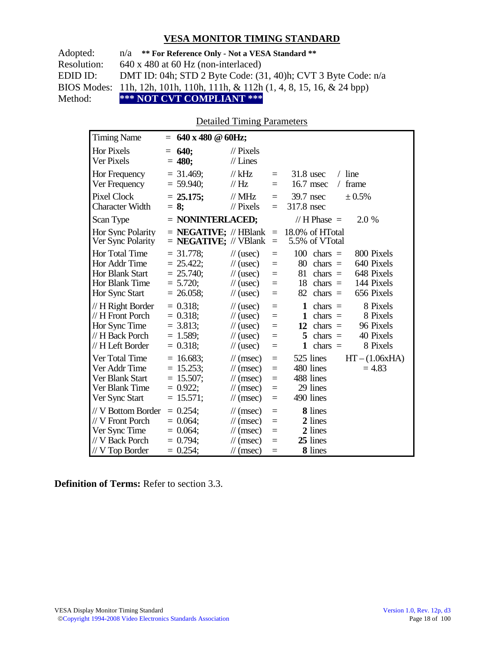| Adopted:    | $n/a$ ** For Reference Only - Not a VESA Standard **                                  |
|-------------|---------------------------------------------------------------------------------------|
| Resolution: | $640 \times 480$ at 60 Hz (non-interlaced)                                            |
| EDID ID:    | DMT ID: 04h; STD 2 Byte Code: $(31, 40)$ h; CVT 3 Byte Code: $n/a$                    |
|             | BIOS Modes: 11h, 12h, 101h, 110h, 111h, & 112h $(1, 4, 8, 15, 16, \& 24 \text{ bpp})$ |
| Method:     | *** NOT CVT COMPLIANT ***                                                             |

#### Detailed Timing Parameters

| <b>Timing Name</b>                                                                              | $= 640 \times 480 \text{ } \textcircled{a} 60 \text{Hz};$                  |                                                                                                                             |                                 |                                                                                                                                                                          |
|-------------------------------------------------------------------------------------------------|----------------------------------------------------------------------------|-----------------------------------------------------------------------------------------------------------------------------|---------------------------------|--------------------------------------------------------------------------------------------------------------------------------------------------------------------------|
| <b>Hor Pixels</b><br>Ver Pixels                                                                 | $= 640;$<br>$= 480;$                                                       | $\frac{1}{2}$ Pixels<br>$//$ Lines                                                                                          |                                 |                                                                                                                                                                          |
| Hor Frequency<br>Ver Frequency                                                                  | $=$ 31.469;<br>$= 59.940$ ;                                                | $//$ kHz<br>$\frac{1}{1}$ Hz                                                                                                | $\equiv$<br>$\equiv$            | $/$ line<br>$31.8$ usec<br>16.7 msec<br>frame<br>$\sqrt{2}$                                                                                                              |
| Pixel Clock<br><b>Character Width</b>                                                           | $= 25.175$ ;<br>$= 8$ ;                                                    | $//$ MHz<br>$\frac{1}{2}$ Pixels                                                                                            | $\equiv$<br>$\equiv$            | 39.7 nsec<br>± 0.5%<br>317.8 nsec                                                                                                                                        |
| Scan Type                                                                                       | $=$ NONINTERLACED;                                                         |                                                                                                                             |                                 | // H Phase $=$<br>2.0 %                                                                                                                                                  |
| Hor Sync Polarity<br>Ver Sync Polarity                                                          | $=$ <b>NEGATIVE</b> ; // HBlank $=$<br>$=$ <b>NEGATIVE</b> ; // VBlank     |                                                                                                                             | $\equiv$                        | 18.0% of HTotal<br>5.5% of VTotal                                                                                                                                        |
| Hor Total Time<br>Hor Addr Time<br><b>Hor Blank Start</b><br>Hor Blank Time<br>Hor Sync Start   | $= 31.778$ ;<br>$= 25.422$ ;<br>$= 25.740$ ;<br>$= 5.720$ ;<br>$= 26.058;$ | $\frac{1}{\sqrt{2}}$ (usec)<br>$\frac{1}{2}$ (usec)<br>$\frac{1}{2}$ (usec)<br>$\frac{1}{2}$ (usec)<br>$\frac{1}{2}$ (usec) | $=$<br>$=$<br>$=$<br>$=$<br>$=$ | 100<br>800 Pixels<br>$chars =$<br>80<br>640 Pixels<br>$chars =$<br>648 Pixels<br>81<br>chars $=$<br>144 Pixels<br>18<br>$chars =$<br>656 Pixels<br>82<br>$chars =$       |
| // H Right Border<br>// H Front Porch<br>Hor Sync Time<br>// H Back Porch<br>// H Left Border   | $= 0.318$ ;<br>$= 0.318$ ;<br>$= 3.813$ ;<br>$= 1.589$ ;<br>$= 0.318$ ;    | $\frac{1}{2}$ (usec)<br>$\frac{1}{2}$ (usec)<br>$\frac{1}{2}$ (usec)<br>$\frac{1}{2}$ (usec)<br>$\frac{1}{2}$ (usec)        | $=$<br>$=$<br>$=$<br>$=$<br>$=$ | 8 Pixels<br>1<br>chars $=$<br>$\mathbf{1}$<br>8 Pixels<br>$chars =$<br>96 Pixels<br>12 chars $=$<br>40 Pixels<br>5<br>$chars =$<br>8 Pixels<br>$\mathbf{1}$<br>$chars =$ |
| Ver Total Time<br>Ver Addr Time<br>Ver Blank Start<br>Ver Blank Time<br>Ver Sync Start          | $= 16.683$ ;<br>$= 15.253;$<br>$= 15.507;$<br>$= 0.922$ ;<br>$= 15.571;$   | $\mathcal{U}$ (msec)<br>$\frac{1}{\sqrt{2}}$ (msec)<br>$\mathcal{U}$ (msec)<br>$\mathcal{U}$ (msec)<br>$\mathcal{U}$ (msec) | $=$<br>$=$<br>$=$<br>$=$<br>$=$ | 525 lines<br>$HT - (1.06xHA)$<br>480 lines<br>$= 4.83$<br>488 lines<br>29 lines<br>490 lines                                                                             |
| // V Bottom Border<br>// V Front Porch<br>Ver Sync Time<br>// V Back Porch<br>$//$ V Top Border | $= 0.254$ ;<br>$= 0.064$ ;<br>$= 0.064$ ;<br>$= 0.794$ ;<br>$= 0.254$ ;    | $\mathcal{U}$ (msec)<br>$\mathcal{U}$ (msec)<br>$\mathcal{U}$ (msec)<br>$\mathcal{U}$ (msec)<br>$\mathcal{U}$ (msec)        | $=$<br>$=$<br>$=$<br>Ξ<br>$=$   | 8 lines<br>2 lines<br>2 lines<br>25 lines<br>8 lines                                                                                                                     |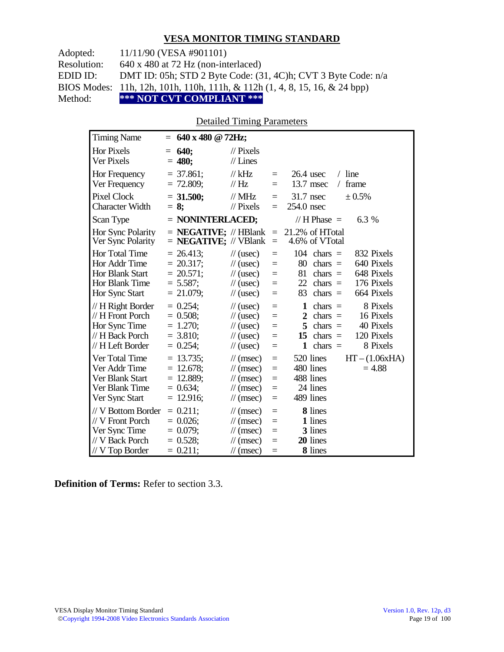Adopted: 11/11/90 (VESA #901101)

Resolution: 640 x 480 at 72 Hz (non-interlaced)

EDID ID: DMT ID: 05h; STD 2 Byte Code: (31, 4C)h; CVT 3 Byte Code: n/a

BIOS Modes: 11h, 12h, 101h, 110h, 111h, & 112h (1, 4, 8, 15, 16, & 24 bpp)

Method: **\*\*\* NOT CVT COMPLIANT \*\*\***

#### Detailed Timing Parameters

| <b>Timing Name</b>                                                                              | $= 640 \times 480 \text{ @ } 72 \text{Hz};$                                |                                                                                                                                             |                                      |                                                                                                                                                                                 |
|-------------------------------------------------------------------------------------------------|----------------------------------------------------------------------------|---------------------------------------------------------------------------------------------------------------------------------------------|--------------------------------------|---------------------------------------------------------------------------------------------------------------------------------------------------------------------------------|
| <b>Hor Pixels</b><br>Ver Pixels                                                                 | <b>640;</b><br>$=$<br>$= 480;$                                             | $\mathcal{U}$ Pixels<br>$//$ Lines                                                                                                          |                                      |                                                                                                                                                                                 |
| Hor Frequency<br>Ver Frequency                                                                  | $=$ 37.861;<br>$= 72.809$ ;                                                | $//$ kHz<br>$\mathcal{U}$ Hz                                                                                                                | $\equiv$<br>$\equiv$                 | $/$ line<br>$26.4$ usec<br>13.7 msec<br>frame<br>$\sqrt{2}$                                                                                                                     |
| <b>Pixel Clock</b><br><b>Character Width</b>                                                    | $= 31.500;$<br>$= 8$ ;                                                     | $\mathcal{N}$ MHz<br>$\frac{1}{2}$ Pixels                                                                                                   | $\equiv$<br>$\equiv$                 | 31.7 nsec<br>$\pm 0.5\%$<br>254.0 nsec                                                                                                                                          |
| Scan Type                                                                                       | $=$ NONINTERLACED;                                                         |                                                                                                                                             |                                      | // $H$ Phase $=$<br>6.3 %                                                                                                                                                       |
| Hor Sync Polarity<br>Ver Sync Polarity                                                          | $=$ <b>NEGATIVE</b> ; // HBlank<br>$=$ <b>NEGATIVE</b> ; // VBlank         |                                                                                                                                             | $\equiv$<br>$\equiv$                 | 21.2% of HTotal<br>4.6% of VTotal                                                                                                                                               |
| Hor Total Time<br>Hor Addr Time<br><b>Hor Blank Start</b><br>Hor Blank Time<br>Hor Sync Start   | $= 26.413$ ;<br>$= 20.317$ ;<br>$= 20.571$ ;<br>$= 5.587$ ;<br>$= 21.079;$ | $\frac{1}{2}$ (usec)<br>$\frac{1}{2}$ (usec)<br>$\frac{1}{2}$ (usec)<br>$\frac{1}{2}$ (usec)<br>$\frac{1}{2}$ (usec)                        | $\equiv$<br>$=$<br>$=$<br>$=$<br>$=$ | 104<br>832 Pixels<br>$chars =$<br>80<br>640 Pixels<br>$chars =$<br>81<br>648 Pixels<br>chars $=$<br>22<br>176 Pixels<br>$chars =$<br>664 Pixels<br>83<br>$chars =$              |
| $// H$ Right Border<br>// H Front Porch<br>Hor Sync Time<br>// H Back Porch<br>// H Left Border | $= 0.254$ ;<br>$= 0.508;$<br>$= 1.270;$<br>$= 3.810$ ;<br>$= 0.254$ ;      | $\frac{1}{2}$ (usec)<br>$\frac{1}{2}$ (usec)<br>$\frac{1}{2}$ (usec)<br>$\frac{1}{2}$ (usec)<br>$\frac{1}{2}$ (usec)                        | $=$<br>$=$<br>$=$<br>$=$<br>$\equiv$ | 8 Pixels<br>1<br>chars $=$<br>16 Pixels<br>$\overline{2}$<br>$chars =$<br>5<br>40 Pixels<br>$chars =$<br>120 Pixels<br>15<br>$chars =$<br>8 Pixels<br>$\mathbf{1}$<br>chars $=$ |
| Ver Total Time<br>Ver Addr Time<br>Ver Blank Start<br>Ver Blank Time<br>Ver Sync Start          | $= 13.735$ ;<br>$= 12.678$ ;<br>$= 12.889;$<br>$= 0.634$ ;<br>$= 12.916;$  | $\frac{1}{\sqrt{2}}$ (msec)<br>$\frac{1}{\sqrt{2}}$ (msec)<br>$\mathcal{U}$ (msec)<br>$\frac{1}{\sqrt{2}}$ (msec)<br>$\frac{1}{\pi}$ (msec) | $\equiv$<br>$=$<br>$=$<br>$=$<br>$=$ | 520 lines<br>$HT - (1.06xHA)$<br>480 lines<br>$= 4.88$<br>488 lines<br>24 lines<br>489 lines                                                                                    |
| // V Bottom Border<br>// V Front Porch<br>Ver Sync Time<br>// V Back Porch<br>$//V$ Top Border  | $= 0.211$ ;<br>$= 0.026$ ;<br>$= 0.079$ ;<br>$= 0.528;$<br>$= 0.211$ ;     | $\frac{1}{\pi}$ (msec)<br>$\mathcal{U}$ (msec)<br>$\mathcal{U}$ (msec)<br>$\mathcal{U}$ (msec)<br>$\frac{1}{\tan(\theta)}$                  | $\equiv$<br>$=$<br>$=$<br>$=$<br>$=$ | 8 lines<br>1 lines<br>3 lines<br>20 lines<br>8 lines                                                                                                                            |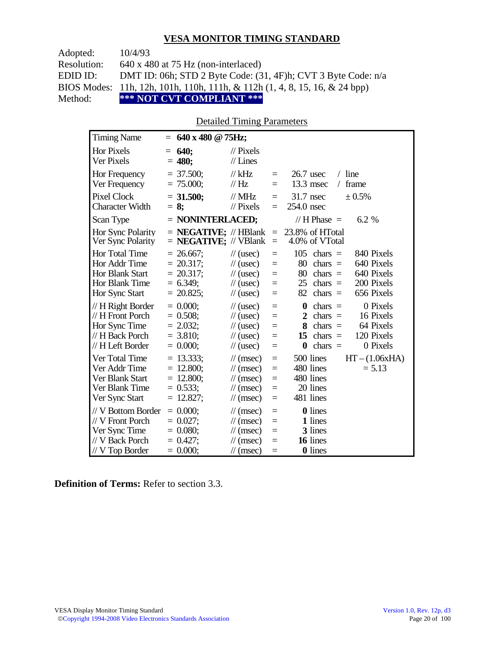| Adopted:    | 10/4/93                                                                    |
|-------------|----------------------------------------------------------------------------|
| Resolution: | $640 \times 480$ at 75 Hz (non-interlaced)                                 |
| EDID ID:    | DMT ID: 06h; STD 2 Byte Code: $(31, 4F)$ h; CVT 3 Byte Code: $n/a$         |
|             | BIOS Modes: 11h, 12h, 101h, 110h, 111h, & 112h (1, 4, 8, 15, 16, & 24 bpp) |
| Method:     | *** NOT CVT COMPLIANT ***                                                  |

#### Detailed Timing Parameters

| <b>Timing Name</b>                                                                            | $= 640 \times 480 \text{ @ } 75 \text{Hz};$                                |                                                                                                                             |                                 |                                                                                                                                                                    |
|-----------------------------------------------------------------------------------------------|----------------------------------------------------------------------------|-----------------------------------------------------------------------------------------------------------------------------|---------------------------------|--------------------------------------------------------------------------------------------------------------------------------------------------------------------|
| <b>Hor Pixels</b><br>Ver Pixels                                                               | 640;<br>$=$<br>$= 480;$                                                    | $\mathcal{U}$ Pixels<br>$//$ Lines                                                                                          |                                 |                                                                                                                                                                    |
| Hor Frequency<br>Ver Frequency                                                                | $= 37.500$ ;<br>$= 75.000;$                                                | $//$ kHz<br>$\mathcal{U}$ Hz                                                                                                | $=$<br>$=$                      | $/$ line<br>$26.7$ usec<br>13.3 msec<br>frame<br>$\sqrt{2}$                                                                                                        |
| Pixel Clock<br><b>Character Width</b>                                                         | $= 31.500;$<br>$= 8:$                                                      | $//$ MHz<br>$//$ Pixels                                                                                                     | $=$<br>$=$                      | $31.7$ nsec<br>$\pm 0.5\%$<br>254.0 nsec                                                                                                                           |
| Scan Type                                                                                     | = NONINTERLACED;                                                           |                                                                                                                             |                                 | // H Phase $=$<br>6.2 %                                                                                                                                            |
| Hor Sync Polarity<br>Ver Sync Polarity                                                        | $=$ <b>NEGATIVE;</b> // HBlank $=$<br>$=$ <b>NEGATIVE;</b> // VBlank       |                                                                                                                             | $=$                             | 23.8% of HTotal<br>4.0% of VTotal                                                                                                                                  |
| Hor Total Time<br>Hor Addr Time<br>Hor Blank Start<br>Hor Blank Time<br>Hor Sync Start        | $= 26.667$ ;<br>$= 20.317$ ;<br>$= 20.317$ ;<br>$= 6.349$ ;<br>$= 20.825;$ | $\frac{1}{2}$ (usec)<br>$\frac{1}{2}$ (usec)<br>$\frac{1}{2}$ (usec)<br>$\frac{1}{2}$ (usec)<br>$\frac{1}{2}$ (usec)        | $=$<br>$=$<br>$=$<br>$=$<br>$=$ | 105<br>840 Pixels<br>$chars =$<br>80<br>640 Pixels<br>$chars =$<br>80<br>640 Pixels<br>$chars =$<br>200 Pixels<br>25<br>$chars =$<br>656 Pixels<br>82<br>$chars =$ |
| // H Right Border<br>// H Front Porch<br>Hor Sync Time<br>// H Back Porch<br>// H Left Border | $= 0.000$<br>$= 0.508$ ;<br>$= 2.032;$<br>$= 3.810$ ;<br>$= 0.000;$        | $\frac{1}{2}$ (usec)<br>$\frac{1}{2}$ (usec)<br>$\frac{1}{2}$ (usec)<br>$\frac{1}{2}$ (usec)<br>$\frac{1}{2}$ (usec)        | $=$<br>$=$<br>$=$<br>$=$<br>$=$ | 0 Pixels<br>$chars =$<br>0<br>16 Pixels<br>$\mathbf{2}$<br>$chars =$<br>64 Pixels<br>8<br>chars $=$<br>120 Pixels<br>$chars =$<br>15<br>0 Pixels<br>$chars =$<br>0 |
| Ver Total Time<br>Ver Addr Time<br>Ver Blank Start<br>Ver Blank Time<br>Ver Sync Start        | $= 13.333;$<br>$= 12.800;$<br>$= 12.800;$<br>$= 0.533;$<br>$= 12.827;$     | $\frac{1}{\sqrt{2}}$ (msec)<br>$\mathcal{U}$ (msec)<br>$\mathcal{U}$ (msec)<br>$\mathcal{U}$ (msec)<br>$\mathcal{U}$ (msec) | $=$<br>$=$<br>$=$<br>$=$<br>$=$ | 500 lines<br>$HT - (1.06xHA)$<br>480 lines<br>$= 5.13$<br>480 lines<br>20 lines<br>481 lines                                                                       |
| // V Bottom Border<br>// V Front Porch<br>Ver Sync Time<br>// V Back Porch<br>// V Top Border | $= 0.000$<br>$= 0.027$ ;<br>$= 0.080;$<br>$= 0.427$ ;<br>$= 0.000;$        | $\mathcal{U}$ (msec)<br>$\mathcal{U}$ (msec)<br>$\mathcal{U}$ (msec)<br>$\frac{1}{\sqrt{2}}$ (msec)<br>$\mathcal{U}$ (msec) | $=$<br>$=$<br>$=$<br>$=$<br>$=$ | <b>0</b> lines<br>1 lines<br>3 lines<br>16 lines<br><b>0</b> lines                                                                                                 |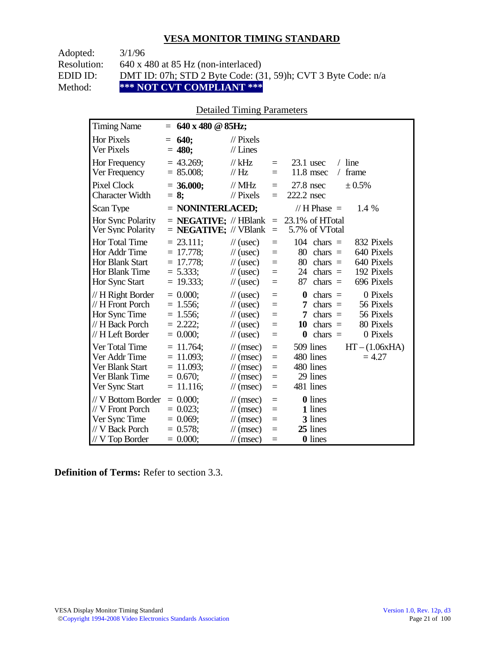Adopted: 3/1/96

Resolution: 640 x 480 at 85 Hz (non-interlaced)

EDID ID: DMT ID: 07h; STD 2 Byte Code: (31, 59)h; CVT 3 Byte Code: n/a<br>Method: \*\*\* NOT CVT COMPLIANT \*\*\*

\*\*\* NOT CVT COMPLIANT \*\*\*

## Detailed Timing Parameters

| <b>Timing Name</b>                                                                              | $= 640 \times 480 \text{ @ } 85 \text{Hz};$                                  |                                                                                                                             |                                      |                                                                                                                                                                      |
|-------------------------------------------------------------------------------------------------|------------------------------------------------------------------------------|-----------------------------------------------------------------------------------------------------------------------------|--------------------------------------|----------------------------------------------------------------------------------------------------------------------------------------------------------------------|
| <b>Hor Pixels</b><br>Ver Pixels                                                                 | 640;<br>$=$<br>$= 480;$                                                      | $\mathcal{U}$ Pixels<br>$//$ Lines                                                                                          |                                      |                                                                                                                                                                      |
| Hor Frequency<br>Ver Frequency                                                                  | $= 43.269$ ;<br>$= 85.008;$                                                  | // $kHz$<br>$\frac{1}{1}$ Hz                                                                                                | $\equiv$<br>$\equiv$                 | $/$ line<br>$23.1$ usec<br>11.8 msec<br>frame<br>$\sqrt{2}$                                                                                                          |
| <b>Pixel Clock</b><br><b>Character Width</b>                                                    | $= 36.000;$<br>$= 8$ ;                                                       | $//$ MHz<br>$//$ Pixels                                                                                                     | $\qquad \qquad =$<br>$\equiv$        | $27.8$ nsec<br>± 0.5%<br>222.2 nsec                                                                                                                                  |
| Scan Type                                                                                       | $=$ NONINTERLACED;                                                           |                                                                                                                             |                                      | // H Phase $=$<br>1.4 %                                                                                                                                              |
| Hor Sync Polarity<br>Ver Sync Polarity                                                          | $=$ <b>NEGATIVE</b> ; $\mathcal{N}$ HBlank<br>$=$ <b>NEGATIVE;</b> // VBlank |                                                                                                                             | $\equiv$<br>$\qquad \qquad =$        | 23.1% of HTotal<br>5.7% of VTotal                                                                                                                                    |
| Hor Total Time<br>Hor Addr Time<br><b>Hor Blank Start</b><br>Hor Blank Time<br>Hor Sync Start   | $= 23.111$ ;<br>$= 17.778$ ;<br>$= 17.778;$<br>$= 5.333;$<br>$= 19.333;$     | $\frac{1}{2}$ (usec)<br>$\frac{1}{2}$ (usec)<br>$\frac{1}{2}$ (usec)<br>$\frac{1}{2}$ (usec)<br>$\frac{1}{2}$ (usec)        | $=$<br>$\equiv$<br>$=$<br>$=$<br>$=$ | $104$ chars =<br>832 Pixels<br>640 Pixels<br>80<br>$chars =$<br>80<br>640 Pixels<br>$chars =$<br>192 Pixels<br>24 chars $=$<br>696 Pixels<br>87<br>$chars =$         |
| $// H$ Right Border<br>// H Front Porch<br>Hor Sync Time<br>// H Back Porch<br>// H Left Border | $= 0.000$<br>$= 1.556$ ;<br>$= 1.556;$<br>$= 2.222$ ;<br>$= 0.000;$          | $\frac{1}{2}$ (usec)<br>$\frac{1}{2}$ (usec)<br>$\frac{1}{2}$ (usec)<br>$\frac{1}{2}$ (usec)<br>$\frac{1}{2}$ (usec)        | $=$<br>$=$<br>$=$<br>$=$<br>$=$      | 0 Pixels<br>$\bf{0}$<br>$chars =$<br>56 Pixels<br>$chars =$<br>7<br>56 Pixels<br>7<br>chars $=$<br>10<br>$chars =$<br>80 Pixels<br>$\bf{0}$<br>chars $=$<br>0 Pixels |
| Ver Total Time<br>Ver Addr Time<br>Ver Blank Start<br>Ver Blank Time<br>Ver Sync Start          | $= 11.764$ ;<br>$= 11.093$ ;<br>$= 11.093$ ;<br>$= 0.670$ ;<br>$= 11.116;$   | $\frac{1}{\sqrt{2}}$ (msec)<br>$\mathcal{U}$ (msec)<br>$\mathcal{U}$ (msec)<br>$\mathcal{U}$ (msec)<br>$\mathcal{U}$ (msec) | $=$<br>$=$<br>$=$<br>$=$<br>$=$      | 509 lines<br>$HT - (1.06xHA)$<br>480 lines<br>$= 4.27$<br>480 lines<br>29 lines<br>481 lines                                                                         |
| // V Bottom Border<br>// V Front Porch<br>Ver Sync Time<br>// V Back Porch<br>$//$ V Top Border | $= 0.000;$<br>$= 0.023$ ;<br>$= 0.069$ ;<br>$= 0.578$ ;<br>$= 0.000;$        | $\frac{1}{\sqrt{2}}$ (msec)<br>$\mathcal{U}$ (msec)<br>$\mathcal{U}$ (msec)<br>$\mathcal{U}$ (msec)<br>$\mathcal{U}$ (msec) | $=$<br>$=$<br>$=$<br>$=$<br>$=$      | <b>0</b> lines<br>1 lines<br>3 lines<br>25 lines<br>0 lines                                                                                                          |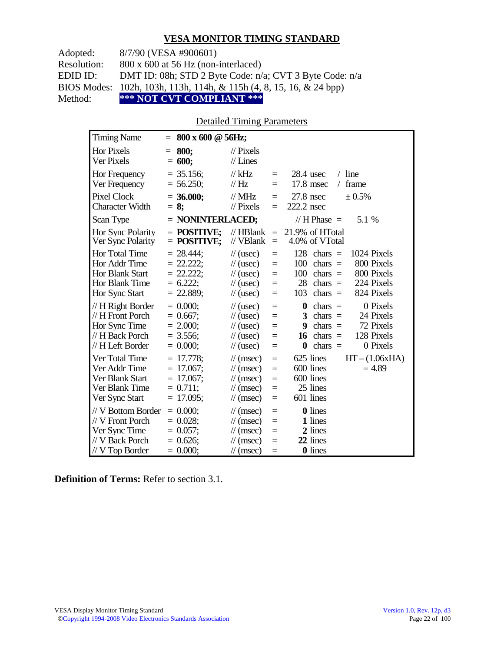Adopted: 8/7/90 (VESA #900601) Resolution: 800 x 600 at 56 Hz (non-interlaced) EDID ID: DMT ID: 08h; STD 2 Byte Code: n/a; CVT 3 Byte Code: n/a BIOS Modes: 102h, 103h, 113h, 114h, & 115h (4, 8, 15, 16, & 24 bpp) Method: **\*\*\* NOT CVT COMPLIANT \*\*\***

#### Detailed Timing Parameters

| <b>Timing Name</b>                                                                             | $800 \times 600 \text{ @ } 56$ Hz;<br>$=$                                  |                                                                                                                               |                                 |                                                                                                                                                                        |
|------------------------------------------------------------------------------------------------|----------------------------------------------------------------------------|-------------------------------------------------------------------------------------------------------------------------------|---------------------------------|------------------------------------------------------------------------------------------------------------------------------------------------------------------------|
| Hor Pixels<br>Ver Pixels                                                                       | 800;<br>$=$<br>$= 600;$                                                    | $\frac{1}{2}$ Pixels<br>$//$ Lines                                                                                            |                                 |                                                                                                                                                                        |
| Hor Frequency<br>Ver Frequency                                                                 | $=$ 35.156;<br>$= 56.250;$                                                 | $//$ kHz<br>$\frac{1}{1}$ Hz                                                                                                  | $=$<br>$=$                      | $/$ line<br>$28.4$ usec<br>17.8 msec<br>frame<br>$\sqrt{2}$                                                                                                            |
| <b>Pixel Clock</b><br><b>Character Width</b>                                                   | $= 36.000;$<br>$= 8:$                                                      | $//$ MHz<br>$//$ Pixels                                                                                                       | $=$<br>$=$                      | $27.8$ nsec<br>$\pm 0.5\%$<br>222.2 nsec                                                                                                                               |
| Scan Type                                                                                      | $=$ NONINTERLACED;                                                         |                                                                                                                               |                                 | // H Phase $=$<br>5.1 %                                                                                                                                                |
| Hor Sync Polarity<br>Ver Sync Polarity                                                         | $=$ POSITIVE:<br>$=$ POSITIVE;                                             | $//$ HBlank<br>// VBlank                                                                                                      | $\equiv$<br>$\equiv$            | 21.9% of HTotal<br>4.0% of VTotal                                                                                                                                      |
| Hor Total Time<br>Hor Addr Time<br>Hor Blank Start<br>Hor Blank Time<br>Hor Sync Start         | $= 28.444$ ;<br>$= 22.222$ ;<br>$= 22.222;$<br>$= 6.222$ ;<br>$= 22.889;$  | $\frac{1}{2}$ (usec)<br>$\frac{1}{2}$ (usec)<br>$\frac{1}{2}$ (usec)<br>$\frac{1}{2}$ (usec)<br>$\frac{1}{2}$ (usec)          | $=$<br>$=$<br>$=$<br>$=$<br>$=$ | 128<br>1024 Pixels<br>$chars =$<br>100<br>800 Pixels<br>chars $=$<br>800 Pixels<br>100<br>$chars =$<br>28<br>chars $=$<br>224 Pixels<br>824 Pixels<br>103<br>chars $=$ |
| // H Right Border<br>// H Front Porch<br>Hor Sync Time<br>// H Back Porch<br>// H Left Border  | $= 0.000$<br>$= 0.667$ ;<br>$= 2.000;$<br>$=$ 3.556;<br>$= 0.000;$         | $\frac{1}{2}$ (usec)<br>$\frac{1}{2}$ (usec)<br>$\frac{1}{2}$ (usec)<br>$\frac{1}{2}$ (usec)<br>$\frac{1}{2}$ (usec)          | $=$<br>$=$<br>$=$<br>$=$<br>$=$ | 0 Pixels<br>0<br>chars $=$<br>3<br>$chars =$<br>24 Pixels<br>72 Pixels<br>9<br>$chars =$<br>128 Pixels<br>chars $=$<br>16<br>0 Pixels<br>chars $=$<br>0                |
| Ver Total Time<br>Ver Addr Time<br>Ver Blank Start<br>Ver Blank Time<br>Ver Sync Start         | $= 17.778$ ;<br>$= 17.067$ ;<br>$= 17.067$ ;<br>$= 0.711$ ;<br>$= 17.095;$ | $\mathcal{U}$ (msec)<br>$\mathcal{U}$ (msec)<br>$\mathcal{U}$ (msec)<br>$\frac{1}{\sqrt{2}}$ (msec)<br>$\frac{1}{\pi}$ (msec) | $=$<br>$=$<br>$=$<br>$=$<br>$=$ | 625 lines<br>$HT - (1.06xHA)$<br>600 lines<br>$= 4.89$<br>600 lines<br>25 lines<br>601 lines                                                                           |
| // V Bottom Border<br>// V Front Porch<br>Ver Sync Time<br>// V Back Porch<br>$//V$ Top Border | $= 0.000$<br>$= 0.028$ ;<br>$= 0.057$ ;<br>$= 0.626$ ;<br>$= 0.000;$       | $\mathcal{U}$ (msec)<br>$\mathcal{U}$ (msec)<br>$\frac{1}{\sqrt{2}}$ (msec)<br>$\frac{1}{\pi}$ (msec)<br>$\mathcal{U}$ (msec) | $=$<br>$=$<br>$=$<br>$=$<br>$=$ | <b>0</b> lines<br>1 lines<br>2 lines<br>22 lines<br><b>0</b> lines                                                                                                     |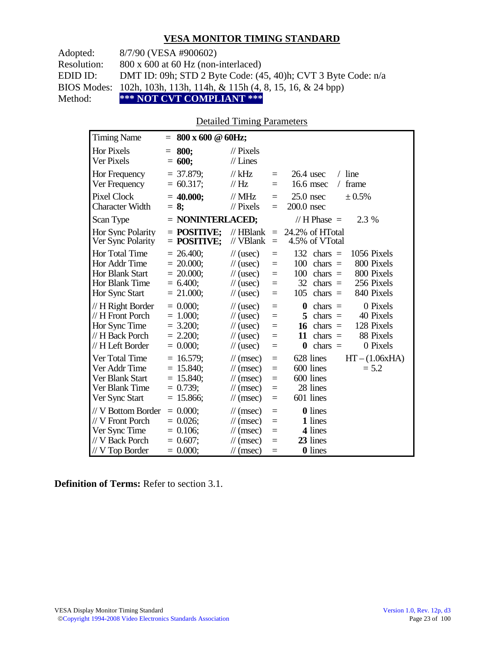Adopted: 8/7/90 (VESA #900602)

Resolution: 800 x 600 at 60 Hz (non-interlaced)

EDID ID: DMT ID: 09h; STD 2 Byte Code: (45, 40)h; CVT 3 Byte Code: n/a

BIOS Modes: 102h, 103h, 113h, 114h, & 115h (4, 8, 15, 16, & 24 bpp)

Method: **\*\*\* NOT CVT COMPLIANT \*\*\***

#### Detailed Timing Parameters

| <b>Timing Name</b>                                                                            | $= 800 \times 600 \& 60$ Hz;                                                |                                                                                                                                                             |                                                                                                                                                                        |
|-----------------------------------------------------------------------------------------------|-----------------------------------------------------------------------------|-------------------------------------------------------------------------------------------------------------------------------------------------------------|------------------------------------------------------------------------------------------------------------------------------------------------------------------------|
| Hor Pixels<br><b>Ver Pixels</b>                                                               | 800:<br>$=$<br>600;<br>$=$                                                  | $\mathcal{U}$ Pixels<br>$//$ Lines                                                                                                                          |                                                                                                                                                                        |
| Hor Frequency<br>Ver Frequency                                                                | $= 37.879$ ;<br>$= 60.317$ ;                                                | $//$ kHz<br>$\equiv$<br>// Hz<br>$=$                                                                                                                        | $/$ line<br>$26.4$ usec<br>16.6 msec<br>frame<br>$\sqrt{2}$                                                                                                            |
| <b>Pixel Clock</b><br><b>Character Width</b>                                                  | $= 40.000;$<br>$= 8$ ;                                                      | $//$ MHz<br>$=$<br>$\frac{1}{2}$ Pixels<br>$=$                                                                                                              | $25.0$ nsec<br>$\pm 0.5\%$<br>200.0 nsec                                                                                                                               |
| Scan Type                                                                                     | = NONINTERLACED;                                                            |                                                                                                                                                             | 2.3 %<br>// H Phase $=$                                                                                                                                                |
| Hor Sync Polarity<br>Ver Sync Polarity                                                        | $=$ POSITIVE:<br>$=$ POSITIVE;                                              | $//$ HBlank<br>$\equiv$<br>// VBlank<br>$=$                                                                                                                 | 24.2% of HTotal<br>4.5% of VTotal                                                                                                                                      |
| Hor Total Time<br>Hor Addr Time<br>Hor Blank Start<br>Hor Blank Time<br>Hor Sync Start        | $= 26.400;$<br>$= 20.000$ ;<br>$= 20.000$ ;<br>$= 6.400$ ;<br>$= 21.000;$   | $\frac{1}{2}$ (usec)<br>$=$<br>$\frac{1}{2}$ (usec)<br>$=$<br>$\frac{1}{2}$ (usec)<br>$=$<br>$\frac{1}{2}$ (usec)<br>$=$<br>$\frac{1}{2}$ (usec)<br>$=$     | 132<br>1056 Pixels<br>$chars =$<br>800 Pixels<br>100<br>chars $=$<br>100<br>800 Pixels<br>chars $=$<br>32<br>256 Pixels<br>$chars =$<br>105<br>$chars =$<br>840 Pixels |
| // H Right Border<br>// H Front Porch<br>Hor Sync Time<br>// H Back Porch<br>// H Left Border | $= 0.000$<br>$= 1.000;$<br>$= 3.200;$<br>$= 2.200;$<br>$= 0.000;$           | $\frac{1}{2}$ (usec)<br>$=$<br>$\frac{1}{2}$ (usec)<br>$=$<br>$\frac{1}{2}$ (usec)<br>$=$<br>$\frac{1}{2}$ (usec)<br>$=$<br>$\frac{1}{2}$ (usec)<br>Ξ       | 0 Pixels<br>0<br>$chars =$<br>$chars =$<br>40 Pixels<br>5<br>128 Pixels<br>$chars =$<br>16<br>88 Pixels<br>$chars =$<br>11<br>chars $=$<br>0 Pixels<br>$\bf{0}$        |
| Ver Total Time<br>Ver Addr Time<br>Ver Blank Start<br>Ver Blank Time<br>Ver Sync Start        | $= 16.579$ ;<br>$= 15.840$ ;<br>$= 15.840$ ;<br>$= 0.739$ ;<br>$= 15.866$ ; | $\mathcal{U}$ (msec)<br>$=$<br>$\mathcal{U}$ (msec)<br>$=$<br>$\mathcal{U}$ (msec)<br>$=$<br>$\mathcal{U}$ (msec)<br>$=$<br>$\mathcal{U}$ (msec)<br>$=$     | $HT - (1.06xHA)$<br>628 lines<br>600 lines<br>$= 5.2$<br>600 lines<br>28 lines<br>601 lines                                                                            |
| // V Bottom Border<br>// V Front Porch<br>Ver Sync Time<br>// V Back Porch<br>// V Top Border | $= 0.000;$<br>$= 0.026$<br>$= 0.106$ ;<br>$= 0.607$ ;<br>$= 0.000;$         | $\mathcal{U}$ (msec)<br>$=$<br>$\mathcal{U}$ (msec)<br>$=$<br>$\mathcal{U}$ (msec)<br>$=$<br>$\mathcal{U}$ (msec)<br>$=$<br>$\frac{1}{\tan(\theta)}$<br>$=$ | 0 lines<br>1 lines<br>4 lines<br>23 lines<br>0 lines                                                                                                                   |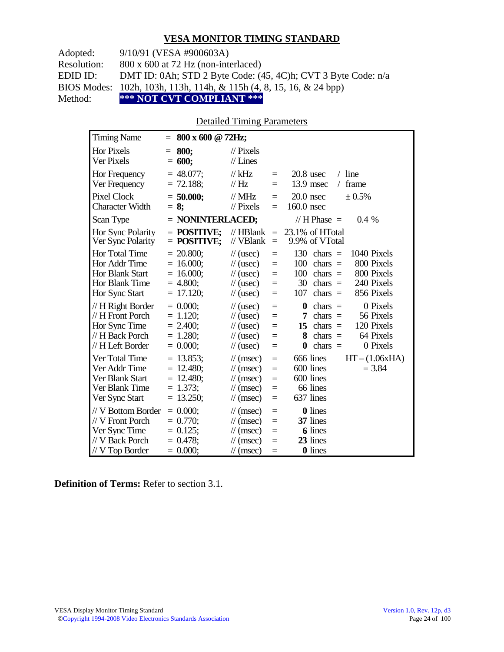Adopted: 9/10/91 (VESA #900603A)

Resolution: 800 x 600 at 72 Hz (non-interlaced)

EDID ID: DMT ID: 0Ah; STD 2 Byte Code: (45, 4C)h; CVT 3 Byte Code: n/a

BIOS Modes: 102h, 103h, 113h, 114h, & 115h (4, 8, 15, 16, & 24 bpp)

Method: **\*\*\* NOT CVT COMPLIANT \*\*\***

#### Detailed Timing Parameters

| <b>Timing Name</b>                                                                            | $= 800 \times 600 \text{ @ } 72 \text{Hz};$                               |                                                                                                                                 |                                 |                                                                                                                                                                        |
|-----------------------------------------------------------------------------------------------|---------------------------------------------------------------------------|---------------------------------------------------------------------------------------------------------------------------------|---------------------------------|------------------------------------------------------------------------------------------------------------------------------------------------------------------------|
| <b>Hor Pixels</b><br><b>Ver Pixels</b>                                                        | 800;<br>$=$<br>$= 600;$                                                   | $\mathcal{U}$ Pixels<br>$//$ Lines                                                                                              |                                 |                                                                                                                                                                        |
| Hor Frequency<br>Ver Frequency                                                                | $= 48.077$ ;<br>$= 72.188$ ;                                              | $//$ kHz<br>$\frac{1}{1}$ Hz                                                                                                    | $\equiv$<br>$=$                 | $/$ line<br>$20.8$ usec<br>13.9 msec<br>frame<br>$\sqrt{2}$                                                                                                            |
| <b>Pixel Clock</b><br><b>Character Width</b>                                                  | $= 50.000;$<br>$= 8$ ;                                                    | $//$ MHz<br>$//$ Pixels                                                                                                         | $=$<br>$=$                      | $20.0$ nsec<br>$\pm 0.5\%$<br>$160.0$ nsec                                                                                                                             |
| Scan Type                                                                                     | = NONINTERLACED;                                                          |                                                                                                                                 |                                 | // H Phase $=$<br>$0.4\%$                                                                                                                                              |
| Hor Sync Polarity<br>Ver Sync Polarity                                                        | $=$ POSITIVE:<br>$=$ POSITIVE;                                            | $\mathcal{U}$ HBlank<br>// VBlank                                                                                               | $\equiv$<br>$=$                 | 23.1% of HTotal<br>9.9% of VTotal                                                                                                                                      |
| Hor Total Time<br>Hor Addr Time<br><b>Hor Blank Start</b><br>Hor Blank Time<br>Hor Sync Start | $= 20.800$ ;<br>$= 16.000;$<br>$= 16.000;$<br>$= 4.800;$<br>$= 17.120;$   | $\frac{1}{2}$ (usec)<br>$\frac{1}{2}$ (usec)<br>$\frac{1}{2}$ (usec)<br>$\frac{1}{2}$ (usec)<br>$\frac{1}{2}$ (usec)            | $=$<br>$=$<br>$=$<br>$=$<br>$=$ | 130<br>$chars =$<br>1040 Pixels<br>$chars =$<br>800 Pixels<br>100<br>800 Pixels<br>100<br>chars $=$<br>240 Pixels<br>30<br>$chars =$<br>856 Pixels<br>107<br>chars $=$ |
| // H Right Border<br>// H Front Porch<br>Hor Sync Time<br>// H Back Porch<br>// H Left Border | $= 0.000$<br>$= 1.120$ ;<br>$= 2.400$ ;<br>$= 1.280$ ;<br>$= 0.000$       | $\frac{1}{2}$ (usec)<br>$\frac{1}{2}$ (usec)<br>$\frac{1}{2}$ (usec)<br>$\frac{1}{2}$ (usec)<br>$\frac{1}{2}$ (usec)            | $=$<br>$=$<br>$=$<br>$=$<br>$=$ | 0 Pixels<br>$\bf{0}$<br>$chars =$<br>56 Pixels<br>7<br>chars $=$<br>120 Pixels<br>15<br>$chars =$<br>64 Pixels<br>8<br>$chars =$<br>chars $=$<br>0 Pixels<br>$\bf{0}$  |
| Ver Total Time<br>Ver Addr Time<br>Ver Blank Start<br>Ver Blank Time<br>Ver Sync Start        | $= 13.853$ ;<br>$= 12.480$ ;<br>$= 12.480$ ;<br>$= 1.373;$<br>$= 13.250;$ | $\mathcal{U}$ (msec)<br>$\mathcal{U}$ (msec)<br>$\frac{1}{\sqrt{2}}$ (msec)<br>$\mathcal{U}$ (msec)<br>$\frac{1}{\pi}$ (msec)   | $=$<br>$=$<br>$=$<br>$=$<br>$=$ | 666 lines<br>$HT - (1.06xHA)$<br>600 lines<br>$= 3.84$<br>600 lines<br>66 lines<br>637 lines                                                                           |
| // V Bottom Border<br>// V Front Porch<br>Ver Sync Time<br>// V Back Porch<br>// V Top Border | $= 0.000$<br>$= 0.770$<br>$= 0.125$ ;<br>$= 0.478$ ;<br>$= 0.000;$        | $\mathcal{U}$ (msec)<br>$\mathcal{U}$ (msec)<br>$\mathcal{U}$ (msec)<br>$\frac{1}{\tan(\theta)}$<br>$\frac{1}{\sqrt{2}}$ (msec) | $=$<br>$=$<br>$=$<br>$=$<br>$=$ | 0 lines<br>37 lines<br><b>6</b> lines<br>23 lines<br>0 lines                                                                                                           |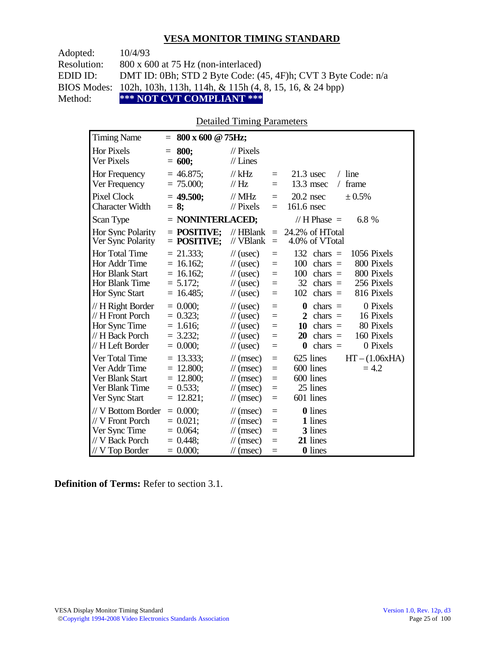| Adopted:    | 10/4/93                                                             |
|-------------|---------------------------------------------------------------------|
| Resolution: | $800 \times 600$ at 75 Hz (non-interlaced)                          |
| EDID ID:    | DMT ID: 0Bh; STD 2 Byte Code: (45, 4F)h; CVT 3 Byte Code: n/a       |
|             | BIOS Modes: 102h, 103h, 113h, 114h, & 115h (4, 8, 15, 16, & 24 bpp) |
| Method:     | *** NOT CVT COMPLIANT ***                                           |

#### Detailed Timing Parameters

| <b>Timing Name</b>                                                                            | $= 800 \times 600 \text{ @ } 75 \text{Hz};$                               |                                                                                                                                    |                                 |                                                                                                                                                                                                   |
|-----------------------------------------------------------------------------------------------|---------------------------------------------------------------------------|------------------------------------------------------------------------------------------------------------------------------------|---------------------------------|---------------------------------------------------------------------------------------------------------------------------------------------------------------------------------------------------|
| <b>Hor Pixels</b><br>Ver Pixels                                                               | 800;<br>$=$<br>600;<br>$=$                                                | $\frac{1}{2}$ Pixels<br>$//$ Lines                                                                                                 |                                 |                                                                                                                                                                                                   |
| Hor Frequency<br>Ver Frequency                                                                | $= 46.875$ ;<br>$= 75.000;$                                               | $//$ kHz<br>$\mathcal{U}$ Hz                                                                                                       | $\equiv$<br>$=$                 | $/$ line<br>$21.3$ usec<br>13.3 msec<br>frame<br>$\sqrt{2}$                                                                                                                                       |
| Pixel Clock<br><b>Character Width</b>                                                         | $= 49.500$ ;<br>$= 8$ ;                                                   | $//$ MHz<br>$//$ Pixels                                                                                                            | $=$<br>$=$                      | $20.2$ nsec<br>$\pm 0.5\%$<br>161.6 nsec                                                                                                                                                          |
| Scan Type                                                                                     | $=$ NONINTERLACED;                                                        |                                                                                                                                    |                                 | // H Phase $=$<br>6.8 %                                                                                                                                                                           |
| Hor Sync Polarity<br>Ver Sync Polarity                                                        | $=$ POSITIVE:<br>$=$ POSITIVE;                                            | $//$ HBlank<br>// VBlank                                                                                                           | $\equiv$<br>$\equiv$            | 24.2% of HTotal<br>4.0% of VTotal                                                                                                                                                                 |
| Hor Total Time<br>Hor Addr Time<br>Hor Blank Start<br>Hor Blank Time<br>Hor Sync Start        | $= 21.333;$<br>$= 16.162$ ;<br>$= 16.162$ ;<br>$= 5.172;$<br>$= 16.485$ ; | $\frac{1}{2}$ (usec)<br>$\frac{1}{2}$ (usec)<br>$\frac{1}{\sqrt{2}}$ (usec)<br>$\frac{1}{\sqrt{2}}$ (usec)<br>$\frac{1}{2}$ (usec) | $=$<br>$=$<br>$=$<br>$=$<br>$=$ | 132<br>1056 Pixels<br>$chars =$<br>100<br>chars $=$<br>800 Pixels<br>800 Pixels<br>100<br>$chars =$<br>32<br>chars $=$<br>256 Pixels<br>102<br>816 Pixels<br>$chars =$                            |
| // H Right Border<br>// H Front Porch<br>Hor Sync Time<br>// H Back Porch<br>// H Left Border | $= 0.000$<br>$= 0.323$ ;<br>$= 1.616;$<br>$= 3.232$ ;<br>$= 0.000;$       | $\frac{1}{2}$ (usec)<br>$\frac{1}{2}$ (usec)<br>$\frac{1}{2}$ (usec)<br>$\frac{1}{2}$ (usec)<br>$\frac{1}{2}$ (usec)               | $=$<br>$=$<br>$=$<br>$=$<br>$=$ | 0 Pixels<br>$\boldsymbol{0}$<br>chars $=$<br>16 Pixels<br>$\mathbf{2}$<br>$chars =$<br>80 Pixels<br>10<br>$chars =$<br>160 Pixels<br>$chars =$<br>20<br>0 Pixels<br>$chars =$<br>$\boldsymbol{0}$ |
| Ver Total Time<br>Ver Addr Time<br>Ver Blank Start<br>Ver Blank Time<br>Ver Sync Start        | $= 13.333$ ;<br>$= 12.800;$<br>$= 12.800;$<br>$= 0.533;$<br>$= 12.821;$   | $\mathcal{U}$ (msec)<br>$\mathcal{U}$ (msec)<br>$\mathcal{U}$ (msec)<br>$\mathcal{U}$ (msec)<br>$\mathcal{U}$ (msec)               | $=$<br>$=$<br>$=$<br>$=$<br>$=$ | 625 lines<br>$HT - (1.06xHA)$<br>600 lines<br>$= 4.2$<br>600 lines<br>25 lines<br>601 lines                                                                                                       |
| // V Bottom Border<br>// V Front Porch<br>Ver Sync Time<br>// V Back Porch<br>// V Top Border | $= 0.000$<br>$= 0.021$ ;<br>$= 0.064$ ;<br>$= 0.448$ ;<br>$= 0.000;$      | $\mathcal{U}$ (msec)<br>$\mathcal{U}$ (msec)<br>$\mathcal{U}$ (msec)<br>$\mathcal{U}$ (msec)<br>$\mathcal{U}$ (msec)               | $=$<br>$=$<br>$=$<br>$=$<br>$=$ | <b>0</b> lines<br>1 lines<br>3 lines<br>21 lines<br><b>0</b> lines                                                                                                                                |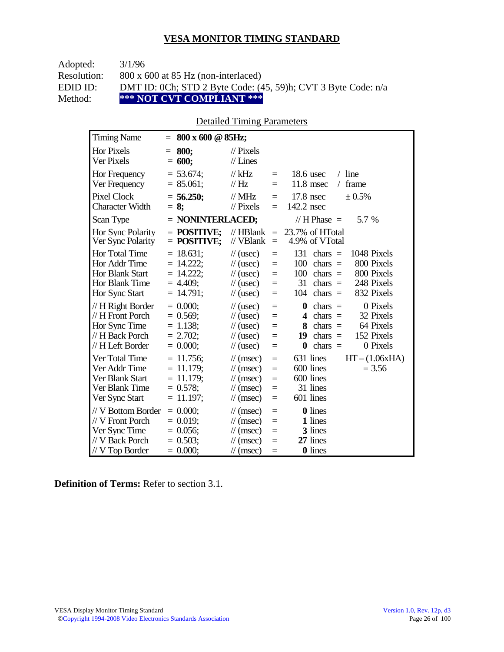| Adopted:    | 3/1/96                                                        |
|-------------|---------------------------------------------------------------|
| Resolution: | $800 \times 600$ at 85 Hz (non-interlaced)                    |
| EDID ID:    | DMT ID: 0Ch; STD 2 Byte Code: (45, 59)h; CVT 3 Byte Code: n/a |
| Method:     | *** NOT CVT COMPLIANT ***                                     |

#### Detailed Timing Parameters

| <b>Timing Name</b>                                                                            | 800 x 600 @ 85Hz;<br>$=$                                                    |                                                                                                                                                                                      |                                                                                                                                                                        |
|-----------------------------------------------------------------------------------------------|-----------------------------------------------------------------------------|--------------------------------------------------------------------------------------------------------------------------------------------------------------------------------------|------------------------------------------------------------------------------------------------------------------------------------------------------------------------|
| <b>Hor Pixels</b><br><b>Ver Pixels</b>                                                        | 800:<br>$=$<br>$= 600;$                                                     | $\frac{1}{2}$ Pixels<br>$//$ Lines                                                                                                                                                   |                                                                                                                                                                        |
| Hor Frequency<br>Ver Frequency                                                                | $= 53.674$ ;<br>$= 85.061$ ;                                                | $//$ kHz<br>$\equiv$<br>// Hz<br>$\equiv$                                                                                                                                            | $/$ line<br>$18.6$ usec<br>$11.8$ msec<br>frame<br>$\sqrt{2}$                                                                                                          |
| <b>Pixel Clock</b><br><b>Character Width</b>                                                  | $= 56.250$ ;<br>$= 8:$                                                      | $//$ MHz<br>$\equiv$<br>$//$ Pixels<br>$\equiv$                                                                                                                                      | 17.8 nsec<br>± 0.5%<br>142.2 nsec                                                                                                                                      |
| Scan Type                                                                                     | $=$ NONINTERLACED;                                                          |                                                                                                                                                                                      | 5.7 %<br>// H Phase $=$                                                                                                                                                |
| Hor Sync Polarity<br>Ver Sync Polarity                                                        | $=$ POSITIVE:<br>$=$ POSITIVE;                                              | $//$ HBlank<br>$\equiv$<br>// VBlank<br>$\qquad \qquad =$                                                                                                                            | 23.7% of HTotal<br>4.9% of VTotal                                                                                                                                      |
| Hor Total Time<br>Hor Addr Time<br>Hor Blank Start<br>Hor Blank Time<br>Hor Sync Start        | $= 18.631$ ;<br>$= 14.222$ ;<br>$= 14.222$ ;<br>$= 4.409$ ;<br>$= 14.791$ ; | $\frac{1}{2}$ (usec)<br>$\equiv$<br>$\frac{1}{2}$ (usec)<br>$=$<br>$\frac{1}{\sqrt{2}}$ (usec)<br>$\equiv$<br>$\frac{1}{\sqrt{2}}$ (usec)<br>$\equiv$<br>$\frac{1}{2}$ (usec)<br>$=$ | 131<br>1048 Pixels<br>$chars =$<br>800 Pixels<br>100<br>$chars =$<br>100<br>800 Pixels<br>$chars =$<br>31<br>248 Pixels<br>chars $=$<br>832 Pixels<br>104<br>chars $=$ |
| // H Right Border<br>// H Front Porch<br>Hor Sync Time<br>// H Back Porch<br>// H Left Border | $= 0.000$<br>$= 0.569$ ;<br>$= 1.138$ ;<br>$= 2.702$ ;<br>$= 0.000$         | $\frac{1}{2}$ (usec)<br>$=$<br>$\frac{1}{2}$ (usec)<br>$=$<br>$=$<br>$\frac{1}{2}$ (usec)<br>$\frac{1}{2}$ (usec)<br>$=$<br>$\frac{1}{2}$ (usec)<br>$=$                              | 0 Pixels<br>$\bf{0}$<br>$chars =$<br>32 Pixels<br>chars $=$<br>4<br>64 Pixels<br>8<br>chars $=$<br>152 Pixels<br>19<br>$chars =$<br>chars $=$<br>0 Pixels<br>$\bf{0}$  |
| Ver Total Time<br>Ver Addr Time<br>Ver Blank Start<br>Ver Blank Time<br>Ver Sync Start        | $= 11.756$ ;<br>$= 11.179;$<br>$= 11.179$ ;<br>$= 0.578$ ;<br>$= 11.197$ ;  | $\mathcal{U}$ (msec)<br>$\equiv$<br>$\mathcal{U}$ (msec)<br>$=$<br>$=$<br>$\mathcal{U}$ (msec)<br>$\frac{1}{\sqrt{2}}$ (msec)<br>$\equiv$<br>$\frac{1}{\sqrt{2}}$ (msec)<br>$=$      | 631 lines<br>$HT - (1.06xHA)$<br>600 lines<br>$= 3.56$<br>600 lines<br>31 lines<br>601 lines                                                                           |
| // V Bottom Border<br>// V Front Porch<br>Ver Sync Time<br>// V Back Porch<br>// V Top Border | $= 0.000;$<br>$= 0.019$ ;<br>$= 0.056$ ;<br>$= 0.503$ ;<br>$= 0.000;$       | $\mathcal{U}$ (msec)<br>$=$<br>$\mathcal{U}$ (msec)<br>$=$<br>$\mathcal{U}$ (msec)<br>$=$<br>$\mathcal{U}$ (msec)<br>$=$<br>$\frac{1}{\sqrt{2}}$ (msec)<br>$=$                       | <b>0</b> lines<br>1 lines<br>3 lines<br>27 lines<br>0 lines                                                                                                            |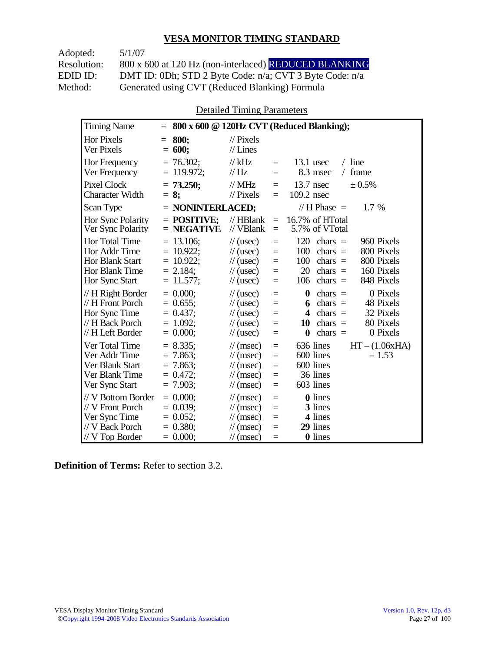Adopted: 5/1/07

Resolution: 800 x 600 at 120 Hz (non-interlaced) REDUCED BLANKING EDID ID: DMT ID: 0Dh; STD 2 Byte Code: n/a; CVT 3 Byte Code: n/a<br>Method: Generated using CVT (Reduced Blanking) Formula Generated using CVT (Reduced Blanking) Formula

Detailed Timing Parameters

| <b>Timing Name</b>                                                                              | $=$                                                                         |                                                                                                                      |                                 | 800 x 600 @ 120Hz CVT (Reduced Blanking);                                                                                                                             |
|-------------------------------------------------------------------------------------------------|-----------------------------------------------------------------------------|----------------------------------------------------------------------------------------------------------------------|---------------------------------|-----------------------------------------------------------------------------------------------------------------------------------------------------------------------|
| <b>Hor Pixels</b><br>Ver Pixels                                                                 | 800:<br>$=$<br>$= 600;$                                                     | $\mathcal{U}$ Pixels<br>$//$ Lines                                                                                   |                                 |                                                                                                                                                                       |
| Hor Frequency<br>Ver Frequency                                                                  | $= 76.302$ ;<br>$= 119.972$ ;                                               | $//$ kHz<br>$\mathcal{U}$ Hz                                                                                         | $=$<br>$=$                      | $13.1$ usec<br>$/$ line<br>8.3 msec<br>frame<br>$\sqrt{2}$                                                                                                            |
| <b>Pixel Clock</b><br><b>Character Width</b>                                                    | $= 73.250$ ;<br>$= 8:$                                                      | $//$ MHz<br>$\mathcal{U}$ Pixels                                                                                     | $\equiv$<br>$=$                 | $13.7$ nsec<br>$\pm 0.5\%$<br>109.2 nsec                                                                                                                              |
| Scan Type                                                                                       | $=$ NONINTERLACED;                                                          |                                                                                                                      |                                 | // H Phase $=$<br>1.7 %                                                                                                                                               |
| <b>Hor Sync Polarity</b><br>Ver Sync Polarity                                                   | $=$ POSITIVE:<br>$=$ NEGATIVE                                               | $//$ HBlank<br>// VBlank                                                                                             | $=$<br>$\equiv$                 | 16.7% of HTotal<br>5.7% of VTotal                                                                                                                                     |
| Hor Total Time<br>Hor Addr Time<br>Hor Blank Start<br>Hor Blank Time<br>Hor Sync Start          | $= 13.106$ ;<br>$= 10.922$ ;<br>$= 10.922$ ;<br>$= 2.184$ ;<br>$= 11.577$ ; | $\frac{1}{2}$ (usec)<br>$\frac{1}{2}$ (usec)<br>$\frac{1}{2}$ (usec)<br>$\frac{1}{2}$ (usec)<br>$\frac{1}{2}$ (usec) | $=$<br>$=$<br>$=$<br>$=$<br>$=$ | 120<br>960 Pixels<br>chars $=$<br>100<br>800 Pixels<br>chars $=$<br>100<br>800 Pixels<br>$chars =$<br>20<br>chars $=$<br>160 Pixels<br>848 Pixels<br>106<br>$chars =$ |
| // H Right Border<br>// H Front Porch<br>Hor Sync Time<br>// H Back Porch<br>// H Left Border   | $= 0.000$<br>$= 0.655$ ;<br>$= 0.437$ :<br>$= 1.092$<br>$= 0.000;$          | $\frac{1}{2}$ (usec)<br>$\frac{1}{2}$ (usec)<br>$\frac{1}{2}$ (usec)<br>$\frac{1}{2}$ (usec)<br>$\frac{1}{2}$ (usec) | $=$<br>$=$<br>$=$<br>$=$<br>$=$ | $\bf{0}$<br>0 Pixels<br>chars $=$<br>48 Pixels<br>$chars =$<br>6<br>32 Pixels<br>4<br>$chars =$<br>80 Pixels<br>10<br>chars $=$<br>0 Pixels<br>$\bf{0}$<br>chars $=$  |
| Ver Total Time<br>Ver Addr Time<br>Ver Blank Start<br>Ver Blank Time<br>Ver Sync Start          | $= 8.335$<br>$= 7.863$<br>$= 7.863$ ;<br>$= 0.472$<br>$= 7.903$ ;           | $\mathcal{U}$ (msec)<br>$\mathcal{U}$ (msec)<br>$\mathcal{U}$ (msec)<br>$\mathcal{U}$ (msec)<br>$\mathcal{U}$ (msec) | $=$<br>$=$<br>$=$<br>$=$<br>$=$ | $HT - (1.06xHA)$<br>636 lines<br>600 lines<br>$= 1.53$<br>600 lines<br>36 lines<br>603 lines                                                                          |
| // V Bottom Border<br>// V Front Porch<br>Ver Sync Time<br>// V Back Porch<br>$//$ V Top Border | $= 0.000$<br>$= 0.039$<br>$= 0.052$ ;<br>$= 0.380;$<br>$= 0.000;$           | $\mathcal{U}$ (msec)<br>$\mathcal{U}$ (msec)<br>$\mathcal{U}$ (msec)<br>$\mathcal{U}$ (msec)<br>$\mathcal{U}$ (msec) | $=$<br>$=$<br>$=$<br>$=$<br>$=$ | <b>0</b> lines<br>3 lines<br>4 lines<br>29 lines<br>0 lines                                                                                                           |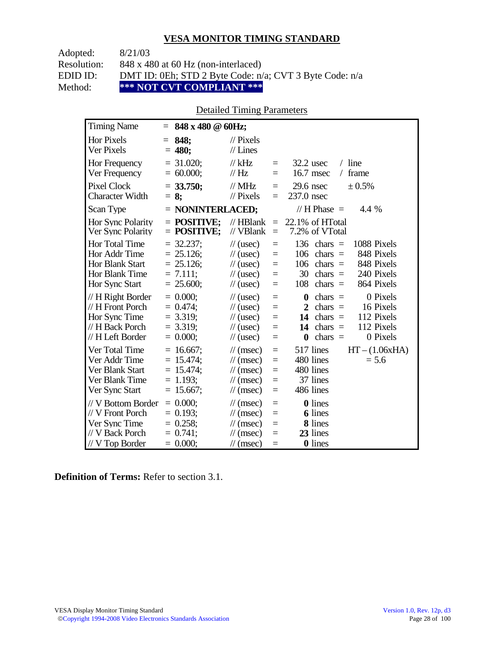Adopted: 8/21/03

Resolution: 848 x 480 at 60 Hz (non-interlaced)

EDID ID: DMT ID: 0Eh; STD 2 Byte Code: n/a; CVT 3 Byte Code: n/a<br>Method: \*\*\* NOT CVT COMPLIANT \*\*\*

\*\*\* NOT CVT COMPLIANT \*\*\*

## Detailed Timing Parameters

| <b>Timing Name</b>                                                                              | $= 848 \times 480 \text{ } \textcircled{a} 60 \text{Hz};$                  |                                                                                                                                                    |                                                          |                                                                                                                                                                                    |
|-------------------------------------------------------------------------------------------------|----------------------------------------------------------------------------|----------------------------------------------------------------------------------------------------------------------------------------------------|----------------------------------------------------------|------------------------------------------------------------------------------------------------------------------------------------------------------------------------------------|
| <b>Hor Pixels</b><br>Ver Pixels                                                                 | 848:<br>$=$<br>$= 480;$                                                    | $\mathcal{U}$ Pixels<br>$//$ Lines                                                                                                                 |                                                          |                                                                                                                                                                                    |
| Hor Frequency<br>Ver Frequency                                                                  | $= 31.020$ ;<br>$= 60.000;$                                                | // $kHz$<br>// Hz                                                                                                                                  | $\equiv$<br>$=$                                          | $/$ line<br>$32.2$ usec<br>16.7 msec<br>frame<br>$\sqrt{2}$                                                                                                                        |
| <b>Pixel Clock</b><br><b>Character Width</b>                                                    | $= 33.750;$<br>$= 8;$                                                      | $//$ MHz<br>$//$ Pixels                                                                                                                            | $=$<br>$=$                                               | ± 0.5%<br>$29.6$ nsec<br>237.0 nsec                                                                                                                                                |
| Scan Type                                                                                       | = NONINTERLACED;                                                           |                                                                                                                                                    |                                                          | // H Phase $=$<br>4.4 %                                                                                                                                                            |
| <b>Hor Sync Polarity</b><br>Ver Sync Polarity                                                   | $=$ POSITIVE;<br>$=$ POSITIVE;                                             | $\mathcal{U}$ HBlank<br>// VBlank                                                                                                                  | $\equiv$<br>$\equiv$                                     | $22.1\%$ of HTotal<br>7.2% of VTotal                                                                                                                                               |
| Hor Total Time<br>Hor Addr Time<br><b>Hor Blank Start</b><br>Hor Blank Time<br>Hor Sync Start   | $= 32.237$ ;<br>$= 25.126$ ;<br>$= 25.126$ ;<br>$= 7.111$ ;<br>$= 25.600;$ | $\frac{1}{2}$ (usec)<br>$\frac{1}{2}$ (usec)<br>$\frac{1}{2}$ (usec)<br>$\frac{1}{2}$ (usec)<br>$\frac{1}{2}$ (usec)                               | $\equiv$<br>$\equiv$<br>$=$<br>$\equiv$<br>$=$           | 136<br>1088 Pixels<br>$chars =$<br>848 Pixels<br>106<br>$chars =$<br>848 Pixels<br>106<br>$chars =$<br>240 Pixels<br>30<br>chars $=$<br>864 Pixels<br>108<br>chars $=$             |
| // H Right Border<br>// H Front Porch<br>Hor Sync Time<br>// H Back Porch<br>// H Left Border   | $= 0.000;$<br>$= 0.474$ ;<br>$= 3.319;$<br>$= 3.319$ ;<br>$= 0.000;$       | $\frac{1}{2}$ (usec)<br>$\frac{1}{2}$ (usec)<br>$\frac{1}{2}$ (usec)<br>$\frac{1}{2}$ (usec)<br>$\frac{1}{2}$ (usec)                               | $=$<br>$=$<br>$=$<br>$=$<br>$=$                          | 0 Pixels<br>$\bf{0}$<br>$chars =$<br>16 Pixels<br>$\mathbf{2}$<br>$chars =$<br>112 Pixels<br>14<br>$chars =$<br>112 Pixels<br>14<br>chars $=$<br>0 Pixels<br>$\bf{0}$<br>chars $=$ |
| Ver Total Time<br>Ver Addr Time<br>Ver Blank Start<br>Ver Blank Time<br>Ver Sync Start          | $= 16.667;$<br>$= 15.474$ ;<br>$= 15.474$ ;<br>$= 1.193$ ;<br>$= 15.667;$  | $\frac{1}{\sqrt{2}}$ (msec)<br>$\frac{1}{\tan(\theta)}$<br>$\frac{1}{\sqrt{2}}$ (msec)<br>$\frac{1}{\pi}$ (msec)<br>$\frac{1}{\pi}$ (msec)         | $\equiv$<br>$\equiv$<br>$\equiv$<br>$\equiv$<br>$\equiv$ | 517 lines<br>$HT - (1.06xHA)$<br>480 lines<br>$= 5.6$<br>480 lines<br>37 lines<br>486 lines                                                                                        |
| // V Bottom Border<br>// V Front Porch<br>Ver Sync Time<br>// V Back Porch<br>$//$ V Top Border | $= 0.000;$<br>$= 0.193$ ;<br>$= 0.258;$<br>$= 0.741$ ;<br>$= 0.000;$       | $\frac{1}{\pi}$ (msec)<br>$\frac{1}{\sqrt{2}}$ (msec)<br>$\frac{1}{\sqrt{2}}$ (msec)<br>$\frac{1}{\sqrt{2}}$ (msec)<br>$\frac{1}{\sqrt{2}}$ (msec) | $\equiv$<br>$=$<br>$=$<br>$=$<br>$=$                     | 0 lines<br><b>6</b> lines<br>8 lines<br>23 lines<br>0 lines                                                                                                                        |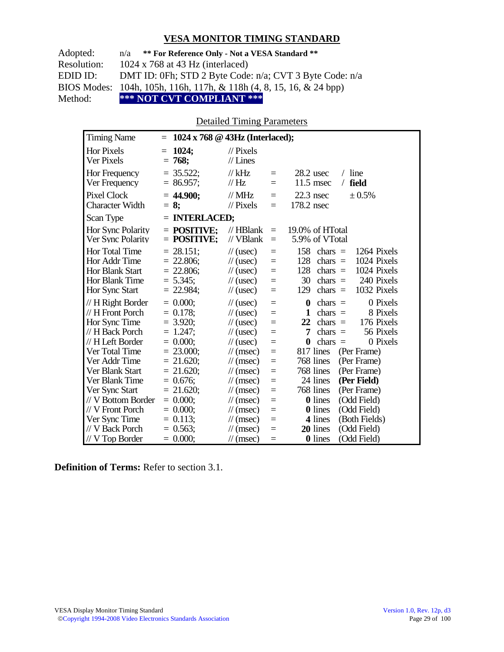| Adopted:    | n/a ** For Reference Only - Not a VESA Standard **                             |
|-------------|--------------------------------------------------------------------------------|
| Resolution: | $1024 \times 768$ at 43 Hz (interlaced)                                        |
| EDID ID:    | DMT ID: 0Fh; STD 2 Byte Code: n/a; CVT 3 Byte Code: n/a                        |
|             | BIOS Modes: 104h, 105h, 116h, 117h, & 118h $(4, 8, 15, 16, \& 24 \text{ bpp})$ |
| Method:     | *** NOT CVT COMPLIANT ***                                                      |

Detailed Timing Parameters

| <b>Timing Name</b>                                                   | $= 1024 \times 768$ @ 43Hz (Interlaced);                   |                                                                                              |                          |                                                                                                                                        |
|----------------------------------------------------------------------|------------------------------------------------------------|----------------------------------------------------------------------------------------------|--------------------------|----------------------------------------------------------------------------------------------------------------------------------------|
| <b>Hor Pixels</b><br>Ver Pixels                                      | 1024;<br>$=$<br>$= 768;$                                   | $\mathcal{U}$ Pixels<br>$//$ Lines                                                           |                          |                                                                                                                                        |
| Hor Frequency<br>Ver Frequency                                       | $= 35.522$ ;<br>$= 86.957;$                                | $//$ kHz<br>// Hz                                                                            | $=$<br>$=$               | $28.2$ usec<br>$/$ line<br>$11.5$ msec<br>field<br>$\sqrt{2}$                                                                          |
| <b>Pixel Clock</b><br><b>Character Width</b>                         | $= 44.900$ ;<br>$= 8:$                                     | $//$ MHz<br>// Pixels                                                                        | $=$<br>$=$               | $22.3$ nsec<br>± 0.5%<br>178.2 nsec                                                                                                    |
| Scan Type                                                            | $=$ INTERLACED;                                            |                                                                                              |                          |                                                                                                                                        |
| Hor Sync Polarity<br>Ver Sync Polarity                               | $=$ POSITIVE:<br>$=$ POSITIVE;                             | $//$ HBlank<br>// VBlank                                                                     | $=$<br>$=$               | 19.0% of HTotal<br>5.9% of VTotal                                                                                                      |
| Hor Total Time<br>Hor Addr Time<br>Hor Blank Start<br>Hor Blank Time | $= 28.151$ ;<br>$= 22.806$ ;<br>$= 22.806;$<br>$= 5.345$ ; | $\frac{1}{2}$ (usec)<br>$\frac{1}{2}$ (usec)<br>$\frac{1}{2}$ (usec)<br>$\frac{1}{2}$ (usec) | $=$<br>$=$<br>$=$<br>$=$ | 158<br>1264 Pixels<br>$chars =$<br>128<br>1024 Pixels<br>$chars =$<br>128<br>chars $=$<br>1024 Pixels<br>240 Pixels<br>30<br>chars $=$ |
| Hor Sync Start<br>// H Right Border                                  | $= 22.984;$<br>$= 0.000;$                                  | $\frac{1}{2}$ (usec)<br>$\frac{1}{2}$ (usec)                                                 | $=$<br>$=$               | 1032 Pixels<br>129<br>$chars =$<br>0 Pixels<br>$\bf{0}$<br>$chars =$                                                                   |
| // H Front Porch                                                     | $= 0.178$ ;                                                | $\frac{1}{2}$ (usec)                                                                         | $=$                      | 1<br>$chars =$<br>8 Pixels                                                                                                             |
| Hor Sync Time                                                        | $= 3.920$ ;                                                | $\frac{1}{2}$ (usec)                                                                         | $=$                      | 22<br>176 Pixels<br>$chars =$                                                                                                          |
| // H Back Porch<br>// H Left Border                                  | $= 1.247$ ;<br>$= 0.000$                                   | $\frac{1}{2}$ (usec)                                                                         | $=$                      | $chars =$<br>56 Pixels<br>7                                                                                                            |
| Ver Total Time                                                       | $= 23.000;$                                                | $\frac{1}{2}$ (usec)<br>$\frac{1}{\pi}$ (msec)                                               | $=$<br>$=$               | $\boldsymbol{0}$<br>chars $=$<br>0 Pixels<br>817 lines<br>(Per Frame)                                                                  |
| Ver Addr Time                                                        | $= 21.620$ ;                                               | $\frac{1}{\sqrt{2}}$ (msec)                                                                  | $=$                      | 768 lines<br>(Per Frame)                                                                                                               |
| Ver Blank Start                                                      | $= 21.620$ ;                                               | $\frac{1}{\pi}$ (msec)                                                                       | $=$                      | 768 lines<br>(Per Frame)                                                                                                               |
| Ver Blank Time                                                       | $= 0.676;$                                                 | $\frac{1}{\pi}$ (msec)                                                                       | $=$                      | 24 lines<br>(Per Field)                                                                                                                |
| Ver Sync Start                                                       | $= 21.620$ ;                                               | $\frac{1}{\sqrt{2}}$ (msec)                                                                  | $=$                      | 768 lines<br>(Per Frame)                                                                                                               |
| // V Bottom Border                                                   | $= 0.000;$                                                 | $\mathcal{U}$ (msec)                                                                         | $\equiv$                 | 0 lines<br>(Odd Field)                                                                                                                 |
| // V Front Porch                                                     | $= 0.000;$                                                 | $\frac{1}{\sqrt{2}}$ (msec)                                                                  | $=$                      | (Odd Field)<br><b>0</b> lines                                                                                                          |
| Ver Sync Time                                                        | $= 0.113;$                                                 | $\frac{1}{\sqrt{2}}$ (msec)                                                                  | $=$                      | (Both Fields)<br>4 lines                                                                                                               |
| // V Back Porch                                                      | $= 0.563$ ;                                                | $\frac{1}{\pi}$ (msec)                                                                       | $=$                      | 20 lines<br>(Odd Field)                                                                                                                |
| $//$ V Top Border                                                    | $= 0.000;$                                                 | $\frac{1}{\pi}$ (msec)                                                                       | $=$                      | <b>0</b> lines<br>(Odd Field)                                                                                                          |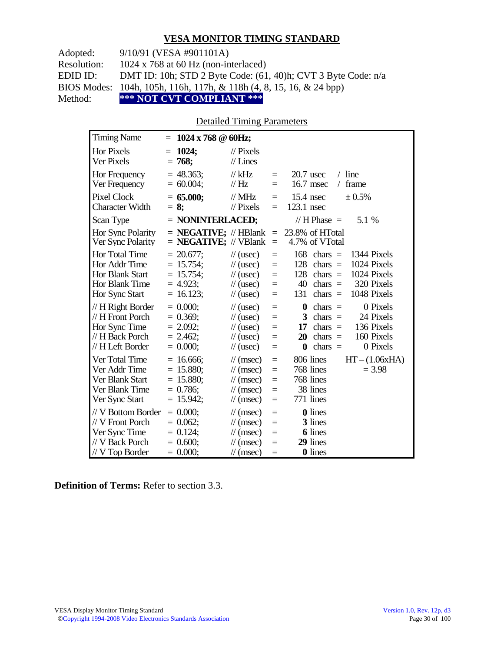Adopted: 9/10/91 (VESA #901101A)

Resolution: 1024 x 768 at 60 Hz (non-interlaced)

EDID ID: DMT ID: 10h; STD 2 Byte Code: (61, 40)h; CVT 3 Byte Code: n/a

BIOS Modes: 104h, 105h, 116h, 117h, & 118h (4, 8, 15, 16, & 24 bpp)

Method: **\*\*\* NOT CVT COMPLIANT \*\*\***

#### Detailed Timing Parameters

| <b>Timing Name</b>                                                                                   | $= 1024 \times 768 \text{ } \textcircled{a} 60 \text{Hz};$                  |                                                                                                                      |                                           |                                                                                                                                                                           |
|------------------------------------------------------------------------------------------------------|-----------------------------------------------------------------------------|----------------------------------------------------------------------------------------------------------------------|-------------------------------------------|---------------------------------------------------------------------------------------------------------------------------------------------------------------------------|
| <b>Hor Pixels</b><br>Ver Pixels                                                                      | 1024;<br>$=$<br>$= 768$                                                     | $\frac{1}{2}$ Pixels<br>$//$ Lines                                                                                   |                                           |                                                                                                                                                                           |
| Hor Frequency<br>Ver Frequency                                                                       | $= 48.363$ ;<br>$= 60.004$ ;                                                | $//$ kHz<br>$\mathcal{U}$ Hz                                                                                         | $\equiv$<br>$=$                           | $/$ line<br>$20.7$ usec<br>16.7 msec<br>frame<br>$\sqrt{2}$                                                                                                               |
| <b>Pixel Clock</b><br><b>Character Width</b>                                                         | $= 65.000;$<br>$= 8$ ;                                                      | $//$ MHz<br>$\frac{1}{2}$ Pixels                                                                                     | $\equiv$<br>$=$                           | $15.4$ nsec<br>$\pm 0.5\%$<br>123.1 nsec                                                                                                                                  |
| Scan Type                                                                                            | $=$ NONINTERLACED;                                                          |                                                                                                                      |                                           | // $H$ Phase $=$<br>5.1 %                                                                                                                                                 |
| Hor Sync Polarity<br>Ver Sync Polarity                                                               | $=$ <b>NEGATIVE;</b> // HBlank<br>$=$ <b>NEGATIVE;</b> // VBlank            |                                                                                                                      | $\equiv$<br>$\equiv$                      | 23.8% of HTotal<br>4.7% of VTotal                                                                                                                                         |
| <b>Hor Total Time</b><br>Hor Addr Time<br><b>Hor Blank Start</b><br>Hor Blank Time<br>Hor Sync Start | $= 20.677$ ;<br>$= 15.754$ ;<br>$= 15.754$ ;<br>$= 4.923$ ;<br>$= 16.123$ ; | $\frac{1}{2}$ (usec)<br>$\frac{1}{2}$ (usec)<br>$\frac{1}{2}$ (usec)<br>$\frac{1}{2}$ (usec)<br>$\frac{1}{2}$ (usec) | $\equiv$<br>$\equiv$<br>$=$<br>$=$<br>$=$ | 168<br>chars $=$<br>1344 Pixels<br>1024 Pixels<br>128<br>$chars =$<br>128<br>1024 Pixels<br>$chars =$<br>40<br>320 Pixels<br>$chars =$<br>131<br>1048 Pixels<br>$chars =$ |
| // H Right Border<br>// H Front Porch<br>Hor Sync Time<br>// H Back Porch<br>// H Left Border        | $= 0.000$<br>$= 0.369$ ;<br>$= 2.092$ ;<br>$= 2.462$ ;<br>$= 0.000;$        | $\frac{1}{2}$ (usec)<br>$\frac{1}{2}$ (usec)<br>$\frac{1}{2}$ (usec)<br>$\frac{1}{2}$ (usec)<br>$\frac{1}{2}$ (usec) | $=$<br>$=$<br>$=$<br>$=$<br>$=$           | 0 Pixels<br>$\bf{0}$<br>$chars =$<br>24 Pixels<br>3<br>$chars =$<br>136 Pixels<br>17<br>$chars =$<br>160 Pixels<br>20<br>$chars =$<br>chars $=$<br>0 Pixels<br>$\bf{0}$   |
| Ver Total Time<br>Ver Addr Time<br>Ver Blank Start<br>Ver Blank Time<br>Ver Sync Start               | $= 16.666$ ;<br>$= 15.880;$<br>$= 15.880;$<br>$= 0.786$ ;<br>$= 15.942;$    | $\mathcal{U}$ (msec)<br>$\mathcal{U}$ (msec)<br>$\mathcal{U}$ (msec)<br>$\mathcal{U}$ (msec)<br>$\mathcal{U}$ (msec) | $\equiv$<br>$=$<br>$=$<br>$=$<br>$=$      | 806 lines<br>$HT - (1.06xHA)$<br>768 lines<br>$= 3.98$<br>768 lines<br>38 lines<br>771 lines                                                                              |
| // V Bottom Border<br>// V Front Porch<br>Ver Sync Time<br>// V Back Porch<br>$//V$ Top Border       | $= 0.000;$<br>$= 0.062$ ;<br>$= 0.124$ ;<br>$= 0.600;$<br>$= 0.000;$        | $\mathcal{U}$ (msec)<br>$\mathcal{U}$ (msec)<br>$\mathcal{U}$ (msec)<br>$\mathcal{U}$ (msec)<br>$\mathcal{U}$ (msec) | $=$<br>$=$<br>$=$<br>$=$<br>$\equiv$      | <b>0</b> lines<br>3 lines<br><b>6</b> lines<br>29 lines<br>0 lines                                                                                                        |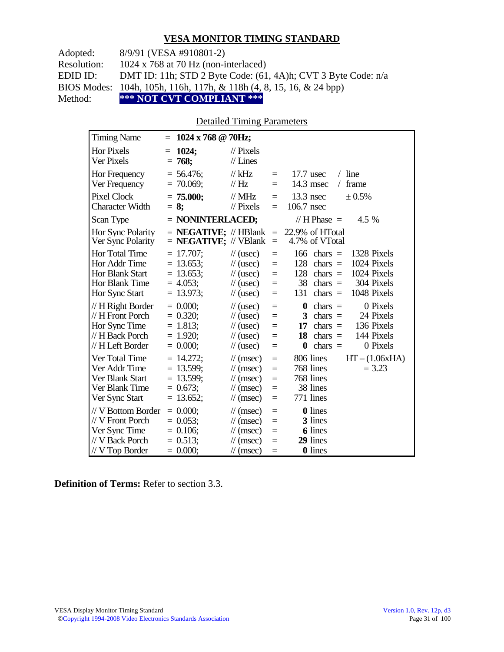Adopted: 8/9/91 (VESA #910801-2)

Resolution: 1024 x 768 at 70 Hz (non-interlaced)

EDID ID: DMT ID: 11h; STD 2 Byte Code: (61, 4A)h; CVT 3 Byte Code: n/a

BIOS Modes: 104h, 105h, 116h, 117h, & 118h (4, 8, 15, 16, & 24 bpp)

Method: **\*\*\* NOT CVT COMPLIANT \*\*\***

#### Detailed Timing Parameters

| <b>Timing Name</b>                                                                            | $= 1024 \times 768 \text{ @ } 70 \text{Hz};$                               |                                                                                                                                           |                                           |                                                                                                                                                                                 |
|-----------------------------------------------------------------------------------------------|----------------------------------------------------------------------------|-------------------------------------------------------------------------------------------------------------------------------------------|-------------------------------------------|---------------------------------------------------------------------------------------------------------------------------------------------------------------------------------|
| Hor Pixels<br>Ver Pixels                                                                      | 1024;<br>$=$<br>$= 768;$                                                   | $\mathcal{U}$ Pixels<br>$//$ Lines                                                                                                        |                                           |                                                                                                                                                                                 |
| Hor Frequency<br>Ver Frequency                                                                | $= 56.476$ ;<br>$= 70.069$ ;                                               | // $kHz$<br>$\frac{1}{1}$ Hz                                                                                                              | $=$<br>$=$                                | $/$ line<br>$17.7$ usec<br>14.3 msec<br>frame<br>$\sqrt{2}$                                                                                                                     |
| Pixel Clock<br><b>Character Width</b>                                                         | $= 75.000;$<br>$= 8$ ;                                                     | $\frac{1}{1}$ MHz<br>$\frac{1}{2}$ Pixels                                                                                                 | $\equiv$<br>$\equiv$                      | $13.3$ nsec<br>$\pm 0.5\%$<br>106.7 nsec                                                                                                                                        |
| Scan Type                                                                                     | $=$ NONINTERLACED;                                                         |                                                                                                                                           |                                           | // H Phase $=$<br>4.5 %                                                                                                                                                         |
| Hor Sync Polarity<br>Ver Sync Polarity                                                        | $=$ <b>NEGATIVE</b> ; // HBlank<br>$=$ <b>NEGATIVE</b> ; // VBlank         |                                                                                                                                           | $\equiv$<br>$\equiv$                      | 22.9% of HTotal<br>4.7% of VTotal                                                                                                                                               |
| <b>Hor Total Time</b><br>Hor Addr Time<br>Hor Blank Start<br>Hor Blank Time<br>Hor Sync Start | $= 17.707;$<br>$= 13.653$ ;<br>$= 13.653$ ;<br>$= 4.053$ ;<br>$= 13.973$ ; | $\frac{1}{2}$ (usec)<br>$\frac{1}{\sqrt{2}}$ (usec)<br>$\frac{1}{2}$ (usec)<br>$\frac{1}{2}$ (usec)<br>$\frac{1}{2}$ (usec)               | $=$<br>$=$<br>$=$<br>$\equiv$<br>$=$      | 166<br>1328 Pixels<br>$chars =$<br>1024 Pixels<br>128<br>$chars =$<br>1024 Pixels<br>128<br>$chars =$<br>304 Pixels<br>38<br>chars $=$<br>1048 Pixels<br>131<br>chars $=$       |
| // H Right Border<br>// H Front Porch<br>Hor Sync Time<br>// H Back Porch<br>// H Left Border | $= 0.000$ ;<br>$= 0.320$ ;<br>$= 1.813;$<br>$= 1.920$ ;<br>$= 0.000;$      | $\frac{1}{2}$ (usec)<br>$\frac{1}{2}$ (usec)<br>$\frac{1}{2}$ (usec)<br>$\frac{1}{2}$ (usec)<br>$\frac{1}{2}$ (usec)                      | $=$<br>$=$<br>$=$<br>$\equiv$<br>$\equiv$ | 0 Pixels<br>$\boldsymbol{0}$<br>$chars =$<br>24 Pixels<br>$chars =$<br>3<br>136 Pixels<br>17<br>$chars =$<br>144 Pixels<br>18<br>chars $=$<br>0 Pixels<br>chars $=$<br>$\bf{0}$ |
| Ver Total Time<br>Ver Addr Time<br>Ver Blank Start<br>Ver Blank Time<br>Ver Sync Start        | $= 14.272$ ;<br>$= 13.599$ ;<br>$= 13.599$ ;<br>$= 0.673$ ;<br>$= 13.652;$ | $\frac{1}{\sqrt{2}}$ (msec)<br>$\mathcal{U}$ (msec)<br>$\mathcal{U}$ (msec)<br>$\frac{1}{\sqrt{2}}$ (msec)<br>$\frac{1}{\sqrt{2}}$ (msec) | $\equiv$<br>$=$<br>$=$<br>$=$<br>$\equiv$ | 806 lines<br>$HT - (1.06xHA)$<br>768 lines<br>$= 3.23$<br>768 lines<br>38 lines<br>771 lines                                                                                    |
| // V Bottom Border<br>// V Front Porch<br>Ver Sync Time<br>// V Back Porch<br>// V Top Border | $= 0.000$ ;<br>$= 0.053$ ;<br>$= 0.106$ ;<br>$= 0.513$ ;<br>$= 0.000;$     | $\mathcal{U}$ (msec)<br>$\mathcal{U}$ (msec)<br>$\mathcal{U}$ (msec)<br>$\frac{1}{\sqrt{2}}$ (msec)<br>$\frac{1}{\pi}$ (msec)             | $=$<br>$\equiv$<br>$=$<br>$=$<br>$=$      | <b>0</b> lines<br>3 lines<br><b>6</b> lines<br>29 lines<br><b>0</b> lines                                                                                                       |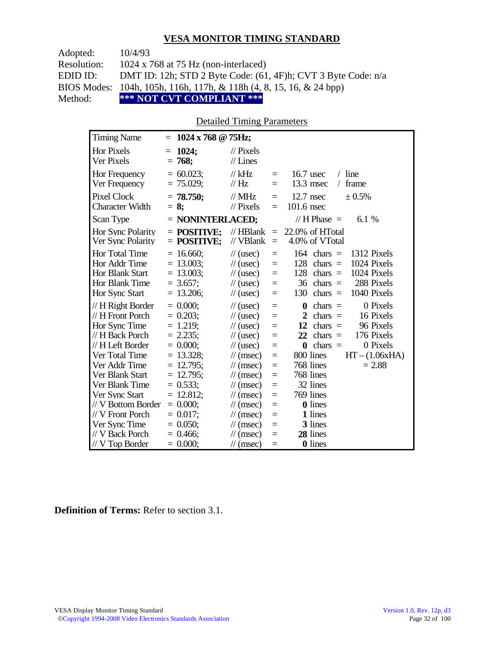| Adopted:    | 10/4/93                                                                        |
|-------------|--------------------------------------------------------------------------------|
| Resolution: | 1024 x 768 at 75 Hz (non-interlaced)                                           |
| EDID ID:    | DMT ID: 12h; STD 2 Byte Code: $(61, 4F)$ h; CVT 3 Byte Code: $n/a$             |
|             | BIOS Modes: 104h, 105h, 116h, 117h, & 118h $(4, 8, 15, 16, \& 24 \text{ bpp})$ |
| Method:     | *** NOT CVT COMPLIANT ***                                                      |

#### Detailed Timing Parameters

| <b>Timing Name</b>                                                                            | $1024 \times 768$ @ 75Hz;<br>$=$                                           |                                                                                                                      |                                 |                                                                                                                                                                     |
|-----------------------------------------------------------------------------------------------|----------------------------------------------------------------------------|----------------------------------------------------------------------------------------------------------------------|---------------------------------|---------------------------------------------------------------------------------------------------------------------------------------------------------------------|
| <b>Hor Pixels</b><br><b>Ver Pixels</b>                                                        | 1024;<br>$=$<br>$= 768;$                                                   | $\frac{1}{2}$ Pixels<br>$//$ Lines                                                                                   |                                 |                                                                                                                                                                     |
| Hor Frequency<br>Ver Frequency                                                                | $= 60.023$ ;<br>$= 75.029$ ;                                               | $//$ kHz<br>// Hz                                                                                                    | $=$<br>$=$                      | $16.7$ usec<br>$/$ line<br>$13.3$ msec<br>frame<br>$\sqrt{2}$                                                                                                       |
| <b>Pixel Clock</b><br><b>Character Width</b>                                                  | $= 78.750$ ;<br>$= 8$ ;                                                    | $//$ MHz<br>$\frac{1}{2}$ Pixels                                                                                     | $=$<br>$=$                      | $12.7$ nsec<br>± 0.5%<br>$101.6$ nsec                                                                                                                               |
| Scan Type                                                                                     | $=$ NONINTERLACED;                                                         |                                                                                                                      |                                 | // H Phase $=$<br>6.1 \%                                                                                                                                            |
| Hor Sync Polarity<br>Ver Sync Polarity                                                        | $=$ POSITIVE:<br>$=$ POSITIVE:                                             | $//$ HBlank<br>// VBlank                                                                                             | $\equiv$<br>$\equiv$            | 22.0% of HTotal<br>4.0% of VTotal                                                                                                                                   |
| Hor Total Time<br>Hor Addr Time<br><b>Hor Blank Start</b><br>Hor Blank Time<br>Hor Sync Start | $= 16.660$ ;<br>$= 13.003$ ;<br>$= 13.003$ ;<br>$= 3.657$ ;<br>$= 13.206;$ | $\frac{1}{2}$ (usec)<br>$\frac{1}{2}$ (usec)<br>$\frac{1}{2}$ (usec)<br>$\frac{1}{2}$ (usec)<br>$\frac{1}{2}$ (usec) | $=$<br>$=$<br>$=$<br>$=$<br>$=$ | $164$ chars =<br>1312 Pixels<br>1024 Pixels<br>128<br>chars $=$<br>1024 Pixels<br>128<br>$chars =$<br>288 Pixels<br>$36$ chars =<br>130<br>chars $=$<br>1040 Pixels |
| // H Right Border<br>// H Front Porch                                                         | $= 0.000;$<br>$= 0.203$ ;                                                  | $\frac{1}{2}$ (usec)<br>$\frac{1}{2}$ (usec)                                                                         | $=$<br>$=$                      | 0 Pixels<br>0<br>$chars =$<br>$\overline{2}$<br>16 Pixels<br>$chars =$                                                                                              |
| Hor Sync Time                                                                                 | $= 1.219$ ;                                                                | $\frac{1}{2}$ (usec)                                                                                                 | $=$                             | 12<br>96 Pixels<br>$chars =$                                                                                                                                        |
| // H Back Porch<br>// H Left Border                                                           | $= 2.235$ ;<br>$= 0.000$                                                   | $\frac{1}{2}$ (usec)<br>$\frac{1}{2}$ (usec)                                                                         | $=$<br>$=$                      | 22<br>176 Pixels<br>chars $=$<br>chars $=$<br>0 Pixels<br>$\bf{0}$                                                                                                  |
| Ver Total Time                                                                                | $= 13.328$ ;                                                               | $\mathcal{U}$ (msec)                                                                                                 | $=$                             | 800 lines<br>$HT - (1.06xHA)$                                                                                                                                       |
| Ver Addr Time                                                                                 | $= 12.795$ ;                                                               | $\frac{1}{\sqrt{2}}$ (msec)                                                                                          | $=$                             | 768 lines<br>$= 2.88$                                                                                                                                               |
| Ver Blank Start                                                                               | $= 12.795$ ;                                                               | $\frac{1}{\sqrt{2}}$ (msec)                                                                                          | $=$                             | 768 lines                                                                                                                                                           |
| Ver Blank Time                                                                                | $= 0.533;$                                                                 | $\mathcal{U}$ (msec)                                                                                                 | $=$                             | 32 lines                                                                                                                                                            |
| Ver Sync Start<br>// V Bottom Border                                                          | $= 12.812;$<br>$= 0.000;$                                                  | $\mathcal{U}$ (msec)<br>$\mathcal{U}$ (msec)                                                                         | $=$<br>$=$                      | 769 lines<br>0 lines                                                                                                                                                |
| // V Front Porch                                                                              | $= 0.017$ ;                                                                | $\mathcal{U}$ (msec)                                                                                                 | $=$                             | 1 lines                                                                                                                                                             |
| Ver Sync Time                                                                                 | $= 0.050$ ;                                                                | $\frac{1}{\sqrt{2}}$ (msec)                                                                                          | $=$                             | 3 lines                                                                                                                                                             |
| // V Back Porch                                                                               | $= 0.466$ ;                                                                | $\mathcal{U}$ (msec)                                                                                                 | $=$                             | 28 lines                                                                                                                                                            |
| // V Top Border                                                                               | $= 0.000$                                                                  | $\frac{1}{\sqrt{2}}$ (msec)                                                                                          | $=$                             | 0 lines                                                                                                                                                             |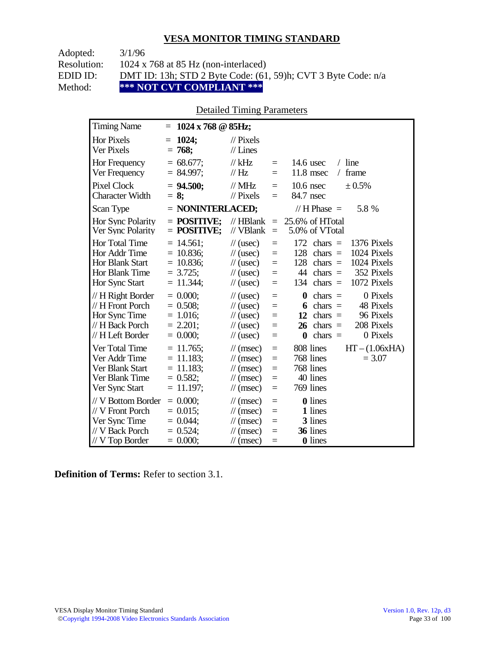Adopted: 3/1/96

Resolution: 1024 x 768 at 85 Hz (non-interlaced)

EDID ID: DMT ID: 13h; STD 2 Byte Code: (61, 59)h; CVT 3 Byte Code: n/a<br>Method: \*\*\* NOT CVT COMPLIANT \*\*\*

**\*\*\* NOT CVT COMPLIANT \*\*\*** 

## Detailed Timing Parameters

| <b>Timing Name</b>                                                                                   | $1024 \times 768$ @ 85Hz;<br>$=$                                            |                                                                                                                                                                                                                                                                                                                                             |
|------------------------------------------------------------------------------------------------------|-----------------------------------------------------------------------------|---------------------------------------------------------------------------------------------------------------------------------------------------------------------------------------------------------------------------------------------------------------------------------------------------------------------------------------------|
| <b>Hor Pixels</b><br><b>Ver Pixels</b>                                                               | 1024;<br>$=$<br>$= 768;$                                                    | $\frac{1}{2}$ Pixels<br>$//$ Lines                                                                                                                                                                                                                                                                                                          |
| Hor Frequency<br>Ver Frequency                                                                       | $= 68.677$ ;<br>$= 84.997$ ;                                                | $//$ kHz<br>$/$ line<br>$14.6$ usec<br>$\equiv$<br>//Hz<br>$11.8$ msec<br>frame<br>$\sqrt{2}$<br>$\equiv$                                                                                                                                                                                                                                   |
| <b>Pixel Clock</b><br><b>Character Width</b>                                                         | $= 94.500$ ;<br>$= 8$ ;                                                     | $//$ MHz<br>$10.6$ nsec<br>± 0.5%<br>$\equiv$<br>// Pixels<br>84.7 nsec<br>$\equiv$                                                                                                                                                                                                                                                         |
| Scan Type                                                                                            | $=$ NONINTERLACED;                                                          | // H Phase $=$<br>5.8 %                                                                                                                                                                                                                                                                                                                     |
| Hor Sync Polarity<br>Ver Sync Polarity                                                               | $=$ POSITIVE:<br>$=$ POSITIVE;                                              | $\mathcal{U}$ HBlank<br>25.6% of HTotal<br>$\equiv$<br>5.0% of VTotal<br>// VBlank<br>$\equiv$                                                                                                                                                                                                                                              |
| <b>Hor Total Time</b><br>Hor Addr Time<br><b>Hor Blank Start</b><br>Hor Blank Time<br>Hor Sync Start | $= 14.561$ ;<br>$= 10.836$ ;<br>$= 10.836$ ;<br>$= 3.725$ ;<br>$= 11.344$ ; | 172<br>$chars =$<br>1376 Pixels<br>$\frac{1}{2}$ (usec)<br>$=$<br>128<br>$chars =$<br>1024 Pixels<br>$\frac{1}{2}$ (usec)<br>$=$<br>128<br>1024 Pixels<br>$chars =$<br>$\frac{1}{\sqrt{2}}$ (usec)<br>$=$<br>$chars =$<br>352 Pixels<br>44<br>$\frac{1}{2}$ (usec)<br>$=$<br>$chars =$<br>1072 Pixels<br>134<br>$\frac{1}{2}$ (usec)<br>$=$ |
| // H Right Border<br>// H Front Porch<br>Hor Sync Time<br>// H Back Porch<br>// H Left Border        | $= 0.000$<br>$= 0.508$ ;<br>$= 1.016$ ;<br>$= 2.201$ ;<br>$= 0.000;$        | 0 Pixels<br>$chars =$<br>$\frac{1}{2}$ (usec)<br>0<br>$=$<br>48 Pixels<br>$chars =$<br>$\frac{1}{2}$ (usec)<br>6<br>$=$<br>96 Pixels<br>12<br>$\frac{1}{2}$ (usec)<br>$chars =$<br>$=$<br>208 Pixels<br>26<br>$chars =$<br>$\frac{1}{2}$ (usec)<br>$=$<br>chars $=$<br>0 Pixels<br>$\frac{1}{2}$ (usec)<br>$\bf{0}$<br>$=$                  |
| Ver Total Time<br>Ver Addr Time<br>Ver Blank Start<br>Ver Blank Time<br>Ver Sync Start               | $= 11.765$ ;<br>$= 11.183;$<br>$= 11.183$ ;<br>$= 0.582;$<br>$= 11.197$ ;   | 808 lines<br>$HT - (1.06xHA)$<br>$\mathcal{U}$ (msec)<br>$=$<br>768 lines<br>$= 3.07$<br>$\mathcal{U}$ (msec)<br>$=$<br>768 lines<br>$\mathcal{U}$ (msec)<br>$=$<br>40 lines<br>$\mathcal{U}$ (msec)<br>$=$<br>769 lines<br>$\mathcal{U}$ (msec)<br>$=$                                                                                     |
| // V Bottom Border<br>// V Front Porch<br>Ver Sync Time<br>// V Back Porch<br>$//$ V Top Border      | $= 0.000;$<br>$= 0.015$ ;<br>$= 0.044$ ;<br>$= 0.524$ ;<br>$= 0.000;$       | <b>0</b> lines<br>$\mathcal{U}$ (msec)<br>$=$<br>1 lines<br>$\mathcal{U}$ (msec)<br>$=$<br>3 lines<br>$\mathcal{U}$ (msec)<br>$=$<br>36 lines<br>$\mathcal{U}$ (msec)<br>$=$<br>0 lines<br>$\mathcal{U}$ (msec)<br>$=$                                                                                                                      |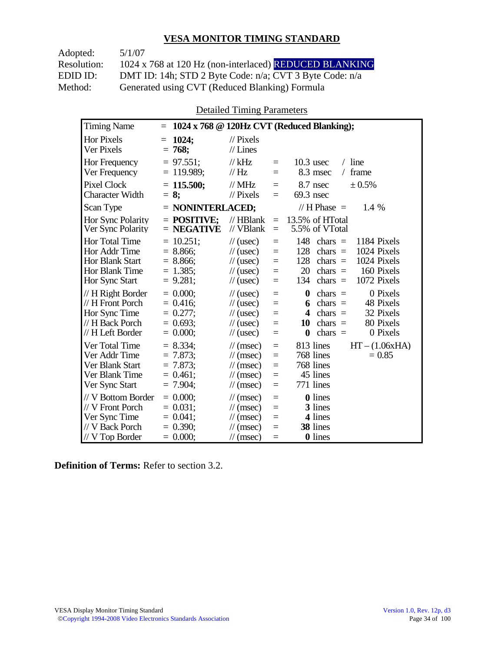Adopted: 5/1/07 Resolution: 1024 x 768 at 120 Hz (non-interlaced) REDUCED BLANKING EDID ID: DMT ID: 14h; STD 2 Byte Code: n/a; CVT 3 Byte Code: n/a<br>Method: Generated using CVT (Reduced Blanking) Formula Generated using CVT (Reduced Blanking) Formula

Detailed Timing Parameters

| <b>Timing Name</b>                                                                                   | $\equiv$                                                                 |                                                                                                                                                                       | 1024 x 768 @ 120Hz CVT (Reduced Blanking);                                                                                                                                   |
|------------------------------------------------------------------------------------------------------|--------------------------------------------------------------------------|-----------------------------------------------------------------------------------------------------------------------------------------------------------------------|------------------------------------------------------------------------------------------------------------------------------------------------------------------------------|
| <b>Hor Pixels</b><br>Ver Pixels                                                                      | 1024;<br>$=$<br>$= 768;$                                                 | $\frac{1}{2}$ Pixels<br>$//$ Lines                                                                                                                                    |                                                                                                                                                                              |
| Hor Frequency<br>Ver Frequency                                                                       | $= 97.551$ ;<br>$= 119.989;$                                             | $//$ kHz<br>$=$<br>// Hz<br>$=$                                                                                                                                       | $/$ line<br>$10.3$ usec<br>frame<br>8.3 msec<br>$\sqrt{2}$                                                                                                                   |
| <b>Pixel Clock</b><br><b>Character Width</b>                                                         | $= 115.500;$<br>$= 8:$                                                   | $\frac{1}{2}$ MHz<br>Ξ<br>$//$ Pixels<br>$=$                                                                                                                          | 8.7 nsec<br>± 0.5%<br>$69.3$ nsec                                                                                                                                            |
| Scan Type                                                                                            | $=$ NONINTERLACED;                                                       |                                                                                                                                                                       | // $H$ Phase $=$<br>1.4 %                                                                                                                                                    |
| Hor Sync Polarity<br>Ver Sync Polarity                                                               | $=$ POSITIVE;<br>$=$ NEGATIVE                                            | $//$ HBlank<br>$=$<br>// VBlank<br>$=$                                                                                                                                | 13.5% of HTotal<br>5.5% of VTotal                                                                                                                                            |
| Hor Total Time<br>Hor Addr Time<br><b>Hor Blank Start</b><br><b>Hor Blank Time</b><br>Hor Sync Start | $= 10.251$ ;<br>$= 8.866$ ;<br>$= 8.866$ ;<br>$= 1.385$ ;<br>$= 9.281$ ; | $\frac{1}{2}$ (usec)<br>$=$<br>$\frac{1}{2}$ (usec)<br>$=$<br>$\frac{1}{2}$ (usec)<br>$=$<br>$\frac{1}{2}$ (usec)<br>$=$<br>$\frac{1}{2}$ (usec)<br>$=$               | 148<br>chars $=$<br>1184 Pixels<br>1024 Pixels<br>128<br>chars $=$<br>1024 Pixels<br>128<br>chars $=$<br>20<br>160 Pixels<br>chars $=$<br>1072 Pixels<br>134<br>$chars =$    |
| // H Right Border<br>// H Front Porch<br>Hor Sync Time<br>// H Back Porch<br>// H Left Border        | $= 0.000$<br>$= 0.416$ ;<br>$= 0.277$ ;<br>$= 0.693$ ;<br>$= 0.000;$     | $\frac{1}{2}$ (usec)<br>$=$<br>$\frac{1}{2}$ (usec)<br>$=$<br>$\frac{1}{2}$ (usec)<br>$=$<br>$\frac{1}{2}$ (usec)<br>$=$<br>$\frac{1}{2}$ (usec)<br>$=$               | 0 Pixels<br>$\boldsymbol{0}$<br>chars $=$<br>chars $=$<br>48 Pixels<br>6<br>chars $=$<br>32 Pixels<br>4<br>80 Pixels<br>10<br>chars $=$<br>chars $=$<br>0 Pixels<br>$\bf{0}$ |
| Ver Total Time<br>Ver Addr Time<br>Ver Blank Start<br>Ver Blank Time<br>Ver Sync Start               | $= 8.334;$<br>$= 7.873$ ;<br>$= 7.873$ ;<br>$= 0.461$ :<br>$= 7.904$ ;   | $\frac{1}{\sqrt{2}}$ (msec)<br>$=$<br>$\frac{1}{\sqrt{2}}$ (msec)<br>$=$<br>$\mathcal{U}$ (msec)<br>$=$<br>$\mathcal{U}$ (msec)<br>$=$<br>$\mathcal{U}$ (msec)<br>$=$ | $HT - (1.06xHA)$<br>813 lines<br>768 lines<br>$= 0.85$<br>768 lines<br>45 lines<br>771 lines                                                                                 |
| // V Bottom Border<br>// V Front Porch<br>Ver Sync Time<br>// V Back Porch<br>// V Top Border        | $= 0.000;$<br>$= 0.031$ :<br>$= 0.041$ ;<br>$= 0.390;$<br>$= 0.000;$     | $\mathcal{U}$ (msec)<br>$=$<br>$\mathcal{U}$ (msec)<br>$=$<br>$\mathcal{U}$ (msec)<br>$=$<br>$\frac{1}{\sqrt{2}}$ (msec)<br>$=$<br>$\mathcal{U}$ (msec)               | <b>0</b> lines<br>3 lines<br>4 lines<br>38 lines<br>0 lines                                                                                                                  |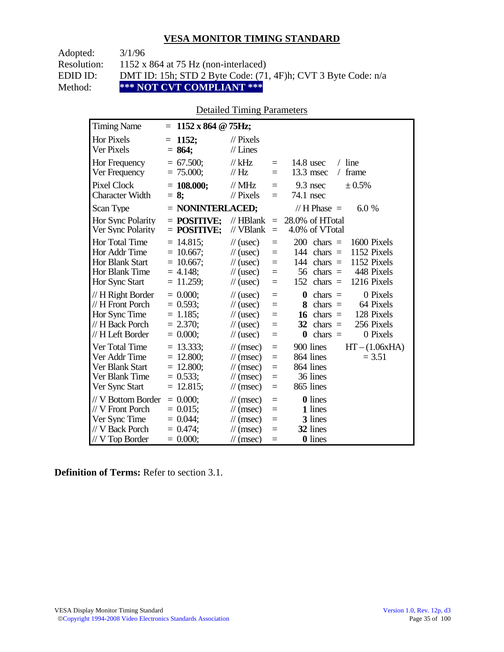Adopted: 3/1/96

Resolution: 1152 x 864 at 75 Hz (non-interlaced)

EDID ID: DMT ID: 15h; STD 2 Byte Code: (71, 4F)h; CVT 3 Byte Code: n/a<br>Method: \*\*\* NOT CVT COMPLIANT \*\*\*

\*\*\* NOT CVT COMPLIANT \*\*\*

## Detailed Timing Parameters

| <b>Timing Name</b>                                                                              | $= 1152 \times 864 \text{ } \textcircled{g}$ 75Hz;                         |                                                                                                                      |                                      |                                                                                                                                                                         |
|-------------------------------------------------------------------------------------------------|----------------------------------------------------------------------------|----------------------------------------------------------------------------------------------------------------------|--------------------------------------|-------------------------------------------------------------------------------------------------------------------------------------------------------------------------|
| <b>Hor Pixels</b><br>Ver Pixels                                                                 | 1152;<br>$=$<br>$= 864;$                                                   | $\mathcal{U}$ Pixels<br>$//$ Lines                                                                                   |                                      |                                                                                                                                                                         |
| Hor Frequency<br>Ver Frequency                                                                  | $= 67.500;$<br>$= 75.000;$                                                 | $//$ kHz<br>$\frac{1}{1}$ Hz                                                                                         | $\equiv$<br>$\equiv$                 | $/$ line<br>$14.8$ usec<br>13.3 msec<br>frame<br>$\sqrt{2}$                                                                                                             |
| <b>Pixel Clock</b><br><b>Character Width</b>                                                    | $= 108.000;$<br>$= 8$ ;                                                    | $//$ MHz<br>$//$ Pixels                                                                                              | $\equiv$<br>$=$                      | 9.3 nsec<br>$\pm 0.5\%$<br>74.1 nsec                                                                                                                                    |
| Scan Type                                                                                       | = NONINTERLACED;                                                           |                                                                                                                      |                                      | // H Phase $=$<br>6.0 %                                                                                                                                                 |
| Hor Sync Polarity<br>Ver Sync Polarity                                                          | $=$ POSITIVE:<br>$=$ POSITIVE;                                             | $//$ HBlank<br>// VBlank                                                                                             | $\equiv$<br>$\equiv$                 | 28.0% of HTotal<br>4.0% of VTotal                                                                                                                                       |
| Hor Total Time<br>Hor Addr Time<br>Hor Blank Start<br>Hor Blank Time<br>Hor Sync Start          | $= 14.815$ ;<br>$= 10.667$ ;<br>$= 10.667$ ;<br>$= 4.148$ ;<br>$= 11.259;$ | $\frac{1}{2}$ (usec)<br>$\frac{1}{2}$ (usec)<br>$\frac{1}{2}$ (usec)<br>$\frac{1}{2}$ (usec)<br>$\frac{1}{2}$ (usec) | $=$<br>$=$<br>$=$<br>$=$<br>$=$      | 200<br>1600 Pixels<br>$chars =$<br>1152 Pixels<br>144 chars $=$<br>1152 Pixels<br>144 chars $=$<br>$56$ chars =<br>448 Pixels<br>152<br>chars $=$<br>1216 Pixels        |
| $// H$ Right Border<br>// H Front Porch<br>Hor Sync Time<br>// H Back Porch<br>// H Left Border | $= 0.000;$<br>$= 0.593$ ;<br>$= 1.185$ ;<br>$= 2.370$ ;<br>$= 0.000$ ;     | $\frac{1}{2}$ (usec)<br>$\frac{1}{2}$ (usec)<br>$\frac{1}{2}$ (usec)<br>$\frac{1}{2}$ (usec)<br>$\frac{1}{2}$ (usec) | $=$<br>$=$<br>$=$<br>$=$<br>$=$      | 0 Pixels<br>$chars =$<br>$\bf{0}$<br>$chars =$<br>64 Pixels<br>8<br>128 Pixels<br>16<br>$chars =$<br>256 Pixels<br>32<br>$chars =$<br>$\bf{0}$<br>chars $=$<br>0 Pixels |
| Ver Total Time<br>Ver Addr Time<br>Ver Blank Start<br>Ver Blank Time<br>Ver Sync Start          | $= 13.333$ ;<br>$= 12.800;$<br>$= 12.800;$<br>$= 0.533$ ;<br>$= 12.815$ ;  | $\mathcal{U}$ (msec)<br>$\mathcal{U}$ (msec)<br>$\mathcal{U}$ (msec)<br>$\mathcal{U}$ (msec)<br>$\mathcal{U}$ (msec) | $=$<br>$=$<br>$=$<br>$=$<br>$=$      | $HT - (1.06xHA)$<br>900 lines<br>864 lines<br>$= 3.51$<br>864 lines<br>36 lines<br>865 lines                                                                            |
| // V Bottom Border<br>// V Front Porch<br>Ver Sync Time<br>// V Back Porch<br>$//V$ Top Border  | $= 0.000;$<br>$= 0.015$ ;<br>$= 0.044$ ;<br>$= 0.474$ ;<br>$= 0.000;$      | $\mathcal{U}$ (msec)<br>$\mathcal{U}$ (msec)<br>$\mathcal{U}$ (msec)<br>$\mathcal{U}$ (msec)<br>$\mathcal{U}$ (msec) | $=$<br>$=$<br>$=$<br>$=$<br>$\equiv$ | 0 lines<br>1 lines<br>3 lines<br>32 lines<br>0 lines                                                                                                                    |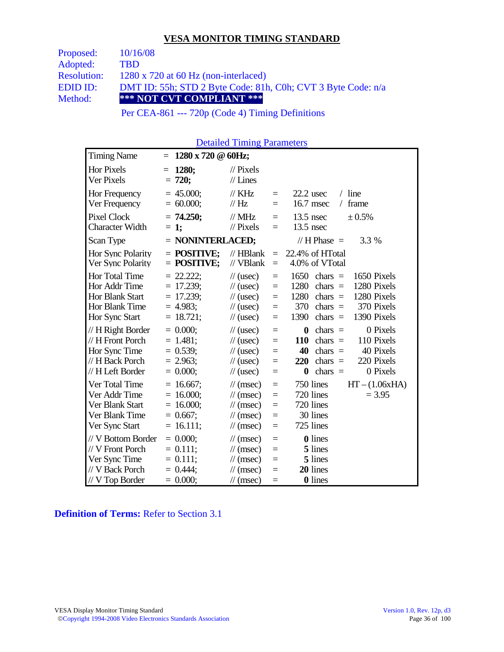| Proposed:          | 10/16/08                                                     |  |  |  |  |
|--------------------|--------------------------------------------------------------|--|--|--|--|
| Adopted:           | <b>TBD</b>                                                   |  |  |  |  |
| <b>Resolution:</b> | $1280 \times 720$ at 60 Hz (non-interlaced)                  |  |  |  |  |
| EDID ID:           | DMT ID: 55h; STD 2 Byte Code: 81h, C0h; CVT 3 Byte Code: n/a |  |  |  |  |
| Method:            | *** NOT CVT COMPLIANT ***                                    |  |  |  |  |
|                    | $\cdots$                                                     |  |  |  |  |

Per CEA-861 --- 720p (Code 4) Timing Definitions

Detailed Timing Parameters

| <b>Timing Name</b>                                                                                              | $=$                                                                                | $1280 \times 720 \& 60$ Hz;                                                                                                                                                                                                                                                                                                                                                                       |
|-----------------------------------------------------------------------------------------------------------------|------------------------------------------------------------------------------------|---------------------------------------------------------------------------------------------------------------------------------------------------------------------------------------------------------------------------------------------------------------------------------------------------------------------------------------------------------------------------------------------------|
| <b>Hor Pixels</b><br>Ver Pixels                                                                                 | 1280;<br>$=$<br>$= 720;$                                                           | $\mathcal{U}$ Pixels<br>$//$ Lines                                                                                                                                                                                                                                                                                                                                                                |
| Hor Frequency<br>Ver Frequency                                                                                  | $= 45.000;$<br>$= 60.000;$                                                         | $\frac{1}{K}$ KHz<br>$/$ line<br>$22.2$ usec<br>$=$<br>16.7 msec<br>$\frac{1}{1}$ Hz<br>frame<br>$\sqrt{2}$<br>$=$                                                                                                                                                                                                                                                                                |
| Pixel Clock<br><b>Character Width</b>                                                                           | $= 74.250;$<br>$= 1$ ;                                                             | $\mathcal{N}$ MHz<br>$13.5$ nsec<br>± 0.5%<br>$=$<br>$//$ Pixels<br>$13.5$ nsec<br>$=$                                                                                                                                                                                                                                                                                                            |
| Scan Type                                                                                                       |                                                                                    | = NONINTERLACED;<br>// H Phase $=$<br>3.3 %                                                                                                                                                                                                                                                                                                                                                       |
| Hor Sync Polarity<br>Ver Sync Polarity                                                                          | $=$ POSITIVE:<br>$=$ POSITIVE;                                                     | $//$ HBlank<br>22.4% of HTotal<br>$=$<br>// VBlank<br>4.0% of VTotal<br>$=$                                                                                                                                                                                                                                                                                                                       |
| Hor Total Time<br>Hor Addr Time<br><b>Hor Blank Start</b><br>Hor Blank Time                                     | $= 22.222$ ;<br>$= 17.239$ ;<br>$= 17.239$ ;<br>$= 4.983$ ;                        | 1650<br>1650 Pixels<br>$\frac{1}{2}$ (usec)<br>chars $=$<br>$=$<br>1280<br>chars $=$<br>1280 Pixels<br>$\frac{1}{2}$ (usec)<br>$=$<br>1280<br>chars $=$<br>1280 Pixels<br>$\mathcal{U}$ (usec)<br>$=$<br>370 Pixels<br>370<br>$\frac{1}{2}$ (usec)<br>$chars =$<br>$=$<br>1390<br>1390 Pixels                                                                                                     |
| Hor Sync Start<br>// H Right Border<br>// H Front Porch<br>Hor Sync Time<br>// H Back Porch<br>// H Left Border | $= 18.721;$<br>$= 0.000;$<br>$= 1.481$ ;<br>$= 0.539;$<br>$= 2.963;$<br>$= 0.000;$ | chars $=$<br>$\frac{1}{2}$ (usec)<br>$=$<br>0 Pixels<br>$\boldsymbol{0}$<br>chars $=$<br>$\frac{1}{2}$ (usec)<br>$=$<br>chars $=$<br>110 Pixels<br>110<br>$\frac{1}{2}$ (usec)<br>$=$<br>40 Pixels<br>$\frac{1}{2}$ (usec)<br>40<br>chars $=$<br>$=$<br>220 Pixels<br>chars $=$<br>$\frac{1}{2}$ (usec)<br>220<br>$=$<br>chars $=$<br>0 Pixels<br>$\boldsymbol{0}$<br>$\frac{1}{2}$ (usec)<br>$=$ |
| Ver Total Time<br>Ver Addr Time<br>Ver Blank Start<br>Ver Blank Time<br>Ver Sync Start                          | $= 16.667$ ;<br>$= 16.000;$<br>$= 16.000$ ;<br>$= 0.667$ ;<br>$= 16.111;$          | 750 lines<br>$HT - (1.06xHA)$<br>$\mathcal{U}$ (msec)<br>$\equiv$<br>720 lines<br>$\frac{1}{\sqrt{2}}$ (msec)<br>$= 3.95$<br>$=$<br>720 lines<br>$\frac{1}{\sqrt{2}}$ (msec)<br>$=$<br>30 lines<br>$\mathcal{U}$ (msec)<br>$=$<br>725 lines<br>$\mathcal{U}$ (msec)<br>$=$                                                                                                                        |
| // V Bottom Border<br>// V Front Porch<br>Ver Sync Time<br>// V Back Porch<br>// V Top Border                   | $= 0.000;$<br>$= 0.111;$<br>$= 0.111;$<br>$= 0.444$ ;<br>$= 0.000;$                | 0 lines<br>$\mathcal{U}$ (msec)<br>$=$<br>5 lines<br>$\mathcal{U}$ (msec)<br>$=$<br>5 lines<br>$\mathcal{U}$ (msec)<br>$=$<br>20 lines<br>$\mathcal{U}$ (msec)<br>$=$<br>0 lines<br>$\mathcal{U}$ (msec)<br>$=$                                                                                                                                                                                   |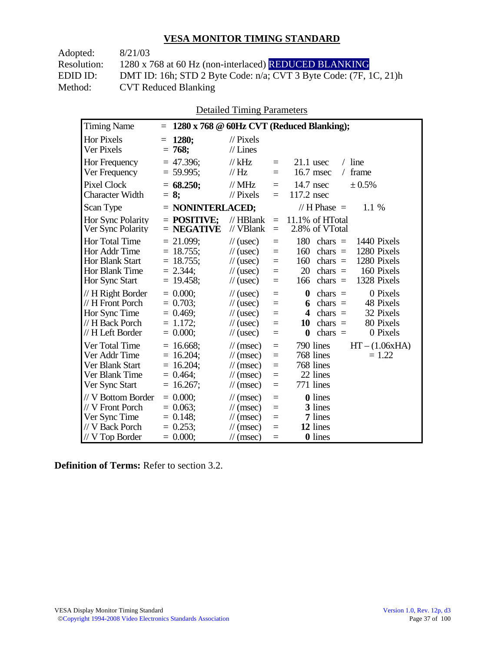| Adopted:    | 8/21/03                                                                |
|-------------|------------------------------------------------------------------------|
| Resolution: | 1280 x 768 at 60 Hz (non-interlaced) REDUCED BLANKING                  |
| EDID ID:    | DMT ID: 16h; STD 2 Byte Code: $n/a$ ; CVT 3 Byte Code: $(7F, 1C, 21)h$ |
| Method:     | <b>CVT Reduced Blanking</b>                                            |

Detailed Timing Parameters

| <b>Timing Name</b>                                                                              | $\equiv$                                                                       |                                                                                                                                    | 1280 x 768 @ 60Hz CVT (Reduced Blanking);                                                                                                                                                                       |
|-------------------------------------------------------------------------------------------------|--------------------------------------------------------------------------------|------------------------------------------------------------------------------------------------------------------------------------|-----------------------------------------------------------------------------------------------------------------------------------------------------------------------------------------------------------------|
| Hor Pixels<br>Ver Pixels                                                                        | 1280;<br>$=$<br>$= 768;$                                                       | $\frac{1}{2}$ Pixels<br>$//$ Lines                                                                                                 |                                                                                                                                                                                                                 |
| Hor Frequency<br>Ver Frequency                                                                  | $= 47.396$ ;<br>$= 59.995;$                                                    | $//$ kHz<br>// Hz                                                                                                                  | $/$ line<br>$21.1$ usec<br>$\equiv$<br>16.7 msec<br>frame<br>$=$<br>$\sqrt{2}$                                                                                                                                  |
| <b>Pixel Clock</b><br><b>Character Width</b>                                                    | $= 68.250$ ;<br>$= 8:$                                                         | $//$ MHz<br>$//$ Pixels                                                                                                            | 14.7 nsec<br>± 0.5%<br>$\equiv$<br>117.2 nsec<br>$=$                                                                                                                                                            |
| Scan Type                                                                                       | $=$ NONINTERLACED;                                                             |                                                                                                                                    | // H Phase $=$<br>1.1%                                                                                                                                                                                          |
| Hor Sync Polarity<br>Ver Sync Polarity                                                          | $=$ POSITIVE:<br>$=$ NEGATIVE                                                  | $//$ HBlank<br>$//$ VBlank                                                                                                         | 11.1% of HTotal<br>$\equiv$<br>2.8% of VTotal<br>$=$                                                                                                                                                            |
| Hor Total Time<br>Hor Addr Time<br>Hor Blank Start<br>Hor Blank Time<br>Hor Sync Start          | $= 21.099;$<br>$= 18.755$ ;<br>$= 18.755$ ;<br>$= 2.344$ ;<br>$= 19.458;$      | $\frac{1}{2}$ (usec)<br>$\frac{1}{2}$ (usec)<br>$\frac{1}{2}$ (usec)<br>$\frac{1}{2}$ (usec)<br>$\frac{1}{2}$ (usec)               | 180<br>1440 Pixels<br>chars $=$<br>$=$<br>1280 Pixels<br>160<br>chars $=$<br>$=$<br>1280 Pixels<br>160<br>chars $=$<br>$=$<br>160 Pixels<br>20<br>chars $=$<br>$=$<br>chars $=$<br>1328 Pixels<br>166<br>$=$    |
| // H Right Border<br>// H Front Porch<br>Hor Sync Time<br>// H Back Porch<br>// H Left Border   | $= 0.000$<br>$= 0.703$ ;<br>$= 0.469$ ;<br>$= 1.172$ ;<br>$= 0.000;$           | $\frac{1}{2}$ (usec)<br>$\frac{1}{2}$ (usec)<br>$\frac{1}{2}$ (usec)<br>$\frac{1}{2}$ (usec)<br>$\frac{1}{2}$ (usec)               | $\boldsymbol{0}$<br>0 Pixels<br>chars $=$<br>$=$<br>chars $=$<br>48 Pixels<br>6<br>$=$<br>32 Pixels<br>$chars =$<br>$=$<br>4<br>80 Pixels<br>10<br>$chars =$<br>$=$<br>$\bf{0}$<br>0 Pixels<br>$chars =$<br>$=$ |
| Ver Total Time<br>Ver Addr Time<br>Ver Blank Start<br>Ver Blank Time<br>Ver Sync Start          | $= 16.668$ ;<br>16.204;<br>$=$<br>16.204;<br>$=$<br>$= 0.464$ ;<br>$= 16.267;$ | $\mathcal{U}$ (msec)<br>$\mathcal{U}$ (msec)<br>$\mathcal{U}$ (msec)<br>$\mathcal{U}$ (msec)<br>$\mathcal{U}$ (msec)               | $HT - (1.06xHA)$<br>790 lines<br>$=$<br>768 lines<br>$= 1.22$<br>$=$<br>768 lines<br>$=$<br>22 lines<br>$=$<br>771 lines<br>$=$                                                                                 |
| // V Bottom Border<br>// V Front Porch<br>Ver Sync Time<br>// V Back Porch<br>$//$ V Top Border | $= 0.000$<br>$= 0.063$ ;<br>$= 0.148$ ;<br>$= 0.253$ ;<br>$= 0.000;$           | $\frac{1}{\sqrt{2}}$ (msec)<br>$\mathcal{U}$ (msec)<br>$\frac{1}{\sqrt{2}}$ (msec)<br>$\mathcal{U}$ (msec)<br>$\mathcal{U}$ (msec) | <b>0</b> lines<br>$=$<br>3 lines<br>$=$<br>7 lines<br>$=$<br>12 lines<br>$=$<br><b>0</b> lines<br>$=$                                                                                                           |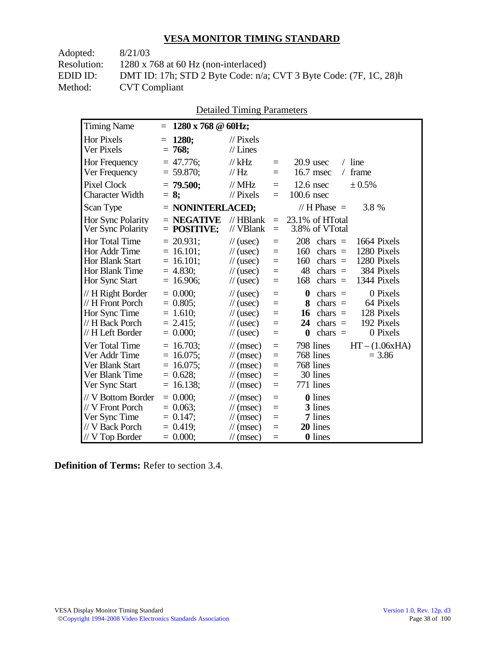| 8/21/03                                                                |
|------------------------------------------------------------------------|
| $1280 \times 768$ at 60 Hz (non-interlaced)                            |
| DMT ID: 17h; STD 2 Byte Code: $n/a$ ; CVT 3 Byte Code: $(7F, 1C, 28)h$ |
| <b>CVT</b> Compliant                                                   |
|                                                                        |

| <b>Timing Name</b>                                                                            | $1280 \times 768$ @ 60Hz;<br>$=$                                             |                                                                                                                             |                                 |                                                                                                                                                                                 |
|-----------------------------------------------------------------------------------------------|------------------------------------------------------------------------------|-----------------------------------------------------------------------------------------------------------------------------|---------------------------------|---------------------------------------------------------------------------------------------------------------------------------------------------------------------------------|
| Hor Pixels<br>Ver Pixels                                                                      | 1280;<br>$=$<br>$= 768$                                                      | $\frac{1}{2}$ Pixels<br>$//$ Lines                                                                                          |                                 |                                                                                                                                                                                 |
| <b>Hor Frequency</b><br>Ver Frequency                                                         | $= 47.776$ ;<br>$= 59.870;$                                                  | $//$ kHz<br>// Hz                                                                                                           | $=$<br>$=$                      | $/$ line<br>$20.9$ usec<br>16.7 msec<br>frame<br>$\sqrt{2}$                                                                                                                     |
| <b>Pixel Clock</b><br><b>Character Width</b>                                                  | $= 79.500;$<br>$= 8:$                                                        | $\frac{1}{1}$ MHz<br>// Pixels                                                                                              | $=$<br>$=$                      | $12.6$ nsec<br>$\pm 0.5\%$<br>$100.6$ nsec                                                                                                                                      |
| Scan Type                                                                                     | $=$ NONINTERLACED;                                                           |                                                                                                                             |                                 | // H Phase $=$<br>3.8 %                                                                                                                                                         |
| Hor Sync Polarity<br>Ver Sync Polarity                                                        | $=$ NEGATIVE<br>$=$ POSITIVE;                                                | $//$ HBlank<br>// VBlank                                                                                                    | $=$<br>$=$                      | 23.1% of HTotal<br>3.8% of VTotal                                                                                                                                               |
| <b>Hor Total Time</b><br>Hor Addr Time<br>Hor Blank Start<br>Hor Blank Time<br>Hor Sync Start | $= 20.931$ ;<br>$= 16.101;$<br>$= 16.101;$<br>$= 4.830;$<br>$= 16.906;$      | $\frac{1}{2}$ (usec)<br>$\frac{1}{2}$ (usec)<br>$\frac{1}{2}$ (usec)<br>$\frac{1}{2}$ (usec)<br>$\frac{1}{2}$ (usec)        | $=$<br>$=$<br>$=$<br>$=$<br>$=$ | 208<br>1664 Pixels<br>chars $=$<br>1280 Pixels<br>160<br>chars $=$<br>160<br>chars $=$<br>1280 Pixels<br>48<br>384 Pixels<br>chars $=$<br>168<br>1344 Pixels<br>chars $=$       |
| // H Right Border<br>// H Front Porch<br>Hor Sync Time<br>// H Back Porch<br>// H Left Border | $= 0.000$<br>$= 0.805$ ;<br>$= 1.610;$<br>$= 2.415$ ;<br>$= 0.000;$          | $\frac{1}{2}$ (usec)<br>$\frac{1}{2}$ (usec)<br>$\frac{1}{2}$ (usec)<br>$\frac{1}{2}$ (usec)<br>$\frac{1}{2}$ (usec)        | $=$<br>$=$<br>$=$<br>$=$<br>$=$ | $\bf{0}$<br>0 Pixels<br>chars $=$<br>64 Pixels<br>8<br>chars $=$<br>chars $=$<br>128 Pixels<br>16<br>chars $=$<br>192 Pixels<br>24<br>0 Pixels<br>$\boldsymbol{0}$<br>$chars =$ |
| Ver Total Time<br>Ver Addr Time<br>Ver Blank Start<br>Ver Blank Time<br>Ver Sync Start        | $= 16.703$ ;<br>$= 16.075$ ;<br>$= 16.075$ ;<br>$= 0.628;$<br>16.138;<br>$=$ | $\mathcal{U}$ (msec)<br>$\frac{1}{\sqrt{2}}$ (msec)<br>$\mathcal{U}$ (msec)<br>$\mathcal{U}$ (msec)<br>$\mathcal{U}$ (msec) | $=$<br>$=$<br>$=$<br>$=$<br>$=$ | 798 lines<br>$HT - (1.06xHA)$<br>768 lines<br>$= 3.86$<br>768 lines<br>30 lines<br>771 lines                                                                                    |
| // V Bottom Border<br>// V Front Porch<br>Ver Sync Time<br>// V Back Porch<br>// V Top Border | $= 0.000$<br>$= 0.063$ ;<br>$= 0.147$ ;<br>$= 0.419$ ;<br>$= 0.000;$         | $\mathcal{U}$ (msec)<br>$\mathcal{U}$ (msec)<br>$\mathcal{U}$ (msec)<br>$\mathcal{U}$ (msec)<br>$\mathcal{U}$ (msec)        | $=$<br>$=$<br>$=$<br>$=$<br>$=$ | 0 lines<br>3 lines<br>7 lines<br>20 lines<br>0 lines                                                                                                                            |

Detailed Timing Parameters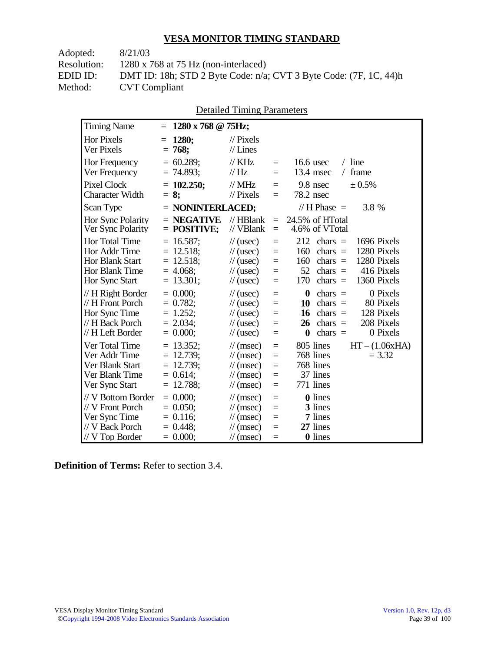| 8/21/03                                                                |
|------------------------------------------------------------------------|
| $1280 \times 768$ at 75 Hz (non-interlaced)                            |
| DMT ID: 18h; STD 2 Byte Code: $n/a$ ; CVT 3 Byte Code: $(7F, 1C, 44)h$ |
| <b>CVT</b> Compliant                                                   |
|                                                                        |

| Detailed Thinng I alameters                                                                   |          |                                                                          |  |                                                                                                                             |                                           |                                                                                                                                                                                  |  |
|-----------------------------------------------------------------------------------------------|----------|--------------------------------------------------------------------------|--|-----------------------------------------------------------------------------------------------------------------------------|-------------------------------------------|----------------------------------------------------------------------------------------------------------------------------------------------------------------------------------|--|
| <b>Timing Name</b>                                                                            | $\equiv$ | $1280 \times 768$ @ 75Hz;                                                |  |                                                                                                                             |                                           |                                                                                                                                                                                  |  |
| <b>Hor Pixels</b><br>Ver Pixels                                                               | $=$      | 1280;<br>$= 768;$                                                        |  | $\frac{1}{2}$ Pixels<br>$//$ Lines                                                                                          |                                           |                                                                                                                                                                                  |  |
| Hor Frequency<br>Ver Frequency                                                                |          | $= 60.289;$<br>$= 74.893;$                                               |  | $//$ KHz<br>// Hz                                                                                                           | $=$<br>$=$                                | $/$ line<br>16.6 usec<br>frame<br>13.4 msec<br>$\sqrt{2}$                                                                                                                        |  |
| <b>Pixel Clock</b><br><b>Character Width</b>                                                  | $= 8:$   | $= 102.250$ ;                                                            |  | $//$ MHz<br>$//$ Pixels                                                                                                     | $=$<br>$=$                                | 9.8 nsec<br>± 0.5%<br>78.2 nsec                                                                                                                                                  |  |
| Scan Type                                                                                     |          | = NONINTERLACED;                                                         |  |                                                                                                                             |                                           | // H Phase $=$<br>3.8 %                                                                                                                                                          |  |
| Hor Sync Polarity<br>Ver Sync Polarity                                                        |          | $=$ NEGATIVE<br>$=$ POSITIVE;                                            |  | // HBlank<br>// VBlank                                                                                                      | $\equiv$<br>$\equiv$                      | 24.5% of HTotal<br>4.6% of VTotal                                                                                                                                                |  |
| Hor Total Time<br>Hor Addr Time<br>Hor Blank Start<br>Hor Blank Time<br>Hor Sync Start        |          | $= 16.587$ ;<br>$= 12.518;$<br>$= 12.518;$<br>$= 4.068$ ;<br>$= 13.301;$ |  | $\frac{1}{2}$ (usec)<br>$\frac{1}{2}$ (usec)<br>$\frac{1}{2}$ (usec)<br>$\frac{1}{2}$ (usec)<br>$\frac{1}{2}$ (usec)        | $\equiv$<br>$=$<br>$=$<br>$\equiv$<br>$=$ | 212<br>1696 Pixels<br>$chars =$<br>1280 Pixels<br>160<br>$chars =$<br>1280 Pixels<br>160<br>$chars =$<br>416 Pixels<br>52<br>chars $=$<br>170<br>1360 Pixels<br>chars $=$        |  |
| // H Right Border<br>// H Front Porch<br>Hor Sync Time<br>// H Back Porch<br>// H Left Border |          | $= 0.000;$<br>$= 0.782;$<br>$= 1.252;$<br>$= 2.034$ ;<br>$= 0.000;$      |  | $\frac{1}{2}$ (usec)<br>$\frac{1}{2}$ (usec)<br>$\frac{1}{2}$ (usec)<br>$\frac{1}{2}$ (usec)<br>$\frac{1}{2}$ (usec)        | $=$<br>$\equiv$<br>$=$<br>$=$<br>$\equiv$ | $\bf{0}$<br>0 Pixels<br>$chars =$<br>80 Pixels<br>10<br>chars $=$<br>128 Pixels<br>16<br>$chars =$<br>208 Pixels<br>26<br>$chars =$<br>0 Pixels<br>chars $=$<br>$\boldsymbol{0}$ |  |
| Ver Total Time<br>Ver Addr Time<br>Ver Blank Start<br>Ver Blank Time<br>Ver Sync Start        |          | $= 13.352;$<br>$= 12.739;$<br>$= 12.739;$<br>$= 0.614;$<br>12.788;       |  | $\mathcal{U}$ (msec)<br>$\mathcal{U}$ (msec)<br>$\mathcal{U}$ (msec)<br>$\mathcal{U}$ (msec)<br>$\frac{1}{\sqrt{2}}$ (msec) | $=$<br>$\equiv$<br>$=$<br>$=$<br>$=$      | 805 lines<br>$HT - (1.06xHA)$<br>768 lines<br>$= 3.32$<br>768 lines<br>37 lines<br>771 lines                                                                                     |  |
| // V Bottom Border<br>// V Front Porch<br>Ver Sync Time<br>// V Back Porch<br>// V Top Border |          | $= 0.000;$<br>$= 0.050;$<br>$= 0.116;$<br>$= 0.448$ ;<br>$= 0.000$       |  | $\mathcal{U}$ (msec)<br>$\mathcal{U}$ (msec)<br>$\mathcal{U}$ (msec)<br>$\mathcal{U}$ (msec)<br>$\mathcal{U}$ (msec)        | $=$<br>$\equiv$<br>$\equiv$<br>$=$<br>$=$ | <b>0</b> lines<br>3 lines<br>7 lines<br>27 lines<br><b>0</b> lines                                                                                                               |  |

Detailed Timing Parameters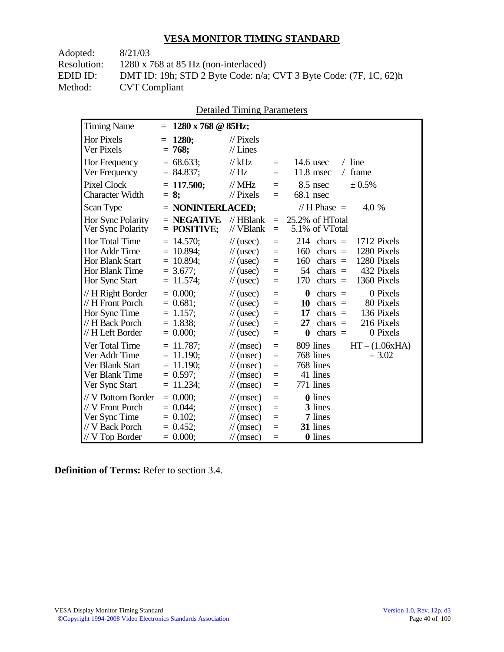| Adopted:           | 8/21/03                                                                |
|--------------------|------------------------------------------------------------------------|
| <b>Resolution:</b> | $1280 \times 768$ at 85 Hz (non-interlaced)                            |
| EDID ID:           | DMT ID: 19h; STD 2 Byte Code: $n/a$ ; CVT 3 Byte Code: $(7F, 1C, 62)h$ |
| Method:            | <b>CVT</b> Compliant                                                   |

| DUMINI TIIIIIIL TATAMUUS                                                                      |                                                                               |                                                                                                                                    |                                 |                                                                                                                                                                           |
|-----------------------------------------------------------------------------------------------|-------------------------------------------------------------------------------|------------------------------------------------------------------------------------------------------------------------------------|---------------------------------|---------------------------------------------------------------------------------------------------------------------------------------------------------------------------|
| <b>Timing Name</b>                                                                            | $1280 \times 768$ @ 85Hz;<br>$=$                                              |                                                                                                                                    |                                 |                                                                                                                                                                           |
| <b>Hor Pixels</b><br>Ver Pixels                                                               | 1280;<br>768;<br>$=$                                                          | $\frac{1}{2}$ Pixels<br>$//$ Lines                                                                                                 |                                 |                                                                                                                                                                           |
| Hor Frequency<br>Ver Frequency                                                                | $= 68.633;$<br>$= 84.837;$                                                    | $//$ kHz<br>// Hz                                                                                                                  | $=$<br>$=$                      | $/$ line<br>$14.6$ usec<br>$11.8$ msec<br>/ frame                                                                                                                         |
| <b>Pixel Clock</b><br><b>Character Width</b>                                                  | $= 117.500$ ;<br>$= 8$ ;                                                      | $//$ MHz<br>$//$ Pixels                                                                                                            | $=$<br>$=$                      | $8.5$ nsec<br>± 0.5%<br>68.1 nsec                                                                                                                                         |
| Scan Type                                                                                     | $=$ NONINTERLACED;                                                            |                                                                                                                                    |                                 | // H Phase $=$<br>4.0 %                                                                                                                                                   |
| Hor Sync Polarity<br>Ver Sync Polarity                                                        | $=$ NEGATIVE<br>$=$ POSITIVE;                                                 | // HBlank<br>// VBlank                                                                                                             | $=$<br>$=$                      | 25.2% of HTotal<br>5.1% of VTotal                                                                                                                                         |
| Hor Total Time<br>Hor Addr Time<br><b>Hor Blank Start</b><br>Hor Blank Time<br>Hor Sync Start | $= 14.570$ ;<br>$= 10.894$ ;<br>$= 10.894;$<br>$= 3.677$ ;<br>$= 11.574$ ;    | $\frac{1}{2}$ (usec)<br>$\frac{1}{2}$ (usec)<br>$\frac{1}{2}$ (usec)<br>$\frac{1}{2}$ (usec)<br>$\frac{1}{2}$ (usec)               | $=$<br>$=$<br>$=$<br>$=$<br>$=$ | 214<br>1712 Pixels<br>$chars =$<br>1280 Pixels<br>160<br>$chars =$<br>160<br>1280 Pixels<br>chars $=$<br>432 Pixels<br>54<br>chars $=$<br>170<br>chars $=$<br>1360 Pixels |
| // H Right Border<br>// H Front Porch<br>Hor Sync Time<br>// H Back Porch<br>// H Left Border | $= 0.000;$<br>$= 0.681;$<br>$= 1.157;$<br>$= 1.838;$<br>$= 0.000;$            | $\frac{1}{2}$ (usec)<br>$\frac{1}{2}$ (usec)<br>$\frac{1}{2}$ (usec)<br>$\frac{1}{2}$ (usec)<br>$\frac{1}{2}$ (usec)               | $=$<br>$=$<br>$=$<br>$=$<br>$=$ | 0 Pixels<br>0<br>$chars =$<br>80 Pixels<br>10<br>chars $=$<br>136 Pixels<br>17<br>$chars =$<br>216 Pixels<br>27<br>chars $=$<br>0 Pixels<br>$\bf{0}$<br>chars $=$         |
| Ver Total Time<br>Ver Addr Time<br>Ver Blank Start<br>Ver Blank Time<br>Ver Sync Start        | $= 11.787$ ;<br>$= 11.190$ ;<br>$= 11.190$ ;<br>$= 0.597$ ;<br>11.234;<br>$=$ | $\mathcal{U}$ (msec)<br>$\mathcal{U}$ (msec)<br>$\frac{1}{\sqrt{2}}$ (msec)<br>$\mathcal{U}$ (msec)<br>$\frac{1}{\sqrt{2}}$ (msec) | $=$<br>$=$<br>$=$<br>$=$<br>$=$ | 809 lines<br>$HT - (1.06xHA)$<br>768 lines<br>$= 3.02$<br>768 lines<br>41 lines<br>771 lines                                                                              |
| // V Bottom Border<br>// V Front Porch<br>Ver Sync Time<br>// V Back Porch<br>// V Top Border | $= 0.000$<br>$= 0.044$ ;<br>$= 0.102;$<br>$= 0.452$ ;<br>$= 0.000;$           | $\mathcal{U}$ (msec)<br>$\mathcal{U}$ (msec)<br>$\frac{1}{\sqrt{2}}$ (msec)<br>$\mathcal{U}$ (msec)<br>$\mathcal{U}$ (msec)        | $=$<br>$=$<br>$=$<br>$=$<br>$=$ | <b>0</b> lines<br>3 lines<br>7 lines<br>31 lines<br>0 lines                                                                                                               |

Detailed Timing Parameters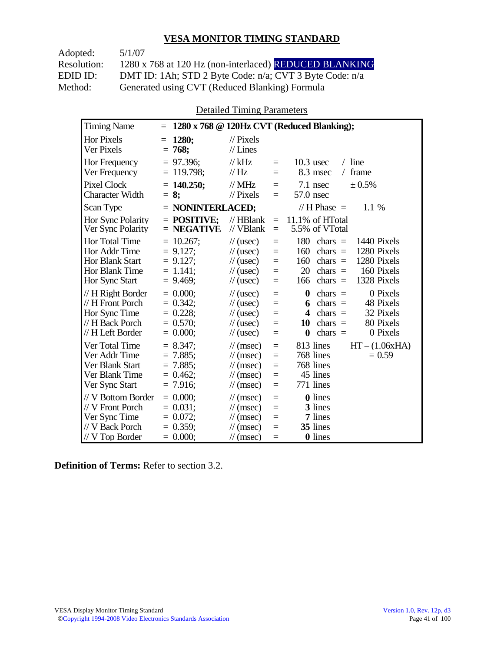Adopted: 5/1/07

Resolution: 1280 x 768 at 120 Hz (non-interlaced) REDUCED BLANKING EDID ID: DMT ID: 1Ah; STD 2 Byte Code: n/a; CVT 3 Byte Code: n/a<br>Method: Generated using CVT (Reduced Blanking) Formula Generated using CVT (Reduced Blanking) Formula

Detailed Timing Parameters

| <b>Timing Name</b>                                                                              | $=$                                                                      |                                                                                                                             |                                 | 1280 x 768 @ 120Hz CVT (Reduced Blanking);                                                                                                                                          |
|-------------------------------------------------------------------------------------------------|--------------------------------------------------------------------------|-----------------------------------------------------------------------------------------------------------------------------|---------------------------------|-------------------------------------------------------------------------------------------------------------------------------------------------------------------------------------|
| <b>Hor Pixels</b><br>Ver Pixels                                                                 | 1280;<br>$=$<br>$= 768;$                                                 | $\frac{1}{2}$ Pixels<br>$//$ Lines                                                                                          |                                 |                                                                                                                                                                                     |
| <b>Hor Frequency</b><br>Ver Frequency                                                           | $= 97.396$ ;<br>$= 119.798$ ;                                            | $//$ kHz<br>$\mathcal{U}$ Hz                                                                                                | $=$<br>$=$                      | $10.3$ usec<br>$/$ line<br>frame<br>8.3 msec<br>$\sqrt{2}$                                                                                                                          |
| <b>Pixel Clock</b><br><b>Character Width</b>                                                    | $= 140.250$ ;<br>$= 8:$                                                  | $//$ MHz<br>$\mathcal{U}$ Pixels                                                                                            | $=$<br>$=$                      | $7.1$ nsec<br>$\pm 0.5\%$<br>57.0 nsec                                                                                                                                              |
| Scan Type                                                                                       | $=$ NONINTERLACED;                                                       |                                                                                                                             |                                 | // $H$ Phase $=$<br>1.1 %                                                                                                                                                           |
| Hor Sync Polarity<br>Ver Sync Polarity                                                          | $=$ POSITIVE;<br>$=$ NEGATIVE                                            | $//$ HBlank<br>// VBlank                                                                                                    | $=$<br>$=$                      | 11.1% of HTotal<br>5.5% of VTotal                                                                                                                                                   |
| Hor Total Time<br>Hor Addr Time<br><b>Hor Blank Start</b><br>Hor Blank Time<br>Hor Sync Start   | $= 10.267$ ;<br>$= 9.127$ ;<br>$= 9.127$ ;<br>$= 1.141$ :<br>$= 9.469$ ; | $\frac{1}{2}$ (usec)<br>$\frac{1}{2}$ (usec)<br>$\frac{1}{2}$ (usec)<br>$\frac{1}{2}$ (usec)<br>$\frac{1}{2}$ (usec)        | $=$<br>$=$<br>$=$<br>$=$<br>$=$ | 180<br>1440 Pixels<br>chars $=$<br>1280 Pixels<br>160<br>$chars =$<br>1280 Pixels<br>160<br>chars $=$<br>20<br>chars $=$<br>160 Pixels<br>1328 Pixels<br>166<br>chars $=$           |
| // H Right Border<br>// H Front Porch<br>Hor Sync Time<br>// H Back Porch<br>// H Left Border   | $= 0.000$<br>$= 0.342$ ;<br>$= 0.228$ ;<br>$= 0.570$<br>$= 0.000;$       | $\frac{1}{2}$ (usec)<br>$\frac{1}{2}$ (usec)<br>$\frac{1}{2}$ (usec)<br>$\frac{1}{2}$ (usec)<br>$\frac{1}{2}$ (usec)        | $=$<br>$=$<br>$=$<br>$=$<br>$=$ | $\bf{0}$<br>0 Pixels<br>chars $=$<br>48 Pixels<br>chars $=$<br>6<br>32 Pixels<br>$\boldsymbol{4}$<br>$chars =$<br>80 Pixels<br>10<br>chars $=$<br>$\bf{0}$<br>chars $=$<br>0 Pixels |
| Ver Total Time<br>Ver Addr Time<br>Ver Blank Start<br>Ver Blank Time<br>Ver Sync Start          | $= 8.347$<br>$= 7.885$ :<br>$= 7.885$ ;<br>$= 0.462$<br>$= 7.916$ ;      | $\mathcal{U}$ (msec)<br>$\mathcal{U}$ (msec)<br>$\mathcal{U}$ (msec)<br>$\mathcal{U}$ (msec)<br>$\mathcal{U}$ (msec)        | $=$<br>$=$<br>$=$<br>$=$<br>$=$ | $HT - (1.06xHA)$<br>813 lines<br>768 lines<br>$= 0.59$<br>768 lines<br>45 lines<br>771 lines                                                                                        |
| // V Bottom Border<br>// V Front Porch<br>Ver Sync Time<br>// V Back Porch<br>$//$ V Top Border | $= 0.000$<br>$= 0.031$ :<br>$= 0.072$ ;<br>$= 0.359$ ;<br>$= 0.000;$     | $\frac{1}{\sqrt{2}}$ (msec)<br>$\mathcal{U}$ (msec)<br>$\mathcal{U}$ (msec)<br>$\mathcal{U}$ (msec)<br>$\mathcal{U}$ (msec) | $=$<br>$=$<br>$=$<br>$=$<br>$=$ | <b>0</b> lines<br>3 lines<br>7 lines<br>35 lines<br>0 lines                                                                                                                         |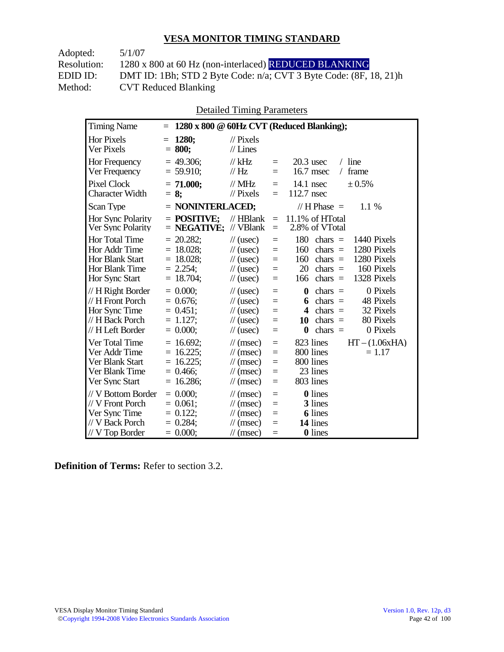Adopted: 5/1/07 Resolution: 1280 x 800 at 60 Hz (non-interlaced) REDUCED BLANKING EDID ID: DMT ID: 1Bh; STD 2 Byte Code: n/a; CVT 3 Byte Code: (8F, 18, 21)h<br>Method: CVT Reduced Blanking CVT Reduced Blanking

Detailed Timing Parameters

| <b>Timing Name</b>                                                                              | $=$                                                                     |                                                                                                                      |                                 | 1280 x 800 @ 60Hz CVT (Reduced Blanking);                                                                                                                                        |
|-------------------------------------------------------------------------------------------------|-------------------------------------------------------------------------|----------------------------------------------------------------------------------------------------------------------|---------------------------------|----------------------------------------------------------------------------------------------------------------------------------------------------------------------------------|
| <b>Hor Pixels</b><br>Ver Pixels                                                                 | 1280:<br>$=$<br>800;<br>$=$                                             | $\mathcal{U}$ Pixels<br>$//$ Lines                                                                                   |                                 |                                                                                                                                                                                  |
| Hor Frequency<br>Ver Frequency                                                                  | 49.306;<br>$= 59.910$ ;                                                 | // $kHz$<br>$\frac{1}{1}$ Hz                                                                                         | $=$<br>$=$                      | $20.3$ usec<br>line<br>16.7 msec<br>frame<br>$\sqrt{2}$                                                                                                                          |
| Pixel Clock<br><b>Character Width</b>                                                           | $= 71.000;$<br>$= 8:$                                                   | $\frac{1}{2}$ MHz<br>$\mathcal{U}$ Pixels                                                                            | $=$<br>$=$                      | $14.1$ nsec<br>± 0.5%<br>112.7 nsec                                                                                                                                              |
| Scan Type                                                                                       | $=$ NONINTERLACED;                                                      |                                                                                                                      |                                 | // H Phase $=$<br>$1.1\%$                                                                                                                                                        |
| Hor Sync Polarity<br>Ver Sync Polarity                                                          | $=$ POSITIVE;<br>$=$ NEGATIVE;                                          | $//$ HBlank<br>// VBlank                                                                                             | $=$<br>$=$                      | 11.1% of HTotal<br>2.8% of VTotal                                                                                                                                                |
| Hor Total Time<br>Hor Addr Time<br>Hor Blank Start<br>Hor Blank Time<br>Hor Sync Start          | 20.282;<br>$= 18.028;$<br>$= 18.028$ ;<br>$= 2.254$ ;<br>18.704;<br>$=$ | $\frac{1}{2}$ (usec)<br>$\frac{1}{2}$ (usec)<br>$\frac{1}{2}$ (usec)<br>$\frac{1}{2}$ (usec)<br>$\frac{1}{2}$ (usec) | $=$<br>$=$<br>$=$<br>$=$<br>$=$ | 180<br>chars $=$<br>1440 Pixels<br>1280 Pixels<br>160<br>$\text{chars}$ =<br>1280 Pixels<br>160<br>chars $=$<br>20<br>chars $=$<br>160 Pixels<br>1328 Pixels<br>166<br>$chars =$ |
| // H Right Border<br>// H Front Porch<br>Hor Sync Time<br>// H Back Porch<br>// H Left Border   | $= 0.000$<br>$= 0.676$ ;<br>$= 0.451$ ;<br>$= 1.127;$<br>$= 0.000;$     | $\frac{1}{2}$ (usec)<br>$\frac{1}{2}$ (usec)<br>$\frac{1}{2}$ (usec)<br>$\frac{1}{2}$ (usec)<br>$\frac{1}{2}$ (usec) | $=$<br>$=$<br>$=$<br>$=$<br>$=$ | 0 Pixels<br>$\boldsymbol{0}$<br>$chars =$<br>48 Pixels<br>chars $=$<br>6<br>32 Pixels<br>4<br>$chars =$<br>80 Pixels<br>chars $=$<br>10<br>0 Pixels<br>$\bf{0}$<br>chars $=$     |
| Ver Total Time<br>Ver Addr Time<br>Ver Blank Start<br>Ver Blank Time<br>Ver Sync Start          | $= 16.692$ ;<br>$16.225$ ;<br>$16.225$ ;<br>Ξ<br>$= 0.466$ ;<br>16.286; | $\mathcal{U}$ (msec)<br>$\mathcal{U}$ (msec)<br>$\mathcal{U}$ (msec)<br>$\mathcal{U}$ (msec)<br>$\mathcal{U}$ (msec) | $=$<br>$=$<br>$=$<br>$=$<br>$=$ | $HT - (1.06xHA)$<br>823 lines<br>800 lines<br>$= 1.17$<br>800 lines<br>23 lines<br>803 lines                                                                                     |
| // V Bottom Border<br>// V Front Porch<br>Ver Sync Time<br>// V Back Porch<br>$//$ V Top Border | $= 0.000;$<br>$0.061$ ;<br>$=$<br>$= 0.122;$<br>$= 0.284$<br>$= 0.000;$ | $\mathcal{U}$ (msec)<br>$\mathcal{U}$ (msec)<br>$\mathcal{U}$ (msec)<br>$\mathcal{U}$ (msec)<br>$\mathcal{U}$ (msec) | $=$<br>$=$<br>$=$<br>$=$<br>$=$ | <b>0</b> lines<br>3 lines<br><b>6</b> lines<br>14 lines<br>0 lines                                                                                                               |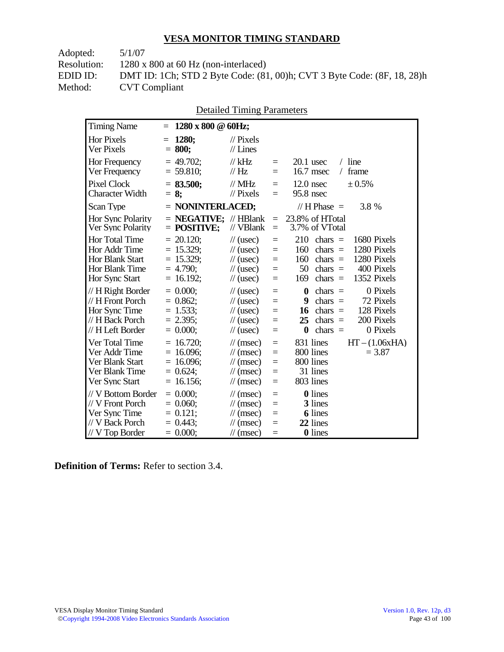Adopted: 5/1/07

Resolution: 1280 x 800 at 60 Hz (non-interlaced)

EDID ID: DMT ID: 1Ch; STD 2 Byte Code: (81, 00)h; CVT 3 Byte Code: (8F, 18, 28)h<br>Method: CVT Compliant **CVT Compliant** 

| <b>Detailed Timing Parameters</b> |
|-----------------------------------|
|-----------------------------------|

| <b>Timing Name</b>                                                                                   | $1280 \times 800 \& 60$ Hz;<br>$=$                                                                                                                                                                                                                                                                 |                                                                                                                                                |
|------------------------------------------------------------------------------------------------------|----------------------------------------------------------------------------------------------------------------------------------------------------------------------------------------------------------------------------------------------------------------------------------------------------|------------------------------------------------------------------------------------------------------------------------------------------------|
| <b>Hor Pixels</b><br>Ver Pixels                                                                      | 1280;<br>$\mathcal{U}$ Pixels<br>$=$<br>$//$ Lines<br>$= 800;$                                                                                                                                                                                                                                     |                                                                                                                                                |
| Hor Frequency<br>Ver Frequency                                                                       | $= 49.702$ ;<br>// $kHz$<br>$\equiv$<br>$= 59.810$ ;<br>// $Hz$<br>Ξ                                                                                                                                                                                                                               | $/$ line<br>$20.1$ usec<br>16.7 msec<br>frame<br>$\sqrt{2}$                                                                                    |
| Pixel Clock<br><b>Character Width</b>                                                                | $= 83.500;$<br>$\frac{1}{2}$ MHz<br>$\equiv$<br>95.8 nsec<br>$\mathcal{N}$ Pixels<br>$= 8;$<br>$\equiv$                                                                                                                                                                                            | $12.0$ nsec<br>$\pm 0.5\%$                                                                                                                     |
| Scan Type                                                                                            | $=$ NONINTERLACED;                                                                                                                                                                                                                                                                                 | // H Phase $=$<br>3.8 %                                                                                                                        |
| Hor Sync Polarity<br>Ver Sync Polarity                                                               | $\mathcal{U}$ HBlank<br>$=$ NEGATIVE:<br>$\equiv$<br>// VBlank<br>$=$ POSITIVE;<br>$\equiv$                                                                                                                                                                                                        | 23.8% of HTotal<br>3.7% of VTotal                                                                                                              |
| <b>Hor Total Time</b><br>Hor Addr Time<br><b>Hor Blank Start</b><br>Hor Blank Time<br>Hor Sync Start | $= 20.120$ ;<br>210<br>$\frac{1}{2}$ (usec)<br>$\equiv$<br>$= 15.329$ ;<br>160<br>$\frac{1}{2}$ (usec)<br>$\equiv$<br>$= 15.329$ ;<br>$\frac{1}{2}$ (usec)<br>160<br>$=$<br>$= 4.790$ ;<br>50<br>$\frac{1}{2}$ (usec)<br>$=$<br>$= 16.192;$<br>169<br>$\frac{1}{2}$ (usec)<br>$=$                  | chars $=$<br>1680 Pixels<br>1280 Pixels<br>$chars =$<br>1280 Pixels<br>chars $=$<br>400 Pixels<br>$\text{chars}$ =<br>1352 Pixels<br>chars $=$ |
| // H Right Border<br>// H Front Porch<br>Hor Sync Time<br>// H Back Porch<br>// H Left Border        | $= 0.000;$<br>$\frac{1}{2}$ (usec)<br>$\boldsymbol{0}$<br>$\equiv$<br>$= 0.862$<br>9<br>$\frac{1}{2}$ (usec)<br>$=$<br>$= 1.533$ ;<br>16<br>$\frac{1}{2}$ (usec)<br>$=$<br>$= 2.395$ ;<br>25<br>$\frac{1}{2}$ (usec)<br>$=$<br>$= 0.000$ ;<br>$\boldsymbol{0}$<br>$\frac{1}{2}$ (usec)<br>$\equiv$ | 0 Pixels<br>chars $=$<br>72 Pixels<br>$chars =$<br>128 Pixels<br>chars $=$<br>200 Pixels<br>$chars =$<br>chars $=$<br>0 Pixels                 |
| Ver Total Time<br>Ver Addr Time<br>Ver Blank Start<br>Ver Blank Time<br>Ver Sync Start               | $= 16.720$ ;<br>$\mathcal{U}$ (msec)<br>$\equiv$<br>$= 16.096$ ;<br>$\mathcal{U}$ (msec)<br>$\equiv$<br>$= 16.096$ ;<br>$\mathcal{U}$ (msec)<br>$=$<br>$= 0.624;$<br>$\mathcal{U}$ (msec)<br>$=$<br>$= 16.156$ ;<br>$\mathcal{U}$ (msec)<br>$\equiv$                                               | $HT - (1.06xHA)$<br>831 lines<br>800 lines<br>$= 3.87$<br>800 lines<br>31 lines<br>803 lines                                                   |
| // V Bottom Border<br>// V Front Porch<br>Ver Sync Time<br>// V Back Porch<br>$//V$ Top Border       | $= 0.000;$<br>$\mathcal{U}$ (msec)<br>$=$<br>$= 0.060;$<br>$\mathcal{U}$ (msec)<br>$\equiv$<br>$= 0.121$ ;<br>$\mathcal{U}$ (msec)<br>$=$<br>$= 0.443$ ;<br>$\mathcal{U}$ (msec)<br>$=$<br>$= 0.000;$<br>$\mathcal{U}$ (msec)<br>$=$                                                               | <b>0</b> lines<br>3 lines<br><b>6</b> lines<br>22 lines<br>0 lines                                                                             |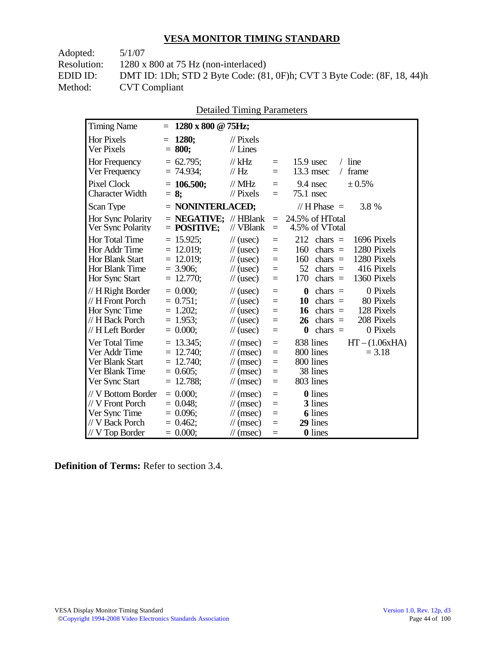Adopted: 5/1/07

Resolution: 1280 x 800 at 75 Hz (non-interlaced)

EDID ID: DMT ID: 1Dh; STD 2 Byte Code: (81, 0F)h; CVT 3 Byte Code: (8F, 18, 44)h<br>Method: CVT Compliant **CVT Compliant** 

| <b>Detailed Timing Parameters</b> |
|-----------------------------------|
|-----------------------------------|

| <b>Timing Name</b>                                                                            | $1280 \times 800 \text{ @ } 75 \text{Hz};$<br>$=$                                                                                                                                                                                     |                                                                                                                                                                           |
|-----------------------------------------------------------------------------------------------|---------------------------------------------------------------------------------------------------------------------------------------------------------------------------------------------------------------------------------------|---------------------------------------------------------------------------------------------------------------------------------------------------------------------------|
| <b>Hor Pixels</b><br>Ver Pixels                                                               | 1280;<br>$\mathcal{U}$ Pixels<br>$=$<br>$//$ Lines<br>$= 800;$                                                                                                                                                                        |                                                                                                                                                                           |
| Hor Frequency<br>Ver Frequency                                                                | $= 62.795$ ;<br>// $kHz$<br>$=$<br>$= 74.934$ ;<br>$\frac{1}{1}$ Hz<br>$=$                                                                                                                                                            | $/$ line<br>$15.9$ usec<br>13.3 msec<br>frame<br>$\sqrt{2}$                                                                                                               |
| <b>Pixel Clock</b><br><b>Character Width</b>                                                  | $= 106.500;$<br>$//$ MHz<br>$=$<br>$//$ Pixels<br>$= 8$ ;<br>$=$                                                                                                                                                                      | 9.4 nsec<br>± 0.5%<br>75.1 nsec                                                                                                                                           |
| Scan Type                                                                                     | $=$ NONINTERLACED;                                                                                                                                                                                                                    | // H Phase $=$<br>3.8 %                                                                                                                                                   |
| Hor Sync Polarity<br>Ver Sync Polarity                                                        | $=$ <b>NEGATIVE</b> ; // HBlank<br>$=$<br>$=$ POSITIVE;<br>// VBlank<br>$=$                                                                                                                                                           | 24.5% of HTotal<br>4.5% of VTotal                                                                                                                                         |
| Hor Total Time<br>Hor Addr Time<br><b>Hor Blank Start</b><br>Hor Blank Time<br>Hor Sync Start | $= 15.925$ ;<br>$\frac{1}{2}$ (usec)<br>$=$<br>$= 12.019;$<br>$\frac{1}{2}$ (usec)<br>$=$<br>$= 12.019$ ;<br>$\frac{1}{2}$ (usec)<br>$=$<br>$= 3.906$ ;<br>$\frac{1}{2}$ (usec)<br>$=$<br>$= 12.770$ ;<br>$\frac{1}{2}$ (usec)<br>$=$ | 212<br>1696 Pixels<br>$chars =$<br>1280 Pixels<br>160<br>chars $=$<br>1280 Pixels<br>160<br>chars $=$<br>52<br>416 Pixels<br>$chars =$<br>1360 Pixels<br>170<br>$chars =$ |
| // H Right Border<br>// H Front Porch<br>Hor Sync Time<br>// H Back Porch<br>// H Left Border | $= 0.000$<br>$\frac{1}{2}$ (usec)<br>$=$<br>$= 0.751$ ;<br>$\frac{1}{2}$ (usec)<br>$=$<br>$= 1.202$ ;<br>$\frac{1}{2}$ (usec)<br>$=$<br>$= 1.953$ ;<br>$\frac{1}{2}$ (usec)<br>$=$<br>$= 0.000;$<br>$\frac{1}{2}$ (usec)<br>$=$       | 0 Pixels<br>$\bf{0}$<br>chars $=$<br>10<br>chars $=$<br>80 Pixels<br>128 Pixels<br>16<br>chars $=$<br>208 Pixels<br>26<br>$chars =$<br>0 Pixels<br>chars $=$<br>0         |
| Ver Total Time<br>Ver Addr Time<br>Ver Blank Start<br>Ver Blank Time<br>Ver Sync Start        | $= 13.345$ ;<br>$\mathcal{U}$ (msec)<br>$=$<br>$= 12.740$ ;<br>$\mathcal{U}$ (msec)<br>$=$<br>$= 12.740$ ;<br>$\mathcal{U}$ (msec)<br>$=$<br>$= 0.605;$<br>$\mathcal{U}$ (msec)<br>$=$<br>$= 12.788$ ;<br>$\mathcal{U}$ (msec)<br>$=$ | 838 lines<br>$HT - (1.06xHA)$<br>800 lines<br>$= 3.18$<br>800 lines<br>38 lines<br>803 lines                                                                              |
| // V Bottom Border<br>// V Front Porch<br>Ver Sync Time<br>// V Back Porch<br>// V Top Border | $= 0.000;$<br>$\mathcal{U}$ (msec)<br>$=$<br>$= 0.048$ ;<br>$\mathcal{U}$ (msec)<br>$=$<br>$= 0.096$ ;<br>$\frac{1}{\sqrt{2}}$ (msec)<br>$=$<br>$= 0.462$<br>$\mathcal{U}$ (msec)<br>$=$<br>$= 0.000;$<br>$\mathcal{U}$ (msec)<br>$=$ | 0 lines<br>3 lines<br><b>6</b> lines<br>29 lines<br>0 lines                                                                                                               |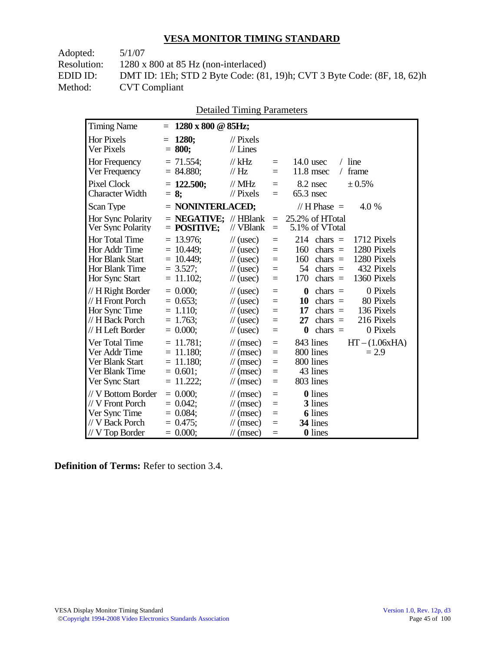Adopted: 5/1/07 Resolution: 1280 x 800 at 85 Hz (non-interlaced) EDID ID: DMT ID: 1Eh; STD 2 Byte Code: (81, 19)h; CVT 3 Byte Code: (8F, 18, 62)h<br>Method: CVT Compliant **CVT Compliant** 

|  | <b>Detailed Timing Parameters</b> |
|--|-----------------------------------|
|  |                                   |

| <b>Timing Name</b>                                                                              | 1280 x 800 @ 85Hz;<br>$=$                                                  |                                                                                                                      |                                 |                                                                                                                                                                           |
|-------------------------------------------------------------------------------------------------|----------------------------------------------------------------------------|----------------------------------------------------------------------------------------------------------------------|---------------------------------|---------------------------------------------------------------------------------------------------------------------------------------------------------------------------|
| <b>Hor Pixels</b><br>Ver Pixels                                                                 | 1280:<br>$=$<br>$= 800;$                                                   | $\mathcal{U}$ Pixels<br>$//$ Lines                                                                                   |                                 |                                                                                                                                                                           |
| Hor Frequency<br>Ver Frequency                                                                  | $= 71.554$ ;<br>$= 84.880;$                                                | $//$ kHz<br>$\frac{1}{1}$ Hz                                                                                         | $=$<br>$=$                      | $/$ line<br>$14.0$ usec<br>$11.8$ msec<br>frame<br>$\sqrt{2}$                                                                                                             |
| <b>Pixel Clock</b><br><b>Character Width</b>                                                    | $= 122.500;$<br>$= 8:$                                                     | $//$ MHz<br>$\frac{1}{2}$ Pixels                                                                                     | $=$<br>$=$                      | 8.2 nsec<br>$\pm 0.5\%$<br>$65.3$ nsec                                                                                                                                    |
| Scan Type                                                                                       | $=$ NONINTERLACED;                                                         |                                                                                                                      |                                 | // H Phase $=$<br>4.0 %                                                                                                                                                   |
| Hor Sync Polarity<br>Ver Sync Polarity                                                          | $=$ <b>NEGATIVE</b> ; // HBlank<br>$=$ POSITIVE;                           | // VBlank                                                                                                            | $=$<br>$=$                      | 25.2% of HTotal<br>5.1% of VTotal                                                                                                                                         |
| Hor Total Time<br>Hor Addr Time<br><b>Hor Blank Start</b><br>Hor Blank Time<br>Hor Sync Start   | $= 13.976$ ;<br>$= 10.449$ ;<br>$= 10.449$ ;<br>$= 3.527$ ;<br>$= 11.102;$ | $\frac{1}{2}$ (usec)<br>$\frac{1}{2}$ (usec)<br>$\frac{1}{2}$ (usec)<br>$\frac{1}{2}$ (usec)<br>$\frac{1}{2}$ (usec) | $=$<br>$=$<br>$=$<br>$=$<br>$=$ | 214<br>1712 Pixels<br>$chars =$<br>1280 Pixels<br>160<br>$chars =$<br>160<br>1280 Pixels<br>$chars =$<br>54<br>432 Pixels<br>$chars =$<br>1360 Pixels<br>170<br>chars $=$ |
| // H Right Border<br>// H Front Porch<br>Hor Sync Time<br>// H Back Porch<br>// H Left Border   | $= 0.000;$<br>$= 0.653$ ;<br>$= 1.110;$<br>$= 1.763$ ;<br>$= 0.000;$       | $\frac{1}{2}$ (usec)<br>$\frac{1}{2}$ (usec)<br>$\frac{1}{2}$ (usec)<br>$\frac{1}{2}$ (usec)<br>$\frac{1}{2}$ (usec) | $=$<br>$=$<br>$=$<br>$=$<br>$=$ | 0 Pixels<br>0<br>$chars =$<br>80 Pixels<br>10<br>chars $=$<br>17<br>136 Pixels<br>$chars =$<br>216 Pixels<br>27<br>chars $=$<br>0 Pixels<br>$\bf{0}$<br>chars $=$         |
| Ver Total Time<br>Ver Addr Time<br>Ver Blank Start<br>Ver Blank Time<br>Ver Sync Start          | $= 11.781$ ;<br>$= 11.180$ ;<br>$= 11.180$ ;<br>$= 0.601;$<br>11.222;      | $\mathcal{U}$ (msec)<br>$\mathcal{U}$ (msec)<br>$\mathcal{U}$ (msec)<br>$\mathcal{U}$ (msec)<br>$\mathcal{U}$ (msec) | $=$<br>$=$<br>$=$<br>$=$<br>$=$ | 843 lines<br>$HT - (1.06xHA)$<br>800 lines<br>$= 2.9$<br>800 lines<br>43 lines<br>803 lines                                                                               |
| // V Bottom Border<br>// V Front Porch<br>Ver Sync Time<br>// V Back Porch<br>$//$ V Top Border | $= 0.000;$<br>$= 0.042$ ;<br>$= 0.084$ ;<br>$= 0.475$ ;<br>$= 0.000;$      | $\mathcal{U}$ (msec)<br>$\mathcal{U}$ (msec)<br>$\mathcal{U}$ (msec)<br>$\mathcal{U}$ (msec)<br>$\mathcal{U}$ (msec) | $=$<br>$=$<br>$=$<br>$=$<br>$=$ | <b>0</b> lines<br>3 lines<br><b>6</b> lines<br>34 lines<br>0 lines                                                                                                        |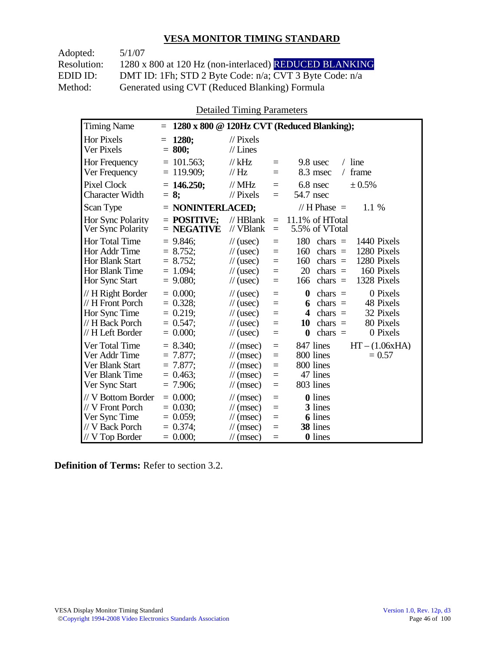| Adopted:    | 5/1/07                                                  |
|-------------|---------------------------------------------------------|
| Resolution: | 1280 x 800 at 120 Hz (non-interlaced) REDUCED BLANKING  |
| EDID ID:    | DMT ID: 1Fh; STD 2 Byte Code: n/a; CVT 3 Byte Code: n/a |
| Method:     | Generated using CVT (Reduced Blanking) Formula          |

Detailed Timing Parameters

| <b>Timing Name</b>                                                                              | $\equiv$                                                              |                                                                                                                      |                                 | 1280 x 800 @ 120Hz CVT (Reduced Blanking);                                                                                                                                           |
|-------------------------------------------------------------------------------------------------|-----------------------------------------------------------------------|----------------------------------------------------------------------------------------------------------------------|---------------------------------|--------------------------------------------------------------------------------------------------------------------------------------------------------------------------------------|
| Hor Pixels<br>Ver Pixels                                                                        | 1280;<br>$=$<br>$= 800;$                                              | $\frac{1}{2}$ Pixels<br>$//$ Lines                                                                                   |                                 |                                                                                                                                                                                      |
| <b>Hor Frequency</b><br>Ver Frequency                                                           | $= 101.563$ ;<br>$= 119.909$ ;                                        | $//$ kHz<br>$\frac{1}{1}$ Hz                                                                                         | $=$<br>$=$                      | $/$ line<br>9.8 usec<br>8.3 msec<br>frame<br>$\sqrt{2}$                                                                                                                              |
| Pixel Clock<br><b>Character Width</b>                                                           | $= 146.250$ ;<br>$= 8:$                                               | $//$ MHz<br>$//$ Pixels                                                                                              | $=$<br>$=$                      | 6.8 nsec<br>± 0.5%<br>54.7 nsec                                                                                                                                                      |
| Scan Type                                                                                       | $=$ NONINTERLACED;                                                    |                                                                                                                      |                                 | // H Phase $=$<br>1.1 %                                                                                                                                                              |
| Hor Sync Polarity<br>Ver Sync Polarity                                                          | $=$ POSITIVE:<br>$=$ NEGATIVE                                         | $//$ HBlank<br>$//$ VBlank                                                                                           | $=$<br>$=$                      | 11.1% of HTotal<br>5.5% of VTotal                                                                                                                                                    |
| <b>Hor Total Time</b><br>Hor Addr Time<br>Hor Blank Start<br>Hor Blank Time<br>Hor Sync Start   | $= 9.846$ ;<br>$= 8.752;$<br>$= 8.752;$<br>$= 1.094$ :<br>$= 9.080$ ; | $\frac{1}{2}$ (usec)<br>$\frac{1}{2}$ (usec)<br>$\frac{1}{2}$ (usec)<br>$\frac{1}{2}$ (usec)<br>$\frac{1}{2}$ (usec) | $=$<br>$=$<br>$=$<br>$=$<br>$=$ | 180<br>chars $=$<br>1440 Pixels<br>1280 Pixels<br>160<br>chars $=$<br>1280 Pixels<br>160<br>chars $=$<br>20<br>160 Pixels<br>chars $=$<br>1328 Pixels<br>chars $=$<br>166            |
| // H Right Border<br>// H Front Porch<br>Hor Sync Time<br>// H Back Porch<br>// H Left Border   | $= 0.000$<br>$= 0.328$ ;<br>$= 0.219;$<br>$= 0.547$ ;<br>$= 0.000$    | $\frac{1}{2}$ (usec)<br>$\frac{1}{2}$ (usec)<br>$\frac{1}{2}$ (usec)<br>$\frac{1}{2}$ (usec)<br>$\frac{1}{2}$ (usec) | $=$<br>$=$<br>$=$<br>$=$<br>$=$ | $\boldsymbol{0}$<br>0 Pixels<br>chars $=$<br>chars $=$<br>48 Pixels<br>6<br>32 Pixels<br>$chars =$<br>4<br>80 Pixels<br>10<br>$chars =$<br>0 Pixels<br>$\boldsymbol{0}$<br>$chars =$ |
| Ver Total Time<br>Ver Addr Time<br>Ver Blank Start<br>Ver Blank Time<br>Ver Sync Start          | $= 8.340$ ;<br>$= 7.877$ ;<br>$= 7.877$ ;<br>$= 0.463$<br>$= 7.906$ ; | $\mathcal{U}$ (msec)<br>$\mathcal{U}$ (msec)<br>$\mathcal{U}$ (msec)<br>$\mathcal{U}$ (msec)<br>$\mathcal{U}$ (msec) | $=$<br>$=$<br>$=$<br>$=$<br>$=$ | 847 lines<br>$HT - (1.06xHA)$<br>800 lines<br>$= 0.57$<br>800 lines<br>47 lines<br>803 lines                                                                                         |
| // V Bottom Border<br>// V Front Porch<br>Ver Sync Time<br>// V Back Porch<br>$//$ V Top Border | $= 0.000$<br>$= 0.030$<br>$= 0.059$ ;<br>$= 0.374$ ;<br>$= 0.000;$    | $\mathcal{U}$ (msec)<br>$\mathcal{U}$ (msec)<br>$\mathcal{U}$ (msec)<br>$\mathcal{U}$ (msec)<br>$\mathcal{U}$ (msec) | $=$<br>$=$<br>$=$<br>$=$<br>$=$ | <b>0</b> lines<br>3 lines<br><b>6</b> lines<br>38 lines<br>0 lines                                                                                                                   |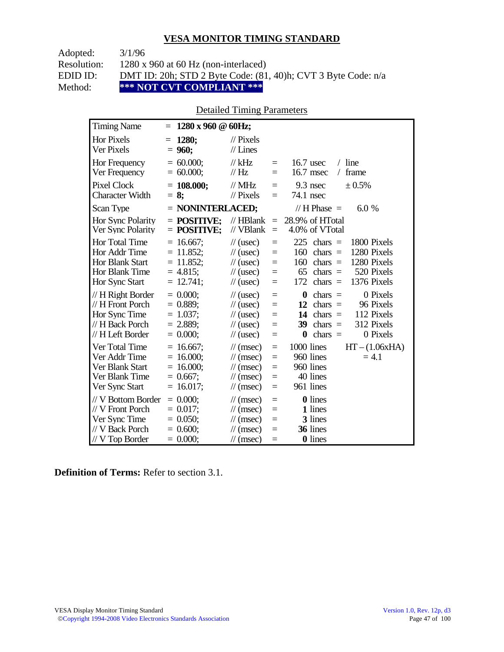| Adopted:    | 3/1/96                                                        |
|-------------|---------------------------------------------------------------|
| Resolution: | $1280 \times 960$ at 60 Hz (non-interlaced)                   |
| EDID ID:    | DMT ID: 20h; STD 2 Byte Code: (81, 40)h; CVT 3 Byte Code: n/a |
| Method:     | *** NOT CVT COMPLIANT ***                                     |

### Detailed Timing Parameters

| <b>Timing Name</b>                                                                             | $1280 \times 960 \text{ } @60Hz;$<br>$=$                                   |                                                                                                                             |                                                                                                                                                                                                              |
|------------------------------------------------------------------------------------------------|----------------------------------------------------------------------------|-----------------------------------------------------------------------------------------------------------------------------|--------------------------------------------------------------------------------------------------------------------------------------------------------------------------------------------------------------|
| <b>Hor Pixels</b><br>Ver Pixels                                                                | 1280;<br>$=$<br>$= 960;$                                                   | $\mathcal{U}$ Pixels<br>$//$ Lines                                                                                          |                                                                                                                                                                                                              |
| Hor Frequency<br>Ver Frequency                                                                 | $= 60.000;$<br>$= 60.000;$                                                 | $//$ kHz<br>$\frac{1}{1}$ Hz                                                                                                | $/$ line<br>$16.7$ usec<br>$=$<br>16.7 msec<br>frame<br>$\sqrt{2}$<br>$=$                                                                                                                                    |
| <b>Pixel Clock</b><br><b>Character Width</b>                                                   | $= 108.000;$<br>$= 8;$                                                     | // $MHz$<br>$\frac{1}{2}$ Pixels                                                                                            | $9.3$ nsec<br>$\pm 0.5\%$<br>$=$<br>74.1 nsec<br>$=$                                                                                                                                                         |
| Scan Type                                                                                      | $=$ NONINTERLACED;                                                         |                                                                                                                             | // H Phase $=$<br>6.0 %                                                                                                                                                                                      |
| Hor Sync Polarity<br>Ver Sync Polarity                                                         | $=$ POSITIVE;<br>$=$ POSITIVE;                                             | $\mathcal{U}$ HBlank<br>// VBlank                                                                                           | 28.9% of HTotal<br>$=$<br>4.0% of VTotal<br>$=$                                                                                                                                                              |
| Hor Total Time<br>Hor Addr Time<br><b>Hor Blank Start</b><br>Hor Blank Time<br>Hor Sync Start  | $= 16.667$ ;<br>$= 11.852$ ;<br>$= 11.852$ ;<br>$= 4.815$ ;<br>$= 12.741;$ | $\frac{1}{2}$ (usec)<br>$\frac{1}{2}$ (usec)<br>$\frac{1}{2}$ (usec)<br>$\frac{1}{2}$ (usec)<br>$\frac{1}{2}$ (usec)        | 225<br>1800 Pixels<br>$chars =$<br>$=$<br>1280 Pixels<br>160<br>chars $=$<br>$=$<br>160<br>1280 Pixels<br>$chars =$<br>$=$<br>520 Pixels<br>65<br>chars $=$<br>$=$<br>172<br>1376 Pixels<br>$chars =$<br>$=$ |
| // H Right Border<br>// H Front Porch<br>Hor Sync Time<br>// H Back Porch<br>// H Left Border  | $= 0.000;$<br>$= 0.889$ ;<br>$= 1.037$ ;<br>$= 2.889$ ;<br>$= 0.000;$      | $\frac{1}{2}$ (usec)<br>$\frac{1}{2}$ (usec)<br>$\frac{1}{2}$ (usec)<br>$\frac{1}{2}$ (usec)<br>$\frac{1}{2}$ (usec)        | 0 Pixels<br>0<br>$chars =$<br>$=$<br>12<br>$chars =$<br>96 Pixels<br>$=$<br>112 Pixels<br>14 chars $=$<br>$=$<br>39<br>312 Pixels<br>$chars =$<br>$=$<br>$chars =$<br>0 Pixels<br>0<br>$=$                   |
| Ver Total Time<br>Ver Addr Time<br>Ver Blank Start<br>Ver Blank Time<br>Ver Sync Start         | $= 16.667$ ;<br>$= 16.000;$<br>$= 16.000;$<br>$= 0.667$ ;<br>$= 16.017;$   | $\mathcal{U}$ (msec)<br>$\mathcal{U}$ (msec)<br>$\mathcal{U}$ (msec)<br>$\mathcal{U}$ (msec)<br>$\mathcal{U}$ (msec)        | 1000 lines<br>$HT - (1.06xHA)$<br>$=$<br>960 lines<br>$= 4.1$<br>$=$<br>960 lines<br>$=$<br>40 lines<br>$=$<br>961 lines<br>$=$                                                                              |
| // V Bottom Border<br>// V Front Porch<br>Ver Sync Time<br>// V Back Porch<br>$//V$ Top Border | $= 0.000;$<br>$= 0.017$ ;<br>$= 0.050$ ;<br>$= 0.600;$<br>$= 0.000;$       | $\mathcal{U}$ (msec)<br>$\mathcal{U}$ (msec)<br>$\mathcal{U}$ (msec)<br>$\mathcal{U}$ (msec)<br>$\frac{1}{\sqrt{2}}$ (msec) | <b>0</b> lines<br>$=$<br>1 lines<br>$=$<br>3 lines<br>$=$<br>36 lines<br>$=$<br><b>0</b> lines<br>$=$                                                                                                        |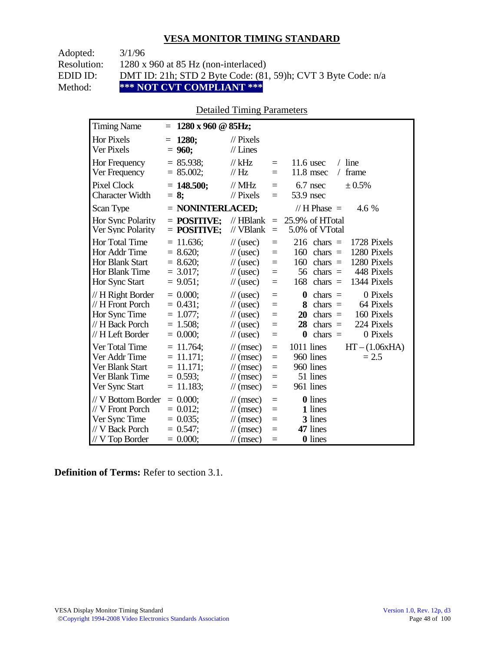| Adopted:    | 3/1/96                                                        |
|-------------|---------------------------------------------------------------|
| Resolution: | $1280 \times 960$ at 85 Hz (non-interlaced)                   |
| EDID ID:    | DMT ID: 21h; STD 2 Byte Code: (81, 59)h; CVT 3 Byte Code: n/a |
| Method:     | *** NOT CVT COMPLIANT ***                                     |

### Detailed Timing Parameters

| <b>Timing Name</b>                                                                              | $1280 \times 960 \text{ @ } 85 \text{Hz};$<br>$=$                         |                                                                                                                             |                                 |                                                                                                                                                                           |
|-------------------------------------------------------------------------------------------------|---------------------------------------------------------------------------|-----------------------------------------------------------------------------------------------------------------------------|---------------------------------|---------------------------------------------------------------------------------------------------------------------------------------------------------------------------|
| <b>Hor Pixels</b><br>Ver Pixels                                                                 | 1280;<br>$=$<br>$= 960;$                                                  | $\mathcal{U}$ Pixels<br>$//$ Lines                                                                                          |                                 |                                                                                                                                                                           |
| Hor Frequency<br>Ver Frequency                                                                  | $= 85.938$ ;<br>$= 85.002$ ;                                              | $//$ kHz<br>$\frac{1}{1}$ Hz                                                                                                | $=$<br>$=$                      | $/$ line<br>11.6 usec<br>11.8 msec<br>frame<br>$\sqrt{2}$                                                                                                                 |
| <b>Pixel Clock</b><br><b>Character Width</b>                                                    | $= 148.500;$<br>$= 8$ ;                                                   | $\frac{1}{1}$ MHz<br>$//$ Pixels                                                                                            | $=$<br>$=$                      | $6.7$ nsec<br>± 0.5%<br>53.9 nsec                                                                                                                                         |
| Scan Type                                                                                       | $=$ NONINTERLACED;                                                        |                                                                                                                             |                                 | // H Phase $=$<br>4.6 %                                                                                                                                                   |
| Hor Sync Polarity<br>Ver Sync Polarity                                                          | $=$ POSITIVE:<br>$=$ POSITIVE;                                            | $\mathcal{U}$ HBlank<br>// VBlank                                                                                           | $\equiv$<br>$\equiv$            | 25.9% of HTotal<br>5.0% of VTotal                                                                                                                                         |
| Hor Total Time<br>Hor Addr Time<br><b>Hor Blank Start</b><br>Hor Blank Time<br>Hor Sync Start   | $= 11.636$ ;<br>$= 8.620;$<br>$= 8.620;$<br>$= 3.017$ ;<br>$= 9.051$ ;    | $\frac{1}{2}$ (usec)<br>$\frac{1}{2}$ (usec)<br>$\frac{1}{2}$ (usec)<br>$\frac{1}{2}$ (usec)<br>$\frac{1}{2}$ (usec)        | $=$<br>$=$<br>$=$<br>$=$<br>$=$ | 216<br>$chars =$<br>1728 Pixels<br>1280 Pixels<br>160<br>chars $=$<br>1280 Pixels<br>160<br>$chars =$<br>448 Pixels<br>56<br>chars $=$<br>168<br>chars $=$<br>1344 Pixels |
| // H Right Border<br>// H Front Porch<br>Hor Sync Time<br>// H Back Porch<br>// H Left Border   | $= 0.000$<br>$= 0.431$ ;<br>$= 1.077;$<br>$= 1.508$ ;<br>$= 0.000;$       | $\frac{1}{2}$ (usec)<br>$\frac{1}{2}$ (usec)<br>$\frac{1}{2}$ (usec)<br>$\frac{1}{2}$ (usec)<br>$\frac{1}{2}$ (usec)        | $=$<br>$=$<br>$=$<br>$=$<br>$=$ | 0 Pixels<br>0<br>chars $=$<br>64 Pixels<br>8<br>$chars =$<br>160 Pixels<br>20<br>$chars =$<br>224 Pixels<br>28<br>chars $=$<br>0 Pixels<br>chars $=$<br>$\boldsymbol{0}$  |
| Ver Total Time<br>Ver Addr Time<br>Ver Blank Start<br>Ver Blank Time<br>Ver Sync Start          | $= 11.764$ ;<br>$= 11.171;$<br>$= 11.171$ ;<br>$= 0.593$ ;<br>$= 11.183;$ | $\mathcal{U}$ (msec)<br>$\mathcal{U}$ (msec)<br>$\mathcal{U}$ (msec)<br>$\frac{1}{\sqrt{2}}$ (msec)<br>$\mathcal{U}$ (msec) | $=$<br>$=$<br>$=$<br>$=$<br>$=$ | 1011 lines<br>$HT - (1.06xHA)$<br>960 lines<br>$= 2.5$<br>960 lines<br>51 lines<br>961 lines                                                                              |
| // V Bottom Border<br>// V Front Porch<br>Ver Sync Time<br>// V Back Porch<br>$//$ V Top Border | $= 0.000$<br>$= 0.012$ ;<br>$= 0.035$ ;<br>$= 0.547$ ;<br>$= 0.000;$      | $\mathcal{U}$ (msec)<br>$\mathcal{U}$ (msec)<br>$\mathcal{U}$ (msec)<br>$\mathcal{U}$ (msec)<br>$\frac{1}{\sqrt{2}}$ (msec) | $=$<br>$=$<br>$=$<br>$=$<br>$=$ | <b>0</b> lines<br>1 lines<br>3 lines<br>47 lines<br><b>0</b> lines                                                                                                        |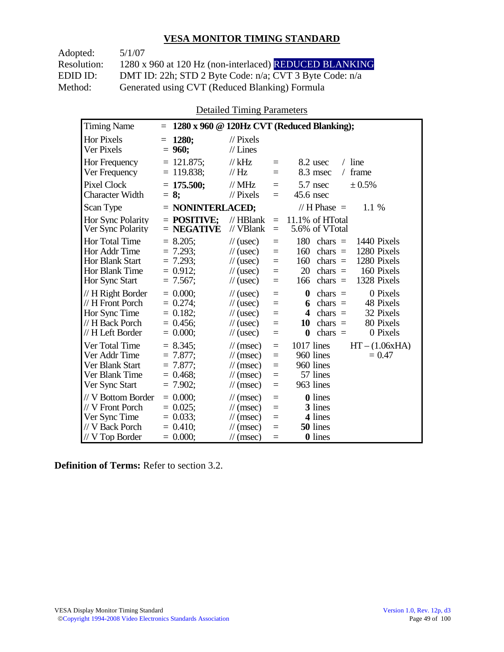| Adopted:    | 5/1/07                                                  |
|-------------|---------------------------------------------------------|
| Resolution: | 1280 x 960 at 120 Hz (non-interlaced) REDUCED BLANKING  |
| EDID ID:    | DMT ID: 22h; STD 2 Byte Code: n/a; CVT 3 Byte Code: n/a |
| Method:     | Generated using CVT (Reduced Blanking) Formula          |

Detailed Timing Parameters

| <b>Timing Name</b>                                                                              | $=$                                                                     |                                                                                                                             |                                      | 1280 x 960 @ 120Hz CVT (Reduced Blanking);                                                                                                                                |
|-------------------------------------------------------------------------------------------------|-------------------------------------------------------------------------|-----------------------------------------------------------------------------------------------------------------------------|--------------------------------------|---------------------------------------------------------------------------------------------------------------------------------------------------------------------------|
| <b>Hor Pixels</b><br>Ver Pixels                                                                 | 1280:<br>$=$<br>$= 960;$                                                | $\frac{1}{2}$ Pixels<br>$//$ Lines                                                                                          |                                      |                                                                                                                                                                           |
| Hor Frequency<br>Ver Frequency                                                                  | $= 121.875$ ;<br>$= 119.838$ ;                                          | $//$ kHz<br>$\mathcal{U}$ Hz                                                                                                | $=$<br>$=$                           | $/$ line<br>8.2 usec<br>8.3 msec<br>frame<br>$\sqrt{2}$                                                                                                                   |
| <b>Pixel Clock</b><br><b>Character Width</b>                                                    | $= 175.500$ ;<br>$= 8:$                                                 | $//$ MHz<br>$\frac{1}{2}$ Pixels                                                                                            | $=$<br>$=$                           | $5.7$ nsec<br>± 0.5%<br>$45.6$ nsec                                                                                                                                       |
| Scan Type                                                                                       | $=$ NONINTERLACED;                                                      |                                                                                                                             |                                      | // H Phase $=$<br>1.1 %                                                                                                                                                   |
| Hor Sync Polarity<br>Ver Sync Polarity                                                          | $=$ POSITIVE:<br>$=$ NEGATIVE                                           | $//$ HBlank<br>// VBlank                                                                                                    | $\equiv$<br>$=$                      | 11.1% of HTotal<br>5.6% of VTotal                                                                                                                                         |
| Hor Total Time<br>Hor Addr Time<br><b>Hor Blank Start</b><br>Hor Blank Time<br>Hor Sync Start   | $= 8.205$ ;<br>$= 7.293$ ;<br>$= 7.293$ ;<br>$= 0.912$ ;<br>$= 7.567$ ; | $\frac{1}{2}$ (usec)<br>$\frac{1}{2}$ (usec)<br>$\frac{1}{2}$ (usec)<br>$\frac{1}{2}$ (usec)<br>$\frac{1}{2}$ (usec)        | $=$<br>$=$<br>$=$<br>$=$<br>$=$      | 180<br>chars $=$<br>1440 Pixels<br>1280 Pixels<br>160<br>$chars =$<br>1280 Pixels<br>160<br>chars $=$<br>20<br>160 Pixels<br>$chars =$<br>166<br>chars $=$<br>1328 Pixels |
| // H Right Border<br>// H Front Porch<br>Hor Sync Time<br>// H Back Porch<br>// H Left Border   | $= 0.000$<br>$= 0.274;$<br>$= 0.182$ ;<br>$= 0.456$ ;<br>$= 0.000;$     | $\frac{1}{2}$ (usec)<br>$\frac{1}{2}$ (usec)<br>$\frac{1}{2}$ (usec)<br>$\frac{1}{2}$ (usec)<br>$\frac{1}{2}$ (usec)        | $=$<br>$=$<br>$=$<br>$=$<br>$=$      | $\bf{0}$<br>0 Pixels<br>chars $=$<br>$chars =$<br>48 Pixels<br>6<br>32 Pixels<br>4<br>$chars =$<br>80 Pixels<br>$chars =$<br>10<br>0 Pixels<br>$\bf{0}$<br>$chars =$      |
| Ver Total Time<br>Ver Addr Time<br>Ver Blank Start<br>Ver Blank Time<br>Ver Sync Start          | $= 8.345$ ;<br>$= 7.877$ ;<br>$= 7.877$ ;<br>$= 0.468$ ;<br>$= 7.902;$  | $\mathcal{U}$ (msec)<br>$\mathcal{U}$ (msec)<br>$\mathcal{U}$ (msec)<br>$\mathcal{U}$ (msec)<br>$\frac{1}{\sqrt{2}}$ (msec) | $=$<br>$=$<br>$\equiv$<br>$=$<br>$=$ | 1017 lines<br>$HT - (1.06xHA)$<br>960 lines<br>$= 0.47$<br>960 lines<br>57 lines<br>963 lines                                                                             |
| // V Bottom Border<br>// V Front Porch<br>Ver Sync Time<br>// V Back Porch<br>$//$ V Top Border | $= 0.000$<br>$= 0.025$<br>$= 0.033$ ;<br>$= 0.410$ ;<br>$= 0.000;$      | $\mathcal{U}$ (msec)<br>$\mathcal{U}$ (msec)<br>$\mathcal{U}$ (msec)<br>$\mathcal{U}$ (msec)<br>$\mathcal{U}$ (msec)        | $=$<br>$=$<br>$\equiv$<br>$=$<br>$=$ | <b>0</b> lines<br>3 lines<br>4 lines<br>50 lines<br><b>0</b> lines                                                                                                        |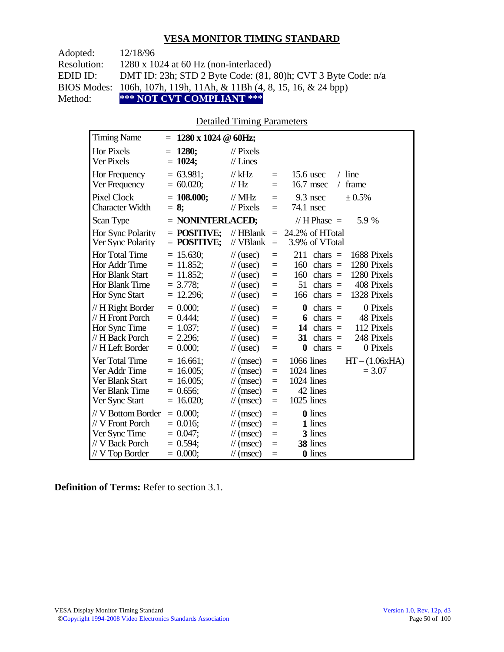| Adopted:    | 12/18/96                                                            |
|-------------|---------------------------------------------------------------------|
| Resolution: | $1280 \times 1024$ at 60 Hz (non-interlaced)                        |
| EDID ID:    | DMT ID: 23h; STD 2 Byte Code: (81, 80)h; CVT 3 Byte Code: n/a       |
|             | BIOS Modes: 106h, 107h, 119h, 11Ah, & 11Bh (4, 8, 15, 16, & 24 bpp) |
| Method:     | *** NOT CVT COMPLIANT ***                                           |

### Detailed Timing Parameters

| <b>Timing Name</b>                                                                            | $1280 \times 1024 \ @$ 60Hz;<br>$=$                                        |                                                                                                                                                    |                                      |                                                                                                                                                                           |
|-----------------------------------------------------------------------------------------------|----------------------------------------------------------------------------|----------------------------------------------------------------------------------------------------------------------------------------------------|--------------------------------------|---------------------------------------------------------------------------------------------------------------------------------------------------------------------------|
| <b>Hor Pixels</b><br>Ver Pixels                                                               | 1280;<br>$=$<br>$= 1024;$                                                  | $\frac{1}{2}$ Pixels<br>$//$ Lines                                                                                                                 |                                      |                                                                                                                                                                           |
| Hor Frequency<br>Ver Frequency                                                                | $= 63.981$ ;<br>$= 60.020;$                                                | $//$ kHz<br>$\frac{1}{1}$ Hz                                                                                                                       | $=$<br>$=$                           | $15.6$ usec<br>$/$ line<br>16.7 msec<br>frame<br>$\sqrt{2}$                                                                                                               |
| <b>Pixel Clock</b><br><b>Character Width</b>                                                  | $= 108.000;$<br>$= 8$ ;                                                    | $//$ MHz<br>$\frac{1}{2}$ Pixels                                                                                                                   | $=$<br>$=$                           | 9.3 nsec<br>± 0.5%<br>74.1 nsec                                                                                                                                           |
| Scan Type                                                                                     | $=$ NONINTERLACED;                                                         |                                                                                                                                                    |                                      | // $H$ Phase $=$<br>5.9 %                                                                                                                                                 |
| Hor Sync Polarity<br>Ver Sync Polarity                                                        | $=$ POSITIVE;<br>$=$ POSITIVE;                                             | $//$ HBlank<br>// VBlank                                                                                                                           | $\equiv$<br>$\equiv$                 | 24.2% of HTotal<br>3.9% of VTotal                                                                                                                                         |
| <b>Hor Total Time</b><br>Hor Addr Time<br>Hor Blank Start<br>Hor Blank Time<br>Hor Sync Start | $= 15.630$ ;<br>$= 11.852;$<br>$= 11.852$ ;<br>$= 3.778$ ;<br>$= 12.296;$  | $\frac{1}{2}$ (usec)<br>$\frac{1}{2}$ (usec)<br>$\frac{1}{2}$ (usec)<br>$\frac{1}{\sqrt{2}}$ (usec)<br>$\frac{1}{2}$ (usec)                        | $=$<br>$=$<br>$=$<br>$=$<br>$=$      | 211<br>chars $=$<br>1688 Pixels<br>160<br>1280 Pixels<br>$chars =$<br>1280 Pixels<br>160<br>$chars =$<br>408 Pixels<br>51<br>$chars =$<br>1328 Pixels<br>$chars =$<br>166 |
| // H Right Border<br>// H Front Porch<br>Hor Sync Time<br>// H Back Porch<br>// H Left Border | $= 0.000;$<br>$= 0.444$ ;<br>$= 1.037$ ;<br>$= 2.296$ ;<br>$= 0.000;$      | $\frac{1}{2}$ (usec)<br>$\frac{1}{2}$ (usec)<br>$\frac{1}{2}$ (usec)<br>$\frac{1}{2}$ (usec)<br>$\frac{1}{2}$ (usec)                               | $=$<br>$=$<br>$=$<br>$=$<br>$=$      | 0 Pixels<br>$chars =$<br>0<br>$chars =$<br>48 Pixels<br>6<br>112 Pixels<br>14<br>$chars =$<br>248 Pixels<br>chars $=$<br>31<br>0 Pixels<br>$\bf{0}$<br>$chars =$          |
| Ver Total Time<br>Ver Addr Time<br>Ver Blank Start<br>Ver Blank Time<br>Ver Sync Start        | $= 16.661$ ;<br>$= 16.005$ ;<br>$= 16.005$ ;<br>$= 0.656$ ;<br>$= 16.020;$ | $\frac{1}{\sqrt{2}}$ (msec)<br>$\frac{1}{\sqrt{2}}$ (msec)<br>$\frac{1}{\sqrt{2}}$ (msec)<br>$\frac{1}{\pi}$ (msec)<br>$\frac{1}{\sqrt{2}}$ (msec) | $\equiv$<br>$=$<br>$=$<br>$=$<br>$=$ | 1066 lines<br>$HT - (1.06xHA)$<br>1024 lines<br>$= 3.07$<br>1024 lines<br>42 lines<br>1025 lines                                                                          |
| // V Bottom Border<br>// V Front Porch<br>Ver Sync Time<br>// V Back Porch<br>// V Top Border | $= 0.000;$<br>$= 0.016$ ;<br>$= 0.047$ ;<br>$= 0.594$ ;<br>$= 0.000;$      | $\frac{1}{\sqrt{2}}$ (msec)<br>$\mathcal{U}$ (msec)<br>$\frac{1}{\sqrt{2}}$ (msec)<br>$\mathcal{U}$ (msec)<br>$\mathcal{U}$ (msec)                 | $=$<br>$=$<br>$=$<br>$=$<br>$=$      | <b>0</b> lines<br>1 lines<br>3 lines<br>38 lines<br><b>0</b> lines                                                                                                        |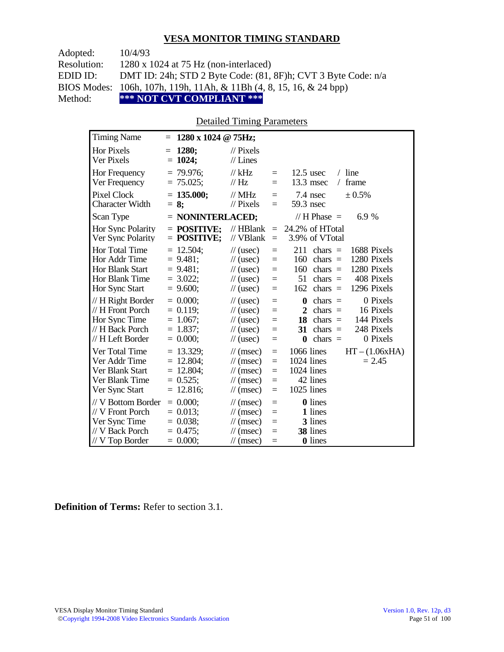| Adopted:           | 10/4/93                                                                        |
|--------------------|--------------------------------------------------------------------------------|
| <b>Resolution:</b> | $1280 \times 1024$ at 75 Hz (non-interlaced)                                   |
| EDID ID:           | DMT ID: 24h; STD 2 Byte Code: (81, 8F)h; CVT 3 Byte Code: n/a                  |
|                    | BIOS Modes: 106h, 107h, 119h, 11Ah, & 11Bh $(4, 8, 15, 16, \& 24 \text{ bpp})$ |
| Method:            | *** NOT CVT COMPLIANT ***                                                      |

### Detailed Timing Parameters

| <b>Timing Name</b>                                                                            | 1280 x 1024 @ 75Hz;<br>$=$                                                 |                                                                                                                                             |                                 |                                                                                                                                                                                            |
|-----------------------------------------------------------------------------------------------|----------------------------------------------------------------------------|---------------------------------------------------------------------------------------------------------------------------------------------|---------------------------------|--------------------------------------------------------------------------------------------------------------------------------------------------------------------------------------------|
| Hor Pixels<br>Ver Pixels                                                                      | 1280;<br>$=$<br>$= 1024;$                                                  | $\frac{1}{2}$ Pixels<br>$//$ Lines                                                                                                          |                                 |                                                                                                                                                                                            |
| Hor Frequency<br>Ver Frequency                                                                | $= 79.976$ ;<br>$= 75.025$ ;                                               | $//$ kHz<br>// $Hz$                                                                                                                         | $\quad \  \  =$<br>$=$          | $12.5$ usec<br>$/$ line<br>13.3 msec<br>frame                                                                                                                                              |
| Pixel Clock<br><b>Character Width</b>                                                         | $= 135.000;$<br>$= 8$ ;                                                    | $//$ MHz<br>$//$ Pixels                                                                                                                     | $=$<br>$=$                      | ± 0.5%<br>7.4 nsec<br>59.3 nsec                                                                                                                                                            |
| Scan Type                                                                                     | $=$ NONINTERLACED;                                                         |                                                                                                                                             |                                 | // $H$ Phase $=$<br>6.9 %                                                                                                                                                                  |
| <b>Hor Sync Polarity</b><br>Ver Sync Polarity                                                 | $=$ POSITIVE:<br>$=$ POSITIVE;                                             | $//$ HBlank<br>// VBlank                                                                                                                    | $\qquad \qquad =$<br>$\quad =$  | 24.2% of HTotal<br>3.9% of VTotal                                                                                                                                                          |
| Hor Total Time<br>Hor Addr Time<br><b>Hor Blank Start</b><br>Hor Blank Time<br>Hor Sync Start | $= 12.504$ ;<br>$= 9.481;$<br>$= 9.481$ ;<br>$= 3.022;$<br>$= 9.600;$      | $\frac{1}{2}$ (usec)<br>$\frac{1}{2}$ (usec)<br>$\frac{1}{\sqrt{2}}$ (usec)<br>$\frac{1}{2}$ (usec)<br>$\frac{1}{2}$ (usec)                 | $=$<br>$=$<br>$=$<br>$=$<br>$=$ | 211<br>1688 Pixels<br>$chars =$<br>160<br>1280 Pixels<br>chars $=$<br>1280 Pixels<br>160<br>chars $=$<br>408 Pixels<br>51<br>chars $=$<br>1296 Pixels<br>162<br>$chars =$                  |
| // H Right Border<br>// H Front Porch<br>Hor Sync Time<br>// H Back Porch<br>// H Left Border | $= 0.000$<br>$= 0.119$ ;<br>$= 1.067$ ;<br>$= 1.837;$<br>$= 0.000;$        | $\frac{1}{\sqrt{2}}$ (usec)<br>$\frac{1}{2}$ (usec)<br>$\frac{1}{2}$ (usec)<br>$\frac{1}{2}$ (usec)<br>$\frac{1}{2}$ (usec)                 | $=$<br>$=$<br>$=$<br>$=$<br>$=$ | 0 Pixels<br>$\boldsymbol{0}$<br>$chars =$<br>$\mathbf{2}$<br>16 Pixels<br>chars $=$<br>144 Pixels<br>18<br>$chars =$<br>31<br>248 Pixels<br>chars $=$<br>$\bf{0}$<br>chars $=$<br>0 Pixels |
| Ver Total Time<br>Ver Addr Time<br>Ver Blank Start<br>Ver Blank Time<br>Ver Sync Start        | $= 13.329$ ;<br>$= 12.804$ ;<br>$= 12.804$ ;<br>$= 0.525$ ;<br>$= 12.816;$ | $\mathcal{U}$ (msec)<br>$\frac{1}{\tan(\theta)}$<br>$\mathcal{U}$ (msec)<br>$\frac{1}{\tan(\theta)}$<br>$\mathcal{U}$ (msec)                | $=$<br>$=$<br>$=$<br>$=$<br>$=$ | 1066 lines<br>$HT - (1.06xHA)$<br>1024 lines<br>$= 2.45$<br>$1024$ lines<br>42 lines<br>1025 lines                                                                                         |
| // V Bottom Border<br>// V Front Porch<br>Ver Sync Time<br>// V Back Porch<br>// V Top Border | $= 0.000;$<br>$= 0.013$ ;<br>$= 0.038;$<br>$= 0.475$ ;<br>$= 0.000;$       | $\frac{1}{\tan(\theta)}$<br>$\frac{1}{\sqrt{2}}$ (msec)<br>$\frac{1}{\tan(\theta)}$<br>$\frac{1}{\tan(\theta)}$<br>$\frac{1}{\tan(\theta)}$ | $=$<br>$=$<br>$=$<br>$=$<br>$=$ | 0 lines<br>1 lines<br>3 lines<br>38 lines<br>0 lines                                                                                                                                       |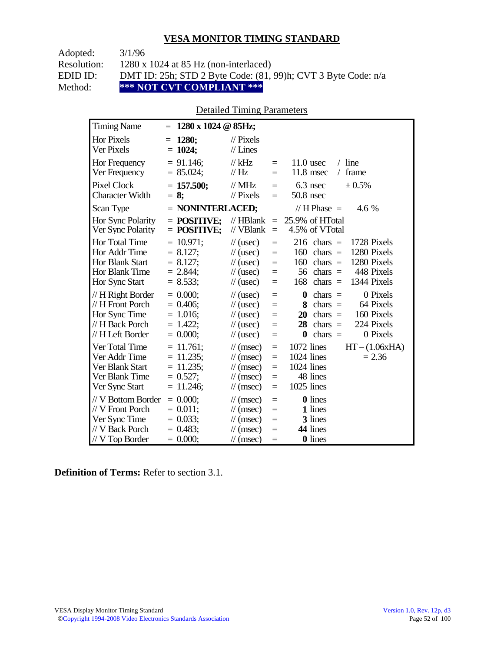| Adopted:    | 3/1/96                                                             |
|-------------|--------------------------------------------------------------------|
| Resolution: | $1280 \times 1024$ at 85 Hz (non-interlaced)                       |
| EDID ID:    | DMT ID: 25h; STD 2 Byte Code: $(81, 99)$ h; CVT 3 Byte Code: $n/a$ |
| Method:     | *** NOT CVT COMPLIANT ***                                          |

### Detailed Timing Parameters

| <b>Timing Name</b>                                                                              | $1280 \times 1024$ @ 85Hz;<br>$=$                                           |                                                                                                                                    |                                 |                                                                                                                                                                           |
|-------------------------------------------------------------------------------------------------|-----------------------------------------------------------------------------|------------------------------------------------------------------------------------------------------------------------------------|---------------------------------|---------------------------------------------------------------------------------------------------------------------------------------------------------------------------|
| <b>Hor Pixels</b><br>Ver Pixels                                                                 | 1280;<br>$=$<br>$= 1024;$                                                   | $\mathcal{U}$ Pixels<br>$//$ Lines                                                                                                 |                                 |                                                                                                                                                                           |
| Hor Frequency<br>Ver Frequency                                                                  | $= 91.146$ ;<br>$= 85.024;$                                                 | $//$ kHz<br>$\frac{1}{1}$ Hz                                                                                                       | $=$<br>$=$                      | $/$ line<br>$11.0$ usec<br>11.8 msec<br>frame<br>$\sqrt{2}$                                                                                                               |
| Pixel Clock<br><b>Character Width</b>                                                           | $= 157.500$ ;<br>$= 8$ ;                                                    | $//$ MHz<br>$\frac{1}{2}$ Pixels                                                                                                   | $=$<br>$=$                      | 6.3 nsec<br>± 0.5%<br>$50.8$ nsec                                                                                                                                         |
| Scan Type                                                                                       | $=$ NONINTERLACED;                                                          |                                                                                                                                    |                                 | // H Phase $=$<br>4.6 %                                                                                                                                                   |
| Hor Sync Polarity<br>Ver Sync Polarity                                                          | $=$ POSITIVE:<br>$=$ POSITIVE;                                              | $//$ HBlank<br>// VBlank                                                                                                           | $=$<br>$=$                      | 25.9% of HTotal<br>4.5% of VTotal                                                                                                                                         |
| Hor Total Time<br>Hor Addr Time<br><b>Hor Blank Start</b><br>Hor Blank Time<br>Hor Sync Start   | $= 10.971$ ;<br>$= 8.127$ ;<br>$= 8.127$ ;<br>$= 2.844$ ;<br>$= 8.533;$     | $\frac{1}{2}$ (usec)<br>$\frac{1}{\sqrt{2}}$ (usec)<br>$\frac{1}{2}$ (usec)<br>$\frac{1}{\sqrt{2}}$ (usec)<br>$\frac{1}{2}$ (usec) | $=$<br>$=$<br>$=$<br>$=$<br>$=$ | 1728 Pixels<br>216<br>$chars =$<br>1280 Pixels<br>160<br>$chars =$<br>1280 Pixels<br>160<br>$chars =$<br>448 Pixels<br>56<br>chars $=$<br>1344 Pixels<br>168<br>$chars =$ |
| // H Right Border<br>// H Front Porch<br>Hor Sync Time<br>// H Back Porch<br>// H Left Border   | $= 0.000$<br>$= 0.406$<br>$= 1.016$ ;<br>$= 1.422$ ;<br>$= 0.000;$          | $\frac{1}{2}$ (usec)<br>$\frac{1}{2}$ (usec)<br>$\frac{1}{2}$ (usec)<br>$\frac{1}{2}$ (usec)<br>$\frac{1}{2}$ (usec)               | $=$<br>$=$<br>$=$<br>$=$<br>$=$ | 0 Pixels<br>$\boldsymbol{0}$<br>$chars =$<br>8<br>64 Pixels<br>$chars =$<br>20<br>160 Pixels<br>$chars =$<br>224 Pixels<br>28<br>chars $=$<br>$chars =$<br>0 Pixels<br>0  |
| Ver Total Time<br>Ver Addr Time<br>Ver Blank Start<br>Ver Blank Time<br>Ver Sync Start          | $= 11.761$ ;<br>$= 11.235$ ;<br>$= 11.235$ ;<br>$= 0.527$ ;<br>$= 11.246$ ; | $\mathcal{U}$ (msec)<br>$\mathcal{U}$ (msec)<br>$\mathcal{U}$ (msec)<br>$\mathcal{U}$ (msec)<br>$\mathcal{U}$ (msec)               | $=$<br>$=$<br>$=$<br>$=$<br>$=$ | 1072 lines<br>$HT - (1.06xHA)$<br>1024 lines<br>$= 2.36$<br>1024 lines<br>48 lines<br>1025 lines                                                                          |
| // V Bottom Border<br>// V Front Porch<br>Ver Sync Time<br>// V Back Porch<br>$//$ V Top Border | $= 0.000$<br>$= 0.011$ ;<br>$= 0.033$ ;<br>$= 0.483$ ;<br>$= 0.000;$        | $\mathcal{U}$ (msec)<br>$\mathcal{U}$ (msec)<br>$\mathcal{U}$ (msec)<br>$\mathcal{U}$ (msec)<br>$\frac{1}{\sqrt{2}}$ (msec)        | $=$<br>$=$<br>$=$<br>$=$<br>$=$ | <b>0</b> lines<br>1 lines<br>3 lines<br>44 lines<br><b>0</b> lines                                                                                                        |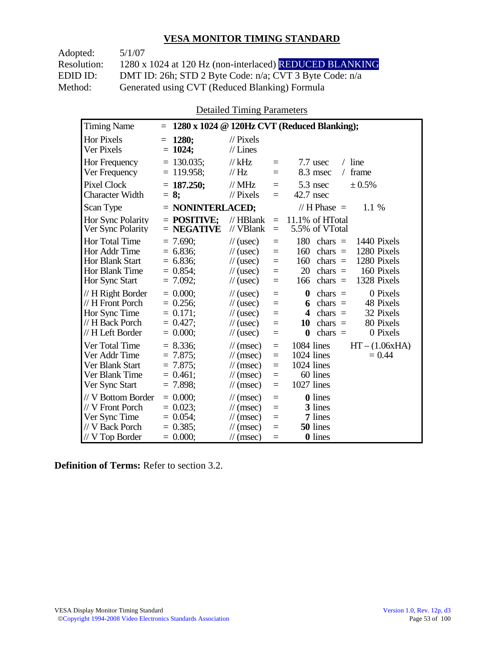Adopted: 5/1/07 Resolution: 1280 x 1024 at 120 Hz (non-interlaced) REDUCED BLANKING EDID ID: DMT ID: 26h; STD 2 Byte Code: n/a; CVT 3 Byte Code: n/a<br>Method: Generated using CVT (Reduced Blanking) Formula Generated using CVT (Reduced Blanking) Formula

Detailed Timing Parameters

| <b>Timing Name</b>                                                                              | $=$                                                                  |                                                                                                                        |                                      | 1280 x 1024 @ 120Hz CVT (Reduced Blanking);                                                                                                                                          |
|-------------------------------------------------------------------------------------------------|----------------------------------------------------------------------|------------------------------------------------------------------------------------------------------------------------|--------------------------------------|--------------------------------------------------------------------------------------------------------------------------------------------------------------------------------------|
| <b>Hor Pixels</b><br>Ver Pixels                                                                 | 1280;<br>$=$<br>$= 1024$ ;                                           | $\frac{1}{2}$ Pixels<br>$//$ Lines                                                                                     |                                      |                                                                                                                                                                                      |
| Hor Frequency<br>Ver Frequency                                                                  | $= 130.035$ ;<br>$= 119.958$ ;                                       | $//$ kHz<br>$\frac{1}{1}$ Hz                                                                                           | $=$<br>$=$                           | 7.7 usec<br>$/$ line<br>frame<br>8.3 msec<br>$\sqrt{2}$                                                                                                                              |
| <b>Pixel Clock</b><br><b>Character Width</b>                                                    | $= 187.250$ ;<br>$= 8:$                                              | $//$ MHz<br>$\frac{1}{2}$ Pixels                                                                                       | $=$<br>$=$                           | $5.3$ nsec<br>± 0.5%<br>42.7 nsec                                                                                                                                                    |
| Scan Type                                                                                       | $=$ NONINTERLACED;                                                   |                                                                                                                        |                                      | // H Phase $=$<br>1.1 %                                                                                                                                                              |
| <b>Hor Sync Polarity</b><br>Ver Sync Polarity                                                   | $=$ POSITIVE;<br>$=$ NEGATIVE                                        | $//$ HBlank<br>// VBlank                                                                                               | $=$<br>$\equiv$                      | 11.1% of HTotal<br>5.5% of VTotal                                                                                                                                                    |
| Hor Total Time<br>Hor Addr Time<br>Hor Blank Start<br>Hor Blank Time<br>Hor Sync Start          | $= 7.690;$<br>$= 6.836$<br>$= 6.836$<br>$= 0.854$<br>$= 7.092$ ;     | $\frac{1}{2}$ (usec)<br>$\frac{1}{2}$ (usec)<br>$\frac{1}{2}$ (usec)<br>$\frac{1}{2}$ (usec)<br>$\frac{1}{2}$ (usec)   | $=$<br>$=$<br>$=$<br>$=$<br>$=$      | 180<br>1440 Pixels<br>chars $=$<br>1280 Pixels<br>160<br>chars $=$<br>1280 Pixels<br>160<br>chars $=$<br>20<br>chars $=$<br>160 Pixels<br>1328 Pixels<br>166<br>chars $=$            |
| // H Right Border<br>// H Front Porch<br>Hor Sync Time<br>// H Back Porch<br>// H Left Border   | $= 0.000$<br>$= 0.256$ ;<br>$= 0.171$ ;<br>$= 0.427$ ;<br>$= 0.000;$ | $\frac{1}{2}$ (usec)<br>$\frac{1}{2}$ (usec)<br>$\frac{1}{2}$ (usec)<br>$\frac{1}{2}$ (usec)<br>$\frac{1}{2}$ (usec)   | $=$<br>$=$<br>$=$<br>$=$<br>$=$      | 0 Pixels<br>$\boldsymbol{0}$<br>chars $=$<br>48 Pixels<br>chars $=$<br>6<br>32 Pixels<br>4<br>$chars =$<br>80 Pixels<br>10<br>$chars =$<br>0 Pixels<br>$\boldsymbol{0}$<br>chars $=$ |
| Ver Total Time<br>Ver Addr Time<br>Ver Blank Start<br>Ver Blank Time<br>Ver Sync Start          | $= 8.336$<br>$= 7.875$<br>$= 7.875$ ;<br>$= 0.461$ :<br>$= 7.898$ ;  | $\mathcal{U}$ (msec)<br>$\frac{1}{\pi}$ (msec)<br>$\mathcal{U}$ (msec)<br>$\mathcal{U}$ (msec)<br>$\mathcal{U}$ (msec) | $\equiv$<br>$=$<br>$=$<br>$=$<br>$=$ | $HT - (1.06xHA)$<br>1084 lines<br>1024 lines<br>$= 0.44$<br>1024 lines<br>60 lines<br>1027 lines                                                                                     |
| // V Bottom Border<br>// V Front Porch<br>Ver Sync Time<br>// V Back Porch<br>$//$ V Top Border | $= 0.000$<br>$= 0.023$<br>$= 0.054$ ;<br>$= 0.385$ ;<br>$= 0.000;$   | $\mathcal{U}$ (msec)<br>$\mathcal{U}$ (msec)<br>$\mathcal{U}$ (msec)<br>$\mathcal{U}$ (msec)<br>$\mathcal{U}$ (msec)   | $=$<br>$=$<br>$=$<br>$=$<br>$=$      | <b>0</b> lines<br>3 lines<br>7 lines<br>50 lines<br><b>0</b> lines                                                                                                                   |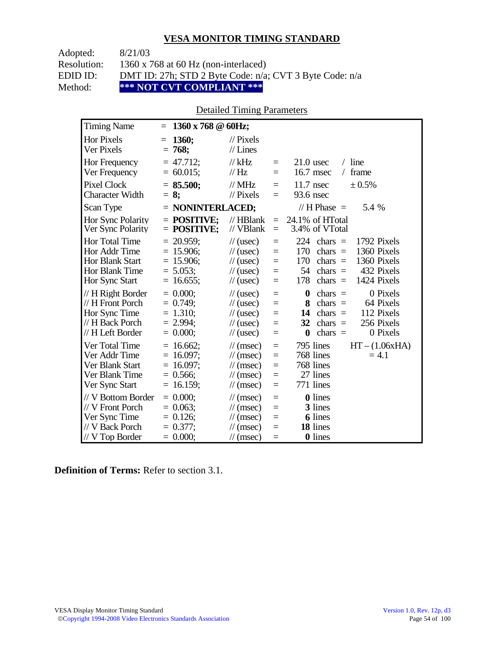| Adopted:    | 8/21/03                                                 |
|-------------|---------------------------------------------------------|
| Resolution: | 1360 x 768 at 60 Hz (non-interlaced)                    |
| EDID ID:    | DMT ID: 27h; STD 2 Byte Code: n/a; CVT 3 Byte Code: n/a |
| Method:     | *** NOT CVT COMPLIANT ***                               |

### Detailed Timing Parameters

| <b>Timing Name</b>                                                                                   | 1360 x 768 @ 60Hz;<br>$=$                                                   |                                                                                                                                    |                                      |                                                                                                                                                                                 |
|------------------------------------------------------------------------------------------------------|-----------------------------------------------------------------------------|------------------------------------------------------------------------------------------------------------------------------------|--------------------------------------|---------------------------------------------------------------------------------------------------------------------------------------------------------------------------------|
| <b>Hor Pixels</b><br>Ver Pixels                                                                      | 1360;<br>$=$<br>$= 768;$                                                    | $\frac{1}{2}$ Pixels<br>$//$ Lines                                                                                                 |                                      |                                                                                                                                                                                 |
| Hor Frequency<br>Ver Frequency                                                                       | $= 47.712$ ;<br>$= 60.015$ ;                                                | $//$ kHz<br>// Hz                                                                                                                  | $\equiv$<br>$=$                      | $/$ line<br>$21.0$ usec<br>16.7 msec<br>frame<br>$\sqrt{2}$                                                                                                                     |
| <b>Pixel Clock</b><br><b>Character Width</b>                                                         | $= 85.500;$<br>$= 8:$                                                       | $//$ MHz<br>$//$ Pixels                                                                                                            | $=$<br>$=$                           | $11.7$ nsec<br>$\pm 0.5\%$<br>93.6 nsec                                                                                                                                         |
| Scan Type                                                                                            | $=$ NONINTERLACED;                                                          |                                                                                                                                    |                                      | // H Phase $=$<br>5.4 %                                                                                                                                                         |
| Hor Sync Polarity<br>Ver Sync Polarity                                                               | $=$ POSITIVE:<br>$=$ POSITIVE;                                              | $//$ HBlank<br>// VBlank                                                                                                           | $=$<br>$=$                           | 24.1% of HTotal<br>3.4% of VTotal                                                                                                                                               |
| <b>Hor Total Time</b><br>Hor Addr Time<br><b>Hor Blank Start</b><br>Hor Blank Time<br>Hor Sync Start | $= 20.959$ ;<br>$= 15.906$ ;<br>$= 15.906$ ;<br>$= 5.053$ ;<br>$= 16.655$ ; | $\frac{1}{2}$ (usec)<br>$\frac{1}{2}$ (usec)<br>$\frac{1}{2}$ (usec)<br>$\frac{1}{2}$ (usec)<br>$\frac{1}{2}$ (usec)               | $=$<br>$=$<br>$=$<br>$\equiv$<br>$=$ | 224<br>1792 Pixels<br>chars $=$<br>170<br>1360 Pixels<br>chars $=$<br>170<br>1360 Pixels<br>chars $=$<br>54<br>432 Pixels<br>$chars =$<br>178<br>chars $=$<br>1424 Pixels       |
| // H Right Border<br>// H Front Porch<br>Hor Sync Time<br>// H Back Porch<br>// H Left Border        | $= 0.000$<br>$= 0.749$ ;<br>$= 1.310$ ;<br>$= 2.994;$<br>$= 0.000$          | $\frac{1}{2}$ (usec)<br>$\frac{1}{2}$ (usec)<br>$\frac{1}{2}$ (usec)<br>$\frac{1}{2}$ (usec)<br>$\frac{1}{2}$ (usec)               | $=$<br>$=$<br>$=$<br>$=$<br>$=$      | $\bf{0}$<br>0 Pixels<br>$chars =$<br>$chars =$<br>64 Pixels<br>8<br>112 Pixels<br>14<br>chars $=$<br>256 Pixels<br>chars $=$<br>32<br>0 Pixels<br>$\boldsymbol{0}$<br>chars $=$ |
| Ver Total Time<br>Ver Addr Time<br>Ver Blank Start<br>Ver Blank Time<br>Ver Sync Start               | $= 16.662$ ;<br>$= 16.097$ ;<br>$= 16.097$ ;<br>$= 0.566$ ;<br>$= 16.159;$  | $\mathcal{U}$ (msec)<br>$\mathcal{U}$ (msec)<br>$\mathcal{U}$ (msec)<br>$\mathcal{U}$ (msec)<br>$\mathcal{U}$ (msec)               | $=$<br>$=$<br>$=$<br>$=$<br>$=$      | $HT - (1.06xHA)$<br>795 lines<br>768 lines<br>$= 4.1$<br>768 lines<br>27 lines<br>771 lines                                                                                     |
| // V Bottom Border<br>// V Front Porch<br>Ver Sync Time<br>// V Back Porch<br>// V Top Border        | $= 0.000;$<br>$= 0.063$ ;<br>$= 0.126$ ;<br>$= 0.377$ ;<br>$= 0.000;$       | $\mathcal{U}$ (msec)<br>$\frac{1}{\sqrt{2}}$ (msec)<br>$\frac{1}{\sqrt{2}}$ (msec)<br>$\mathcal{U}$ (msec)<br>$\mathcal{U}$ (msec) | $=$<br>$=$<br>$=$<br>$=$<br>$=$      | <b>0</b> lines<br>3 lines<br><b>6</b> lines<br>18 lines<br>0 lines                                                                                                              |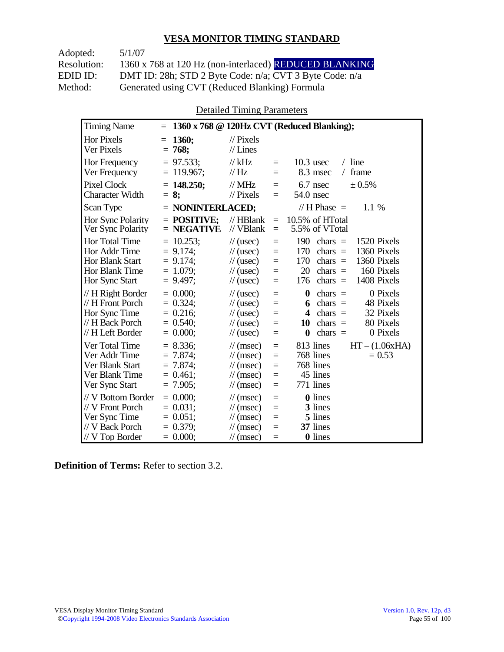| Adopted:    | 5/1/07                                                  |
|-------------|---------------------------------------------------------|
| Resolution: | 1360 x 768 at 120 Hz (non-interlaced) REDUCED BLANKING  |
| EDID ID:    | DMT ID: 28h; STD 2 Byte Code: n/a; CVT 3 Byte Code: n/a |
| Method:     | Generated using CVT (Reduced Blanking) Formula          |

Detailed Timing Parameters

| <b>Timing Name</b>                                                                            | $\equiv$                                                                |                                                                                                                                    |                                 | 1360 x 768 @ 120Hz CVT (Reduced Blanking);                                                                                                                                           |
|-----------------------------------------------------------------------------------------------|-------------------------------------------------------------------------|------------------------------------------------------------------------------------------------------------------------------------|---------------------------------|--------------------------------------------------------------------------------------------------------------------------------------------------------------------------------------|
| Hor Pixels<br>Ver Pixels                                                                      | <b>1360;</b><br>$=$<br>$= 768;$                                         | $\frac{1}{2}$ Pixels<br>$//$ Lines                                                                                                 |                                 |                                                                                                                                                                                      |
| <b>Hor Frequency</b><br>Ver Frequency                                                         | $= 97.533$ ;<br>$= 119.967$ ;                                           | $//$ kHz<br>// Hz                                                                                                                  | $=$<br>$=$                      | $/$ line<br>$10.3$ usec<br>8.3 msec<br>frame<br>$\sqrt{2}$                                                                                                                           |
| <b>Pixel Clock</b><br><b>Character Width</b>                                                  | $= 148.250$ ;<br>$= 8:$                                                 | $//$ MHz<br>$//$ Pixels                                                                                                            | $=$<br>$=$                      | 6.7 nsec<br>± 0.5%<br>54.0 nsec                                                                                                                                                      |
| Scan Type                                                                                     | $=$ NONINTERLACED;                                                      |                                                                                                                                    |                                 | // H Phase $=$<br>1.1 %                                                                                                                                                              |
| Hor Sync Polarity<br>Ver Sync Polarity                                                        | $=$ POSITIVE:<br>$=$ NEGATIVE                                           | $//$ HBlank<br>// VBlank                                                                                                           | $=$<br>$=$                      | 10.5% of HTotal<br>5.5% of VTotal                                                                                                                                                    |
| Hor Total Time<br>Hor Addr Time<br><b>Hor Blank Start</b><br>Hor Blank Time<br>Hor Sync Start | $= 10.253;$<br>$= 9.174$ ;<br>$= 9.174$ ;<br>$= 1.079$ ;<br>$= 9.497$ ; | $\frac{1}{2}$ (usec)<br>$\frac{1}{2}$ (usec)<br>$\frac{1}{2}$ (usec)<br>$\frac{1}{2}$ (usec)<br>$\frac{1}{2}$ (usec)               | $=$<br>$=$<br>$=$<br>$=$<br>$=$ | 190<br>chars $=$<br>1520 Pixels<br>1360 Pixels<br>170<br>chars $=$<br>1360 Pixels<br>170<br>chars $=$<br>20<br>160 Pixels<br>chars $=$<br>1408 Pixels<br>chars $=$<br>176            |
| // H Right Border<br>// H Front Porch<br>Hor Sync Time<br>// H Back Porch<br>// H Left Border | $= 0.000$<br>$= 0.324$ ;<br>$= 0.216;$<br>$= 0.540$ ;<br>$= 0.000;$     | $\frac{1}{2}$ (usec)<br>$\frac{1}{2}$ (usec)<br>$\frac{1}{2}$ (usec)<br>$\frac{1}{2}$ (usec)<br>$\frac{1}{2}$ (usec)               | $=$<br>$=$<br>$=$<br>$=$<br>$=$ | $\boldsymbol{0}$<br>0 Pixels<br>chars $=$<br>chars $=$<br>48 Pixels<br>6<br>32 Pixels<br>$chars =$<br>4<br>80 Pixels<br>10<br>$chars =$<br>0 Pixels<br>$\boldsymbol{0}$<br>$chars =$ |
| Ver Total Time<br>Ver Addr Time<br>Ver Blank Start<br>Ver Blank Time<br>Ver Sync Start        | $= 8.336;$<br>$= 7.874$ ;<br>$= 7.874$ ;<br>$= 0.461$ ;<br>$= 7.905$ ;  | $\mathcal{U}$ (msec)<br>$\mathcal{U}$ (msec)<br>$\mathcal{U}$ (msec)<br>$\mathcal{U}$ (msec)<br>$\mathcal{U}$ (msec)               | $=$<br>$=$<br>$=$<br>$=$<br>$=$ | 813 lines<br>$HT - (1.06xHA)$<br>768 lines<br>$= 0.53$<br>768 lines<br>45 lines<br>771 lines                                                                                         |
| // V Bottom Border<br>// V Front Porch<br>Ver Sync Time<br>// V Back Porch<br>// V Top Border | $= 0.000$<br>$= 0.031$ :<br>$= 0.051$ ;<br>$= 0.379$ ;<br>$= 0.000;$    | $\frac{1}{\sqrt{2}}$ (msec)<br>$\mathcal{U}$ (msec)<br>$\frac{1}{\sqrt{2}}$ (msec)<br>$\mathcal{U}$ (msec)<br>$\mathcal{U}$ (msec) | $=$<br>$=$<br>$=$<br>$=$<br>$=$ | <b>0</b> lines<br>3 lines<br>5 lines<br>37 lines<br>0 lines                                                                                                                          |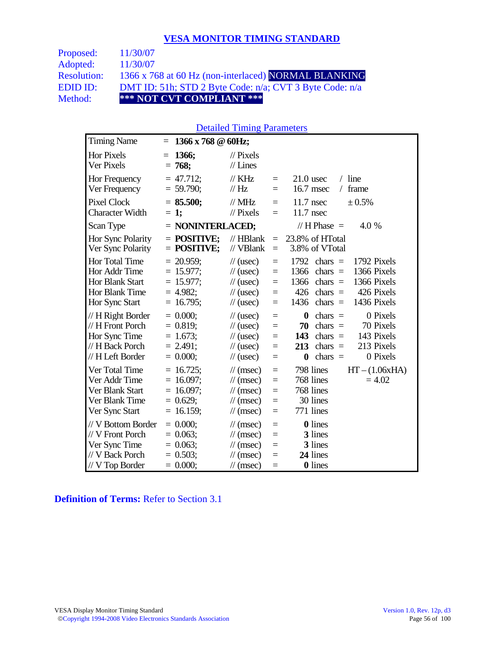| Proposed:          | 11/30/07                                                |
|--------------------|---------------------------------------------------------|
| Adopted:           | 11/30/07                                                |
| <b>Resolution:</b> | 1366 x 768 at 60 Hz (non-interlaced) NORMAL BLANKING    |
| EDID ID:           | DMT ID: 51h; STD 2 Byte Code: n/a; CVT 3 Byte Code: n/a |
| Method:            | *** NOT CVT COMPLIANT ***                               |

#### Detailed Timing Parameters

| <b>Timing Name</b>                                                                             | 1366 x 768 @ 60Hz;<br>$=$                                                  |                                                                                                                      |                                 |                                                                                                                                                                                |
|------------------------------------------------------------------------------------------------|----------------------------------------------------------------------------|----------------------------------------------------------------------------------------------------------------------|---------------------------------|--------------------------------------------------------------------------------------------------------------------------------------------------------------------------------|
| <b>Hor Pixels</b><br>Ver Pixels                                                                | 1366;<br>$=$<br>$= 768$                                                    | $\mathcal{U}$ Pixels<br>$//$ Lines                                                                                   |                                 |                                                                                                                                                                                |
| Hor Frequency<br>Ver Frequency                                                                 | $= 47.712$ ;<br>$= 59.790$ ;                                               | $\frac{1}{K}$ KHz<br>// Hz                                                                                           | $=$<br>$=$                      | $/$ line<br>$21.0$ usec<br>frame<br>16.7 msec<br>$\sqrt{2}$                                                                                                                    |
| <b>Pixel Clock</b><br><b>Character Width</b>                                                   | $= 85.500;$<br>$= 1;$                                                      | $//$ MHz<br>$//$ Pixels                                                                                              | $=$<br>$\equiv$                 | $11.7$ nsec<br>± 0.5%<br>$11.7$ nsec                                                                                                                                           |
| Scan Type                                                                                      | = NONINTERLACED;                                                           |                                                                                                                      |                                 | // H Phase $=$<br>4.0 %                                                                                                                                                        |
| Hor Sync Polarity<br>Ver Sync Polarity                                                         | $=$ POSITIVE;<br>$=$ POSITIVE;                                             | $//$ HBlank<br>// VBlank                                                                                             | $\equiv$<br>$\equiv$            | 23.8% of HTotal<br>3.8% of VTotal                                                                                                                                              |
| Hor Total Time<br>Hor Addr Time<br><b>Hor Blank Start</b><br>Hor Blank Time<br>Hor Sync Start  | $= 20.959$ ;<br>$= 15.977;$<br>$= 15.977$ ;<br>$= 4.982$ ;<br>$= 16.795$ ; | $\frac{1}{2}$ (usec)<br>$\frac{1}{2}$ (usec)<br>$\mathcal{U}$ (usec)<br>$\frac{1}{2}$ (usec)<br>$\frac{1}{2}$ (usec) | $=$<br>$=$<br>$=$<br>$=$<br>$=$ | 1792 Pixels<br>1792<br>chars $=$<br>1366 Pixels<br>1366<br>chars $=$<br>1366 Pixels<br>1366<br>chars $=$<br>426<br>426 Pixels<br>chars $=$<br>1436 Pixels<br>1436<br>chars $=$ |
| // H Right Border<br>// H Front Porch<br>Hor Sync Time<br>// H Back Porch<br>// H Left Border  | $= 0.000;$<br>$= 0.819;$<br>$= 1.673$ ;<br>$= 2.491$ ;<br>$= 0.000;$       | $\frac{1}{2}$ (usec)<br>$\frac{1}{2}$ (usec)<br>$\frac{1}{2}$ (usec)<br>$\frac{1}{2}$ (usec)<br>$\frac{1}{2}$ (usec) | $=$<br>$=$<br>$=$<br>$=$<br>$=$ | 0 Pixels<br>$\bf{0}$<br>$chars =$<br>70<br>70 Pixels<br>chars $=$<br>143 Pixels<br>143<br>$chars =$<br>213 Pixels<br>chars $=$<br>213<br>0 Pixels<br>$\bf{0}$<br>chars $=$     |
| Ver Total Time<br>Ver Addr Time<br>Ver Blank Start<br>Ver Blank Time<br>Ver Sync Start         | $= 16.725$ ;<br>$= 16.097;$<br>$= 16.097$ ;<br>$= 0.629$ ;<br>$= 16.159;$  | $\mathcal{U}$ (msec)<br>$\mathcal{U}$ (msec)<br>$\mathcal{U}$ (msec)<br>$\mathcal{U}$ (msec)<br>$\mathcal{U}$ (msec) | $=$<br>$=$<br>$=$<br>$=$<br>$=$ | 798 lines<br>$HT - (1.06xHA)$<br>768 lines<br>$= 4.02$<br>768 lines<br>30 lines<br>771 lines                                                                                   |
| // V Bottom Border<br>// V Front Porch<br>Ver Sync Time<br>// V Back Porch<br>$//V$ Top Border | $= 0.000;$<br>$= 0.063;$<br>$= 0.063$ ;<br>$= 0.503$ ;<br>$= 0.000;$       | $\mathcal{U}$ (msec)<br>$\mathcal{U}$ (msec)<br>$\mathcal{U}$ (msec)<br>$\mathcal{U}$ (msec)<br>$\mathcal{U}$ (msec) | $=$<br>$=$<br>$=$<br>$=$<br>$=$ | <b>0</b> lines<br>3 lines<br>3 lines<br>24 lines<br><b>0</b> lines                                                                                                             |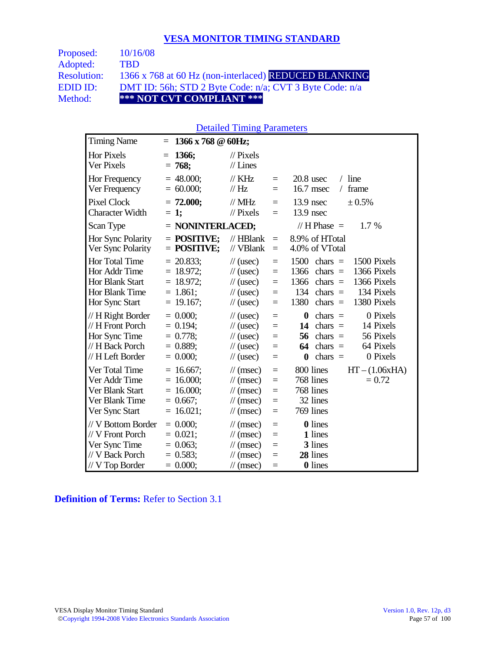| <b>Proposed:</b>   | 10/16/08                                                |
|--------------------|---------------------------------------------------------|
| Adopted:           | TRD.                                                    |
| <b>Resolution:</b> | 1366 x 768 at 60 Hz (non-interlaced) REDUCED BLANKING   |
| EDID ID:           | DMT ID: 56h; STD 2 Byte Code: n/a; CVT 3 Byte Code: n/a |
| Method:            | *** NOT CVT COMPLIANT ***                               |
|                    |                                                         |

#### Detailed Timing Parameters

| <b>Timing Name</b>                                                                             | 1366 x 768 $@$ 60Hz;<br>$=$                                               |                                                                                                                                                                |                                                                                                                                                                                        |
|------------------------------------------------------------------------------------------------|---------------------------------------------------------------------------|----------------------------------------------------------------------------------------------------------------------------------------------------------------|----------------------------------------------------------------------------------------------------------------------------------------------------------------------------------------|
| Hor Pixels<br>Ver Pixels                                                                       | 1366;<br>$=$<br>$= 768$                                                   | $\mathcal{U}$ Pixels<br>$//$ Lines                                                                                                                             |                                                                                                                                                                                        |
| Hor Frequency<br>Ver Frequency                                                                 | $= 48.000;$<br>$= 60.000;$                                                | $\frac{1}{K}$ KHz<br>$=$<br>$\frac{1}{1}$ Hz<br>Ξ                                                                                                              | $20.8$ usec<br>$/$ line<br>frame<br>16.7 msec<br>$\sqrt{2}$                                                                                                                            |
| <b>Pixel Clock</b><br><b>Character Width</b>                                                   | $= 72.000;$<br>$= 1;$                                                     | $//$ MHz<br>$=$<br>$//$ Pixels<br>$=$                                                                                                                          | $13.9$ nsec<br>± 0.5%<br>$13.9$ nsec                                                                                                                                                   |
| Scan Type                                                                                      | $=$ NONINTERLACED;                                                        |                                                                                                                                                                | // H Phase $=$<br>$1.7\%$                                                                                                                                                              |
| Hor Sync Polarity<br>Ver Sync Polarity                                                         | $=$ POSITIVE;<br>$=$ POSITIVE;                                            | $//$ HBlank<br>$=$<br>// VBlank<br>$\equiv$                                                                                                                    | 8.9% of HTotal<br>4.0% of VTotal                                                                                                                                                       |
| Hor Total Time<br>Hor Addr Time<br>Hor Blank Start<br>Hor Blank Time<br>Hor Sync Start         | $= 20.833$ ;<br>$= 18.972;$<br>$= 18.972$ ;<br>$= 1.861;$<br>$= 19.167$ ; | $\frac{1}{2}$ (usec)<br>$=$<br>$\frac{1}{2}$ (usec)<br>$=$<br>$\frac{1}{2}$ (usec)<br>$=$<br>$\frac{1}{2}$ (usec)<br>$=$<br>$\frac{1}{2}$ (usec)<br>$=$        | 1500<br>1500 Pixels<br>$chars =$<br>1366 Pixels<br>1366<br>chars $=$<br>1366 Pixels<br>1366<br>$chars =$<br>134 Pixels<br>134<br>chars $=$<br>1380<br>chars $=$<br>1380 Pixels         |
| // H Right Border<br>// H Front Porch<br>Hor Sync Time<br>// H Back Porch<br>// H Left Border  | $= 0.000;$<br>$= 0.194$ ;<br>$= 0.778$ ;<br>$= 0.889;$<br>$= 0.000;$      | $\frac{1}{2}$ (usec)<br>$=$<br>$\frac{1}{2}$ (usec)<br>$=$<br>$\frac{1}{2}$ (usec)<br>$=$<br>$\frac{1}{2}$ (usec)<br>Ξ<br>$\frac{1}{2}$ (usec)<br>$=$          | 0 Pixels<br>$\boldsymbol{0}$<br>$chars =$<br>14<br>$chars =$<br>14 Pixels<br>56 Pixels<br>56<br>$chars =$<br>chars $=$<br>64 Pixels<br>64<br>0 Pixels<br>chars $=$<br>$\boldsymbol{0}$ |
| Ver Total Time<br>Ver Addr Time<br>Ver Blank Start<br>Ver Blank Time<br>Ver Sync Start         | $= 16.667$ ;<br>$= 16.000;$<br>$= 16.000;$<br>$= 0.667;$<br>$= 16.021;$   | $\mathcal{U}$ (msec)<br>$=$<br>$\mathcal{U}$ (msec)<br>$=$<br>$\frac{1}{\sqrt{2}}$ (msec)<br>$=$<br>$\mathcal{U}$ (msec)<br>$=$<br>$\mathcal{U}$ (msec)<br>$=$ | 800 lines<br>$HT - (1.06xHA)$<br>768 lines<br>$= 0.72$<br>768 lines<br>32 lines<br>769 lines                                                                                           |
| // V Bottom Border<br>// V Front Porch<br>Ver Sync Time<br>// V Back Porch<br>$//V$ Top Border | $= 0.000;$<br>$= 0.021;$<br>$= 0.063;$<br>$= 0.583$ ;<br>$= 0.000;$       | $\mathcal{U}$ (msec)<br>$=$<br>$\mathcal{U}$ (msec)<br>$=$<br>$\mathcal{U}$ (msec)<br>$=$<br>$\mathcal{N}(msec)$<br>$=$<br>$\mathcal{U}$ (msec)<br>$=$         | 0 lines<br>1 lines<br>3 lines<br>28 lines<br>0 lines                                                                                                                                   |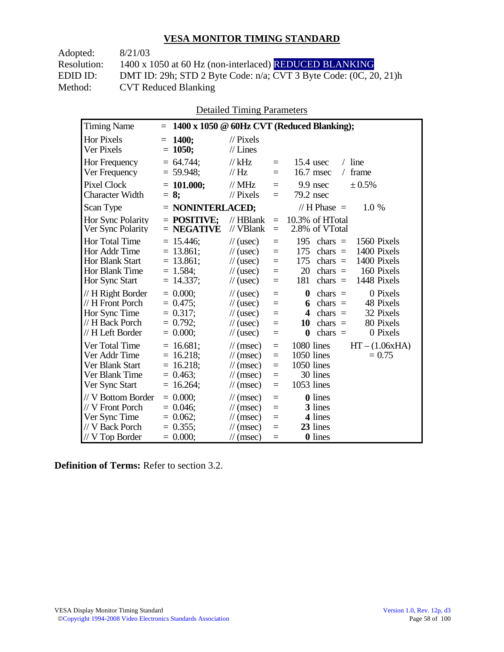| 8/21/03                                                           |
|-------------------------------------------------------------------|
| 1400 x 1050 at 60 Hz (non-interlaced) REDUCED BLANKING            |
| DMT ID: 29h; STD 2 Byte Code: n/a; CVT 3 Byte Code: (0C, 20, 21)h |
| <b>CVT Reduced Blanking</b>                                       |
|                                                                   |

Detailed Timing Parameters

| <b>Timing Name</b>                                                                                          | $=$                                                                      |                                                                                                                                                         |                                      | 1400 x 1050 @ 60Hz CVT (Reduced Blanking);                                                                                                                                           |
|-------------------------------------------------------------------------------------------------------------|--------------------------------------------------------------------------|---------------------------------------------------------------------------------------------------------------------------------------------------------|--------------------------------------|--------------------------------------------------------------------------------------------------------------------------------------------------------------------------------------|
| Hor Pixels<br>Ver Pixels                                                                                    | <b>1400:</b><br>$=$<br>$= 1050;$                                         | $\frac{1}{2}$ Pixels<br>$//$ Lines                                                                                                                      |                                      |                                                                                                                                                                                      |
| <b>Hor Frequency</b><br>Ver Frequency                                                                       | $= 64.744$ ;<br>$= 59.948$ ;                                             | $//$ kHz<br>//Hz                                                                                                                                        | $=$<br>$=$                           | $15.4$ usec<br>$/$ line<br>16.7 msec<br>frame<br>$\sqrt{2}$                                                                                                                          |
| <b>Pixel Clock</b><br><b>Character Width</b>                                                                | $= 101.000;$<br>$= 8:$                                                   | // $MHz$<br>$\frac{1}{2}$ Pixels                                                                                                                        | $=$<br>$=$                           | 9.9 nsec<br>± 0.5%<br>$79.2$ nsec                                                                                                                                                    |
| Scan Type                                                                                                   | $=$ NONINTERLACED;                                                       |                                                                                                                                                         |                                      | // H Phase $=$<br>1.0 %                                                                                                                                                              |
| Hor Sync Polarity<br>Ver Sync Polarity                                                                      | $=$ POSITIVE:<br>$=$ NEGATIVE                                            | $//$ HBlank<br>// VBlank                                                                                                                                | $=$<br>$=$                           | 10.3% of HTotal<br>2.8% of VTotal                                                                                                                                                    |
| <b>Hor Total Time</b><br>Hor Addr Time<br><b>Hor Blank Start</b><br><b>Hor Blank Time</b><br>Hor Sync Start | $= 15.446;$<br>$= 13.861;$<br>$= 13.861;$<br>$= 1.584$ ;<br>$= 14.337;$  | $\frac{1}{2}$ (usec)<br>$\frac{1}{2}$ (usec)<br>$\frac{1}{2}$ (usec)<br>$\frac{1}{2}$ (usec)<br>$\frac{1}{2}$ (usec)                                    | $=$<br>$=$<br>$=$<br>$=$<br>$=$      | 195<br>chars $=$<br>1560 Pixels<br>1400 Pixels<br>175<br>chars $=$<br>1400 Pixels<br>175<br>chars $=$<br>20<br>160 Pixels<br>$chars =$<br>1448 Pixels<br>181<br>$chars =$            |
| // H Right Border<br>// H Front Porch<br>Hor Sync Time<br>// H Back Porch<br>// H Left Border               | $= 0.000$<br>$= 0.475$ ;<br>$= 0.317$ ;<br>$= 0.792$ ;<br>$= 0.000;$     | $\frac{1}{2}$ (usec)<br>$\frac{1}{2}$ (usec)<br>$\frac{1}{2}$ (usec)<br>$\frac{1}{2}$ (usec)<br>$\frac{1}{2}$ (usec)                                    | $=$<br>$=$<br>$=$<br>$=$<br>$=$      | $\boldsymbol{0}$<br>0 Pixels<br>$chars =$<br>$chars =$<br>48 Pixels<br>6<br>32 Pixels<br>chars $=$<br>4<br>80 Pixels<br>chars $=$<br>10<br>chars $=$<br>0 Pixels<br>$\boldsymbol{0}$ |
| Ver Total Time<br>Ver Addr Time<br>Ver Blank Start<br>Ver Blank Time<br>Ver Sync Start                      | $= 16.681;$<br>$= 16.218$ ;<br>$= 16.218;$<br>$= 0.463$ ;<br>$= 16.264;$ | $\frac{1}{\sqrt{2}}$ (msec)<br>$\frac{1}{\sqrt{2}}$ (msec)<br>$\frac{1}{\sqrt{2}}$ (msec)<br>$\frac{1}{\sqrt{2}}$ (msec)<br>$\frac{1}{\sqrt{2}}$ (msec) | $=$<br>$=$<br>$\equiv$<br>$=$<br>$=$ | 1080 lines<br>$HT - (1.06xHA)$<br>1050 lines<br>$= 0.75$<br>1050 lines<br>30 lines<br>1053 lines                                                                                     |
| // V Bottom Border<br>// V Front Porch<br>Ver Sync Time<br>// V Back Porch<br>// V Top Border               | $= 0.000$<br>$= 0.046$ ;<br>$= 0.062$ ;<br>$= 0.355$ ;<br>$= 0.000;$     | $\mathcal{U}$ (msec)<br>$\frac{1}{\sqrt{2}}$ (msec)<br>$\mathcal{U}$ (msec)<br>$\frac{1}{\pi}$ (msec)<br>$\mathcal{U}$ (msec)                           | $=$<br>$=$<br>$=$<br>$=$<br>$=$      | <b>0</b> lines<br>3 lines<br>4 lines<br>23 lines<br>0 lines                                                                                                                          |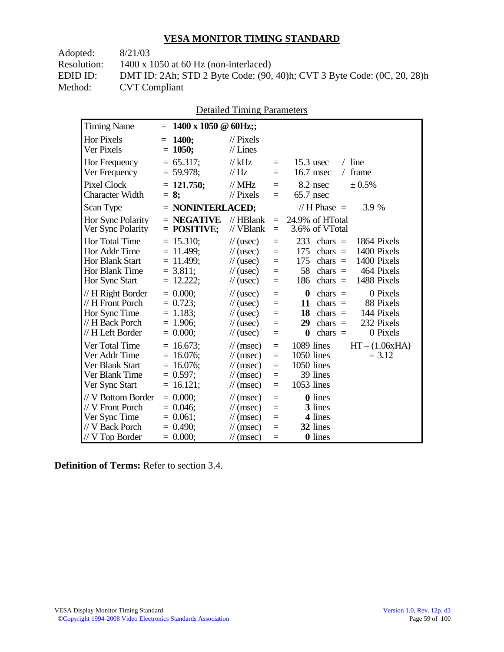| Adopted:    | 8/21/03                                                                 |
|-------------|-------------------------------------------------------------------------|
| Resolution: | $1400 \times 1050$ at 60 Hz (non-interlaced)                            |
| EDID ID:    | DMT ID: 2Ah; STD 2 Byte Code: (90, 40)h; CVT 3 Byte Code: (0C, 20, 28)h |
| Method:     | <b>CVT</b> Compliant                                                    |
|             |                                                                         |

|                                                                                               |                                                                               | Detailed Thinng I alameters                                                                                                               |                                 |                                                                                                                                                                                  |
|-----------------------------------------------------------------------------------------------|-------------------------------------------------------------------------------|-------------------------------------------------------------------------------------------------------------------------------------------|---------------------------------|----------------------------------------------------------------------------------------------------------------------------------------------------------------------------------|
| <b>Timing Name</b>                                                                            | 1400 x 1050 $\oslash$ 60Hz;;<br>$=$                                           |                                                                                                                                           |                                 |                                                                                                                                                                                  |
| <b>Hor Pixels</b><br>Ver Pixels                                                               | 1400;<br>$=$<br>1050;<br>$=$                                                  | $\frac{1}{2}$ Pixels<br>$//$ Lines                                                                                                        |                                 |                                                                                                                                                                                  |
| Hor Frequency<br>Ver Frequency                                                                | $= 65.317$ ;<br>$= 59.978$ ;                                                  | $//$ kHz<br>$\frac{1}{1}$ Hz                                                                                                              | $=$<br>$=$                      | $/$ line<br>$15.3$ usec<br>16.7 msec<br>/ frame                                                                                                                                  |
| <b>Pixel Clock</b><br><b>Character Width</b>                                                  | $= 121.750$ ;<br>$= 8:$                                                       | $//$ MHz<br>$//$ Pixels                                                                                                                   | $=$<br>$=$                      | 8.2 nsec<br>± 0.5%<br>$65.7$ nsec                                                                                                                                                |
| Scan Type                                                                                     | $=$ NONINTERLACED;                                                            |                                                                                                                                           |                                 | // $H$ Phase $=$<br>3.9 %                                                                                                                                                        |
| Hor Sync Polarity<br>Ver Sync Polarity                                                        | $=$ NEGATIVE<br>$=$ POSITIVE;                                                 | // HBlank<br>// VBlank                                                                                                                    | $=$<br>$=$                      | 24.9% of HTotal<br>3.6% of VTotal                                                                                                                                                |
| <b>Hor Total Time</b><br>Hor Addr Time<br>Hor Blank Start<br>Hor Blank Time<br>Hor Sync Start | $= 15.310;$<br>$= 11.499$ ;<br>$= 11.499$ ;<br>$= 3.811$ ;<br>$= 12.222;$     | $\frac{1}{2}$ (usec)<br>$\frac{1}{2}$ (usec)<br>$\frac{1}{2}$ (usec)<br>$\frac{1}{2}$ (usec)<br>$\frac{1}{2}$ (usec)                      | $=$<br>$=$<br>$=$<br>$=$<br>$=$ | 233<br>1864 Pixels<br>$chars =$<br>1400 Pixels<br>175<br>chars $=$<br>1400 Pixels<br>175<br>chars $=$<br>58<br>464 Pixels<br>$chars =$<br>1488 Pixels<br>186<br>$chars =$        |
| // H Right Border<br>// H Front Porch<br>Hor Sync Time<br>// H Back Porch<br>// H Left Border | $= 0.000;$<br>$= 0.723$ ;<br>$= 1.183;$<br>$= 1.906$ ;<br>$= 0.000;$          | $\frac{1}{2}$ (usec)<br>$\frac{1}{2}$ (usec)<br>$\frac{1}{2}$ (usec)<br>$\frac{1}{2}$ (usec)<br>$\frac{1}{2}$ (usec)                      | $=$<br>$=$<br>$=$<br>$=$<br>$=$ | $\bf{0}$<br>0 Pixels<br>chars $=$<br>chars $=$<br>88 Pixels<br>11<br>144 Pixels<br>18<br>$chars =$<br>232 Pixels<br>29<br>chars $=$<br>$\boldsymbol{0}$<br>chars $=$<br>0 Pixels |
| Ver Total Time<br>Ver Addr Time<br>Ver Blank Start<br>Ver Blank Time<br>Ver Sync Start        | $= 16.673$ ;<br>$= 16.076$ ;<br>$= 16.076$ ;<br>$= 0.597$ ;<br>16.121;<br>$=$ | $\mathcal{U}$ (msec)<br>$\frac{1}{\sqrt{2}}$ (msec)<br>$\mathcal{U}$ (msec)<br>$\mathcal{U}$ (msec)<br>$\frac{1}{\sqrt{2}}$ (msec)        | $=$<br>$=$<br>$=$<br>$=$<br>$=$ | 1089 lines<br>$HT - (1.06xHA)$<br>1050 lines<br>$= 3.12$<br>1050 lines<br>39 lines<br>1053 lines                                                                                 |
| // V Bottom Border<br>// V Front Porch<br>Ver Sync Time<br>// V Back Porch<br>// V Top Border | $= 0.000$<br>$= 0.046$ ;<br>$= 0.061$ ;<br>$= 0.490$ ;<br>$= 0.000;$          | $\frac{1}{\sqrt{2}}$ (msec)<br>$\mathcal{U}$ (msec)<br>$\frac{1}{\sqrt{2}}$ (msec)<br>$\frac{1}{\sqrt{2}}$ (msec)<br>$\mathcal{U}$ (msec) | $=$<br>$=$<br>$=$<br>$=$<br>$=$ | <b>0</b> lines<br>3 lines<br>4 lines<br>32 lines<br>0 lines                                                                                                                      |

Detailed Timing Parameters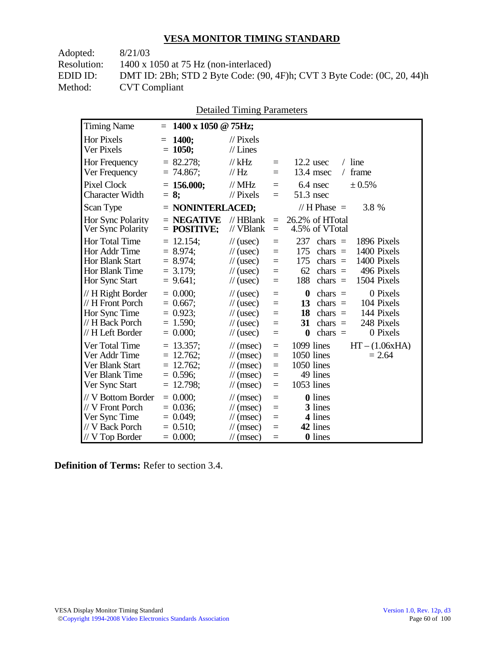| Adopted:    | 8/21/03                                                                 |
|-------------|-------------------------------------------------------------------------|
| Resolution: | $1400 \times 1050$ at 75 Hz (non-interlaced)                            |
| EDID ID:    | DMT ID: 2Bh; STD 2 Byte Code: (90, 4F)h; CVT 3 Byte Code: (0C, 20, 44)h |
| Method:     | <b>CVT</b> Compliant                                                    |
|             |                                                                         |

|                                               | <b>Detailed Timing Parameters</b> |
|-----------------------------------------------|-----------------------------------|
| $= 1400 \times 1050 \text{ @ } 75 \text{Hz};$ |                                   |
| $-1400$                                       | $\frac{1}{\sqrt{2}}$ Divale       |

| <b>Timing Name</b>                                                                            | $1400 \times 1050$ @ 75Hz;<br>$=$                                        |                                                                                                                             |                                                |                                                                                                                                                                                   |
|-----------------------------------------------------------------------------------------------|--------------------------------------------------------------------------|-----------------------------------------------------------------------------------------------------------------------------|------------------------------------------------|-----------------------------------------------------------------------------------------------------------------------------------------------------------------------------------|
| <b>Hor Pixels</b><br>Ver Pixels                                                               | <b>1400;</b><br>$=$<br>$= 1050;$                                         | $\mathcal{U}$ Pixels<br>$//$ Lines                                                                                          |                                                |                                                                                                                                                                                   |
| Hor Frequency<br>Ver Frequency                                                                | $= 82.278$ ;<br>$= 74.867$ ;                                             | // $kHz$<br>// Hz                                                                                                           | $\equiv$<br>$=$                                | $/$ line<br>$12.2$ usec<br>13.4 msec<br>frame<br>$\sqrt{2}$                                                                                                                       |
| <b>Pixel Clock</b><br><b>Character Width</b>                                                  | $= 156.000$ ;<br>$= 8:$                                                  | $\frac{1}{1}$ MHz<br>$//$ Pixels                                                                                            | $\equiv$<br>$=$                                | $6.4$ nsec<br>± 0.5%<br>51.3 nsec                                                                                                                                                 |
| Scan Type                                                                                     | $=$ NONINTERLACED;                                                       |                                                                                                                             |                                                | // H Phase $=$<br>3.8 %                                                                                                                                                           |
| Hor Sync Polarity<br>Ver Sync Polarity                                                        | $=$ NEGATIVE<br>$=$ POSITIVE;                                            | $//$ HBlank<br>// VBlank                                                                                                    | $=$<br>$=$                                     | 26.2% of HTotal<br>4.5% of VTotal                                                                                                                                                 |
| Hor Total Time<br>Hor Addr Time<br><b>Hor Blank Start</b><br>Hor Blank Time<br>Hor Sync Start | $= 12.154$ ;<br>$= 8.974$ ;<br>$= 8.974$ ;<br>$= 3.179$ ;<br>$= 9.641$ ; | $\frac{1}{2}$ (usec)<br>$\frac{1}{2}$ (usec)<br>$\frac{1}{2}$ (usec)<br>$\frac{1}{2}$ (usec)<br>$\frac{1}{2}$ (usec)        | $\equiv$<br>$=$<br>$\equiv$<br>$=$<br>$=$      | 237<br>1896 Pixels<br>$chars =$<br>175<br>1400 Pixels<br>$chars =$<br>175<br>$chars =$<br>1400 Pixels<br>496 Pixels<br>62<br>$chars =$<br>188<br>chars $=$<br>1504 Pixels         |
| // H Right Border<br>// H Front Porch<br>Hor Sync Time<br>// H Back Porch<br>// H Left Border | $= 0.000;$<br>$= 0.667$ ;<br>$= 0.923$ ;<br>$= 1.590$ ;<br>$= 0.000;$    | $\frac{1}{2}$ (usec)<br>$\frac{1}{2}$ (usec)<br>$\frac{1}{2}$ (usec)<br>$\frac{1}{2}$ (usec)<br>$\frac{1}{2}$ (usec)        | $\equiv$<br>$\equiv$<br>$=$<br>$=$<br>$\equiv$ | $\bf{0}$<br>chars $=$<br>0 Pixels<br>chars $=$<br>104 Pixels<br>13<br>144 Pixels<br>18<br>$chars =$<br>248 Pixels<br>31<br>$chars =$<br>0 Pixels<br>chars $=$<br>$\boldsymbol{0}$ |
| Ver Total Time<br>Ver Addr Time<br>Ver Blank Start<br>Ver Blank Time<br>Ver Sync Start        | $= 13.357$ ;<br>$= 12.762$ ;<br>$= 12.762$ ;<br>$= 0.596$ ;<br>12.798;   | $\mathcal{U}$ (msec)<br>$\mathcal{U}$ (msec)<br>$\mathcal{U}$ (msec)<br>$\mathcal{U}$ (msec)<br>$\mathcal{U}$ (msec)        | $=$<br>$\equiv$<br>$\equiv$<br>$=$<br>$=$      | 1099 lines<br>$HT - (1.06xHA)$<br>$1050$ lines<br>$= 2.64$<br>1050 lines<br>49 lines<br>1053 lines                                                                                |
| // V Bottom Border<br>// V Front Porch<br>Ver Sync Time<br>// V Back Porch<br>// V Top Border | $= 0.000$<br>$= 0.036$ ;<br>$= 0.049$ ;<br>$= 0.510$ ;<br>$= 0.000;$     | $\mathcal{U}$ (msec)<br>$\mathcal{U}$ (msec)<br>$\mathcal{U}$ (msec)<br>$\mathcal{U}$ (msec)<br>$\frac{1}{\sqrt{2}}$ (msec) | $=$<br>$\equiv$<br>$=$<br>$=$<br>$=$           | <b>0</b> lines<br>3 lines<br>4 lines<br>42 lines<br>0 lines                                                                                                                       |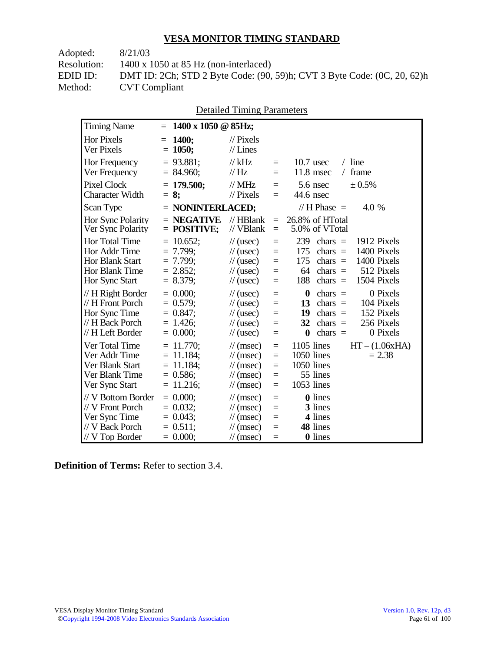| Adopted:    | 8/21/03                                                                 |
|-------------|-------------------------------------------------------------------------|
| Resolution: | $1400 \times 1050$ at 85 Hz (non-interlaced)                            |
| EDID ID:    | DMT ID: 2Ch; STD 2 Byte Code: (90, 59)h; CVT 3 Byte Code: (0C, 20, 62)h |
| Method:     | <b>CVT</b> Compliant                                                    |
|             |                                                                         |

|  | <b>Detailed Timing Parameters</b> |
|--|-----------------------------------|
|  |                                   |

| <b>Timing Name</b>                                                                              | 1400 x 1050 @ 85Hz;<br>$=$                                                   |                                                                                                                      |                                 |                                                                                                                                                                           |
|-------------------------------------------------------------------------------------------------|------------------------------------------------------------------------------|----------------------------------------------------------------------------------------------------------------------|---------------------------------|---------------------------------------------------------------------------------------------------------------------------------------------------------------------------|
| <b>Hor Pixels</b><br>Ver Pixels                                                                 | <b>1400;</b><br>$=$<br>$= 1050;$                                             | $\frac{1}{2}$ Pixels<br>$//$ Lines                                                                                   |                                 |                                                                                                                                                                           |
| Hor Frequency<br>Ver Frequency                                                                  | $= 93.881$ ;<br>$= 84.960;$                                                  | $//$ kHz<br>$\frac{1}{1}$ Hz                                                                                         | $\equiv$<br>$=$                 | $10.7$ usec<br>$/$ line<br>11.8 msec<br>/ frame                                                                                                                           |
| <b>Pixel Clock</b><br><b>Character Width</b>                                                    | $= 179.500$ ;<br>$= 8:$                                                      | $//$ MHz<br>$\frac{1}{2}$ Pixels                                                                                     | $=$<br>$=$                      | ± 0.5%<br>5.6 nsec<br>44.6 nsec                                                                                                                                           |
| Scan Type                                                                                       | $=$ NONINTERLACED;                                                           |                                                                                                                      |                                 | // H Phase $=$<br>4.0 %                                                                                                                                                   |
| <b>Hor Sync Polarity</b><br>Ver Sync Polarity                                                   | $=$ NEGATIVE<br>$=$ POSITIVE;                                                | $//$ HBlank<br>// VBlank                                                                                             | $\equiv$<br>$=$                 | 26.8% of HTotal<br>5.0% of VTotal                                                                                                                                         |
| Hor Total Time<br>Hor Addr Time<br>Hor Blank Start<br>Hor Blank Time<br>Hor Sync Start          | $= 10.652$ ;<br>$= 7.799$ ;<br>$= 7.799;$<br>$= 2.852$ ;<br>$= 8.379$ ;      | $\frac{1}{2}$ (usec)<br>$\frac{1}{2}$ (usec)<br>$\frac{1}{2}$ (usec)<br>$\frac{1}{2}$ (usec)<br>$\frac{1}{2}$ (usec) | $=$<br>$=$<br>$=$<br>$=$<br>$=$ | 239<br>chars $=$<br>1912 Pixels<br>175<br>1400 Pixels<br>chars $=$<br>175<br>1400 Pixels<br>chars $=$<br>64<br>chars $=$<br>512 Pixels<br>188<br>1504 Pixels<br>chars $=$ |
| // H Right Border<br>// H Front Porch<br>Hor Sync Time<br>// H Back Porch<br>// H Left Border   | $= 0.000$<br>$= 0.579$ ;<br>$= 0.847$ ;<br>$= 1.426$ ;<br>$= 0.000;$         | $\frac{1}{2}$ (usec)<br>$\frac{1}{2}$ (usec)<br>$\frac{1}{2}$ (usec)<br>$\frac{1}{2}$ (usec)<br>$\frac{1}{2}$ (usec) | $=$<br>$=$<br>$=$<br>$=$<br>$=$ | $\bf{0}$<br>0 Pixels<br>$chars =$<br>104 Pixels<br>13<br>chars $=$<br>152 Pixels<br>19<br>$chars =$<br>256 Pixels<br>32<br>chars $=$<br>0 Pixels<br>$\bf{0}$<br>chars $=$ |
| Ver Total Time<br>Ver Addr Time<br>Ver Blank Start<br>Ver Blank Time<br>Ver Sync Start          | $= 11.770$ ;<br>11.184:<br>$=$<br>$= 11.184$ ;<br>$= 0.586$ ;<br>$= 11.216;$ | $\mathcal{U}$ (msec)<br>$\mathcal{U}$ (msec)<br>$\mathcal{U}$ (msec)<br>$\mathcal{U}$ (msec)<br>$\mathcal{U}$ (msec) | $=$<br>$=$<br>$=$<br>$=$<br>$=$ | $1105$ lines<br>$HT - (1.06xHA)$<br>1050 lines<br>$= 2.38$<br>1050 lines<br>55 lines<br>1053 lines                                                                        |
| // V Bottom Border<br>// V Front Porch<br>Ver Sync Time<br>// V Back Porch<br>$//$ V Top Border | $= 0.000$<br>$= 0.032$ ;<br>$= 0.043$ ;<br>$= 0.511$ ;<br>$= 0.000;$         | $\mathcal{U}$ (msec)<br>$\mathcal{U}$ (msec)<br>$\mathcal{U}$ (msec)<br>$\mathcal{U}$ (msec)<br>$\mathcal{U}$ (msec) | $=$<br>$=$<br>$=$<br>$=$<br>$=$ | <b>0</b> lines<br>3 lines<br>4 lines<br>48 lines<br><b>0</b> lines                                                                                                        |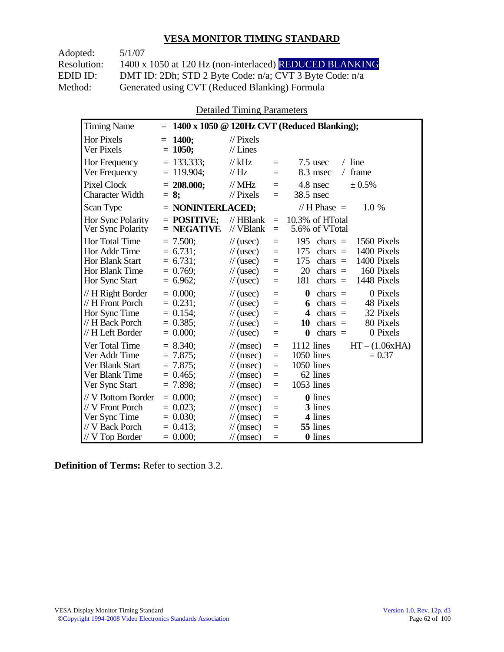Adopted: 5/1/07 Resolution: 1400 x 1050 at 120 Hz (non-interlaced) REDUCED BLANKING EDID ID: DMT ID: 2Dh; STD 2 Byte Code: n/a; CVT 3 Byte Code: n/a<br>Method: Generated using CVT (Reduced Blanking) Formula Generated using CVT (Reduced Blanking) Formula

Detailed Timing Parameters

| <b>Timing Name</b>                                                                              | $=$                                                                  |                                                                                                                        |                                      | 1400 x 1050 @ 120Hz CVT (Reduced Blanking);                                                                                                                                          |
|-------------------------------------------------------------------------------------------------|----------------------------------------------------------------------|------------------------------------------------------------------------------------------------------------------------|--------------------------------------|--------------------------------------------------------------------------------------------------------------------------------------------------------------------------------------|
| <b>Hor Pixels</b><br>Ver Pixels                                                                 | 1400;<br>$=$<br>$= 1050;$                                            | $\frac{1}{2}$ Pixels<br>$//$ Lines                                                                                     |                                      |                                                                                                                                                                                      |
| Hor Frequency<br>Ver Frequency                                                                  | $= 133.333$ ;<br>$= 119.904$ ;                                       | $//$ kHz<br>$\frac{1}{1}$ Hz                                                                                           | $=$<br>$=$                           | $7.5$ usec<br>$/$ line<br>8.3 msec<br>frame<br>$\sqrt{2}$                                                                                                                            |
| <b>Pixel Clock</b><br><b>Character Width</b>                                                    | $= 208.000;$<br>$= 8:$                                               | $//$ MHz<br>$\frac{1}{2}$ Pixels                                                                                       | $=$<br>$=$                           | 4.8 nsec<br>± 0.5%<br>38.5 nsec                                                                                                                                                      |
| Scan Type                                                                                       | $=$ NONINTERLACED;                                                   |                                                                                                                        |                                      | // H Phase $=$<br>1.0 %                                                                                                                                                              |
| <b>Hor Sync Polarity</b><br>Ver Sync Polarity                                                   | $=$ POSITIVE;<br>$=$ NEGATIVE                                        | $//$ HBlank<br>// VBlank                                                                                               | $=$<br>$=$                           | 10.3% of HTotal<br>5.6% of VTotal                                                                                                                                                    |
| Hor Total Time<br>Hor Addr Time<br>Hor Blank Start<br>Hor Blank Time<br>Hor Sync Start          | $= 7.500;$<br>$= 6.731;$<br>$= 6.731;$<br>$= 0.769$ ;<br>$= 6.962$ ; | $\frac{1}{2}$ (usec)<br>$\frac{1}{2}$ (usec)<br>$\frac{1}{2}$ (usec)<br>$\frac{1}{2}$ (usec)<br>$\frac{1}{2}$ (usec)   | $=$<br>$=$<br>$=$<br>$=$<br>$=$      | 195<br>1560 Pixels<br>chars $=$<br>175<br>1400 Pixels<br>chars $=$<br>175<br>1400 Pixels<br>chars $=$<br>20<br>chars $=$<br>160 Pixels<br>181<br>1448 Pixels<br>chars $=$            |
| // H Right Border<br>// H Front Porch<br>Hor Sync Time<br>// H Back Porch<br>// H Left Border   | $= 0.000$<br>$= 0.231$ ;<br>$= 0.154$ ;<br>$= 0.385$<br>$= 0.000;$   | $\frac{1}{2}$ (usec)<br>$\frac{1}{2}$ (usec)<br>$\frac{1}{2}$ (usec)<br>$\frac{1}{2}$ (usec)<br>$\frac{1}{2}$ (usec)   | $=$<br>$=$<br>$=$<br>$=$<br>$=$      | 0 Pixels<br>$\boldsymbol{0}$<br>chars $=$<br>48 Pixels<br>chars $=$<br>6<br>32 Pixels<br>4<br>$chars =$<br>80 Pixels<br>10<br>chars $=$<br>0 Pixels<br>$\boldsymbol{0}$<br>chars $=$ |
| Ver Total Time<br>Ver Addr Time<br>Ver Blank Start<br>Ver Blank Time<br>Ver Sync Start          | $= 8.340$ ;<br>$= 7.875$<br>$= 7.875$ ;<br>$= 0.465$<br>$= 7.898$ ;  | $\mathcal{U}$ (msec)<br>$\frac{1}{\pi}$ (msec)<br>$\mathcal{U}$ (msec)<br>$\mathcal{U}$ (msec)<br>$\mathcal{U}$ (msec) | $\equiv$<br>$=$<br>$=$<br>$=$<br>$=$ | $HT - (1.06xHA)$<br>1112 lines<br>1050 lines<br>$= 0.37$<br>1050 lines<br>62 lines<br>1053 lines                                                                                     |
| // V Bottom Border<br>// V Front Porch<br>Ver Sync Time<br>// V Back Porch<br>$//$ V Top Border | $= 0.000$<br>$= 0.023$<br>$= 0.030$ ;<br>$= 0.413$ ;<br>$= 0.000;$   | $\mathcal{U}$ (msec)<br>$\mathcal{U}$ (msec)<br>$\mathcal{U}$ (msec)<br>$\mathcal{U}$ (msec)<br>$\mathcal{U}$ (msec)   | $=$<br>$=$<br>$=$<br>$=$<br>$=$      | 0 lines<br>3 lines<br>4 lines<br>55 lines<br><b>0</b> lines                                                                                                                          |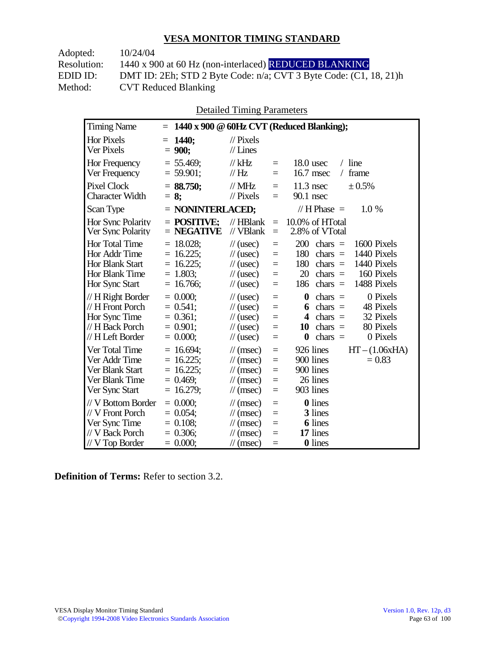| 10/24/04                                                                |
|-------------------------------------------------------------------------|
| 1440 x 900 at 60 Hz (non-interlaced) REDUCED BLANKING                   |
| DMT ID: 2Eh; STD 2 Byte Code: $n/a$ ; CVT 3 Byte Code: $(C1, 18, 21)$ h |
| <b>CVT Reduced Blanking</b>                                             |
|                                                                         |

Detailed Timing Parameters

| <b>Timing Name</b>                                                                              |                                                                            |                                                                                                                      |                                           | $= 1440 \times 900 \text{ } @60Hz$ CVT (Reduced Blanking);                                                                                                                                         |
|-------------------------------------------------------------------------------------------------|----------------------------------------------------------------------------|----------------------------------------------------------------------------------------------------------------------|-------------------------------------------|----------------------------------------------------------------------------------------------------------------------------------------------------------------------------------------------------|
| Hor Pixels<br>Ver Pixels                                                                        | $= 1440$ ;<br>$= 900;$                                                     | $\mathcal{U}$ Pixels<br>$//$ Lines                                                                                   |                                           |                                                                                                                                                                                                    |
| Hor Frequency<br>Ver Frequency                                                                  | $= 55.469$ ;<br>$= 59.901$ ;                                               | $//$ kHz<br>$\frac{1}{1}$ Hz                                                                                         | $=$<br>$=$                                | $18.0$ usec<br>$/$ line<br>frame<br>16.7 msec<br>$\sqrt{2}$                                                                                                                                        |
| <b>Pixel Clock</b><br><b>Character Width</b>                                                    | $= 88.750$ ;<br>$= 8:$                                                     | $\frac{1}{2}$ MHz<br>$\frac{1}{2}$ Pixels                                                                            | $=$<br>$=$                                | $11.3$ nsec<br>$\pm 0.5\%$<br>$90.1$ nsec                                                                                                                                                          |
| Scan Type                                                                                       | $=$ NONINTERLACED;                                                         |                                                                                                                      |                                           | // $H$ Phase $=$<br>$1.0\%$                                                                                                                                                                        |
| Hor Sync Polarity<br>Ver Sync Polarity                                                          | $=$ POSITIVE:<br>$=$ NEGATIVE                                              | $//$ HBlank<br>// VBlank                                                                                             | $=$<br>$=$                                | 10.0% of HTotal<br>2.8% of VTotal                                                                                                                                                                  |
| Hor Total Time<br>Hor Addr Time<br>Hor Blank Start<br>Hor Blank Time<br>Hor Sync Start          | $= 18.028$ ;<br>$= 16.225$ ;<br>$= 16.225;$<br>$= 1.803$ ;<br>$= 16.766;$  | $\frac{1}{2}$ (usec)<br>$\frac{1}{2}$ (usec)<br>$\frac{1}{2}$ (usec)<br>$\frac{1}{2}$ (usec)<br>$\frac{1}{2}$ (usec) | $\equiv$<br>$=$<br>$\equiv$<br>$=$<br>$=$ | 200<br>chars $=$<br>1600 Pixels<br>180<br>1440 Pixels<br>$\text{chars}$ =<br>180<br>chars $=$<br>1440 Pixels<br>20<br>chars $=$<br>160 Pixels<br>chars $=$<br>1488 Pixels<br>186                   |
| // H Right Border<br>// H Front Porch<br>Hor Sync Time<br>// H Back Porch<br>// H Left Border   | $= 0.000;$<br>$= 0.541$ ;<br>$= 0.361$ ;<br>$= 0.901$ ;<br>$= 0.000;$      | $\frac{1}{2}$ (usec)<br>$\frac{1}{2}$ (usec)<br>$\frac{1}{2}$ (usec)<br>$\frac{1}{2}$ (usec)<br>$\frac{1}{2}$ (usec) | $=$<br>$=$<br>$=$<br>$=$<br>$=$           | 0 Pixels<br>$\boldsymbol{0}$<br>chars $=$<br>chars $=$<br>48 Pixels<br>6<br>$\overline{\mathbf{4}}$<br>32 Pixels<br>chars $=$<br>chars $=$<br>80 Pixels<br>10<br>chars $=$<br>0 Pixels<br>$\bf{0}$ |
| Ver Total Time<br>Ver Addr Time<br>Ver Blank Start<br>Ver Blank Time<br>Ver Sync Start          | $= 16.694$ ;<br>$= 16.225$ ;<br>$= 16.225$ ;<br>$= 0.469$ ;<br>$= 16.279;$ | $\mathcal{U}$ (msec)<br>$\mathcal{U}$ (msec)<br>$\mathcal{U}$ (msec)<br>$\mathcal{U}$ (msec)<br>$\mathcal{U}$ (msec) | $=$<br>$=$<br>$=$<br>$=$<br>$=$           | 926 lines<br>$HT - (1.06xHA)$<br>900 lines<br>$= 0.83$<br>900 lines<br>26 lines<br>903 lines                                                                                                       |
| // V Bottom Border<br>// V Front Porch<br>Ver Sync Time<br>// V Back Porch<br>$//$ V Top Border | $= 0.000$ ;<br>$= 0.054$ ;<br>$= 0.108$ ;<br>$= 0.306$ ;<br>$= 0.000;$     | $\mathcal{U}$ (msec)<br>$\mathcal{U}$ (msec)<br>$\mathcal{U}$ (msec)<br>$\mathcal{U}$ (msec)<br>$\mathcal{U}$ (msec) | $=$<br>$=$<br>$=$<br>$=$<br>$=$           | <b>0</b> lines<br>3 lines<br><b>6</b> lines<br>17 lines<br><b>0</b> lines                                                                                                                          |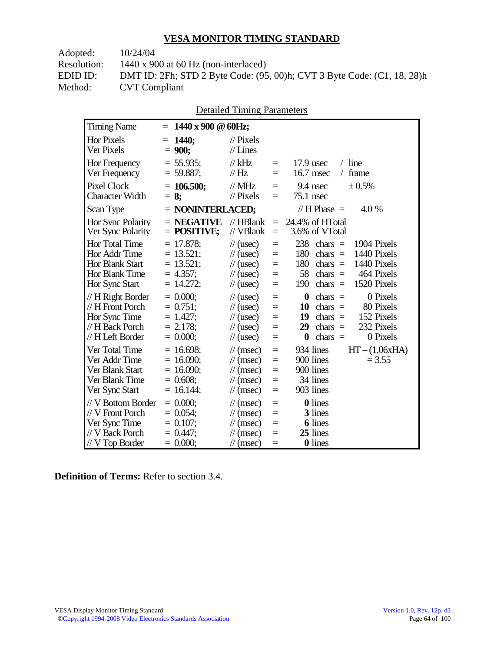| Adopted:    | 10/24/04                                                                |
|-------------|-------------------------------------------------------------------------|
| Resolution: | $1440 \times 900$ at 60 Hz (non-interlaced)                             |
| EDID ID:    | DMT ID: 2Fh; STD 2 Byte Code: (95, 00)h; CVT 3 Byte Code: (C1, 18, 28)h |
| Method:     | <b>CVT Compliant</b>                                                    |
|             |                                                                         |

|  | <b>Detailed Timing Parameters</b> |
|--|-----------------------------------|
|  |                                   |

| <b>Timing Name</b>                                                                              | $1440 \times 900 \text{ } \textcircled{a}$ 60Hz;<br>$=$                   |                                                                                                                             |                                 |                                                                                                                                                                                                               |
|-------------------------------------------------------------------------------------------------|---------------------------------------------------------------------------|-----------------------------------------------------------------------------------------------------------------------------|---------------------------------|---------------------------------------------------------------------------------------------------------------------------------------------------------------------------------------------------------------|
| <b>Hor Pixels</b><br>Ver Pixels                                                                 | $= 1440$ ;<br>$= 900;$                                                    | $\mathcal{U}$ Pixels<br>$//$ Lines                                                                                          |                                 |                                                                                                                                                                                                               |
| Hor Frequency<br>Ver Frequency                                                                  | $= 55.935;$<br>$= 59.887;$                                                | $//$ kHz<br>// $Hz$                                                                                                         | $=$<br>$=$                      | $/$ line<br>$17.9$ usec<br>frame<br>16.7 msec<br>$\sqrt{2}$                                                                                                                                                   |
| <b>Pixel Clock</b><br>Character Width                                                           | $= 106.500;$<br>$= 8:$                                                    | $//$ MHz<br>$\frac{1}{2}$ Pixels                                                                                            | $=$<br>$=$                      | ± 0.5%<br>9.4 nsec<br>$75.1$ nsec                                                                                                                                                                             |
| Scan Type                                                                                       | $=$ NONINTERLACED;                                                        |                                                                                                                             |                                 | // $H$ Phase $=$<br>4.0 %                                                                                                                                                                                     |
| Hor Sync Polarity<br>Ver Sync Polarity                                                          | $=$ NEGATIVE<br>$=$ POSITIVE;                                             | $//$ HBlank<br>// VBlank                                                                                                    | $=$<br>$=$                      | 24.4% of HTotal<br>3.6% of VTotal                                                                                                                                                                             |
| Hor Total Time<br>Hor Addr Time<br><b>Hor Blank Start</b><br>Hor Blank Time<br>Hor Sync Start   | $= 17.878;$<br>$= 13.521$ ;<br>$= 13.521;$<br>$= 4.357$ ;<br>$= 14.272;$  | $\frac{1}{2}$ (usec)<br>$\frac{1}{2}$ (usec)<br>$\frac{1}{2}$ (usec)<br>$\frac{1}{\sqrt{2}}$ (usec)<br>$\frac{1}{2}$ (usec) | $=$<br>$=$<br>$=$<br>$=$<br>$=$ | 238<br>chars $=$<br>1904 Pixels<br>1440 Pixels<br>180<br>$\text{chars}$ =<br>180<br>1440 Pixels<br>chars $=$<br>58<br>464 Pixels<br>$\text{chars}$ =<br>190<br>chars $=$<br>1520 Pixels                       |
| // H Right Border<br>// H Front Porch<br>Hor Sync Time<br>// H Back Porch<br>// H Left Border   | $= 0.000$<br>$= 0.751$ ;<br>$= 1.427$ ;<br>$= 2.178$ ;<br>$= 0.000;$      | $\frac{1}{2}$ (usec)<br>$\frac{1}{2}$ (usec)<br>$\frac{1}{2}$ (usec)<br>$\frac{1}{2}$ (usec)<br>$\frac{1}{2}$ (usec)        | $=$<br>$=$<br>$=$<br>$=$<br>$=$ | $\boldsymbol{0}$<br>0 Pixels<br>$\text{chars}$ =<br>10<br>$chars =$<br>80 Pixels<br>152 Pixels<br>19<br>$\text{chars}$ =<br>chars $=$<br>232 Pixels<br>29<br>$\boldsymbol{0}$<br>$\text{chars}$ =<br>0 Pixels |
| Ver Total Time<br>Ver Addr Time<br>Ver Blank Start<br>Ver Blank Time<br>Ver Sync Start          | $= 16.698$ ;<br>$= 16.090$ ;<br>$= 16.090$ ;<br>$= 0.608;$<br>$= 16.144;$ | $\mathcal{U}$ (msec)<br>$\mathcal{U}$ (msec)<br>$\mathcal{U}$ (msec)<br>$\mathcal{U}$ (msec)<br>$\mathcal{U}$ (msec)        | $=$<br>$=$<br>$=$<br>$=$<br>$=$ | 934 lines<br>$HT - (1.06xHA)$<br>900 lines<br>$= 3.55$<br>900 lines<br>34 lines<br>903 lines                                                                                                                  |
| // V Bottom Border<br>// V Front Porch<br>Ver Sync Time<br>// V Back Porch<br>$//$ V Top Border | $= 0.000$<br>$= 0.054$ ;<br>$= 0.107$ ;<br>$= 0.447$ ;<br>$= 0.000;$      | $\mathcal{U}$ (msec)<br>$\mathcal{U}$ (msec)<br>$\mathcal{U}$ (msec)<br>$\mathcal{U}$ (msec)<br>$\mathcal{U}$ (msec)        | $=$<br>$=$<br>$=$<br>$=$<br>$=$ | 0 lines<br>3 lines<br><b>6</b> lines<br>25 lines<br>0 lines                                                                                                                                                   |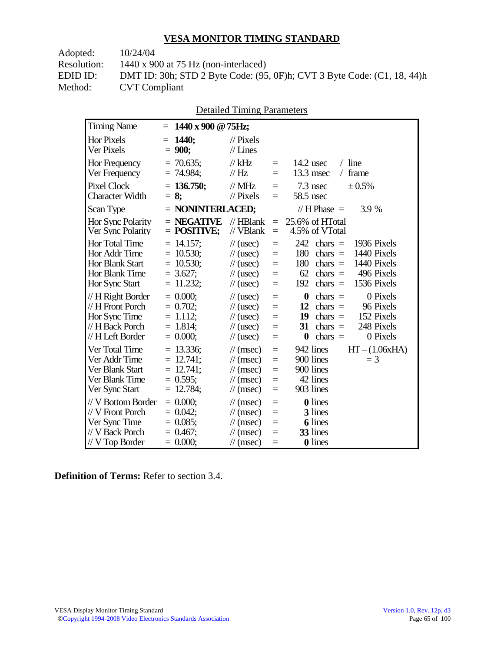Adopted: 10/24/04 Resolution: 1440 x 900 at 75 Hz (non-interlaced) EDID ID: DMT ID: 30h; STD 2 Byte Code: (95, 0F)h; CVT 3 Byte Code: (C1, 18, 44)h<br>Method: CVT Compliant **CVT Compliant** 

| <b>Detailed Timing Parameters</b> |
|-----------------------------------|
|-----------------------------------|

| <b>Timing Name</b>                                                                              | $= 1440 \times 900 \text{ @ } 75 \text{Hz};$                                  |                                                                                                                      |                                 |                                                                                                                                                                                         |
|-------------------------------------------------------------------------------------------------|-------------------------------------------------------------------------------|----------------------------------------------------------------------------------------------------------------------|---------------------------------|-----------------------------------------------------------------------------------------------------------------------------------------------------------------------------------------|
| <b>Hor Pixels</b><br>Ver Pixels                                                                 | <b>1440;</b><br>$=$<br>$= 900;$                                               | $\mathcal{U}$ Pixels<br>$//$ Lines                                                                                   |                                 |                                                                                                                                                                                         |
| Hor Frequency<br>Ver Frequency                                                                  | $= 70.635$ ;<br>$= 74.984$ ;                                                  | $//$ kHz<br>$\mathcal{U}$ Hz                                                                                         | $=$<br>$=$                      | $/$ line<br>$14.2$ usec<br>frame<br>$13.3$ msec<br>$\sqrt{2}$                                                                                                                           |
| <b>Pixel Clock</b><br><b>Character Width</b>                                                    | $= 136.750$ ;<br>$= 8:$                                                       | $//$ MHz<br>$//$ Pixels                                                                                              | $=$<br>$=$                      | 7.3 nsec<br>± 0.5%<br>58.5 nsec                                                                                                                                                         |
| Scan Type                                                                                       | $=$ NONINTERLACED;                                                            |                                                                                                                      |                                 | // $H$ Phase $=$<br>3.9 %                                                                                                                                                               |
| Hor Sync Polarity<br>Ver Sync Polarity                                                          | $=$ NEGATIVE<br>$=$ POSITIVE;                                                 | $//$ HBlank<br>// VBlank                                                                                             | $\equiv$<br>$\equiv$            | 25.6% of HTotal<br>4.5% of VTotal                                                                                                                                                       |
| Hor Total Time<br>Hor Addr Time<br><b>Hor Blank Start</b><br>Hor Blank Time<br>Hor Sync Start   | $= 14.157$ ;<br>$= 10.530$ ;<br>$= 10.530$ ;<br>$= 3.627$ ;<br>$= 11.232;$    | $\frac{1}{2}$ (usec)<br>$\frac{1}{2}$ (usec)<br>$\frac{1}{2}$ (usec)<br>$\frac{1}{2}$ (usec)<br>$\frac{1}{2}$ (usec) | $=$<br>$=$<br>$=$<br>$=$<br>$=$ | 242<br>chars $=$<br>1936 Pixels<br>180<br>1440 Pixels<br>$\text{chars}$ =<br>1440 Pixels<br>180<br>chars $=$<br>62<br>chars $=$<br>496 Pixels<br>192<br>$\text{chars}$ =<br>1536 Pixels |
| // H Right Border<br>// H Front Porch<br>Hor Sync Time<br>// H Back Porch<br>// H Left Border   | $= 0.000$<br>$= 0.702$ ;<br>$= 1.112;$<br>$= 1.814$ ;<br>$= 0.000;$           | $\frac{1}{2}$ (usec)<br>$\frac{1}{2}$ (usec)<br>$\frac{1}{2}$ (usec)<br>$\frac{1}{2}$ (usec)<br>$\frac{1}{2}$ (usec) | $=$<br>$=$<br>$=$<br>$=$<br>$=$ | $\boldsymbol{0}$<br>0 Pixels<br>chars $=$<br>12<br>chars $=$<br>96 Pixels<br>152 Pixels<br>19<br>$chars =$<br>248 Pixels<br>31<br>chars $=$<br>$\bf{0}$<br>0 Pixels<br>chars $=$        |
| Ver Total Time<br>Ver Addr Time<br>Ver Blank Start<br>Ver Blank Time<br>Ver Sync Start          | $= 13.336$ ;<br>$= 12.741$ ;<br>$= 12.741$ ;<br>$= 0.595$ ;<br>12.784;<br>$=$ | $\mathcal{U}$ (msec)<br>$\mathcal{U}$ (msec)<br>$\mathcal{U}$ (msec)<br>$\mathcal{U}$ (msec)<br>$\mathcal{U}$ (msec) | $=$<br>$=$<br>$=$<br>$=$<br>$=$ | 942 lines<br>$HT - (1.06xHA)$<br>900 lines<br>$=$ 3<br>900 lines<br>42 lines<br>903 lines                                                                                               |
| // V Bottom Border<br>// V Front Porch<br>Ver Sync Time<br>// V Back Porch<br>$//$ V Top Border | $= 0.000$<br>$= 0.042$ ;<br>$= 0.085$ ;<br>$= 0.467$ ;<br>$= 0.000;$          | $\mathcal{U}$ (msec)<br>$\mathcal{U}$ (msec)<br>$\mathcal{U}$ (msec)<br>$\mathcal{U}$ (msec)<br>$\mathcal{U}$ (msec) | $=$<br>$=$<br>$=$<br>$=$<br>$=$ | <b>0</b> lines<br>3 lines<br><b>6</b> lines<br>33 lines<br><b>0</b> lines                                                                                                               |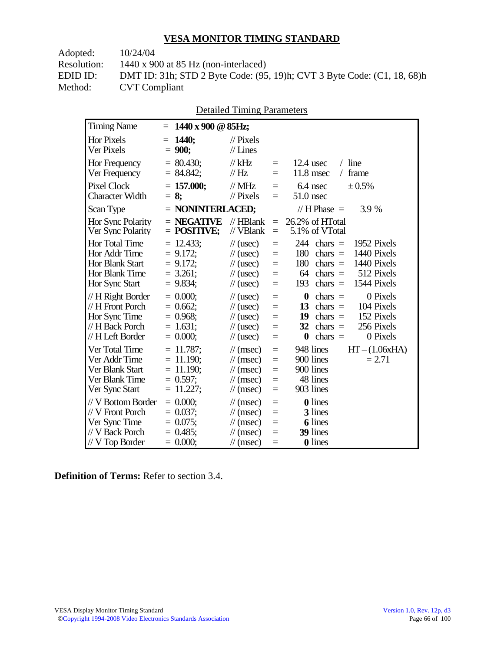Adopted: 10/24/04 Resolution: 1440 x 900 at 85 Hz (non-interlaced) EDID ID: DMT ID: 31h; STD 2 Byte Code: (95, 19)h; CVT 3 Byte Code: (C1, 18, 68)h<br>Method: CVT Compliant **CVT Compliant** 

| <b>Detailed Timing Parameters</b> |  |
|-----------------------------------|--|
|-----------------------------------|--|

| <b>Timing Name</b>                                                                              |     | $= 1440 \times 900 \text{ } \textcircled{a} 85 \text{Hz};$                 |                                                                                                                      |                                 |                                                                                                                                                                                         |
|-------------------------------------------------------------------------------------------------|-----|----------------------------------------------------------------------------|----------------------------------------------------------------------------------------------------------------------|---------------------------------|-----------------------------------------------------------------------------------------------------------------------------------------------------------------------------------------|
| <b>Hor Pixels</b><br>Ver Pixels                                                                 | $=$ | <b>1440;</b><br>$= 900;$                                                   | $\mathcal{U}$ Pixels<br>$//$ Lines                                                                                   |                                 |                                                                                                                                                                                         |
| Hor Frequency<br>Ver Frequency                                                                  |     | $= 80.430$ ;<br>$= 84.842;$                                                | $//$ kHz<br>$\mathcal{U}$ Hz                                                                                         | $=$<br>$=$                      | $/$ line<br>$12.4$ usec<br>frame<br>$11.8$ msec<br>$\sqrt{2}$                                                                                                                           |
| <b>Pixel Clock</b><br><b>Character Width</b>                                                    |     | $= 157.000;$<br>$= 8:$                                                     | $//$ MHz<br>$//$ Pixels                                                                                              | $=$<br>$=$                      | ± 0.5%<br>$6.4$ nsec<br>$51.0$ nsec                                                                                                                                                     |
| Scan Type                                                                                       |     | $=$ NONINTERLACED;                                                         |                                                                                                                      |                                 | // $H$ Phase $=$<br>3.9 %                                                                                                                                                               |
| Hor Sync Polarity<br>Ver Sync Polarity                                                          |     | $=$ NEGATIVE<br>$=$ POSITIVE;                                              | $//$ HBlank<br>// VBlank                                                                                             | $\equiv$<br>$\equiv$            | 26.2% of HTotal<br>5.1% of VTotal                                                                                                                                                       |
| Hor Total Time<br>Hor Addr Time<br><b>Hor Blank Start</b><br>Hor Blank Time<br>Hor Sync Start   |     | $= 12.433$ ;<br>$= 9.172$ ;<br>$= 9.172$ ;<br>$= 3.261$ ;<br>$= 9.834;$    | $\frac{1}{2}$ (usec)<br>$\frac{1}{2}$ (usec)<br>$\frac{1}{2}$ (usec)<br>$\frac{1}{2}$ (usec)<br>$\frac{1}{2}$ (usec) | $=$<br>$=$<br>$=$<br>$=$<br>$=$ | 244<br>$\text{chars}$ =<br>1952 Pixels<br>1440 Pixels<br>180<br>$\text{chars}$ =<br>1440 Pixels<br>180<br>chars $=$<br>64<br>chars $=$<br>512 Pixels<br>193<br>1544 Pixels<br>$chars =$ |
| // H Right Border<br>// H Front Porch<br>Hor Sync Time<br>// H Back Porch<br>// H Left Border   |     | $= 0.000$<br>$= 0.662$ ;<br>$= 0.968$ ;<br>$= 1.631$ ;<br>$= 0.000;$       | $\frac{1}{2}$ (usec)<br>$\frac{1}{2}$ (usec)<br>$\frac{1}{2}$ (usec)<br>$\frac{1}{2}$ (usec)<br>$\frac{1}{2}$ (usec) | $=$<br>$=$<br>$=$<br>$=$<br>$=$ | $\boldsymbol{0}$<br>0 Pixels<br>chars $=$<br>chars $=$<br>104 Pixels<br>13<br>19<br>152 Pixels<br>$chars =$<br>256 Pixels<br>32<br>chars $=$<br>$\bf{0}$<br>0 Pixels<br>chars $=$       |
| Ver Total Time<br>Ver Addr Time<br>Ver Blank Start<br>Ver Blank Time<br>Ver Sync Start          |     | $= 11.787$ ;<br>$= 11.190$ ;<br>$= 11.190$ ;<br>$= 0.597$ ;<br>$= 11.227;$ | $\mathcal{U}$ (msec)<br>$\mathcal{U}$ (msec)<br>$\mathcal{U}$ (msec)<br>$\mathcal{U}$ (msec)<br>$\mathcal{U}$ (msec) | $=$<br>$=$<br>$=$<br>$=$<br>$=$ | $HT - (1.06xHA)$<br>948 lines<br>900 lines<br>$= 2.71$<br>900 lines<br>48 lines<br>903 lines                                                                                            |
| // V Bottom Border<br>// V Front Porch<br>Ver Sync Time<br>// V Back Porch<br>$//$ V Top Border |     | $= 0.000$<br>$= 0.037$ ;<br>$= 0.075$ ;<br>$= 0.485$ ;<br>$= 0.000;$       | $\mathcal{U}$ (msec)<br>$\mathcal{U}$ (msec)<br>$\mathcal{U}$ (msec)<br>$\mathcal{U}$ (msec)<br>$\mathcal{N}(msec)$  | $=$<br>$=$<br>$=$<br>$=$<br>$=$ | <b>0</b> lines<br>3 lines<br><b>6</b> lines<br>39 lines<br>0 lines                                                                                                                      |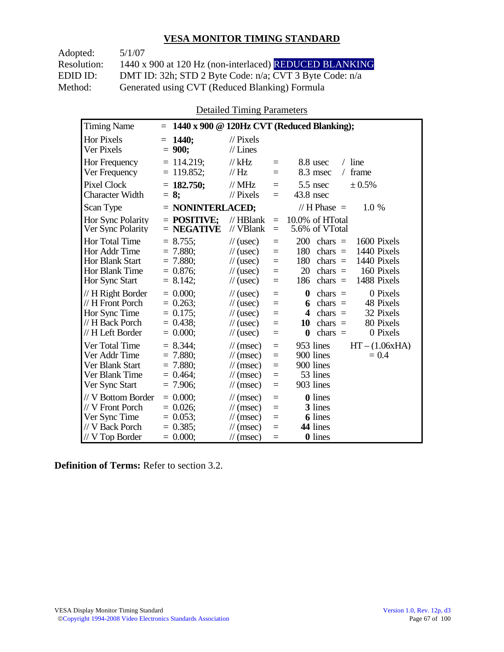| Adopted:    | 5/1/07                                                  |
|-------------|---------------------------------------------------------|
| Resolution: | 1440 x 900 at 120 Hz (non-interlaced) REDUCED BLANKING  |
| EDID ID:    | DMT ID: 32h; STD 2 Byte Code: n/a; CVT 3 Byte Code: n/a |
| Method:     | Generated using CVT (Reduced Blanking) Formula          |

Detailed Timing Parameters

| <b>Timing Name</b>                                                                            | $=$                                                                   |                                                                                                                                                  |                                      | 1440 x 900 @ 120Hz CVT (Reduced Blanking);                                                                                                                                                  |
|-----------------------------------------------------------------------------------------------|-----------------------------------------------------------------------|--------------------------------------------------------------------------------------------------------------------------------------------------|--------------------------------------|---------------------------------------------------------------------------------------------------------------------------------------------------------------------------------------------|
| <b>Hor Pixels</b><br>Ver Pixels                                                               | <b>1440:</b><br>$=$<br>$= 900;$                                       | $\mathcal{U}$ Pixels<br>$//$ Lines                                                                                                               |                                      |                                                                                                                                                                                             |
| Hor Frequency<br>Ver Frequency                                                                | $= 114.219$ ;<br>$= 119.852;$                                         | $//$ kHz<br>//Hz                                                                                                                                 | $=$<br>$=$                           | $/$ line<br>8.8 usec<br>frame<br>8.3 msec<br>$\sqrt{2}$                                                                                                                                     |
| <b>Pixel Clock</b><br><b>Character Width</b>                                                  | $= 182.750;$<br>$= 8$ ;                                               | $//$ MHz<br>$//$ Pixels                                                                                                                          | $=$<br>$=$                           | 5.5 nsec<br>± 0.5%<br>$43.8$ nsec                                                                                                                                                           |
| Scan Type                                                                                     | $=$ NONINTERLACED;                                                    |                                                                                                                                                  |                                      | // $H$ Phase $=$<br>1.0 %                                                                                                                                                                   |
| Hor Sync Polarity<br>Ver Sync Polarity                                                        | $=$ POSITIVE:<br>$=$ NEGATIVE                                         | $//$ HBlank<br>// VBlank                                                                                                                         | $=$<br>$=$                           | 10.0% of HTotal<br>5.6% of VTotal                                                                                                                                                           |
| Hor Total Time<br>Hor Addr Time<br>Hor Blank Start<br>Hor Blank Time<br>Hor Sync Start        | $= 8.755$ ;<br>$= 7.880$ ;<br>$= 7.880$<br>$= 0.876$ ;<br>$= 8.142$ ; | $\frac{1}{2}$ (usec)<br>$\frac{1}{2}$ (usec)<br>$\frac{1}{2}$ (usec)<br>$\frac{1}{2}$ (usec)<br>$\frac{1}{2}$ (usec)                             | $=$<br>$=$<br>$=$<br>$=$<br>$=$      | 200<br>1600 Pixels<br>chars $=$<br>180<br>1440 Pixels<br>chars $=$<br>180<br>1440 Pixels<br>chars $=$<br>20<br>160 Pixels<br>$chars =$<br>1488 Pixels<br>186<br>chars $=$                   |
| // H Right Border<br>// H Front Porch<br>Hor Sync Time<br>// H Back Porch<br>// H Left Border | $= 0.000$<br>$= 0.263$ ;<br>$= 0.175$ ;<br>$= 0.438$<br>$= 0.000;$    | $\frac{1}{2}$ (usec)<br>$\frac{1}{2}$ (usec)<br>$\frac{1}{2}$ (usec)<br>$\frac{1}{2}$ (usec)<br>$\frac{1}{2}$ (usec)                             | $=$<br>$=$<br>$=$<br>$=$<br>$=$      | $\boldsymbol{0}$<br>0 Pixels<br>$chars =$<br>48 Pixels<br>$chars =$<br>6<br>32 Pixels<br>$\boldsymbol{4}$<br>$chars =$<br>80 Pixels<br>chars $=$<br>10<br>$\bf{0}$<br>0 Pixels<br>$chars =$ |
| Ver Total Time<br>Ver Addr Time<br>Ver Blank Start<br>Ver Blank Time<br>Ver Sync Start        | $= 8.344$ ;<br>$= 7.880;$<br>$= 7.880;$<br>$= 0.464$ ;<br>$= 7.906$ ; | $\mathcal{U}$ (msec)<br>$\frac{1}{\sqrt{2}}$ (msec)<br>$\frac{1}{\sqrt{2}}$ (msec)<br>$\frac{1}{\sqrt{2}}$ (msec)<br>$\frac{1}{\sqrt{2}}$ (msec) | $=$<br>$=$<br>$=$<br>$\equiv$<br>$=$ | 953 lines<br>$HT - (1.06xHA)$<br>900 lines<br>$= 0.4$<br>900 lines<br>53 lines<br>903 lines                                                                                                 |
| // V Bottom Border<br>// V Front Porch<br>Ver Sync Time<br>// V Back Porch<br>// V Top Border | $= 0.000$<br>$= 0.026$<br>$= 0.053$ ;<br>$= 0.385$ ;<br>$= 0.000;$    | $\mathcal{U}$ (msec)<br>$\mathcal{U}$ (msec)<br>$\mathcal{U}$ (msec)<br>$\mathcal{U}$ (msec)<br>$\mathcal{U}$ (msec)                             | $=$<br>$=$<br>$=$<br>$=$<br>$=$      | <b>0</b> lines<br>3 lines<br><b>6</b> lines<br>44 lines<br>0 lines                                                                                                                          |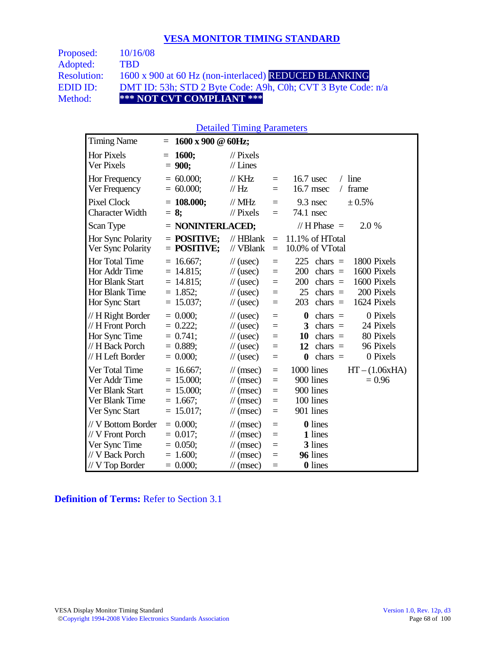| Proposed:          | 10/16/08                                                     |
|--------------------|--------------------------------------------------------------|
| Adopted:           | TRD.                                                         |
| <b>Resolution:</b> | 1600 x 900 at 60 Hz (non-interlaced) REDUCED BLANKING        |
| EDID ID:           | DMT ID: 53h; STD 2 Byte Code: A9h, C0h; CVT 3 Byte Code: n/a |
| Method:            | *** NOT CVT COMPLIANT ***                                    |

#### Detailed Timing Parameters

| <b>Timing Name</b>                                                                              | 1600 x 900 @ 60Hz;<br>Ξ                                                   |                                                                                                                      |                                                                            |                                                                                                                                                                           |
|-------------------------------------------------------------------------------------------------|---------------------------------------------------------------------------|----------------------------------------------------------------------------------------------------------------------|----------------------------------------------------------------------------|---------------------------------------------------------------------------------------------------------------------------------------------------------------------------|
| <b>Hor Pixels</b><br>Ver Pixels                                                                 | 1600;<br>$=$<br>$= 900;$                                                  | $\mathcal{U}$ Pixels<br>$//$ Lines                                                                                   |                                                                            |                                                                                                                                                                           |
| Hor Frequency<br>Ver Frequency                                                                  | $= 60.000;$<br>$= 60.000;$                                                | $\frac{1}{K}$ KHz<br>$\frac{1}{1}$ Hz                                                                                | $=$<br>$=$                                                                 | $/$ line<br>$16.7$ usec<br>16.7 msec<br>frame<br>$\sqrt{2}$                                                                                                               |
| <b>Pixel Clock</b><br><b>Character Width</b>                                                    | $= 108.000;$<br>$= 8;$                                                    | $//$ MHz<br>$//$ Pixels                                                                                              | $=$<br>$=$                                                                 | 9.3 nsec<br>± 0.5%<br>74.1 nsec                                                                                                                                           |
| Scan Type                                                                                       | $=$ NONINTERLACED;                                                        |                                                                                                                      |                                                                            | // H Phase $=$<br>2.0 %                                                                                                                                                   |
| Hor Sync Polarity<br>Ver Sync Polarity                                                          | $=$ POSITIVE:<br>$=$ POSITIVE;                                            | $//$ HBlank<br>// VBlank                                                                                             | $\equiv$<br>$\equiv$                                                       | 11.1% of HTotal<br>10.0% of VTotal                                                                                                                                        |
| Hor Total Time<br>Hor Addr Time<br><b>Hor Blank Start</b><br>Hor Blank Time<br>Hor Sync Start   | $= 16.667$ ;<br>$= 14.815$ ;<br>$= 14.815$ ;<br>$= 1.852;$<br>$= 15.037;$ | $\frac{1}{2}$ (usec)<br>$\frac{1}{2}$ (usec)<br>$\frac{1}{2}$ (usec)<br>$\frac{1}{2}$ (usec)<br>$\frac{1}{2}$ (usec) | $\qquad \qquad =$<br>$\equiv$<br>$\equiv$<br>$\qquad \qquad =$<br>$\equiv$ | 225<br>1800 Pixels<br>chars $=$<br>1600 Pixels<br>200<br>chars $=$<br>1600 Pixels<br>200<br>chars $=$<br>200 Pixels<br>25<br>chars $=$<br>203<br>chars $=$<br>1624 Pixels |
| // H Right Border<br>// H Front Porch<br>Hor Sync Time<br>// H Back Porch<br>// H Left Border   | $= 0.000;$<br>$= 0.222$ ;<br>$= 0.741$ ;<br>$= 0.889$ ;<br>$= 0.000;$     | $\frac{1}{2}$ (usec)<br>$\frac{1}{2}$ (usec)<br>$\frac{1}{2}$ (usec)<br>$\frac{1}{2}$ (usec)<br>$\frac{1}{2}$ (usec) | $=$<br>$=$<br>$\equiv$<br>$=$<br>$=$                                       | 0 Pixels<br>$\bf{0}$<br>$chars =$<br>3<br>chars $=$<br>24 Pixels<br>80 Pixels<br>10<br>chars $=$<br>96 Pixels<br>12<br>chars $=$<br>0 Pixels<br>chars $=$<br>$\bf{0}$     |
| Ver Total Time<br>Ver Addr Time<br>Ver Blank Start<br>Ver Blank Time<br>Ver Sync Start          | $= 16.667$ ;<br>$= 15.000;$<br>$= 15.000$ ;<br>$= 1.667$ ;<br>$= 15.017;$ | $\mathcal{U}$ (msec)<br>$\mathcal{U}$ (msec)<br>$\mathcal{U}$ (msec)<br>$\mathcal{U}$ (msec)<br>$\mathcal{U}$ (msec) | $\equiv$<br>$=$<br>$=$<br>$\equiv$<br>$\equiv$                             | 1000 lines<br>$HT - (1.06xHA)$<br>900 lines<br>$= 0.96$<br>900 lines<br>100 lines<br>901 lines                                                                            |
| // V Bottom Border<br>// V Front Porch<br>Ver Sync Time<br>// V Back Porch<br>$//$ V Top Border | $= 0.000;$<br>$= 0.017$ ;<br>$= 0.050;$<br>$= 1.600;$<br>$= 0.000;$       | $\mathcal{U}$ (msec)<br>$\mathcal{U}$ (msec)<br>$\mathcal{U}$ (msec)<br>$\mathcal{U}$ (msec)<br>$\mathcal{U}$ (msec) | $=$<br>$\equiv$<br>$=$<br>$=$<br>$=$                                       | 0 lines<br>1 lines<br>3 lines<br>96 lines<br><b>0</b> lines                                                                                                               |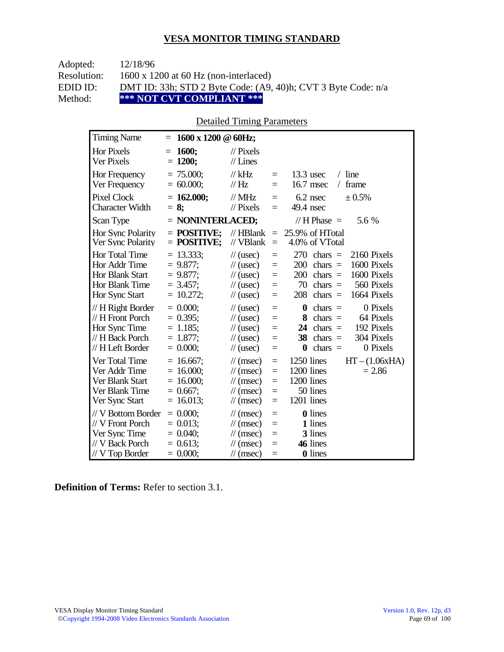| Adopted:    | 12/18/96                                                      |
|-------------|---------------------------------------------------------------|
| Resolution: | $1600 \times 1200$ at 60 Hz (non-interlaced)                  |
| EDID ID:    | DMT ID: 33h; STD 2 Byte Code: (A9, 40)h; CVT 3 Byte Code: n/a |
| Method:     | *** NOT CVT COMPLIANT ***                                     |

### Detailed Timing Parameters

| <b>Timing Name</b>                                                                            | 1600 x 1200 @ 60Hz;<br>$=$                                                |                                                                                                                      |                                      |                                                                                                                                                                                 |
|-----------------------------------------------------------------------------------------------|---------------------------------------------------------------------------|----------------------------------------------------------------------------------------------------------------------|--------------------------------------|---------------------------------------------------------------------------------------------------------------------------------------------------------------------------------|
| <b>Hor Pixels</b><br>Ver Pixels                                                               | 1600;<br>Ξ<br>$= 1200;$                                                   | $\frac{1}{2}$ Pixels<br>$//$ Lines                                                                                   |                                      |                                                                                                                                                                                 |
| Hor Frequency<br>Ver Frequency                                                                | $= 75.000$ ;<br>$= 60.000;$                                               | $//$ kHz<br>//Hz                                                                                                     | $\equiv$<br>$\equiv$                 | $13.3$ usec<br>$/$ line<br>16.7 msec<br>frame<br>$\sqrt{2}$                                                                                                                     |
| <b>Pixel Clock</b><br>Character Width                                                         | $= 162.000;$<br>$= 8$ ;                                                   | $//$ MHz<br>$\mathcal{U}$ Pixels                                                                                     | $=$<br>$=$                           | $6.2$ nsec<br>± 0.5%<br>49.4 nsec                                                                                                                                               |
| Scan Type                                                                                     | $=$ NONINTERLACED;                                                        |                                                                                                                      |                                      | // $H$ Phase $=$<br>5.6 %                                                                                                                                                       |
| Hor Sync Polarity<br>Ver Sync Polarity                                                        | $=$ POSITIVE:<br>$=$ POSITIVE;                                            | $//$ HBlank<br>// VBlank                                                                                             | $\equiv$<br>$\equiv$                 | 25.9% of HTotal<br>4.0% of VTotal                                                                                                                                               |
| <b>Hor Total Time</b><br>Hor Addr Time<br>Hor Blank Start<br>Hor Blank Time<br>Hor Sync Start | $= 13.333;$<br>$= 9.877$ ;<br>$= 9.877;$<br>$= 3.457$ :<br>$= 10.272;$    | $\frac{1}{2}$ (usec)<br>$\frac{1}{2}$ (usec)<br>$\frac{1}{2}$ (usec)<br>$\frac{1}{2}$ (usec)<br>$\frac{1}{2}$ (usec) | $=$<br>$=$<br>$=$<br>$=$<br>$=$      | 270<br>$chars =$<br>2160 Pixels<br>1600 Pixels<br>200<br>chars $=$<br>200<br>1600 Pixels<br>chars $=$<br>70<br>560 Pixels<br>$chars =$<br>208<br>chars $=$<br>1664 Pixels       |
| // H Right Border<br>// H Front Porch<br>Hor Sync Time<br>// H Back Porch<br>// H Left Border | $= 0.000;$<br>$= 0.395$ ;<br>$= 1.185$ ;<br>$= 1.877$ ;<br>$= 0.000;$     | $\frac{1}{2}$ (usec)<br>$\frac{1}{2}$ (usec)<br>$\frac{1}{2}$ (usec)<br>$\frac{1}{2}$ (usec)<br>$\frac{1}{2}$ (usec) | $=$<br>$=$<br>$=$<br>$=$<br>$=$      | 0 Pixels<br>$\bf{0}$<br>$chars =$<br>64 Pixels<br>8<br>chars $=$<br>192 Pixels<br>24<br>$chars =$<br>304 Pixels<br>38<br>chars $=$<br>0 Pixels<br>$chars =$<br>$\boldsymbol{0}$ |
| Ver Total Time<br>Ver Addr Time<br>Ver Blank Start<br>Ver Blank Time<br>Ver Sync Start        | $= 16.667$ ;<br>$= 16.000;$<br>$= 16.000$ ;<br>$= 0.667$ ;<br>$= 16.013;$ | $\mathcal{U}$ (msec)<br>$\mathcal{U}$ (msec)<br>$\mathcal{U}$ (msec)<br>$\mathcal{U}$ (msec)<br>$\mathcal{U}$ (msec) | $\equiv$<br>$=$<br>$=$<br>$=$<br>$=$ | 1250 lines<br>$HT - (1.06xHA)$<br>1200 lines<br>$= 2.86$<br>1200 lines<br>50 lines<br>1201 lines                                                                                |
| // V Bottom Border<br>// V Front Porch<br>Ver Sync Time<br>// V Back Porch<br>// V Top Border | $= 0.000$<br>$= 0.013$ ;<br>$= 0.040$ ;<br>$= 0.613$ ;<br>$= 0.000;$      | $\mathcal{U}$ (msec)<br>$\mathcal{U}$ (msec)<br>$\mathcal{U}$ (msec)<br>$\mathcal{U}$ (msec)<br>$\mathcal{U}$ (msec) | $=$<br>$=$<br>$=$<br>$=$<br>$\equiv$ | <b>0</b> lines<br>1 lines<br>3 lines<br>46 lines<br>0 lines                                                                                                                     |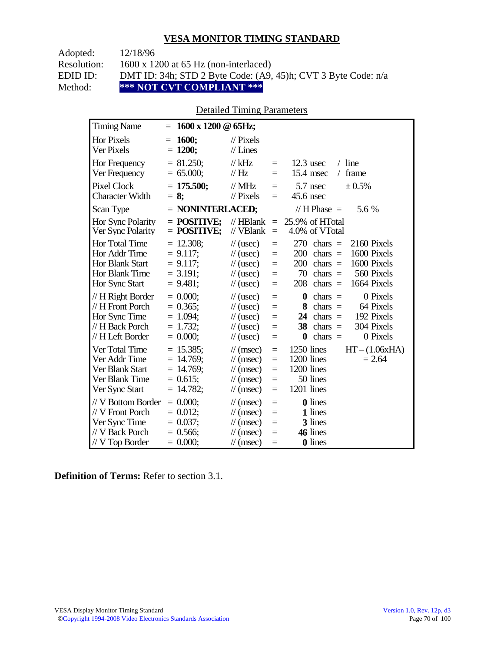| Adopted:    | 12/18/96                                                      |
|-------------|---------------------------------------------------------------|
| Resolution: | $1600 \times 1200$ at 65 Hz (non-interlaced)                  |
| EDID ID:    | DMT ID: 34h; STD 2 Byte Code: (A9, 45)h; CVT 3 Byte Code: n/a |
| Method:     | *** NOT CVT COMPLIANT ***                                     |

### Detailed Timing Parameters

| <b>Timing Name</b>                                                                             | 1600 x 1200 @ 65Hz;<br>$=$                                                 |                                                                                                                      |                                 |                                                                                                                                                                           |
|------------------------------------------------------------------------------------------------|----------------------------------------------------------------------------|----------------------------------------------------------------------------------------------------------------------|---------------------------------|---------------------------------------------------------------------------------------------------------------------------------------------------------------------------|
| <b>Hor Pixels</b><br>Ver Pixels                                                                | <b>1600;</b><br>$=$<br>$= 1200;$                                           | $\frac{1}{2}$ Pixels<br>$//$ Lines                                                                                   |                                 |                                                                                                                                                                           |
| Hor Frequency<br>Ver Frequency                                                                 | $= 81.250$ ;<br>$= 65.000;$                                                | $//$ kHz<br>$\frac{1}{1}$ Hz                                                                                         | $=$<br>$=$                      | $/$ line<br>$12.3$ usec<br>$15.4$ msec<br>frame<br>$\sqrt{2}$                                                                                                             |
| <b>Pixel Clock</b><br><b>Character Width</b>                                                   | $= 175.500;$<br>$= 8$ ;                                                    | $\mathcal{N}$ MHz<br>$//$ Pixels                                                                                     | $=$<br>$=$                      | 5.7 nsec<br>± 0.5%<br>45.6 nsec                                                                                                                                           |
| Scan Type                                                                                      | $=$ NONINTERLACED;                                                         |                                                                                                                      |                                 | // H Phase $=$<br>5.6 %                                                                                                                                                   |
| Hor Sync Polarity<br>Ver Sync Polarity                                                         | $=$ POSITIVE:<br>$=$ POSITIVE;                                             | $//$ HBlank<br>// VBlank                                                                                             | $\equiv$<br>$=$                 | 25.9% of HTotal<br>4.0% of VTotal                                                                                                                                         |
| Hor Total Time<br>Hor Addr Time<br><b>Hor Blank Start</b><br>Hor Blank Time<br>Hor Sync Start  | $= 12.308$ ;<br>$= 9.117$ ;<br>$= 9.117$ ;<br>$= 3.191$ ;<br>$= 9.481;$    | $\frac{1}{2}$ (usec)<br>$\frac{1}{2}$ (usec)<br>$\frac{1}{2}$ (usec)<br>$\frac{1}{2}$ (usec)<br>$\frac{1}{2}$ (usec) | $=$<br>$=$<br>$=$<br>$=$<br>$=$ | 270<br>2160 Pixels<br>$chars =$<br>1600 Pixels<br>200<br>$chars =$<br>1600 Pixels<br>200<br>$chars =$<br>70<br>chars $=$<br>560 Pixels<br>208<br>chars $=$<br>1664 Pixels |
| // H Right Border<br>// H Front Porch<br>Hor Sync Time<br>// H Back Porch<br>// H Left Border  | $= 0.000;$<br>$= 0.365$ ;<br>$= 1.094;$<br>$= 1.732$ ;<br>$= 0.000;$       | $\frac{1}{2}$ (usec)<br>$\frac{1}{2}$ (usec)<br>$\frac{1}{2}$ (usec)<br>$\frac{1}{2}$ (usec)<br>$\frac{1}{2}$ (usec) | $=$<br>$=$<br>$=$<br>$=$<br>$=$ | $\bf{0}$<br>0 Pixels<br>$chars =$<br>8<br>$chars =$<br>64 Pixels<br>192 Pixels<br>chars $=$<br>24<br>304 Pixels<br>38<br>chars $=$<br>$chars =$<br>0 Pixels<br>0          |
| Ver Total Time<br>Ver Addr Time<br>Ver Blank Start<br>Ver Blank Time<br>Ver Sync Start         | $= 15.385$ ;<br>$= 14.769$ ;<br>$= 14.769$ ;<br>$= 0.615$ ;<br>$= 14.782;$ | $\mathcal{U}$ (msec)<br>$\mathcal{U}$ (msec)<br>$\mathcal{U}$ (msec)<br>$\mathcal{U}$ (msec)<br>$\mathcal{U}$ (msec) | $=$<br>$=$<br>$=$<br>$=$<br>$=$ | 1250 lines<br>$HT - (1.06xHA)$<br>1200 lines<br>$= 2.64$<br>1200 lines<br>50 lines<br>1201 lines                                                                          |
| // V Bottom Border<br>// V Front Porch<br>Ver Sync Time<br>// V Back Porch<br>$//V$ Top Border | $= 0.000;$<br>$= 0.012$ ;<br>$= 0.037$ ;<br>$= 0.566$ ;<br>$= 0.000;$      | $\mathcal{U}$ (msec)<br>$\mathcal{U}$ (msec)<br>$\mathcal{U}$ (msec)<br>$\mathcal{U}$ (msec)<br>$\mathcal{U}$ (msec) | $=$<br>$=$<br>$=$<br>$=$<br>$=$ | <b>0</b> lines<br>1 lines<br>3 lines<br>46 lines<br><b>0</b> lines                                                                                                        |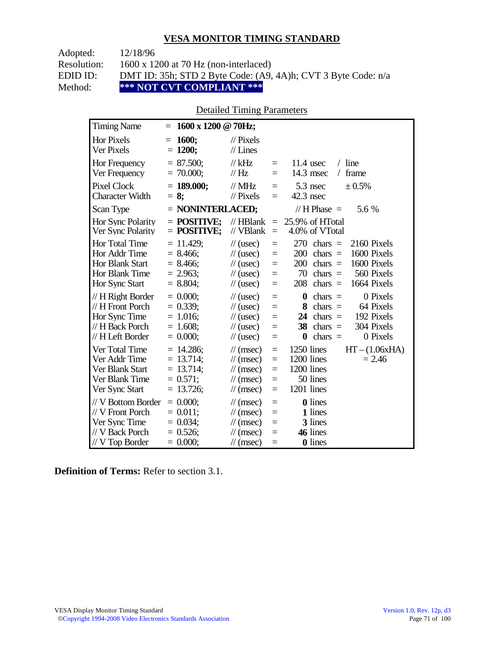| Adopted:    | 12/18/96                                                      |
|-------------|---------------------------------------------------------------|
| Resolution: | $1600 \times 1200$ at 70 Hz (non-interlaced)                  |
| EDID ID:    | DMT ID: 35h; STD 2 Byte Code: (A9, 4A)h; CVT 3 Byte Code: n/a |
| Method:     | *** NOT CVT COMPLIANT ***                                     |

### Detailed Timing Parameters

| <b>Timing Name</b>                                                                                   | 1600 x 1200 @ 70Hz;<br>$=$                                                |                                                                                                                                           |                                      |                                                                                                                                                                                         |
|------------------------------------------------------------------------------------------------------|---------------------------------------------------------------------------|-------------------------------------------------------------------------------------------------------------------------------------------|--------------------------------------|-----------------------------------------------------------------------------------------------------------------------------------------------------------------------------------------|
| <b>Hor Pixels</b><br>Ver Pixels                                                                      | 1600;<br>$=$<br>$= 1200;$                                                 | $\frac{1}{2}$ Pixels<br>$//$ Lines                                                                                                        |                                      |                                                                                                                                                                                         |
| Hor Frequency<br>Ver Frequency                                                                       | $= 87.500;$<br>$= 70.000;$                                                | // $kHz$<br>$\frac{1}{1}$ Hz                                                                                                              | $=$<br>$\equiv$                      | $/$ line<br>$11.4$ usec<br>14.3 msec<br>frame<br>$\sqrt{2}$                                                                                                                             |
| <b>Pixel Clock</b><br><b>Character Width</b>                                                         | $= 189.000;$<br>$= 8$ ;                                                   | $//$ MHz<br>$//$ Pixels                                                                                                                   | $\equiv$<br>$=$                      | 5.3 nsec<br>± 0.5%<br>42.3 nsec                                                                                                                                                         |
| Scan Type                                                                                            | $=$ NONINTERLACED;                                                        |                                                                                                                                           |                                      | // $H$ Phase $=$<br>5.6 %                                                                                                                                                               |
| Hor Sync Polarity<br>Ver Sync Polarity                                                               | $=$ POSITIVE;<br>$=$ POSITIVE;                                            | $//$ HBlank<br>// VBlank                                                                                                                  | $=$<br>$\equiv$                      | 25.9% of HTotal<br>4.0% of VTotal                                                                                                                                                       |
| <b>Hor Total Time</b><br>Hor Addr Time<br><b>Hor Blank Start</b><br>Hor Blank Time<br>Hor Sync Start | $= 11.429$ ;<br>$= 8.466$ ;<br>$= 8.466$<br>$= 2.963$ ;<br>$= 8.804;$     | $\frac{1}{2}$ (usec)<br>$\frac{1}{2}$ (usec)<br>$\frac{1}{2}$ (usec)<br>$\frac{1}{2}$ (usec)<br>$\frac{1}{2}$ (usec)                      | $=$<br>$=$<br>$=$<br>$\equiv$<br>$=$ | 270<br>2160 Pixels<br>$chars =$<br>1600 Pixels<br>200<br>chars $=$<br>200<br>1600 Pixels<br>$chars =$<br>70<br>chars $=$<br>560 Pixels<br>208<br>chars $=$<br>1664 Pixels               |
| // H Right Border<br>// H Front Porch<br>Hor Sync Time<br>// H Back Porch<br>// H Left Border        | $= 0.000;$<br>$= 0.339;$<br>$= 1.016$ ;<br>$= 1.608;$<br>$= 0.000;$       | $\frac{1}{2}$ (usec)<br>$\frac{1}{2}$ (usec)<br>$\frac{1}{2}$ (usec)<br>$\frac{1}{2}$ (usec)<br>$\frac{1}{2}$ (usec)                      | $=$<br>$=$<br>$=$<br>$=$<br>$=$      | $\boldsymbol{0}$<br>0 Pixels<br>$chars =$<br>8<br>$chars =$<br>64 Pixels<br>192 Pixels<br>24<br>$chars =$<br>304 Pixels<br>38<br>$chars =$<br>0 Pixels<br>$\boldsymbol{0}$<br>chars $=$ |
| Ver Total Time<br>Ver Addr Time<br>Ver Blank Start<br>Ver Blank Time<br>Ver Sync Start               | $= 14.286$ ;<br>$= 13.714$ ;<br>$= 13.714$ ;<br>$= 0.571;$<br>$= 13.726;$ | $\mathcal{U}$ (msec)<br>$\frac{1}{\sqrt{2}}$ (msec)<br>$\mathcal{U}$ (msec)<br>$\frac{1}{\sqrt{2}}$ (msec)<br>$\frac{1}{\sqrt{2}}$ (msec) | $=$<br>$=$<br>$=$<br>$=$<br>$=$      | 1250 lines<br>$HT - (1.06xHA)$<br>1200 lines<br>$= 2.46$<br>1200 lines<br>50 lines<br>1201 lines                                                                                        |
| // V Bottom Border<br>// V Front Porch<br>Ver Sync Time<br>// V Back Porch<br>// V Top Border        | $= 0.000;$<br>$= 0.011$ ;<br>$= 0.034$ ;<br>$= 0.526;$<br>$= 0.000;$      | $\mathcal{U}$ (msec)<br>$\mathcal{U}$ (msec)<br>$\mathcal{U}$ (msec)<br>$\mathcal{U}$ (msec)<br>$\mathcal{U}$ (msec)                      | $=$<br>$=$<br>$=$<br>$=$<br>$=$      | <b>0</b> lines<br>1 lines<br>3 lines<br>46 lines<br>0 lines                                                                                                                             |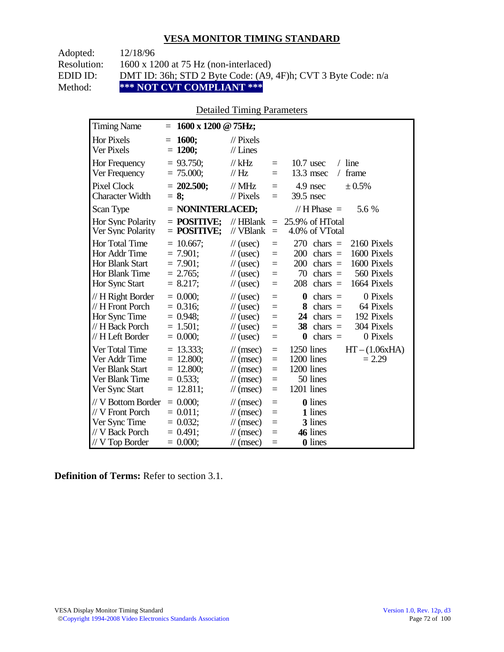| Adopted:    | 12/18/96                                                      |
|-------------|---------------------------------------------------------------|
| Resolution: | $1600 \times 1200$ at 75 Hz (non-interlaced)                  |
| EDID ID:    | DMT ID: 36h; STD 2 Byte Code: (A9, 4F)h; CVT 3 Byte Code: n/a |
| Method:     | *** NOT CVT COMPLIANT ***                                     |

### Detailed Timing Parameters

| <b>Timing Name</b>                                                                             | 1600 x 1200 @ 75Hz;<br>$\equiv$                                          |                                                                                                                                    |                                 |                                                                                                                                                                                 |
|------------------------------------------------------------------------------------------------|--------------------------------------------------------------------------|------------------------------------------------------------------------------------------------------------------------------------|---------------------------------|---------------------------------------------------------------------------------------------------------------------------------------------------------------------------------|
| <b>Hor Pixels</b><br>Ver Pixels                                                                | 1600;<br>$=$<br>$= 1200;$                                                | $\frac{1}{2}$ Pixels<br>$//$ Lines                                                                                                 |                                 |                                                                                                                                                                                 |
| Hor Frequency<br>Ver Frequency                                                                 | $= 93.750$ ;<br>$= 75.000;$                                              | $//$ kHz<br>$\frac{1}{1}$ Hz                                                                                                       | $=$<br>$=$                      | $/$ line<br>$10.7$ usec<br>frame<br>13.3 msec<br>$\sqrt{2}$                                                                                                                     |
| <b>Pixel Clock</b><br><b>Character Width</b>                                                   | $= 202.500;$<br>$= 8$ ;                                                  | $//$ MHz<br>$\frac{1}{2}$ Pixels                                                                                                   | $=$<br>$=$                      | 4.9 nsec<br>± 0.5%<br>39.5 nsec                                                                                                                                                 |
| Scan Type                                                                                      | $=$ NONINTERLACED;                                                       |                                                                                                                                    |                                 | // H Phase $=$<br>5.6 %                                                                                                                                                         |
| Hor Sync Polarity<br>Ver Sync Polarity                                                         | $=$ POSITIVE:<br>$=$ POSITIVE;                                           | $//$ HBlank<br>// VBlank                                                                                                           | $=$<br>$\equiv$                 | 25.9% of HTotal<br>4.0% of VTotal                                                                                                                                               |
| Hor Total Time<br>Hor Addr Time<br><b>Hor Blank Start</b><br>Hor Blank Time<br>Hor Sync Start  | $= 10.667$ ;<br>$= 7.901$ ;<br>$= 7.901$ ;<br>$= 2.765$ ;<br>$= 8.217$ ; | $\frac{1}{2}$ (usec)<br>$\frac{1}{2}$ (usec)<br>$\frac{1}{2}$ (usec)<br>$\frac{1}{2}$ (usec)<br>$\frac{1}{2}$ (usec)               | $=$<br>$=$<br>$=$<br>$=$<br>$=$ | 270<br>2160 Pixels<br>$chars =$<br>200<br>1600 Pixels<br>chars $=$<br>1600 Pixels<br>200<br>$chars =$<br>70<br>560 Pixels<br>$chars =$<br>208<br>1664 Pixels<br>$chars =$       |
| // H Right Border<br>// H Front Porch<br>Hor Sync Time<br>// H Back Porch<br>// H Left Border  | $= 0.000$<br>$= 0.316$ ;<br>$= 0.948$ ;<br>$= 1.501$ ;<br>$= 0.000;$     | $\frac{1}{2}$ (usec)<br>$\frac{1}{2}$ (usec)<br>$\frac{1}{2}$ (usec)<br>$\frac{1}{2}$ (usec)<br>$\frac{1}{2}$ (usec)               | $=$<br>$=$<br>$=$<br>$=$<br>$=$ | 0 Pixels<br>$\boldsymbol{0}$<br>$chars =$<br>64 Pixels<br>8<br>$chars =$<br>192 Pixels<br>24<br>$chars =$<br>304 Pixels<br>chars $=$<br>38<br>0 Pixels<br>$\bf{0}$<br>chars $=$ |
| Ver Total Time<br>Ver Addr Time<br>Ver Blank Start<br>Ver Blank Time<br>Ver Sync Start         | $= 13.333$ ;<br>$= 12.800;$<br>$= 12.800$ ;<br>$= 0.533;$<br>$= 12.811;$ | $\mathcal{U}$ (msec)<br>$\frac{1}{\sqrt{2}}$ (msec)<br>$\mathcal{U}$ (msec)<br>$\mathcal{U}$ (msec)<br>$\frac{1}{\sqrt{2}}$ (msec) | $=$<br>$=$<br>$=$<br>$=$<br>$=$ | 1250 lines<br>$HT - (1.06xHA)$<br>1200 lines<br>$= 2.29$<br>1200 lines<br>50 lines<br>1201 lines                                                                                |
| // V Bottom Border<br>// V Front Porch<br>Ver Sync Time<br>// V Back Porch<br>$//V$ Top Border | $= 0.000$<br>$= 0.011$ ;<br>$= 0.032$ ;<br>$= 0.491;$<br>$= 0.000;$      | $\mathcal{U}$ (msec)<br>$\mathcal{U}$ (msec)<br>$\mathcal{U}$ (msec)<br>$\mathcal{U}$ (msec)<br>$\mathcal{U}$ (msec)               | $=$<br>$=$<br>$=$<br>$=$<br>$=$ | <b>0</b> lines<br>1 lines<br>3 lines<br>46 lines<br><b>0</b> lines                                                                                                              |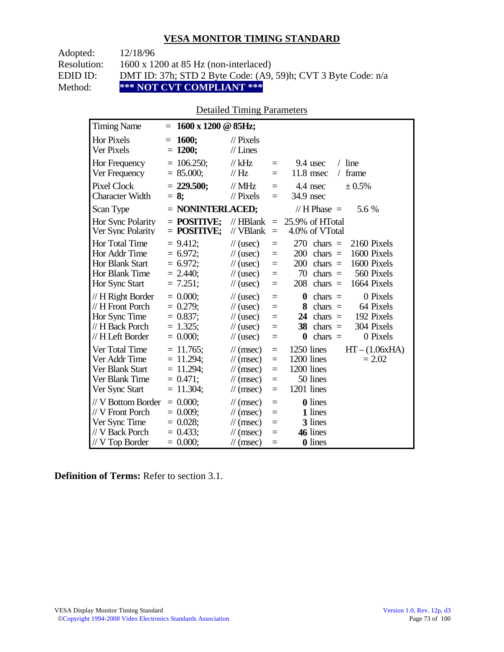| Adopted:    | 12/18/96                                                      |
|-------------|---------------------------------------------------------------|
| Resolution: | $1600 \times 1200$ at 85 Hz (non-interlaced)                  |
| EDID ID:    | DMT ID: 37h; STD 2 Byte Code: (A9, 59)h; CVT 3 Byte Code: n/a |
| Method:     | *** NOT CVT COMPLIANT ***                                     |

## Detailed Timing Parameters

| <b>Timing Name</b>                                                                            | 1600 x 1200 @ 85Hz;<br>$=$                                                 |                                                                                                                             |                                      |                                                                                                                                                                           |
|-----------------------------------------------------------------------------------------------|----------------------------------------------------------------------------|-----------------------------------------------------------------------------------------------------------------------------|--------------------------------------|---------------------------------------------------------------------------------------------------------------------------------------------------------------------------|
| <b>Hor Pixels</b><br>Ver Pixels                                                               | <b>1600;</b><br>$=$<br>$= 1200;$                                           | $\frac{1}{2}$ Pixels<br>$//$ Lines                                                                                          |                                      |                                                                                                                                                                           |
| Hor Frequency<br>Ver Frequency                                                                | $= 106.250$ ;<br>$= 85.000;$                                               | $//$ kHz<br>$\frac{1}{1}$ Hz                                                                                                | $\equiv$<br>$=$                      | $/$ line<br>9.4 usec<br>11.8 msec<br>frame<br>$\sqrt{2}$                                                                                                                  |
| <b>Pixel Clock</b><br><b>Character Width</b>                                                  | $= 229.500;$<br>$= 8$ ;                                                    | $\mathcal{N}$ MHz<br>$//$ Pixels                                                                                            | $=$<br>$=$                           | 4.4 nsec<br>± 0.5%<br>34.9 nsec                                                                                                                                           |
| Scan Type                                                                                     | $=$ NONINTERLACED;                                                         |                                                                                                                             |                                      | // H Phase $=$<br>5.6 %                                                                                                                                                   |
| Hor Sync Polarity<br>Ver Sync Polarity                                                        | $=$ POSITIVE:<br>$=$ POSITIVE;                                             | $//$ HBlank<br>// VBlank                                                                                                    | $\equiv$<br>$\equiv$                 | 25.9% of HTotal<br>4.0% of VTotal                                                                                                                                         |
| Hor Total Time<br>Hor Addr Time<br><b>Hor Blank Start</b><br>Hor Blank Time<br>Hor Sync Start | $= 9.412$ ;<br>$= 6.972$ ;<br>$= 6.972$ ;<br>$= 2.440$<br>$= 7.251;$       | $\frac{1}{2}$ (usec)<br>$\frac{1}{2}$ (usec)<br>$\frac{1}{2}$ (usec)<br>$\frac{1}{2}$ (usec)<br>$\frac{1}{2}$ (usec)        | $=$<br>$=$<br>$=$<br>$=$<br>$=$      | 270<br>2160 Pixels<br>$chars =$<br>1600 Pixels<br>200<br>$chars =$<br>1600 Pixels<br>200<br>$chars =$<br>70<br>chars $=$<br>560 Pixels<br>208<br>1664 Pixels<br>$chars =$ |
| // H Right Border<br>// H Front Porch<br>Hor Sync Time<br>// H Back Porch<br>// H Left Border | $= 0.000;$<br>$= 0.279;$<br>$= 0.837;$<br>$= 1.325$ ;<br>$= 0.000;$        | $\frac{1}{2}$ (usec)<br>$\frac{1}{2}$ (usec)<br>$\frac{1}{2}$ (usec)<br>$\frac{1}{2}$ (usec)<br>$\frac{1}{2}$ (usec)        | $=$<br>$=$<br>$=$<br>$=$<br>$=$      | 0 Pixels<br>$\bf{0}$<br>$chars =$<br>8<br>$chars =$<br>64 Pixels<br>192 Pixels<br>24<br>chars $=$<br>304 Pixels<br>38<br>$chars =$<br>0 Pixels<br>$\bf{0}$<br>$chars =$   |
| Ver Total Time<br>Ver Addr Time<br>Ver Blank Start<br>Ver Blank Time<br>Ver Sync Start        | $= 11.765$ ;<br>$= 11.294$ ;<br>$= 11.294$ ;<br>$= 0.471$ ;<br>$= 11.304;$ | $\mathcal{U}$ (msec)<br>$\mathcal{U}$ (msec)<br>$\frac{1}{\sqrt{2}}$ (msec)<br>$\mathcal{U}$ (msec)<br>$\mathcal{U}$ (msec) | $=$<br>$\equiv$<br>$=$<br>$=$<br>$=$ | 1250 lines<br>$HT - (1.06xHA)$<br>1200 lines<br>$= 2.02$<br>1200 lines<br>50 lines<br>1201 lines                                                                          |
| // V Bottom Border<br>// V Front Porch<br>Ver Sync Time<br>// V Back Porch<br>// V Top Border | $= 0.000;$<br>$= 0.009$ ;<br>$= 0.028$ ;<br>$= 0.433$ ;<br>$= 0.000;$      | $\mathcal{U}$ (msec)<br>$\mathcal{U}$ (msec)<br>$\mathcal{U}$ (msec)<br>$\mathcal{U}$ (msec)<br>$\mathcal{U}$ (msec)        | $\equiv$<br>$=$<br>$=$<br>$=$<br>$=$ | <b>0</b> lines<br>1 lines<br>3 lines<br>46 lines<br><b>0</b> lines                                                                                                        |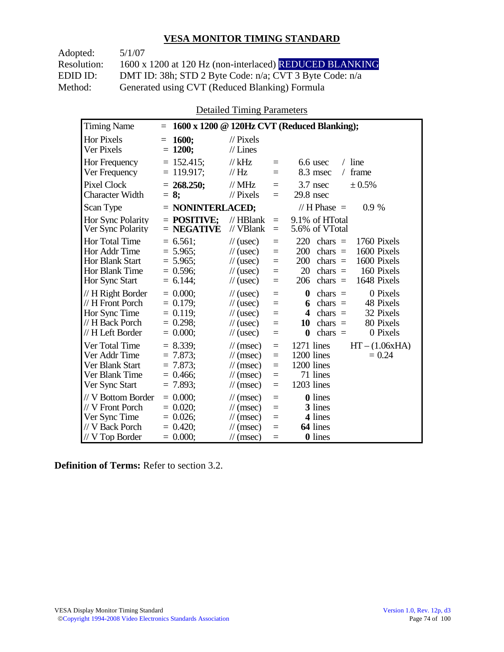Adopted: 5/1/07 Resolution: 1600 x 1200 at 120 Hz (non-interlaced) REDUCED BLANKING EDID ID: DMT ID: 38h; STD 2 Byte Code: n/a; CVT 3 Byte Code: n/a<br>Method: Generated using CVT (Reduced Blanking) Formula Generated using CVT (Reduced Blanking) Formula

Detailed Timing Parameters

| <b>Timing Name</b>                                                                              | 1600 x 1200 @ 120Hz CVT (Reduced Blanking);<br>$\equiv$                                                                                                                                                                                                                                                                                   |                                                                        |
|-------------------------------------------------------------------------------------------------|-------------------------------------------------------------------------------------------------------------------------------------------------------------------------------------------------------------------------------------------------------------------------------------------------------------------------------------------|------------------------------------------------------------------------|
| Hor Pixels<br>Ver Pixels                                                                        | 1600;<br>$\frac{1}{2}$ Pixels<br>$=$<br>$= 1200;$<br>$//$ Lines                                                                                                                                                                                                                                                                           |                                                                        |
| Hor Frequency<br>Ver Frequency                                                                  | $= 152.415;$<br>$//$ kHz<br>6.6 usec<br>$=$<br>$= 119.917$ ;<br>// Hz<br>8.3 msec<br>$=$                                                                                                                                                                                                                                                  | $/$ line<br>frame<br>$\sqrt{2}$                                        |
| <b>Pixel Clock</b><br><b>Character Width</b>                                                    | $= 268.250$ ;<br>$//$ MHz<br>3.7 nsec<br>$=$<br>$//$ Pixels<br>$29.8$ nsec<br>$= 8:$<br>$=$                                                                                                                                                                                                                                               | ± 0.5%                                                                 |
| Scan Type                                                                                       | // H Phase $=$<br>$=$ NONINTERLACED;                                                                                                                                                                                                                                                                                                      | $0.9\%$                                                                |
| Hor Sync Polarity<br>Ver Sync Polarity                                                          | $=$ POSITIVE:<br>9.1% of HTotal<br>$//$ HBlank<br>$\equiv$<br>$//$ VBlank<br>$=$ NEGATIVE<br>5.6% of VTotal<br>$=$                                                                                                                                                                                                                        |                                                                        |
| Hor Total Time<br>Hor Addr Time<br>Hor Blank Start<br>Hor Blank Time<br>Hor Sync Start          | $= 6.561$ ;<br>220<br>chars $=$<br>$\frac{1}{2}$ (usec)<br>$=$<br>$= 5.965$ ;<br>200<br>chars $=$<br>$\frac{1}{2}$ (usec)<br>$=$<br>$= 5.965$ ;<br>200<br>chars $=$<br>$\frac{1}{2}$ (usec)<br>$=$<br>$= 0.596$ ;<br>20<br>chars $=$<br>$\frac{1}{2}$ (usec)<br>$=$<br>$= 6.144$ ;<br>206<br>chars $=$<br>$\frac{1}{2}$ (usec)<br>$=$     | 1760 Pixels<br>1600 Pixels<br>1600 Pixels<br>160 Pixels<br>1648 Pixels |
| // H Right Border<br>// H Front Porch<br>Hor Sync Time<br>// H Back Porch<br>// H Left Border   | $= 0.000$<br>$\boldsymbol{0}$<br>$\frac{1}{2}$ (usec)<br>chars $=$<br>$=$<br>$= 0.179$ ;<br>chars $=$<br>$\frac{1}{2}$ (usec)<br>6<br>$=$<br>$= 0.119$ ;<br>$chars =$<br>$\frac{1}{2}$ (usec)<br>4<br>$=$<br>$= 0.298$ ;<br>10<br>$chars =$<br>$\frac{1}{2}$ (usec)<br>$=$<br>$= 0.000;$<br>0<br>$chars =$<br>$\frac{1}{2}$ (usec)<br>$=$ | 0 Pixels<br>48 Pixels<br>32 Pixels<br>80 Pixels<br>0 Pixels            |
| Ver Total Time<br>Ver Addr Time<br>Ver Blank Start<br>Ver Blank Time<br>Ver Sync Start          | $= 8.339;$<br>1271 lines<br>$\mathcal{U}$ (msec)<br>$=$<br>$= 7.873$ ;<br>1200 lines<br>$\mathcal{U}$ (msec)<br>$=$<br>$= 7.873$ ;<br>1200 lines<br>$\mathcal{U}$ (msec)<br>$=$<br>71 lines<br>$= 0.466$<br>$\mathcal{U}$ (msec)<br>$=$<br>1203 lines<br>$= 7.893$ ;<br>$\mathcal{U}$ (msec)<br>$=$                                       | $HT - (1.06xHA)$<br>$= 0.24$                                           |
| // V Bottom Border<br>// V Front Porch<br>Ver Sync Time<br>// V Back Porch<br>$//$ V Top Border | $= 0.000$<br><b>0</b> lines<br>$\mathcal{U}$ (msec)<br>$=$<br>3 lines<br>$= 0.020$<br>$\mathcal{U}$ (msec)<br>$=$<br>$= 0.026$ ;<br>4 lines<br>$\frac{1}{\sqrt{2}}$ (msec)<br>$=$<br>64 lines<br>$= 0.420$ ;<br>$\mathcal{U}$ (msec)<br>$=$<br>$= 0.000;$<br><b>0</b> lines<br>$\mathcal{U}$ (msec)<br>$=$                                |                                                                        |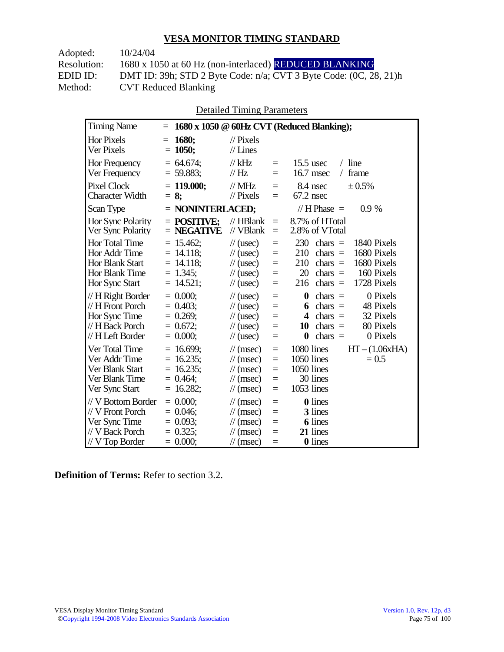| 10/24/04                                                          |
|-------------------------------------------------------------------|
| 1680 x 1050 at 60 Hz (non-interlaced) REDUCED BLANKING            |
| DMT ID: 39h; STD 2 Byte Code: n/a; CVT 3 Byte Code: (0C, 28, 21)h |
| <b>CVT Reduced Blanking</b>                                       |
|                                                                   |

Detailed Timing Parameters

| <b>Timing Name</b>                                                                             | $=$                                                                        |                                                                                                                                                               | 1680 x 1050 @ 60Hz CVT (Reduced Blanking);                                                                                                                                                         |
|------------------------------------------------------------------------------------------------|----------------------------------------------------------------------------|---------------------------------------------------------------------------------------------------------------------------------------------------------------|----------------------------------------------------------------------------------------------------------------------------------------------------------------------------------------------------|
| <b>Hor Pixels</b><br>Ver Pixels                                                                | <b>1680;</b><br>$=$<br>$= 1050$ ;                                          | $\mathcal{U}$ Pixels<br>$//$ Lines                                                                                                                            |                                                                                                                                                                                                    |
| Hor Frequency<br>Ver Frequency                                                                 | $= 64.674$ ;<br>$= 59.883;$                                                | $//$ kHz<br>$=$<br>// Hz<br>$=$                                                                                                                               | line<br>$15.5$ usec<br>$\sqrt{2}$<br>frame<br>$16.7$ msec<br>$\sqrt{2}$                                                                                                                            |
| <b>Pixel Clock</b><br><b>Character Width</b>                                                   | $= 119.000$ ;<br>$= 8$ ;                                                   | $//$ MHz<br>$=$<br>$\frac{1}{2}$ Pixels<br>$=$                                                                                                                | 8.4 nsec<br>± 0.5%<br>$67.2$ nsec                                                                                                                                                                  |
| Scan Type                                                                                      | $=$ NONINTERLACED;                                                         |                                                                                                                                                               | // $H$ Phase $=$<br>0.9%                                                                                                                                                                           |
| Hor Sync Polarity<br>Ver Sync Polarity                                                         | $=$ POSITIVE;<br>$=$ NEGATIVE                                              | $//$ HBlank<br>$=$<br>// VBlank<br>$=$                                                                                                                        | 8.7% of HTotal<br>2.8% of VTotal                                                                                                                                                                   |
| Hor Total Time<br>Hor Addr Time<br>Hor Blank Start<br>Hor Blank Time<br>Hor Sync Start         | $= 15.462$ ;<br>$= 14.118$ ;<br>$= 14.118$ ;<br>$= 1.345$ ;<br>$= 14.521;$ | $\frac{1}{2}$ (usec)<br>$=$<br>$\frac{1}{2}$ (usec)<br>$=$<br>$\frac{1}{2}$ (usec)<br>$=$<br>$\frac{1}{2}$ (usec)<br>$\equiv$<br>$\frac{1}{2}$ (usec)<br>$=$  | 230<br>chars $=$<br>1840 Pixels<br>1680 Pixels<br>210<br>$\text{chars}$ =<br>1680 Pixels<br>210<br>chars $=$<br>20<br>chars $=$<br>160 Pixels<br>1728 Pixels<br>chars $=$<br>216                   |
| // H Right Border<br>// H Front Porch<br>Hor Sync Time<br>// H Back Porch<br>// H Left Border  | $= 0.000;$<br>$= 0.403$<br>$= 0.269$ ;<br>$= 0.672$ ;<br>$= 0.000;$        | $\frac{1}{2}$ (usec)<br>$=$<br>$\frac{1}{2}$ (usec)<br>$=$<br>$\frac{1}{2}$ (usec)<br>$=$<br>$\frac{1}{2}$ (usec)<br>$=$<br>$\frac{1}{2}$ (usec)<br>$=$       | 0 Pixels<br>$\boldsymbol{0}$<br>$\text{chars}$ =<br>48 Pixels<br>$chars =$<br>6<br>32 Pixels<br>$\boldsymbol{4}$<br>$chars =$<br>80 Pixels<br>10<br>chars $=$<br>$\bf{0}$<br>0 Pixels<br>chars $=$ |
| Ver Total Time<br>Ver Addr Time<br>Ver Blank Start<br>Ver Blank Time<br>Ver Sync Start         | $= 16.699;$<br>$= 16.235$ ;<br>$= 16.235$ ;<br>$= 0.464$ ;<br>$= 16.282;$  | $\mathcal{U}$ (msec)<br>$=$<br>$\mathcal{U}$ (msec)<br>$=$<br>$\mathcal{U}$ (msec)<br>$=$<br>$\mathcal{U}$ (msec)<br>$=$<br>$\mathcal{U}$ (msec)<br>$=$       | 1080 lines<br>$HT - (1.06xHA)$<br>1050 lines<br>$= 0.5$<br>1050 lines<br>30 lines<br>1053 lines                                                                                                    |
| // V Bottom Border<br>// V Front Porch<br>Ver Sync Time<br>// V Back Porch<br>$//V$ Top Border | $= 0.000$<br>$= 0.046$ ;<br>$= 0.093$ ;<br>$= 0.325$ ;<br>$= 0.000;$       | $\mathcal{U}$ (msec)<br>$=$<br>$\mathcal{U}$ (msec)<br>$=$<br>$\mathcal{U}$ (msec)<br>$=$<br>$\mathcal{U}$ (msec)<br>$=$<br>$\mathcal{U}(\text{msec})$<br>$=$ | <b>0</b> lines<br>3 lines<br>6 lines<br>21 lines<br><b>0</b> lines                                                                                                                                 |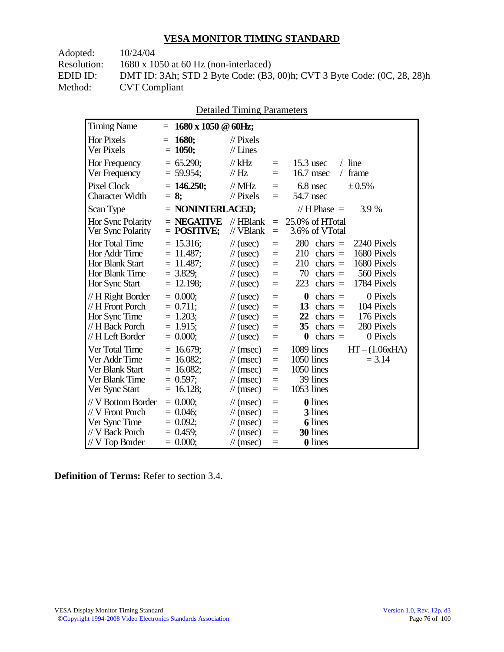Adopted: 10/24/04

Resolution: 1680 x 1050 at 60 Hz (non-interlaced)

EDID ID: DMT ID: 3Ah; STD 2 Byte Code: (B3, 00)h; CVT 3 Byte Code: (0C, 28, 28)h<br>Method: CVT Compliant **CVT Compliant** 

|                                                                                                |                                                                           | Detailed Timing Parameters                                                                                           |                                      |                                                                                                                                                                                                  |
|------------------------------------------------------------------------------------------------|---------------------------------------------------------------------------|----------------------------------------------------------------------------------------------------------------------|--------------------------------------|--------------------------------------------------------------------------------------------------------------------------------------------------------------------------------------------------|
| <b>Timing Name</b>                                                                             | 1680 x 1050 @ 60Hz;<br>$=$                                                |                                                                                                                      |                                      |                                                                                                                                                                                                  |
| <b>Hor Pixels</b><br>Ver Pixels                                                                | 1680;<br>$=$<br>1050;<br>$\equiv$                                         | $\frac{1}{2}$ Pixels<br>$//$ Lines                                                                                   |                                      |                                                                                                                                                                                                  |
| Hor Frequency<br>Ver Frequency                                                                 | $= 65.290$ ;<br>$= 59.954$ ;                                              | // $kHz$<br>$\mathcal{U}$ Hz                                                                                         | $\equiv$<br>$\equiv$                 | $15.3$ usec<br>$/$ line<br>16.7 msec<br>frame<br>$\sqrt{2}$                                                                                                                                      |
| Pixel Clock<br><b>Character Width</b>                                                          | $= 146.250$ ;<br>$= 8:$                                                   | $\frac{1}{2}$ MHz<br>$\frac{1}{2}$ Pixels                                                                            | $=$<br>$\equiv$                      | $6.8$ nsec<br>± 0.5%<br>54.7 nsec                                                                                                                                                                |
| Scan Type                                                                                      | = NONINTERLACED;                                                          |                                                                                                                      |                                      | // $H$ Phase $=$<br>3.9 %                                                                                                                                                                        |
| Hor Sync Polarity<br>Ver Sync Polarity                                                         | $=$ NEGATIVE<br>$=$ POSITIVE;                                             | $//$ HBlank<br>// VBlank                                                                                             | $=$<br>$\equiv$                      | 25.0% of HTotal<br>3.6% of VTotal                                                                                                                                                                |
| Hor Total Time<br>Hor Addr Time<br>Hor Blank Start<br>Hor Blank Time<br>Hor Sync Start         | $= 15.316$ ;<br>$= 11.487;$<br>$= 11.487$ ;<br>$= 3.829$ ;<br>$= 12.198;$ | $\frac{1}{2}$ (usec)<br>$\frac{1}{2}$ (usec)<br>$\frac{1}{2}$ (usec)<br>$\frac{1}{2}$ (usec)<br>$\frac{1}{2}$ (usec) | $=$<br>$=$<br>$=$<br>$=$<br>$=$      | 280<br>2240 Pixels<br>$chars =$<br>1680 Pixels<br>210<br>$\text{chars}$ =<br>1680 Pixels<br>210<br>$\text{chars}$ =<br>560 Pixels<br>70<br>$chars =$<br>223<br>chars $=$<br>1784 Pixels          |
| // H Right Border<br>// H Front Porch<br>Hor Sync Time<br>// H Back Porch<br>// H Left Border  | $= 0.000$<br>$= 0.711$ ;<br>$= 1.203;$<br>$= 1.915$ ;<br>$= 0.000;$       | $\frac{1}{2}$ (usec)<br>$\frac{1}{2}$ (usec)<br>$\frac{1}{2}$ (usec)<br>$\frac{1}{2}$ (usec)<br>$\frac{1}{2}$ (usec) | $=$<br>$=$<br>$=$<br>$=$<br>$=$      | 0 Pixels<br>$\boldsymbol{0}$<br>$chars =$<br>13<br>$\text{chars}$ =<br>104 Pixels<br>22<br>176 Pixels<br>$chars =$<br>35<br>280 Pixels<br>chars $=$<br>$\boldsymbol{0}$<br>$chars =$<br>0 Pixels |
| Ver Total Time<br>Ver Addr Time<br>Ver Blank Start<br>Ver Blank Time<br>Ver Sync Start         | $= 16.679$ ;<br>$= 16.082;$<br>$= 16.082$ ;<br>$= 0.597$ ;<br>$= 16.128;$ | $\mathcal{U}$ (msec)<br>$\mathcal{U}$ (msec)<br>$\mathcal{U}$ (msec)<br>$\mathcal{U}$ (msec)<br>$\mathcal{U}$ (msec) | $=$<br>$=$<br>$\equiv$<br>$=$<br>$=$ | 1089 lines<br>$HT - (1.06xHA)$<br>1050 lines<br>$= 3.14$<br>1050 lines<br>39 lines<br>1053 lines                                                                                                 |
| // V Bottom Border<br>// V Front Porch<br>Ver Sync Time<br>// V Back Porch<br>$//V$ Top Border | $= 0.000$<br>$= 0.046$ ;<br>$= 0.092;$<br>$= 0.459$ ;<br>$= 0.000;$       | $\mathcal{U}$ (msec)<br>$\mathcal{U}$ (msec)<br>$\mathcal{U}$ (msec)<br>$\mathcal{U}$ (msec)<br>$\mathcal{U}$ (msec) | $=$<br>$=$<br>$=$<br>$=$<br>$=$      | <b>0</b> lines<br>3 lines<br><b>6</b> lines<br>30 lines<br>0 lines                                                                                                                               |

 $D_{\text{static}}$ d Timing  $D_{\text{c}}$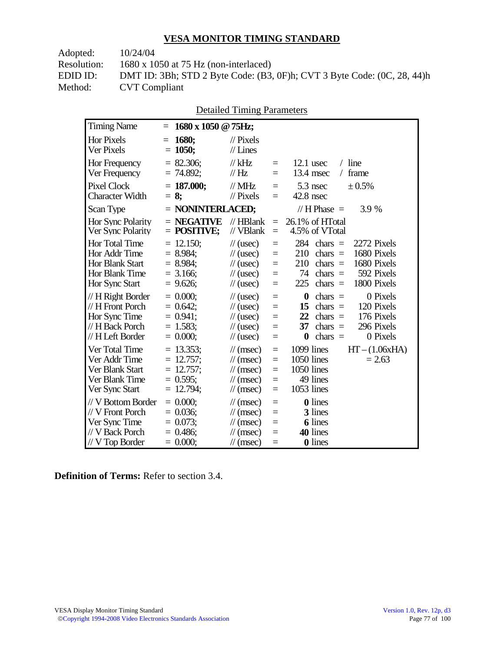Adopted: 10/24/04

Resolution: 1680 x 1050 at 75 Hz (non-interlaced)

EDID ID: DMT ID: 3Bh; STD 2 Byte Code: (B3, 0F)h; CVT 3 Byte Code: (0C, 28, 44)h **CVT Compliant** 

|  | <b>Detailed Timing Parameters</b> |
|--|-----------------------------------|
|  |                                   |

| <b>Timing Name</b>                                                                              | 1680 x 1050 @ 75Hz;<br>$=$                                                    |                                                                                                                            |                                                |                                                                                                                                                                                                  |
|-------------------------------------------------------------------------------------------------|-------------------------------------------------------------------------------|----------------------------------------------------------------------------------------------------------------------------|------------------------------------------------|--------------------------------------------------------------------------------------------------------------------------------------------------------------------------------------------------|
| <b>Hor Pixels</b><br><b>Ver Pixels</b>                                                          | 1680;<br>$=$<br>$= 1050;$                                                     | $\mathcal{U}$ Pixels<br>$\mathcal{U}$ Lines                                                                                |                                                |                                                                                                                                                                                                  |
| Hor Frequency<br>Ver Frequency                                                                  | $= 82.306;$<br>$= 74.892$ ;                                                   | $//$ kHz<br>$\frac{1}{1}$ Hz                                                                                               | $\equiv$<br>$=$                                | $/$ line<br>$12.1$ usec<br>13.4 msec<br>frame<br>$\sqrt{2}$                                                                                                                                      |
| <b>Pixel Clock</b><br><b>Character Width</b>                                                    | $= 187.000;$<br>$= 8$ ;                                                       | $\frac{1}{2}$ MHz<br>$\frac{1}{2}$ Pixels                                                                                  | $\equiv$<br>$=$                                | $5.3$ nsec<br>± 0.5%<br>$42.8$ nsec                                                                                                                                                              |
| Scan Type                                                                                       | $=$ NONINTERLACED;                                                            |                                                                                                                            |                                                | 3.9 %<br>// $H$ Phase $=$                                                                                                                                                                        |
| Hor Sync Polarity<br>Ver Sync Polarity                                                          | $=$ NEGATIVE<br>$=$ POSITIVE;                                                 | $//$ HBlank<br>// VBlank                                                                                                   | $=$<br>$\equiv$                                | 26.1% of HTotal<br>4.5% of VTotal                                                                                                                                                                |
| Hor Total Time<br>Hor Addr Time<br>Hor Blank Start<br>Hor Blank Time<br>Hor Sync Start          | $= 12.150$ ;<br>$= 8.984$ ;<br>$= 8.984$<br>$= 3.166$ ;<br>$= 9.626$ ;        | $\frac{1}{2}$ (usec)<br>$\frac{1}{2}$ (usec)<br>$\frac{1}{2}$ (usec)<br>$\frac{1}{2}$ (usec)<br>$\frac{1}{2}$ (usec)       | $\equiv$<br>$=$<br>$=$<br>$\equiv$<br>$\equiv$ | 284<br>2272 Pixels<br>chars $=$<br>1680 Pixels<br>210<br>$\text{chars}$ =<br>1680 Pixels<br>210<br>chars $=$<br>74<br>chars $=$<br>592 Pixels<br>225<br>chars $=$<br>1800 Pixels                 |
| // H Right Border<br>// H Front Porch<br>Hor Sync Time<br>// H Back Porch<br>// H Left Border   | $= 0.000;$<br>$= 0.642$ ;<br>$= 0.941$ ;<br>$= 1.583$ ;<br>$= 0.000;$         | $\frac{1}{2}$ (usec)<br>$\frac{1}{2}$ (usec)<br>$\frac{1}{2}$ (usec)<br>$\frac{1}{2}$ (usec)<br>$\frac{1}{2}$ (usec)       | $\equiv$<br>$=$<br>$=$<br>$\equiv$<br>$\equiv$ | 0 Pixels<br>$\boldsymbol{0}$<br>chars $=$<br>120 Pixels<br>15<br>chars $=$<br>22<br>176 Pixels<br>$\text{chars}$ =<br>37<br>296 Pixels<br>chars $=$<br>$\boldsymbol{0}$<br>chars $=$<br>0 Pixels |
| Ver Total Time<br>Ver Addr Time<br>Ver Blank Start<br>Ver Blank Time<br>Ver Sync Start          | $= 13.353$ ;<br>12.757;<br>$=$<br>$= 12.757$ ;<br>$= 0.595$ ;<br>$= 12.794$ ; | $\mathcal{U}$ (msec)<br>$\mathcal{N}(msec)$<br>$\mathcal{U}$ (msec)<br>$\mathcal{U}$ (msec)<br>$\mathcal{U}$ (msec)        | $\equiv$<br>$=$<br>$\equiv$<br>$=$<br>$=$      | 1099 lines<br>$HT - (1.06xHA)$<br>1050 lines<br>$= 2.63$<br>1050 lines<br>49 lines<br>1053 lines                                                                                                 |
| // V Bottom Border<br>// V Front Porch<br>Ver Sync Time<br>// V Back Porch<br>$//$ V Top Border | $= 0.000$<br>$= 0.036$ ;<br>$= 0.073$ ;<br>$= 0.486$ ;<br>$= 0.000;$          | $\mathcal{U}$ (msec)<br>$\mathcal{U}$ (msec)<br>$\mathcal{U}(\text{msec})$<br>$\mathcal{U}$ (msec)<br>$\mathcal{U}$ (msec) | $\equiv$<br>$=$<br>$=$<br>$=$<br>$=$           | <b>0</b> lines<br>3 lines<br>6 lines<br>40 lines<br>0 lines                                                                                                                                      |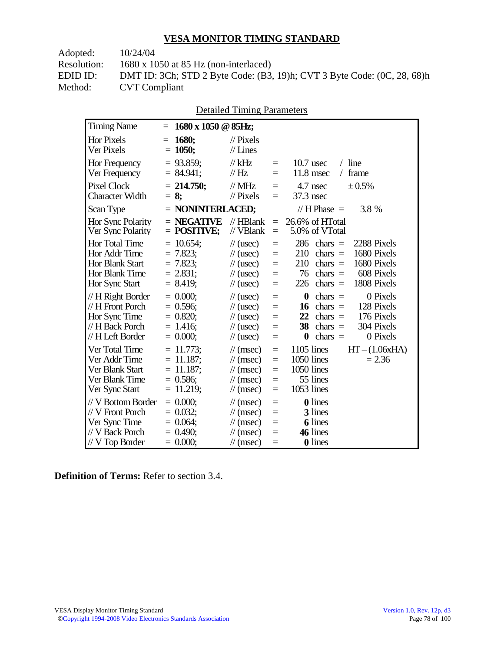Adopted: 10/24/04

Resolution: 1680 x 1050 at 85 Hz (non-interlaced)

EDID ID: DMT ID: 3Ch; STD 2 Byte Code: (B3, 19)h; CVT 3 Byte Code: (0C, 28, 68)h<br>Method: CVT Compliant **CVT Compliant** 

|  | <b>Detailed Timing Parameters</b> |
|--|-----------------------------------|
|  |                                   |

| <b>Timing Name</b>                                                                              | $=$ | 1680 x 1050 @ 85Hz;                                                    |                                                                                                                            |                                      |                                                                                                                                                                                                  |
|-------------------------------------------------------------------------------------------------|-----|------------------------------------------------------------------------|----------------------------------------------------------------------------------------------------------------------------|--------------------------------------|--------------------------------------------------------------------------------------------------------------------------------------------------------------------------------------------------|
| <b>Hor Pixels</b><br>Ver Pixels                                                                 | $=$ | 1680;<br>$= 1050;$                                                     | $\mathcal{U}$ Pixels<br>$//$ Lines                                                                                         |                                      |                                                                                                                                                                                                  |
| Hor Frequency<br>Ver Frequency                                                                  |     | $= 93.859$ ;<br>$= 84.941;$                                            | $//$ kHz<br>$\mathcal{U}$ Hz                                                                                               | $\quad \  \  =$<br>$=$               | $/$ line<br>$10.7$ usec<br>11.8 msec<br>frame<br>$\sqrt{2}$                                                                                                                                      |
| <b>Pixel Clock</b><br><b>Character Width</b>                                                    |     | $= 214.750$ ;<br>$= 8$ ;                                               | $\mathcal{N}$ MHz<br>$//$ Pixels                                                                                           | $=$<br>$=$                           | ± 0.5%<br>4.7 nsec<br>37.3 nsec                                                                                                                                                                  |
| Scan Type                                                                                       |     | $=$ NONINTERLACED;                                                     |                                                                                                                            |                                      | 3.8 %<br>// $H$ Phase $=$                                                                                                                                                                        |
| Hor Sync Polarity<br>Ver Sync Polarity                                                          |     | $=$ NEGATIVE<br>$=$ POSITIVE;                                          | $//$ HBlank<br>// VBlank                                                                                                   | $\equiv$<br>$\equiv$                 | 26.6% of HTotal<br>5.0% of VTotal                                                                                                                                                                |
| Hor Total Time<br>Hor Addr Time<br>Hor Blank Start<br>Hor Blank Time<br>Hor Sync Start          |     | $= 10.654;$<br>$= 7.823$ ;<br>$= 7.823$ ;<br>$= 2.831;$<br>$= 8.419$ ; | $\frac{1}{2}$ (usec)<br>$\frac{1}{2}$ (usec)<br>$\frac{1}{2}$ (usec)<br>$\frac{1}{2}$ (usec)<br>$\frac{1}{2}$ (usec)       | $=$<br>$=$<br>$=$<br>$=$<br>$=$      | 286<br>2288 Pixels<br>chars $=$<br>1680 Pixels<br>210<br>$chars =$<br>1680 Pixels<br>210<br>$\text{chars}$ =<br>76<br>608 Pixels<br>chars $=$<br>226<br>chars $=$<br>1808 Pixels                 |
| // H Right Border<br>// H Front Porch<br>Hor Sync Time<br>// H Back Porch<br>// H Left Border   |     | $= 0.000;$<br>$= 0.596$ ;<br>$= 0.820$ ;<br>$= 1.416$ ;<br>$= 0.000;$  | $\frac{1}{2}$ (usec)<br>$\frac{1}{2}$ (usec)<br>$\frac{1}{2}$ (usec)<br>$\frac{1}{2}$ (usec)<br>$\frac{1}{2}$ (usec)       | $\equiv$<br>$=$<br>$=$<br>$=$<br>$=$ | $\boldsymbol{0}$<br>0 Pixels<br>$\text{chars}$ =<br>128 Pixels<br>chars $=$<br>16<br>176 Pixels<br>22<br>$chars =$<br>38<br>304 Pixels<br>chars $=$<br>$\boldsymbol{0}$<br>chars $=$<br>0 Pixels |
| Ver Total Time<br>Ver Addr Time<br>Ver Blank Start<br>Ver Blank Time<br>Ver Sync Start          | $=$ | $= 11.773$ ;<br>11.187;<br>$= 11.187$ ;<br>$= 0.586;$<br>$= 11.219;$   | $\mathcal{U}$ (msec)<br>$\mathcal{N}(msec)$<br>$\mathcal{U}$ (msec)<br>$\mathcal{U}$ (msec)<br>$\mathcal{U}$ (msec)        | $\equiv$<br>$=$<br>$=$<br>$=$<br>$=$ | $1105$ lines<br>$HT - (1.06xHA)$<br>1050 lines<br>$= 2.36$<br>1050 lines<br>55 lines<br>1053 lines                                                                                               |
| // V Bottom Border<br>// V Front Porch<br>Ver Sync Time<br>// V Back Porch<br>$//$ V Top Border |     | $= 0.000$<br>$= 0.032$ ;<br>$= 0.064$ ;<br>$= 0.490;$<br>$= 0.000;$    | $\mathcal{U}$ (msec)<br>$\mathcal{U}$ (msec)<br>$\mathcal{U}(\text{msec})$<br>$\mathcal{U}$ (msec)<br>$\mathcal{U}$ (msec) | $\equiv$<br>$=$<br>$=$<br>$=$<br>$=$ | <b>0</b> lines<br>3 lines<br><b>6</b> lines<br>46 lines<br>0 lines                                                                                                                               |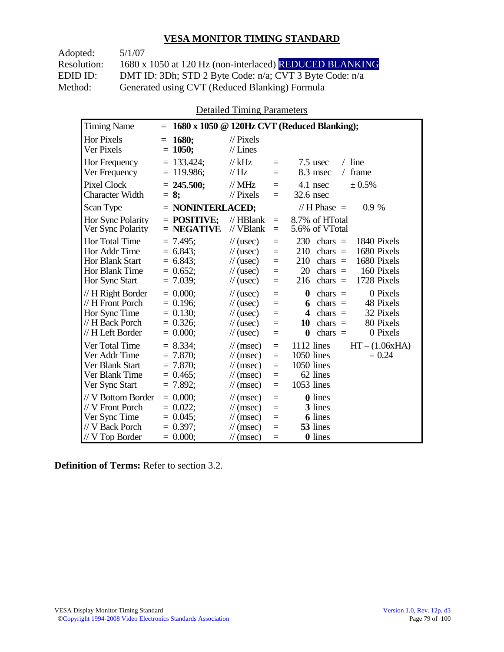Adopted: 5/1/07 Resolution: 1680 x 1050 at 120 Hz (non-interlaced) REDUCED BLANKING EDID ID: DMT ID: 3Dh; STD 2 Byte Code: n/a; CVT 3 Byte Code: n/a<br>Method: Generated using CVT (Reduced Blanking) Formula Generated using CVT (Reduced Blanking) Formula

Detailed Timing Parameters

| <b>Timing Name</b>                                                                              | $=$                                                                   |                                                                                                                                                                | 1680 x 1050 @ 120Hz CVT (Reduced Blanking);                                                                                                                                                                |
|-------------------------------------------------------------------------------------------------|-----------------------------------------------------------------------|----------------------------------------------------------------------------------------------------------------------------------------------------------------|------------------------------------------------------------------------------------------------------------------------------------------------------------------------------------------------------------|
| <b>Hor Pixels</b><br>Ver Pixels                                                                 | 1680;<br>$=$<br>$= 1050;$                                             | $\frac{1}{2}$ Pixels<br>$//$ Lines                                                                                                                             |                                                                                                                                                                                                            |
| Hor Frequency<br>Ver Frequency                                                                  | $= 133.424$ ;<br>$= 119.986$ ;                                        | $//$ kHz<br>$=$<br>$\mathcal{U}$ Hz<br>$=$                                                                                                                     | $/$ line<br>$7.5$ usec<br>8.3 msec<br>frame<br>$\sqrt{2}$                                                                                                                                                  |
| <b>Pixel Clock</b><br><b>Character Width</b>                                                    | $= 245.500$ ;<br>$= 8:$                                               | $//$ MHz<br>$=$<br>$\mathcal{U}$ Pixels<br>$=$                                                                                                                 | 4.1 nsec<br>± 0.5%<br>32.6 nsec                                                                                                                                                                            |
| Scan Type                                                                                       | $=$ NONINTERLACED;                                                    |                                                                                                                                                                | // H Phase $=$<br>$0.9\%$                                                                                                                                                                                  |
| <b>Hor Sync Polarity</b><br>Ver Sync Polarity                                                   | $=$ POSITIVE:<br>$=$ NEGATIVE                                         | $//$ HBlank<br>$=$<br>// VBlank<br>$=$                                                                                                                         | 8.7% of HTotal<br>5.6% of VTotal                                                                                                                                                                           |
| Hor Total Time<br>Hor Addr Time<br>Hor Blank Start<br>Hor Blank Time<br>Hor Sync Start          | $= 7.495$ ;<br>$= 6.843$ ;<br>$= 6.843$<br>$= 0.652$ ;<br>$= 7.039$ ; | $\frac{1}{2}$ (usec)<br>$=$<br>$\frac{1}{2}$ (usec)<br>$=$<br>$\frac{1}{2}$ (usec)<br>$=$<br>$\mathcal{U}$ (usec)<br>$=$<br>$\frac{1}{2}$ (usec)<br>$=$        | 230<br>1840 Pixels<br>chars $=$<br>210<br>1680 Pixels<br>chars $=$<br>210<br>1680 Pixels<br>chars $=$<br>20<br>chars $=$<br>160 Pixels<br>1728 Pixels<br>216<br>chars $=$                                  |
| // H Right Border<br>// H Front Porch<br>Hor Sync Time<br>// H Back Porch<br>// H Left Border   | $= 0.000$ :<br>$= 0.196$<br>$= 0.130$ ;<br>$= 0.326;$<br>$= 0.000;$   | $\frac{1}{2}$ (usec)<br>$=$<br>$\frac{1}{2}$ (usec)<br>$=$<br>$\frac{1}{2}$ (usec)<br>$=$<br>$\frac{1}{2}$ (usec)<br>$=$<br>$\frac{1}{2}$ (usec)<br>$=$        | 0 Pixels<br>$\boldsymbol{0}$<br>$chars =$<br>48 Pixels<br>chars $=$<br>6<br>32 Pixels<br>$\overline{\mathbf{4}}$<br>chars $=$<br>80 Pixels<br>10<br>chars $=$<br>chars $=$<br>0 Pixels<br>$\boldsymbol{0}$ |
| Ver Total Time<br>Ver Addr Time<br>Ver Blank Start<br>Ver Blank Time<br>Ver Sync Start          | $= 8.334$ ;<br>$= 7.870$<br>$= 7.870$ ;<br>$= 0.465$<br>$= 7.892$ ;   | $\mathcal{U}$ (msec)<br>$=$<br>$\mathcal{U}$ (msec)<br>$=$<br>$\mathcal{U}$ (msec)<br>$=$<br>$\mathcal{U}$ (msec)<br>$=$<br>$\mathcal{U}$ (msec)<br>$=$        | $HT - (1.06xHA)$<br>1112 lines<br>1050 lines<br>$= 0.24$<br>1050 lines<br>62 lines<br>1053 lines                                                                                                           |
| // V Bottom Border<br>// V Front Porch<br>Ver Sync Time<br>// V Back Porch<br>$//$ V Top Border | $= 0.000$<br>$= 0.022$<br>$= 0.045$ ;<br>$= 0.397$ ;<br>$= 0.000;$    | $\frac{1}{\sqrt{2}}$ (msec)<br>$=$<br>$\mathcal{U}$ (msec)<br>$=$<br>$\mathcal{U}$ (msec)<br>$=$<br>$\mathcal{U}$ (msec)<br>$=$<br>$\mathcal{U}$ (msec)<br>$=$ | <b>0</b> lines<br>3 lines<br><b>6</b> lines<br>53 lines<br>0 lines                                                                                                                                         |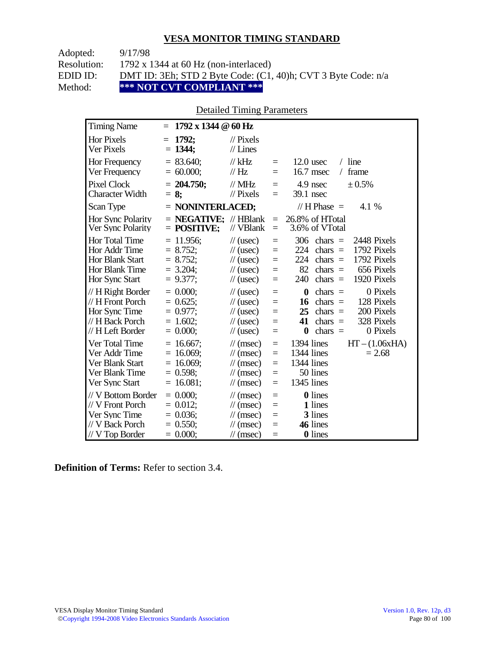| Adopted:    | 9/17/98                                                       |
|-------------|---------------------------------------------------------------|
| Resolution: | 1792 x 1344 at 60 Hz (non-interlaced)                         |
| EDID ID:    | DMT ID: 3Eh; STD 2 Byte Code: (C1, 40)h; CVT 3 Byte Code: n/a |
| Method:     | *** NOT CVT COMPLIANT ***                                     |

## Detailed Timing Parameters

| <b>Timing Name</b>                                                                             | $1792 \times 1344 \ @ 60 \text{ Hz}$<br>$=$                                |                                                                                                                      |                                      |                                                                                                                                                                                   |
|------------------------------------------------------------------------------------------------|----------------------------------------------------------------------------|----------------------------------------------------------------------------------------------------------------------|--------------------------------------|-----------------------------------------------------------------------------------------------------------------------------------------------------------------------------------|
| <b>Hor Pixels</b><br>Ver Pixels                                                                | 1792;<br>$=$<br>$= 1344$ ;                                                 | $\mathcal{U}$ Pixels<br>$//$ Lines                                                                                   |                                      |                                                                                                                                                                                   |
| Hor Frequency<br>Ver Frequency                                                                 | $= 83.640$ ;<br>$= 60.000;$                                                | $//$ kHz<br>$\mathcal{U}$ Hz                                                                                         | $\equiv$<br>$=$                      | $12.0$ usec<br>$/$ line<br>16.7 msec<br>frame<br>$\sqrt{2}$                                                                                                                       |
| <b>Pixel Clock</b><br>Character Width                                                          | $= 204.750;$<br>$= 8:$                                                     | $//$ MHz<br>$//$ Pixels                                                                                              | $=$<br>$=$                           | 4.9 nsec<br>± 0.5%<br>39.1 nsec                                                                                                                                                   |
| Scan Type                                                                                      | $=$ NONINTERLACED;                                                         |                                                                                                                      |                                      | // H Phase $=$<br>4.1 %                                                                                                                                                           |
| Hor Sync Polarity<br>Ver Sync Polarity                                                         | $=$ <b>NEGATIVE</b> ; // HBlank<br>$=$ POSITIVE;                           | // VBlank                                                                                                            | $\equiv$<br>$\equiv$                 | 26.8% of HTotal<br>3.6% of VTotal                                                                                                                                                 |
| Hor Total Time<br>Hor Addr Time<br><b>Hor Blank Start</b><br>Hor Blank Time<br>Hor Sync Start  | $= 11.956$ ;<br>$= 8.752;$<br>$= 8.752;$<br>$= 3.204$ ;<br>$= 9.377$ ;     | $\frac{1}{2}$ (usec)<br>$\frac{1}{2}$ (usec)<br>$\frac{1}{2}$ (usec)<br>$\frac{1}{2}$ (usec)<br>$\frac{1}{2}$ (usec) | $=$<br>$=$<br>$=$<br>$=$<br>$=$      | 306<br>2448 Pixels<br>$chars =$<br>224<br>1792 Pixels<br>chars $=$<br>224<br>1792 Pixels<br>$chars =$<br>82<br>656 Pixels<br>chars $=$<br>240<br>chars $=$<br>1920 Pixels         |
| // H Right Border<br>// H Front Porch<br>Hor Sync Time<br>// H Back Porch<br>// H Left Border  | $= 0.000$<br>$= 0.625$ ;<br>$= 0.977$ ;<br>$= 1.602;$<br>$= 0.000;$        | $\frac{1}{2}$ (usec)<br>$\frac{1}{2}$ (usec)<br>$\frac{1}{2}$ (usec)<br>$\frac{1}{2}$ (usec)<br>$\frac{1}{2}$ (usec) | $=$<br>$=$<br>$=$<br>$=$<br>$=$      | $\bf{0}$<br>0 Pixels<br>$chars =$<br>128 Pixels<br>$chars =$<br>16<br>200 Pixels<br>25<br>$chars =$<br>41<br>328 Pixels<br>$chars =$<br>chars $=$<br>0 Pixels<br>$\boldsymbol{0}$ |
| Ver Total Time<br>Ver Addr Time<br>Ver Blank Start<br>Ver Blank Time<br>Ver Sync Start         | $= 16.667$ ;<br>$= 16.069$ ;<br>$= 16.069$ ;<br>$= 0.598$ ;<br>$= 16.081;$ | $\mathcal{U}$ (msec)<br>$\mathcal{U}$ (msec)<br>$\mathcal{U}$ (msec)<br>$\mathcal{U}$ (msec)<br>$\mathcal{U}$ (msec) | $=$<br>$=$<br>$=$<br>$=$<br>$=$      | 1394 lines<br>$HT - (1.06xHA)$<br>1344 lines<br>$= 2.68$<br>1344 lines<br>50 lines<br>1345 lines                                                                                  |
| // V Bottom Border<br>// V Front Porch<br>Ver Sync Time<br>// V Back Porch<br>$//V$ Top Border | $= 0.000;$<br>$= 0.012$ ;<br>$= 0.036$ ;<br>$= 0.550$ ;<br>$= 0.000;$      | $\mathcal{U}$ (msec)<br>$\mathcal{U}$ (msec)<br>$\mathcal{U}$ (msec)<br>$\mathcal{U}$ (msec)<br>$\mathcal{U}$ (msec) | $\equiv$<br>$=$<br>$=$<br>$=$<br>$=$ | 0 lines<br>1 lines<br>3 lines<br>46 lines<br>0 lines                                                                                                                              |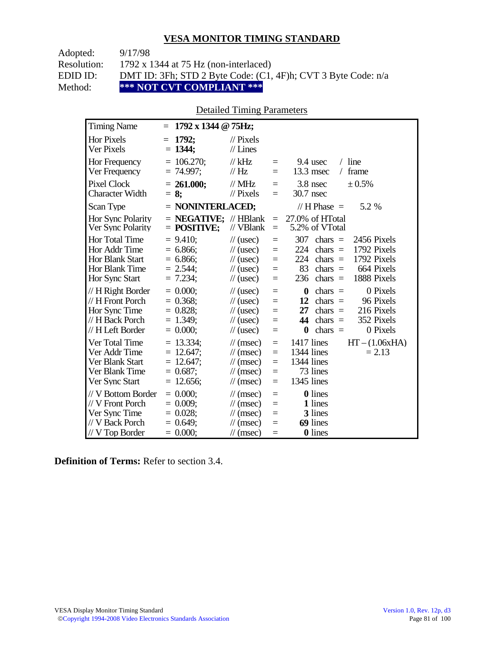| Adopted:    | 9/17/98                                                       |
|-------------|---------------------------------------------------------------|
| Resolution: | 1792 x 1344 at 75 Hz (non-interlaced)                         |
| EDID ID:    | DMT ID: 3Fh; STD 2 Byte Code: (C1, 4F)h; CVT 3 Byte Code: n/a |
| Method:     | *** NOT CVT COMPLIANT ***                                     |

## Detailed Timing Parameters

| <b>Timing Name</b>                                                                              | $1792 \times 1344 \odot 75$ Hz;<br>$=$                                  |                                                                                                                      |                                      |                                                                                                                                                                                  |
|-------------------------------------------------------------------------------------------------|-------------------------------------------------------------------------|----------------------------------------------------------------------------------------------------------------------|--------------------------------------|----------------------------------------------------------------------------------------------------------------------------------------------------------------------------------|
| <b>Hor Pixels</b><br>Ver Pixels                                                                 | 1792:<br>$=$<br>$= 1344$ ;                                              | $\mathcal{U}$ Pixels<br>$//$ Lines                                                                                   |                                      |                                                                                                                                                                                  |
| Hor Frequency<br>Ver Frequency                                                                  | $= 106.270$ ;<br>$= 74.997$ ;                                           | $//$ kHz<br>$\frac{1}{1}$ Hz                                                                                         | $=$<br>$=$                           | $/$ line<br>9.4 usec<br>$13.3$ msec<br>frame<br>$\sqrt{2}$                                                                                                                       |
| <b>Pixel Clock</b><br><b>Character Width</b>                                                    | $= 261.000;$<br>$= 8$ ;                                                 | $//$ MHz<br>$\frac{1}{2}$ Pixels                                                                                     | $\equiv$<br>$=$                      | 3.8 nsec<br>± 0.5%<br>30.7 nsec                                                                                                                                                  |
| Scan Type                                                                                       | $=$ NONINTERLACED;                                                      |                                                                                                                      |                                      | 5.2 %<br>// H Phase $=$                                                                                                                                                          |
| Hor Sync Polarity<br>Ver Sync Polarity                                                          | $=$ <b>NEGATIVE</b> ; // HBlank<br>$=$ POSITIVE;                        | // VBlank                                                                                                            | $\equiv$<br>$\equiv$                 | 27.0% of HTotal<br>5.2% of VTotal                                                                                                                                                |
| Hor Total Time<br>Hor Addr Time<br><b>Hor Blank Start</b><br>Hor Blank Time<br>Hor Sync Start   | $= 9.410$ ;<br>$= 6.866$ ;<br>$= 6.866$ ;<br>$= 2.544$ ;<br>$= 7.234$ ; | $\frac{1}{2}$ (usec)<br>$\frac{1}{2}$ (usec)<br>$\frac{1}{2}$ (usec)<br>$\frac{1}{2}$ (usec)<br>$\frac{1}{2}$ (usec) | $=$<br>$=$<br>$=$<br>$\equiv$<br>$=$ | 307<br>2456 Pixels<br>chars $=$<br>1792 Pixels<br>224<br>chars $=$<br>224<br>1792 Pixels<br>$chars =$<br>83<br>664 Pixels<br>chars $=$<br>236<br>1888 Pixels<br>chars $=$        |
| // H Right Border<br>// H Front Porch<br>Hor Sync Time<br>// H Back Porch<br>// H Left Border   | $= 0.000$<br>$= 0.368$ ;<br>$= 0.828$ ;<br>$= 1.349$ ;<br>$= 0.000$     | $\frac{1}{2}$ (usec)<br>$\frac{1}{2}$ (usec)<br>$\frac{1}{2}$ (usec)<br>$\frac{1}{2}$ (usec)<br>$\frac{1}{2}$ (usec) | $=$<br>$=$<br>$=$<br>$=$<br>$=$      | 0 Pixels<br>$\bf{0}$<br>chars $=$<br>96 Pixels<br>12<br>$chars =$<br>27<br>216 Pixels<br>chars $=$<br>44<br>352 Pixels<br>chars $=$<br>0 Pixels<br>$\boldsymbol{0}$<br>chars $=$ |
| Ver Total Time<br>Ver Addr Time<br>Ver Blank Start<br>Ver Blank Time<br>Ver Sync Start          | $= 13.334$ ;<br>$= 12.647;$<br>$= 12.647$ ;<br>$= 0.687;$<br>12.656;    | $\mathcal{U}$ (msec)<br>$\mathcal{U}$ (msec)<br>$\mathcal{U}$ (msec)<br>$\mathcal{U}$ (msec)<br>$\mathcal{U}$ (msec) | $\equiv$<br>$=$<br>$=$<br>$=$<br>$=$ | 1417 lines<br>$HT - (1.06xHA)$<br>1344 lines<br>$= 2.13$<br>1344 lines<br>73 lines<br>1345 lines                                                                                 |
| // V Bottom Border<br>// V Front Porch<br>Ver Sync Time<br>// V Back Porch<br>$//$ V Top Border | $= 0.000;$<br>$= 0.009$<br>$= 0.028;$<br>$= 0.649$ ;<br>$= 0.000;$      | $\mathcal{U}$ (msec)<br>$\mathcal{U}$ (msec)<br>$\mathcal{U}$ (msec)<br>$\mathcal{U}$ (msec)<br>$\mathcal{U}$ (msec) | $\equiv$<br>$=$<br>$=$<br>$=$<br>$=$ | <b>0</b> lines<br>1 lines<br>3 lines<br>69 lines<br>0 lines                                                                                                                      |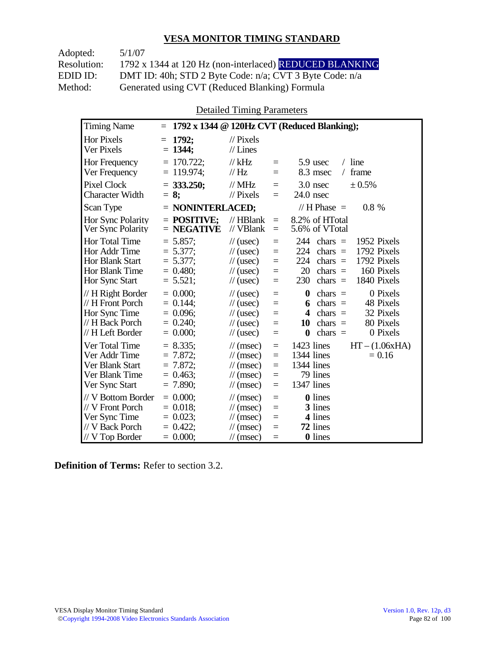Adopted: 5/1/07

Resolution: 1792 x 1344 at 120 Hz (non-interlaced) REDUCED BLANKING EDID ID: DMT ID: 40h; STD 2 Byte Code: n/a; CVT 3 Byte Code: n/a<br>Method: Generated using CVT (Reduced Blanking) Formula Generated using CVT (Reduced Blanking) Formula

Detailed Timing Parameters

| <b>Timing Name</b>                                                                              | $=$                                                                     |                                                                                                                                                                | 1792 x 1344 @ 120Hz CVT (Reduced Blanking);                                                                                                                                  |
|-------------------------------------------------------------------------------------------------|-------------------------------------------------------------------------|----------------------------------------------------------------------------------------------------------------------------------------------------------------|------------------------------------------------------------------------------------------------------------------------------------------------------------------------------|
| <b>Hor Pixels</b><br>Ver Pixels                                                                 | 1792;<br>$=$<br>$= 1344$ ;                                              | $\frac{1}{2}$ Pixels<br>$//$ Lines                                                                                                                             |                                                                                                                                                                              |
| <b>Hor Frequency</b><br>Ver Frequency                                                           | $= 170.722$ ;<br>$= 119.974$ ;                                          | $//$ kHz<br>$=$<br>$\mathcal{U}$ Hz<br>$=$                                                                                                                     | $/$ line<br>5.9 usec<br>8.3 msec<br>frame<br>$\sqrt{2}$                                                                                                                      |
| <b>Pixel Clock</b><br><b>Character Width</b>                                                    | $=$ 333.250;<br>$= 8:$                                                  | $//$ MHz<br>$=$<br>$\mathcal{U}$ Pixels<br>$=$                                                                                                                 | 3.0 nsec<br>± 0.5%<br>$24.0$ nsec                                                                                                                                            |
| Scan Type                                                                                       | $=$ NONINTERLACED;                                                      |                                                                                                                                                                | // H Phase $=$<br>0.8%                                                                                                                                                       |
| Hor Sync Polarity<br>Ver Sync Polarity                                                          | $=$ POSITIVE:<br>$=$ NEGATIVE                                           | $//$ HBlank<br>$=$<br>// VBlank<br>$=$                                                                                                                         | 8.2% of HTotal<br>5.6% of VTotal                                                                                                                                             |
| Hor Total Time<br>Hor Addr Time<br>Hor Blank Start<br>Hor Blank Time<br>Hor Sync Start          | $= 5.857$ ;<br>$= 5.377$ ;<br>$= 5.377$ ;<br>$= 0.480$ ;<br>$= 5.521$ ; | $\frac{1}{2}$ (usec)<br>$=$<br>$\frac{1}{2}$ (usec)<br>$=$<br>$\frac{1}{2}$ (usec)<br>$=$<br>$\mathcal{U}$ (usec)<br>$=$<br>$\frac{1}{2}$ (usec)<br>$=$        | 1952 Pixels<br>244<br>chars $=$<br>1792 Pixels<br>224<br>chars $=$<br>224<br>1792 Pixels<br>chars $=$<br>20<br>chars $=$<br>160 Pixels<br>230<br>1840 Pixels<br>chars $=$    |
| // H Right Border<br>// H Front Porch<br>Hor Sync Time<br>// H Back Porch<br>// H Left Border   | $= 0.000$<br>$= 0.144$ :<br>$= 0.096$ ;<br>$= 0.240$ ;<br>$= 0.000;$    | $\frac{1}{2}$ (usec)<br>$=$<br>$\frac{1}{2}$ (usec)<br>$=$<br>$\frac{1}{2}$ (usec)<br>$=$<br>$\frac{1}{2}$ (usec)<br>$=$<br>$\frac{1}{2}$ (usec)<br>$=$        | 0 Pixels<br>$\boldsymbol{0}$<br>$chars =$<br>48 Pixels<br>chars $=$<br>6<br>32 Pixels<br>4<br>$chars =$<br>80 Pixels<br>10<br>chars $=$<br>$\bf{0}$<br>chars $=$<br>0 Pixels |
| Ver Total Time<br>Ver Addr Time<br>Ver Blank Start<br>Ver Blank Time<br>Ver Sync Start          | $= 8.335$<br>$= 7.872$<br>$= 7.872$ ;<br>$= 0.463$<br>$= 7.890$ ;       | $\mathcal{U}$ (msec)<br>$=$<br>$\mathcal{U}$ (msec)<br>$=$<br>$\mathcal{U}$ (msec)<br>$=$<br>$\mathcal{U}$ (msec)<br>$=$<br>$\mathcal{U}$ (msec)<br>$=$        | $HT - (1.06xHA)$<br>1423 lines<br>1344 lines<br>$= 0.16$<br>1344 lines<br>79 lines<br>1347 lines                                                                             |
| // V Bottom Border<br>// V Front Porch<br>Ver Sync Time<br>// V Back Porch<br>$//$ V Top Border | $= 0.000$<br>$= 0.018$<br>$= 0.023$ ;<br>$= 0.422$ ;<br>$= 0.000;$      | $\frac{1}{\sqrt{2}}$ (msec)<br>$=$<br>$\mathcal{U}$ (msec)<br>$=$<br>$\mathcal{U}$ (msec)<br>$=$<br>$\mathcal{U}$ (msec)<br>$=$<br>$\mathcal{U}$ (msec)<br>$=$ | <b>0</b> lines<br>3 lines<br>4 lines<br>72 lines<br>0 lines                                                                                                                  |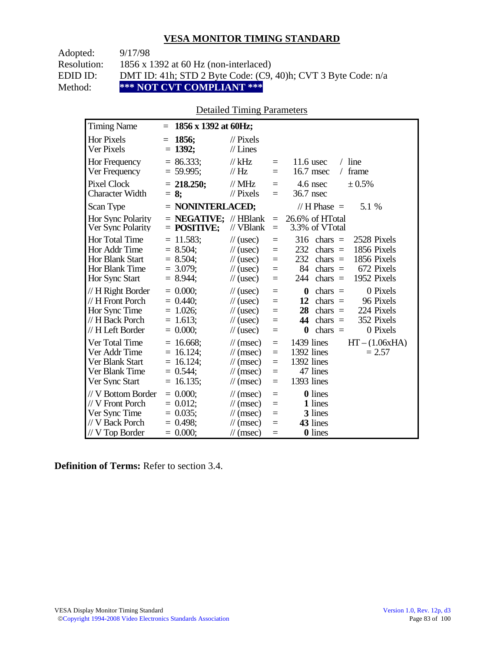| Adopted:    | 9/17/98                                                       |
|-------------|---------------------------------------------------------------|
| Resolution: | 1856 x 1392 at 60 Hz (non-interlaced)                         |
| EDID ID:    | DMT ID: 41h; STD 2 Byte Code: (C9, 40)h; CVT 3 Byte Code: n/a |
| Method:     | *** NOT CVT COMPLIANT ***                                     |

## Detailed Timing Parameters

| <b>Timing Name</b>                                                                                   | $=$                                                                        | 1856 x 1392 at 60Hz;                                                                                                                                                                                                                                                                                                                      |
|------------------------------------------------------------------------------------------------------|----------------------------------------------------------------------------|-------------------------------------------------------------------------------------------------------------------------------------------------------------------------------------------------------------------------------------------------------------------------------------------------------------------------------------------|
| Hor Pixels<br>Ver Pixels                                                                             | 1856:<br>$=$<br>$= 1392;$                                                  | $\frac{1}{2}$ Pixels<br>$//$ Lines                                                                                                                                                                                                                                                                                                        |
| Hor Frequency<br>Ver Frequency                                                                       | $= 86.333;$<br>$= 59.995$ ;                                                | $/$ line<br>$//$ kHz<br>$11.6$ usec<br>$\equiv$<br>$\frac{1}{1}$ Hz<br>16.7 msec<br>frame<br>$\sqrt{2}$<br>$=$                                                                                                                                                                                                                            |
| Pixel Clock<br><b>Character Width</b>                                                                | $= 218.250;$<br>$= 8;$                                                     | // $MHz$<br>4.6 nsec<br>$\pm 0.5\%$<br>$\equiv$<br>$//$ Pixels<br>36.7 nsec<br>$\equiv$                                                                                                                                                                                                                                                   |
| Scan Type                                                                                            |                                                                            | $=$ NONINTERLACED;<br>// H Phase $=$<br>5.1 %                                                                                                                                                                                                                                                                                             |
| Hor Sync Polarity<br>Ver Sync Polarity                                                               | $=$ POSITIVE;                                                              | $=$ <b>NEGATIVE</b> ; // HBlank<br>26.6% of HTotal<br>$\equiv$<br>// VBlank<br>3.3% of VTotal<br>$=$                                                                                                                                                                                                                                      |
| <b>Hor Total Time</b><br>Hor Addr Time<br><b>Hor Blank Start</b><br>Hor Blank Time<br>Hor Sync Start | $= 11.583$ ;<br>$= 8.504$ ;<br>$= 8.504$ ;<br>$= 3.079$ ;<br>$= 8.944$ ;   | $\frac{1}{2}$ (usec)<br>316<br>chars $=$<br>2528 Pixels<br>$\equiv$<br>1856 Pixels<br>232<br>$chars =$<br>$\frac{1}{2}$ (usec)<br>$=$<br>232<br>1856 Pixels<br>$\frac{1}{2}$ (usec)<br>$chars =$<br>$=$<br>84<br>672 Pixels<br>$chars =$<br>$\frac{1}{2}$ (usec)<br>$=$<br>1952 Pixels<br>244<br>chars $=$<br>$\frac{1}{2}$ (usec)<br>$=$ |
| // H Right Border<br>// H Front Porch<br>Hor Sync Time<br>// H Back Porch<br>// H Left Border        | $= 0.000;$<br>$= 0.440$<br>$= 1.026$ ;<br>$= 1.613$ ;<br>$= 0.000$         | 0 Pixels<br>chars $=$<br>$\frac{1}{2}$ (usec)<br>$\bf{0}$<br>$\equiv$<br>12<br>$chars =$<br>96 Pixels<br>$\frac{1}{2}$ (usec)<br>$=$<br>28<br>224 Pixels<br>$chars =$<br>$\frac{1}{2}$ (usec)<br>$=$<br>44<br>352 Pixels<br>chars $=$<br>$\frac{1}{2}$ (usec)<br>$=$<br>0 Pixels<br>chars $=$<br>$\frac{1}{2}$ (usec)<br>$\bf{0}$<br>$=$  |
| Ver Total Time<br>Ver Addr Time<br>Ver Blank Start<br>Ver Blank Time<br>Ver Sync Start               | $= 16.668$ ;<br>$= 16.124$ ;<br>$= 16.124$ ;<br>$= 0.544$ ;<br>$= 16.135;$ | $HT - (1.06xHA)$<br>$1439$ lines<br>$\mathcal{U}$ (msec)<br>$\equiv$<br>1392 lines<br>$\mathcal{U}$ (msec)<br>$= 2.57$<br>$=$<br>1392 lines<br>$\mathcal{U}$ (msec)<br>$=$<br>47 lines<br>$\mathcal{U}$ (msec)<br>$=$<br>1393 lines<br>$\mathcal{U}$ (msec)<br>$\equiv$                                                                   |
| // V Bottom Border<br>// V Front Porch<br>Ver Sync Time<br>// V Back Porch<br>$//$ V Top Border      | $= 0.000$<br>$= 0.012$ ;<br>$= 0.035;$<br>$= 0.498$<br>$= 0.000;$          | 0 lines<br>$\mathcal{U}$ (msec)<br>$\equiv$<br>1 lines<br>$\mathcal{U}$ (msec)<br>$\equiv$<br>3 lines<br>$\mathcal{U}$ (msec)<br>$=$<br>43 lines<br>$\mathcal{U}$ (msec)<br>$=$<br>0 lines<br>$\mathcal{U}$ (msec)<br>$=$                                                                                                                 |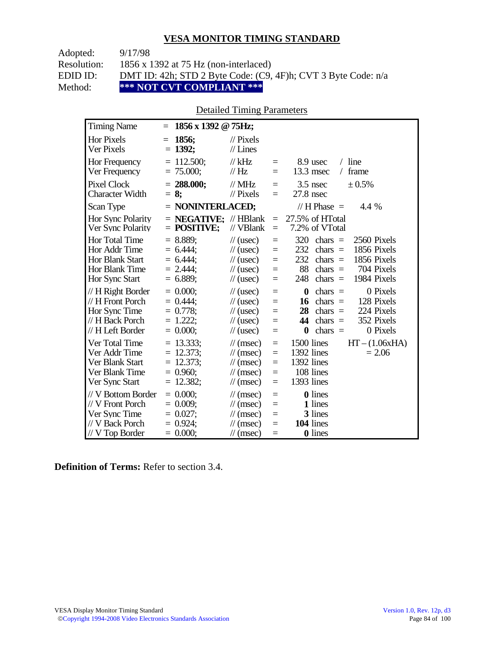| Adopted:    | 9/17/98                                                       |
|-------------|---------------------------------------------------------------|
| Resolution: | 1856 x 1392 at 75 Hz (non-interlaced)                         |
| EDID ID:    | DMT ID: 42h; STD 2 Byte Code: (C9, 4F)h; CVT 3 Byte Code: n/a |
| Method:     | *** NOT CVT COMPLIANT ***                                     |

## Detailed Timing Parameters

| <b>Timing Name</b>                                                                              | 1856 x 1392 @ 75Hz;<br>$=$                                                 |                                                                                                                             |                                      |                                                                                                                                                                                  |
|-------------------------------------------------------------------------------------------------|----------------------------------------------------------------------------|-----------------------------------------------------------------------------------------------------------------------------|--------------------------------------|----------------------------------------------------------------------------------------------------------------------------------------------------------------------------------|
| <b>Hor Pixels</b><br>Ver Pixels                                                                 | 1856:<br>$=$<br>$= 1392;$                                                  | $\mathcal{U}$ Pixels<br>$//$ Lines                                                                                          |                                      |                                                                                                                                                                                  |
| Hor Frequency<br>Ver Frequency                                                                  | $= 112.500;$<br>$= 75.000;$                                                | $//$ kHz<br>$\mathcal{U}$ Hz                                                                                                | $=$<br>$=$                           | $/$ line<br>8.9 usec<br>13.3 msec<br>frame<br>$\sqrt{2}$                                                                                                                         |
| <b>Pixel Clock</b><br><b>Character Width</b>                                                    | $= 288.000;$<br>$= 8$ ;                                                    | $//$ MHz<br>$//$ Pixels                                                                                                     | $\equiv$<br>$=$                      | $3.5$ nsec<br>$\pm 0.5\%$<br>$27.8$ nsec                                                                                                                                         |
| Scan Type                                                                                       | $=$ NONINTERLACED;                                                         |                                                                                                                             |                                      | // H Phase $=$<br>4.4 %                                                                                                                                                          |
| Hor Sync Polarity<br>Ver Sync Polarity                                                          | $=$ <b>NEGATIVE</b> ; // HBlank<br>$=$ POSITIVE;                           | // VBlank                                                                                                                   | $=$<br>$\equiv$                      | 27.5% of HTotal<br>7.2% of VTotal                                                                                                                                                |
| Hor Total Time<br>Hor Addr Time<br><b>Hor Blank Start</b><br>Hor Blank Time<br>Hor Sync Start   | $= 8.889;$<br>$= 6.444$<br>$= 6.444$<br>$= 2.444$ ;<br>$= 6.889$ ;         | $\frac{1}{2}$ (usec)<br>$\frac{1}{2}$ (usec)<br>$\frac{1}{2}$ (usec)<br>$\frac{1}{2}$ (usec)<br>$\frac{1}{2}$ (usec)        | $\equiv$<br>$=$<br>$=$<br>$=$<br>$=$ | 320<br>2560 Pixels<br>chars $=$<br>232<br>1856 Pixels<br>chars $=$<br>232<br>1856 Pixels<br>chars $=$<br>88<br>704 Pixels<br>$\text{chars}$ =<br>248<br>chars $=$<br>1984 Pixels |
| // H Right Border<br>// H Front Porch<br>Hor Sync Time<br>// H Back Porch<br>// H Left Border   | $= 0.000$<br>$= 0.444$ :<br>$= 0.778$ ;<br>$= 1.222$ ;<br>$= 0.000;$       | $\frac{1}{2}$ (usec)<br>$\frac{1}{2}$ (usec)<br>$\frac{1}{2}$ (usec)<br>$\frac{1}{2}$ (usec)<br>$\frac{1}{2}$ (usec)        | $=$<br>$=$<br>$=$<br>$=$<br>$=$      | 0 Pixels<br>$\bf{0}$<br>chars $=$<br>16<br>chars $=$<br>128 Pixels<br>28<br>224 Pixels<br>$chars =$<br>352 Pixels<br>44<br>chars $=$<br>0 Pixels<br>chars $=$<br>$\bf{0}$        |
| Ver Total Time<br>Ver Addr Time<br>Ver Blank Start<br>Ver Blank Time<br>Ver Sync Start          | $= 13.333$ ;<br>12.373;<br>$=$<br>12.373;<br>$=$<br>$= 0.960$ ;<br>12.382; | $\mathcal{U}$ (msec)<br>$\frac{1}{\sqrt{2}}$ (msec)<br>$\mathcal{U}$ (msec)<br>$\mathcal{U}$ (msec)<br>$\mathcal{U}$ (msec) | $=$<br>$=$<br>$=$<br>$=$<br>$=$      | 1500 lines<br>$HT - (1.06xHA)$<br>1392 lines<br>$= 2.06$<br>1392 lines<br>108 lines<br>1393 lines                                                                                |
| // V Bottom Border<br>// V Front Porch<br>Ver Sync Time<br>// V Back Porch<br>$//$ V Top Border | $= 0.000$<br>$= 0.009$ ;<br>$= 0.027$ ;<br>$= 0.924$ ;<br>$= 0.000;$       | $\mathcal{U}$ (msec)<br>$\mathcal{U}$ (msec)<br>$\mathcal{U}$ (msec)<br>$\mathcal{U}$ (msec)<br>$\frac{1}{\sqrt{2}}$ (msec) | $\equiv$<br>$=$<br>$=$<br>$=$<br>$=$ | <b>0</b> lines<br>1 lines<br>3 lines<br>104 lines<br>0 lines                                                                                                                     |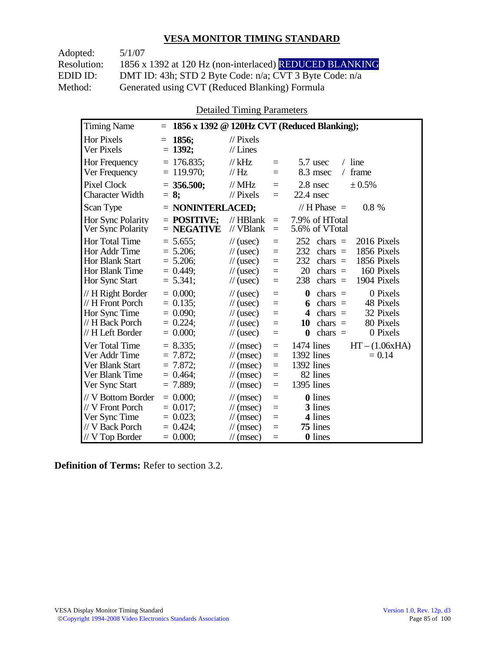Adopted: 5/1/07 Resolution: 1856 x 1392 at 120 Hz (non-interlaced) REDUCED BLANKING EDID ID: DMT ID: 43h; STD 2 Byte Code: n/a; CVT 3 Byte Code: n/a<br>Method: Generated using CVT (Reduced Blanking) Formula Generated using CVT (Reduced Blanking) Formula

Detailed Timing Parameters

| <b>Timing Name</b>                                                                                          | $=$                                                                   |                                                                                                                                                                                     | 1856 x 1392 @ 120Hz CVT (Reduced Blanking);                                                                                                                                         |
|-------------------------------------------------------------------------------------------------------------|-----------------------------------------------------------------------|-------------------------------------------------------------------------------------------------------------------------------------------------------------------------------------|-------------------------------------------------------------------------------------------------------------------------------------------------------------------------------------|
| Hor Pixels<br>Ver Pixels                                                                                    | 1856;<br>$=$<br>$= 1392$ ;                                            | $\frac{1}{2}$ Pixels<br>$//$ Lines                                                                                                                                                  |                                                                                                                                                                                     |
| <b>Hor Frequency</b><br>Ver Frequency                                                                       | $= 176.835$ ;<br>$= 119.970;$                                         | $//$ kHz<br>$=$<br>$\mathcal{U}$ Hz<br>$=$                                                                                                                                          | $/$ line<br>5.7 usec<br>frame<br>8.3 msec<br>$\sqrt{2}$                                                                                                                             |
| <b>Pixel Clock</b><br><b>Character Width</b>                                                                | $= 356.500$ ;<br>$= 8:$                                               | $//$ MHz<br>$=$<br>$\mathcal{U}$ Pixels<br>$=$                                                                                                                                      | 2.8 nsec<br>± 0.5%<br>$22.4$ nsec                                                                                                                                                   |
| Scan Type                                                                                                   | $=$ NONINTERLACED;                                                    |                                                                                                                                                                                     | // H Phase $=$<br>$0.8\%$                                                                                                                                                           |
| Hor Sync Polarity<br>Ver Sync Polarity                                                                      | $=$ POSITIVE:<br>$=$ NEGATIVE                                         | $//$ HBlank<br>$=$<br>$//$ VBlank<br>$=$                                                                                                                                            | 7.9% of HTotal<br>5.6% of VTotal                                                                                                                                                    |
| <b>Hor Total Time</b><br>Hor Addr Time<br><b>Hor Blank Start</b><br><b>Hor Blank Time</b><br>Hor Sync Start | $= 5.655$ ;<br>$= 5.206$ ;<br>$= 5.206;$<br>$= 0.449$ ;<br>$= 5.341;$ | $\frac{1}{2}$ (usec)<br>$=$<br>$\frac{1}{2}$ (usec)<br>$=$<br>$\frac{1}{2}$ (usec)<br>$=$<br>$\frac{1}{2}$ (usec)<br>$=$<br>$\frac{1}{2}$ (usec)<br>$=$                             | 252<br>2016 Pixels<br>chars $=$<br>232<br>1856 Pixels<br>chars $=$<br>232<br>1856 Pixels<br>chars $=$<br>20<br>160 Pixels<br>$chars =$<br>238<br>1904 Pixels<br>$chars =$           |
| // H Right Border<br>// H Front Porch<br>Hor Sync Time<br>// H Back Porch<br>// H Left Border               | $= 0.000$<br>$= 0.135$ ;<br>$= 0.090;$<br>$= 0.224$ ;<br>$= 0.000;$   | $\frac{1}{2}$ (usec)<br>$=$<br>$\frac{1}{2}$ (usec)<br>$=$<br>$\frac{1}{2}$ (usec)<br>$=$<br>$\frac{1}{2}$ (usec)<br>$=$<br>$\frac{1}{2}$ (usec)<br>$=$                             | $\bf{0}$<br>0 Pixels<br>$chars =$<br>chars $=$<br>48 Pixels<br>6<br>32 Pixels<br>$\boldsymbol{4}$<br>$chars =$<br>80 Pixels<br>10<br>chars $=$<br>chars $=$<br>0 Pixels<br>$\bf{0}$ |
| Ver Total Time<br>Ver Addr Time<br>Ver Blank Start<br>Ver Blank Time<br>Ver Sync Start                      | $= 8.335;$<br>$= 7.872$ ;<br>$= 7.872;$<br>$= 0.464$ ;<br>$= 7.889;$  | $\mathcal{U}$ (msec)<br>$=$<br>$\frac{1}{\sqrt{2}}$ (msec)<br>$=$<br>$\frac{1}{\sqrt{2}}$ (msec)<br>$=$<br>$\frac{1}{\sqrt{2}}$ (msec)<br>$=$<br>$\frac{1}{\sqrt{2}}$ (msec)<br>$=$ | 1474 lines<br>$HT - (1.06xHA)$<br>1392 lines<br>$= 0.14$<br>1392 lines<br>82 lines<br>1395 lines                                                                                    |
| // V Bottom Border<br>// V Front Porch<br>Ver Sync Time<br>// V Back Porch<br>// V Top Border               | $= 0.000$<br>$= 0.017$ :<br>$= 0.023$ ;<br>$= 0.424$ ;<br>$= 0.000;$  | $\mathcal{U}$ (msec)<br>$=$<br>$\mathcal{U}$ (msec)<br>$=$<br>$\mathcal{U}$ (msec)<br>$=$<br>$\frac{1}{\sqrt{2}}$ (msec)<br>$=$<br>$\mathcal{U}$ (msec)<br>$=$                      | <b>0</b> lines<br>3 lines<br>4 lines<br>75 lines<br>0 lines                                                                                                                         |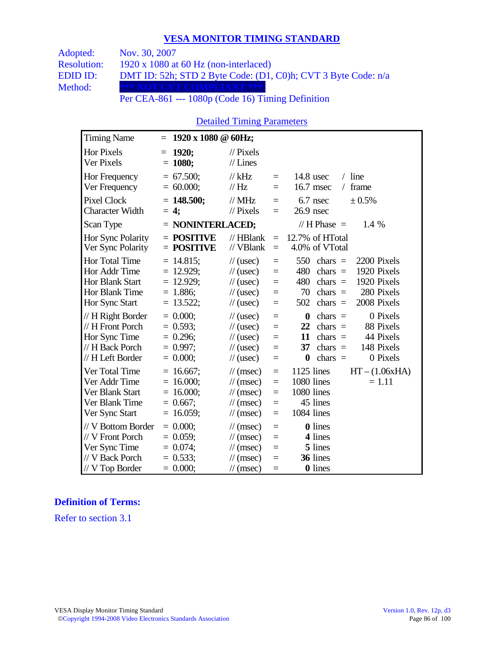| Adopted:           | Nov. 30, 2007                                                                                                                                                                                                                                                                                                                       |
|--------------------|-------------------------------------------------------------------------------------------------------------------------------------------------------------------------------------------------------------------------------------------------------------------------------------------------------------------------------------|
| <b>Resolution:</b> | $1920 \times 1080$ at 60 Hz (non-interlaced)                                                                                                                                                                                                                                                                                        |
| EDID ID:           | DMT ID: 52h; STD 2 Byte Code: (D1, C0)h; CVT 3 Byte Code: n/a                                                                                                                                                                                                                                                                       |
| Method:            | *** NOT CVT COMPLIANT ***                                                                                                                                                                                                                                                                                                           |
|                    | $\mathbf{D}$ . $\mathbf{A}$ $\mathbf{D}$ $\mathbf{A}$ $\mathbf{D}$ $\mathbf{A}$ $\mathbf{A}$ $\mathbf{A}$ $\mathbf{D}$ $\mathbf{A}$ $\mathbf{D}$ $\mathbf{A}$ $\mathbf{D}$ $\mathbf{A}$ $\mathbf{D}$ $\mathbf{A}$ $\mathbf{D}$ $\mathbf{A}$ $\mathbf{D}$ $\mathbf{A}$ $\mathbf{D}$ $\mathbf{A}$ $\mathbf{D}$ $\mathbf{A}$ $\mathbf$ |

Per CEA-861 --- 1080p (Code 16) Timing Definition

## Detailed Timing Parameters

| <b>Timing Name</b>                                                                                   | 1920 x 1080 @ 60Hz;<br>$=$                                                |                                                                                                                             |                                 |                                                                                                                                                                                         |
|------------------------------------------------------------------------------------------------------|---------------------------------------------------------------------------|-----------------------------------------------------------------------------------------------------------------------------|---------------------------------|-----------------------------------------------------------------------------------------------------------------------------------------------------------------------------------------|
| <b>Hor Pixels</b><br>Ver Pixels                                                                      | 1920;<br>$=$<br>$= 1080;$                                                 | $\mathcal{U}$ Pixels<br>$//$ Lines                                                                                          |                                 |                                                                                                                                                                                         |
| Hor Frequency<br>Ver Frequency                                                                       | $= 67.500;$<br>$= 60.000;$                                                | $//$ kHz<br>// Hz                                                                                                           | $=$<br>$=$                      | $/$ line<br>$14.8$ usec<br>16.7 msec<br>frame<br>$\sqrt{2}$                                                                                                                             |
| Pixel Clock<br><b>Character Width</b>                                                                | $= 148.500;$<br>$= 4$ ;                                                   | $//$ MHz<br>$//$ Pixels                                                                                                     | $=$<br>$=$                      | 6.7 nsec<br>± 0.5%<br>$26.9$ nsec                                                                                                                                                       |
| Scan Type                                                                                            | = NONINTERLACED;                                                          |                                                                                                                             |                                 | // H Phase $=$<br>1.4 %                                                                                                                                                                 |
| Hor Sync Polarity<br>Ver Sync Polarity                                                               | $=$ POSITIVE<br>$=$ POSITIVE                                              | $//$ HBlank<br>// VBlank                                                                                                    | $=$<br>$=$                      | 12.7% of HTotal<br>4.0% of VTotal                                                                                                                                                       |
| <b>Hor Total Time</b><br>Hor Addr Time<br><b>Hor Blank Start</b><br>Hor Blank Time<br>Hor Sync Start | $= 14.815$ ;<br>$= 12.929$ ;<br>$= 12.929$ ;<br>$= 1.886;$<br>$= 13.522;$ | $\frac{1}{2}$ (usec)<br>$\frac{1}{2}$ (usec)<br>$\frac{1}{2}$ (usec)<br>$\frac{1}{2}$ (usec)<br>$\frac{1}{2}$ (usec)        | $=$<br>$=$<br>$=$<br>$=$<br>Ξ   | 550<br>chars $=$<br>2200 Pixels<br>1920 Pixels<br>480<br>chars $=$<br>480<br>1920 Pixels<br>chars $=$<br>280 Pixels<br>70<br>chars $=$<br>2008 Pixels<br>502<br>chars $=$               |
| // H Right Border<br>// H Front Porch<br>Hor Sync Time<br>// H Back Porch<br>// H Left Border        | $= 0.000;$<br>$= 0.593$ ;<br>$= 0.296$ ;<br>$= 0.997$ ;<br>$= 0.000;$     | $\frac{1}{2}$ (usec)<br>$\frac{1}{2}$ (usec)<br>$\frac{1}{2}$ (usec)<br>$\frac{1}{2}$ (usec)<br>$\frac{1}{2}$ (usec)        | $=$<br>$=$<br>$=$<br>$=$<br>$=$ | 0 Pixels<br>$\boldsymbol{0}$<br>chars $=$<br>22<br>chars $=$<br>88 Pixels<br>44 Pixels<br>11<br>chars $=$<br>148 Pixels<br>37<br>chars $=$<br>$\boldsymbol{0}$<br>chars $=$<br>0 Pixels |
| Ver Total Time<br>Ver Addr Time<br>Ver Blank Start<br>Ver Blank Time<br>Ver Sync Start               | $= 16.667$ ;<br>$= 16.000;$<br>$= 16.000;$<br>$= 0.667$ ;<br>$= 16.059;$  | $\mathcal{U}$ (msec)<br>$\mathcal{U}$ (msec)<br>$\mathcal{U}$ (msec)<br>$\mathcal{U}$ (msec)<br>$\frac{1}{\sqrt{2}}$ (msec) | $=$<br>$=$<br>$=$<br>$=$<br>$=$ | 1125 lines<br>$HT - (1.06xHA)$<br>1080 lines<br>$= 1.11$<br>1080 lines<br>45 lines<br>1084 lines                                                                                        |
| // V Bottom Border<br>// V Front Porch<br>Ver Sync Time<br>// V Back Porch<br>$//$ V Top Border      | $= 0.000;$<br>$= 0.059$ ;<br>$= 0.074;$<br>$= 0.533;$<br>$= 0.000;$       | $\mathcal{U}$ (msec)<br>$\mathcal{U}$ (msec)<br>$\mathcal{U}$ (msec)<br>$\frac{1}{\sqrt{2}}$ (msec)<br>$\frac{1}{2}$ (msec) | $=$<br>$=$<br>$=$<br>Ξ<br>$=$   | 0 lines<br>4 lines<br>5 lines<br>36 lines<br><b>0</b> lines                                                                                                                             |

#### **Definition of Terms:**

Refer to section 3.1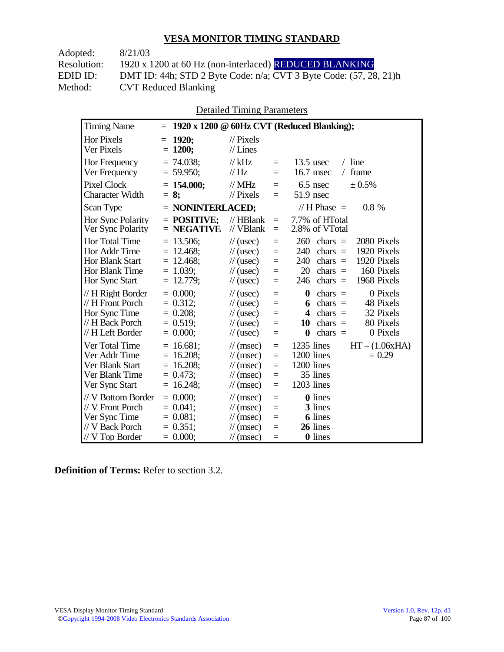| 8/21/03                                                                 |
|-------------------------------------------------------------------------|
| 1920 x 1200 at 60 Hz (non-interlaced) REDUCED BLANKING                  |
| DMT ID: 44h; STD 2 Byte Code: $n/a$ ; CVT 3 Byte Code: $(57, 28, 21)$ h |
| <b>CVT Reduced Blanking</b>                                             |
|                                                                         |

Detailed Timing Parameters

| <b>Timing Name</b>                                                                              | $\equiv$                                                                              |                                                                                                                                                                | 1920 x 1200 @ 60Hz CVT (Reduced Blanking);                                                                                                                                   |
|-------------------------------------------------------------------------------------------------|---------------------------------------------------------------------------------------|----------------------------------------------------------------------------------------------------------------------------------------------------------------|------------------------------------------------------------------------------------------------------------------------------------------------------------------------------|
| Hor Pixels<br>Ver Pixels                                                                        | 1920;<br>$=$<br>$= 1200;$                                                             | $\frac{1}{2}$ Pixels<br>$//$ Lines                                                                                                                             |                                                                                                                                                                              |
| Hor Frequency<br>Ver Frequency                                                                  | $= 74.038$ ;<br>$= 59.950$ ;                                                          | $//$ kHz<br>$\equiv$<br>// Hz<br>$=$                                                                                                                           | $/$ line<br>$13.5$ usec<br>16.7 msec<br>frame<br>$\sqrt{2}$                                                                                                                  |
| Pixel Clock<br><b>Character Width</b>                                                           | $= 154.000$ ;<br>$= 8:$                                                               | $//$ MHz<br>$=$<br>$//$ Pixels<br>$=$                                                                                                                          | 6.5 nsec<br>± 0.5%<br>51.9 nsec                                                                                                                                              |
| Scan Type                                                                                       | $=$ NONINTERLACED;                                                                    |                                                                                                                                                                | // H Phase $=$<br>$0.8 \%$                                                                                                                                                   |
| Hor Sync Polarity<br>Ver Sync Polarity                                                          | $=$ POSITIVE:<br>$=$ NEGATIVE                                                         | $//$ HBlank<br>$\equiv$<br>// VBlank<br>$=$                                                                                                                    | 7.7% of HTotal<br>2.8% of VTotal                                                                                                                                             |
| Hor Total Time<br>Hor Addr Time<br>Hor Blank Start<br>Hor Blank Time<br>Hor Sync Start          | $= 13.506;$<br>12.468;<br>$=$<br>12.468;<br>$=$<br>$= 1.039$ ;<br>12.779;<br>$\equiv$ | $\frac{1}{2}$ (usec)<br>$=$<br>$\frac{1}{2}$ (usec)<br>$=$<br>$\frac{1}{2}$ (usec)<br>$=$<br>$\frac{1}{2}$ (usec)<br>$=$<br>$\frac{1}{2}$ (usec)<br>$=$        | 260<br>2080 Pixels<br>chars $=$<br>1920 Pixels<br>240<br>chars $=$<br>1920 Pixels<br>240<br>chars $=$<br>160 Pixels<br>20<br>chars $=$<br>1968 Pixels<br>chars $=$<br>246    |
| // H Right Border<br>// H Front Porch<br>Hor Sync Time<br>// H Back Porch<br>// H Left Border   | $= 0.000$<br>$= 0.312$ ;<br>$= 0.208$ ;<br>$= 0.519$ ;<br>$= 0.000;$                  | $\frac{1}{2}$ (usec)<br>$=$<br>$\frac{1}{2}$ (usec)<br>$=$<br>$\frac{1}{2}$ (usec)<br>$=$<br>$\frac{1}{2}$ (usec)<br>$=$<br>$\frac{1}{2}$ (usec)<br>$=$        | $\boldsymbol{0}$<br>0 Pixels<br>chars $=$<br>chars $=$<br>48 Pixels<br>6<br>32 Pixels<br>$chars =$<br>4<br>80 Pixels<br>10<br>$chars =$<br>$\bf{0}$<br>chars $=$<br>0 Pixels |
| Ver Total Time<br>Ver Addr Time<br>Ver Blank Start<br>Ver Blank Time<br>Ver Sync Start          | $= 16.681;$<br>16.208;<br>$=$<br>16.208;<br>$=$<br>$= 0.473$ ;<br>$= 16.248$ ;        | $\mathcal{U}$ (msec)<br>$=$<br>$\mathcal{U}$ (msec)<br>$=$<br>$\mathcal{U}$ (msec)<br>$=$<br>$\mathcal{U}$ (msec)<br>$=$<br>$\mathcal{U}$ (msec)<br>$=$        | $HT - (1.06xHA)$<br>1235 lines<br>1200 lines<br>$= 0.29$<br>1200 lines<br>35 lines<br>1203 lines                                                                             |
| // V Bottom Border<br>// V Front Porch<br>Ver Sync Time<br>// V Back Porch<br>$//$ V Top Border | $= 0.000$<br>$= 0.041$ ;<br>$= 0.081$ ;<br>$= 0.351$ ;<br>$= 0.000;$                  | $\mathcal{U}$ (msec)<br>$=$<br>$\mathcal{U}$ (msec)<br>$=$<br>$\frac{1}{\sqrt{2}}$ (msec)<br>$=$<br>$\mathcal{U}$ (msec)<br>$=$<br>$\mathcal{U}$ (msec)<br>$=$ | <b>0</b> lines<br>3 lines<br><b>6</b> lines<br>26 lines<br><b>0</b> lines                                                                                                    |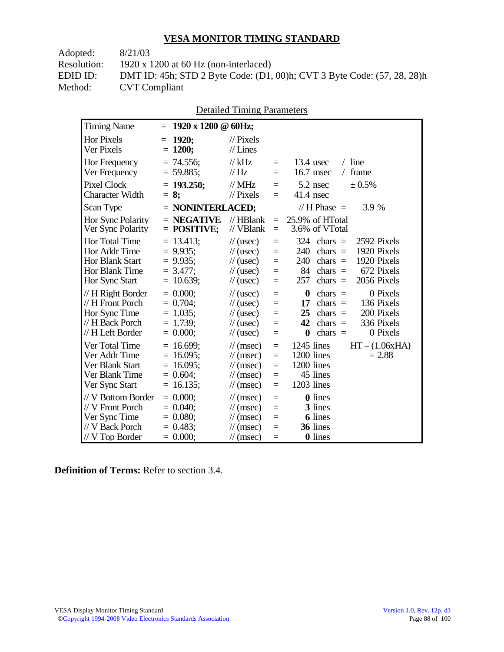| Adopted:    | 8/21/03                                                                 |
|-------------|-------------------------------------------------------------------------|
| Resolution: | 1920 x 1200 at 60 Hz (non-interlaced)                                   |
| EDID ID:    | DMT ID: 45h; STD 2 Byte Code: (D1, 00)h; CVT 3 Byte Code: (57, 28, 28)h |
| Method:     | <b>CVT</b> Compliant                                                    |
|             |                                                                         |

| <b>Timing Name</b>                                                          | $= 1920 \times 1200 \text{ } \textcircled{a}$ 60Hz;      |                                                                                              |                                   |                                                                                                                                     |
|-----------------------------------------------------------------------------|----------------------------------------------------------|----------------------------------------------------------------------------------------------|-----------------------------------|-------------------------------------------------------------------------------------------------------------------------------------|
| Hor Pixels<br>Ver Pixels                                                    | $= 1920$ ;<br>$= 1200;$                                  | $\frac{1}{2}$ Pixels<br>$//$ Lines                                                           |                                   |                                                                                                                                     |
| Hor Frequency<br>Ver Frequency                                              | $= 74.556;$<br>$= 59.885;$                               | // $kHz$<br>$\mathcal{U}$ Hz                                                                 | $=$<br>$=$                        | $13.4$ usec<br>$/$ line<br>$16.7$ msec<br>$/$ frame                                                                                 |
| Pixel Clock<br><b>Character Width</b>                                       | $= 193.250;$<br>$= 8:$                                   | $\mathcal{N}$ MHz<br>$\mathcal{U}$ Pixels                                                    | $=$<br>$=$                        | 5.2 nsec<br>$\pm 0.5\%$<br>$41.4$ nsec                                                                                              |
| Scan Type                                                                   | $=$ NONINTERLACED;                                       |                                                                                              |                                   | // $H$ Phase $=$<br>3.9 %                                                                                                           |
| <b>Hor Sync Polarity</b><br>Ver Sync Polarity                               | $=$ NEGATIVE<br>$=$ POSITIVE:                            | $\mathcal{U}$ HBlank<br>// VBlank                                                            | $=$ $-$                           | $= 25.9\%$ of HTotal<br>3.6% of VTotal                                                                                              |
| Hor Total Time<br>Hor Addr Time<br><b>Hor Blank Start</b><br>Hor Blank Time | $= 13.413;$<br>$= 9.935$ ;<br>$= 9.935$ ;<br>$= 3.477$ : | $\frac{1}{2}$ (usec)<br>$\frac{1}{2}$ (usec)<br>$\frac{1}{2}$ (usec)<br>$\frac{1}{2}$ (usec) | $=$<br>$\equiv$<br>$=$<br>$=$ $-$ | 2592 Pixels<br>$324$ chars =<br>1920 Pixels<br>240<br>$chars =$<br>1920 Pixels<br>240<br>$chars =$<br>672 Pixels<br>84<br>$chars =$ |
| Hor Sync Start                                                              | $= 10.639;$                                              | $\frac{1}{2}$ (usec)                                                                         | $=$                               | 2056 Pixels<br>257<br>$chars =$                                                                                                     |

// H Right Border =  $0.000$ ;<br>
// H Front Porch =  $0.704$ ;<br>
// (usec) =  $0 \text{ chars} = 0 \text{ Pixels}$  $\frac{1}{17}$  H Front Porch = 0.704;  $\frac{1}{25}$  (usec) = **17** chars = 136 Pixels<br>Hor Sync Time = 1.035:  $\frac{1}{17}$  (usec) = **25** chars = 200 Pixels Hor Sync Time = 1.035;  $\frac{1}{10}$  (usec) = **25** chars = 200 Pixels  $\frac{1}{10}$  H Back Porch = 1.739;  $\frac{1}{10}$  (usec) = **42** chars = 336 Pixels

 $\mathcal{U}$  H Left Border = 0.000;  $\mathcal{U}$  (usec) = 0 chars = 0 Pixels

Ver Total Time = 16.699;  $\frac{1}{2}$  // (msec) = 1245 lines HT – (1.06xHA)<br>Ver Addr Time = 16.095; // (msec) = 1200 lines = 2.88

 $\mathcal{U}$  H Back Porch = 1.739;  $\mathcal{U}$  (usec) =

Ver Sync Start  $= 16.135$ ;  $\frac{1}{\text{msec}} =$ 

 $\frac{1}{\sqrt{V}}$  Back Porch = 0.483;  $\frac{1}{\sqrt{S}}$  (msec) =

Ver Addr Time = 16.095;  $\frac{1}{200}$  = 1200 lines<br>Ver Blank Start = 16.095;  $\frac{1}{200}$  = 1200 lines Ver Blank Start = 16.095;  $\frac{1}{\text{msec}} = 1200 \text{ lines}$ <br>Ver Blank Time = 0.604;  $\frac{1}{\text{msec}} = 45 \text{ lines}$ Ver Blank Time =  $0.604$ ;  $\frac{1}{2}$  // (msec) = 45 lines<br>Ver Sync Start = 16.135;  $\frac{1}{2}$  / (msec) = 1203 lines

// V Bottom Border =  $0.000$ ;<br>
// V Front Porch =  $0.040$ ;<br>
// (msec) = 3 lines  $\frac{1}{\sqrt{V}}$  Front Porch = 0.040;  $\frac{1}{\sqrt{V}}$  (msec) = 3 lines<br>Ver Sync Time = 0.080;  $\frac{1}{\sqrt{V}}$  (msec) = 6 lines Ver Sync Time =  $0.080$ ;  $\frac{1}{\text{msec}} = 6$  lines<br>  $\frac{1}{\text{v}} = 6$  lines<br>  $\frac{1}{\text{msec}} = 36$  lines

 $\frac{1}{\sqrt{V}}$  Top Border = 0.000;  $\frac{1}{\sqrt{V}}$  (msec) = 0 lines

Detailed Timing Parameters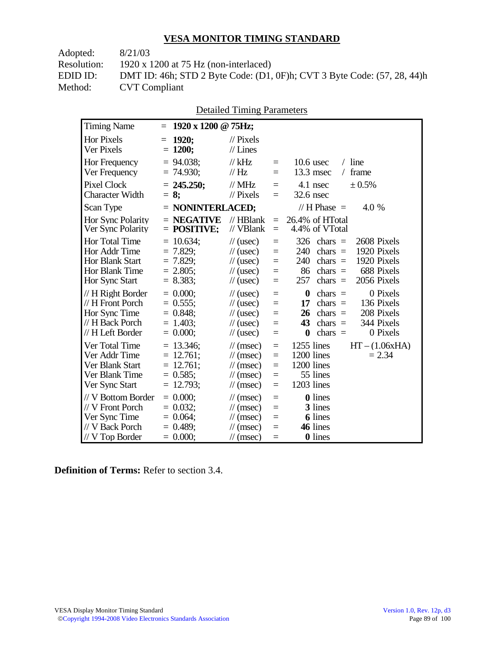| DMT ID: 46h; STD 2 Byte Code: (D1, 0F)h; CVT 3 Byte Code: (57, 28, 44)h |
|-------------------------------------------------------------------------|
|                                                                         |
|                                                                         |

|--|

| <b>Timing Name</b>                                                                                   | 1920 x 1200 @ 75Hz;<br>$=$                                                 |                                                                                                                      |                                      |                                                                                                                                                                                   |
|------------------------------------------------------------------------------------------------------|----------------------------------------------------------------------------|----------------------------------------------------------------------------------------------------------------------|--------------------------------------|-----------------------------------------------------------------------------------------------------------------------------------------------------------------------------------|
| <b>Hor Pixels</b><br>Ver Pixels                                                                      | 1920:<br>$=$<br>$= 1200;$                                                  | $\mathcal{U}$ Pixels<br>$//$ Lines                                                                                   |                                      |                                                                                                                                                                                   |
| Hor Frequency<br>Ver Frequency                                                                       | $= 94.038$ ;<br>$= 74.930;$                                                | $\frac{1}{kHz}$<br>$\frac{1}{1}$ Hz                                                                                  | $=$<br>$=$                           | $/$ line<br>$10.6$ usec<br>$13.3$ msec<br>/ frame                                                                                                                                 |
| <b>Pixel Clock</b><br><b>Character Width</b>                                                         | $= 245.250$ ;<br>$= 8:$                                                    | $//$ MHz<br>$\frac{1}{2}$ Pixels                                                                                     | $\equiv$<br>$\equiv$                 | 4.1 nsec<br>± 0.5%<br>32.6 nsec                                                                                                                                                   |
| Scan Type                                                                                            | $=$ NONINTERLACED;                                                         |                                                                                                                      |                                      | // H Phase $=$<br>4.0 %                                                                                                                                                           |
| Hor Sync Polarity<br>Ver Sync Polarity                                                               | $=$ NEGATIVE<br>$=$ POSITIVE;                                              | $//$ HBlank<br>$//$ VBlank                                                                                           | $=$<br>$=$                           | 26.4% of HTotal<br>4.4% of VTotal                                                                                                                                                 |
| <b>Hor Total Time</b><br>Hor Addr Time<br><b>Hor Blank Start</b><br>Hor Blank Time<br>Hor Sync Start | $= 10.634$ ;<br>$= 7.829$ ;<br>$= 7.829$ ;<br>$= 2.805$ ;<br>$= 8.383$ ;   | $\frac{1}{2}$ (usec)<br>$\frac{1}{2}$ (usec)<br>$\frac{1}{2}$ (usec)<br>$\frac{1}{2}$ (usec)<br>$\frac{1}{2}$ (usec) | $=$<br>$=$<br>$=$<br>$=$<br>$=$      | 326<br>2608 Pixels<br>chars $=$<br>1920 Pixels<br>240<br>$chars =$<br>1920 Pixels<br>240<br>$chars =$<br>86<br>688 Pixels<br>chars $=$<br>257<br>2056 Pixels<br>$chars =$         |
| // H Right Border<br>// H Front Porch<br>Hor Sync Time<br>// H Back Porch<br>// H Left Border        | $= 0.000;$<br>$= 0.555$ ;<br>$= 0.848$ ;<br>$= 1.403$<br>$= 0.000;$        | $\frac{1}{2}$ (usec)<br>$\frac{1}{2}$ (usec)<br>$\frac{1}{2}$ (usec)<br>$\frac{1}{2}$ (usec)<br>$\frac{1}{2}$ (usec) | $=$<br>$=$<br>$=$<br>$\equiv$<br>$=$ | $\boldsymbol{0}$<br>0 Pixels<br>$chars =$<br>136 Pixels<br>17<br>chars $=$<br>208 Pixels<br>26<br>$chars =$<br>344 Pixels<br>43<br>chars $=$<br>0 Pixels<br>$\bf{0}$<br>chars $=$ |
| Ver Total Time<br>Ver Addr Time<br>Ver Blank Start<br>Ver Blank Time<br>Ver Sync Start               | $= 13.346$ ;<br>$= 12.761$ ;<br>$= 12.761$ ;<br>$= 0.585$ ;<br>$= 12.793;$ | $\mathcal{U}$ (msec)<br>$\mathcal{U}$ (msec)<br>$\mathcal{U}$ (msec)<br>$\mathcal{U}$ (msec)<br>$\mathcal{U}$ (msec) | $=$<br>$=$<br>$=$<br>$=$<br>$=$      | 1255 lines<br>$HT - (1.06xHA)$<br>1200 lines<br>$= 2.34$<br>1200 lines<br>55 lines<br>1203 lines                                                                                  |
| // V Bottom Border<br>// V Front Porch<br>Ver Sync Time<br>// V Back Porch<br>$//$ V Top Border      | $= 0.000;$<br>$= 0.032$<br>$= 0.064$ ;<br>$= 0.489$<br>$= 0.000;$          | $\mathcal{U}$ (msec)<br>$\mathcal{U}$ (msec)<br>$\mathcal{U}$ (msec)<br>$\mathcal{U}$ (msec)<br>$\mathcal{U}$ (msec) | $=$<br>$=$<br>$=$<br>$=$<br>$=$      | <b>0</b> lines<br>3 lines<br><b>6</b> lines<br>46 lines<br><b>0</b> lines                                                                                                         |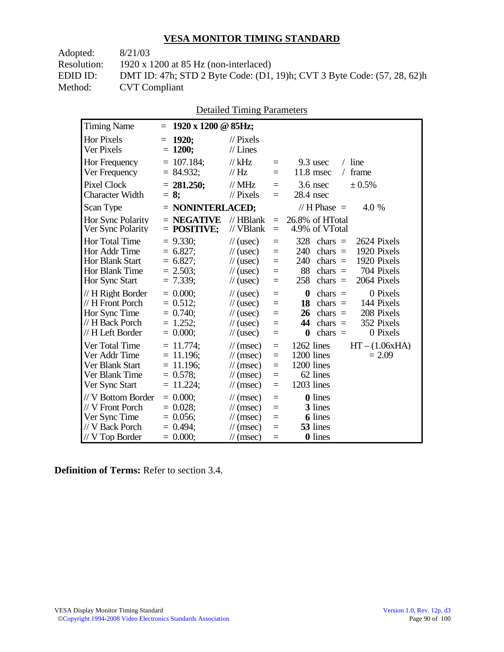| DMT ID: 47h; STD 2 Byte Code: (D1, 19)h; CVT 3 Byte Code: (57, 28, 62)h |
|-------------------------------------------------------------------------|
|                                                                         |
|                                                                         |

|                                                                                                |                                                                            | Detailed Thinnig Parameters                                                                                                 |                                      |                                                                                                                                                                                   |
|------------------------------------------------------------------------------------------------|----------------------------------------------------------------------------|-----------------------------------------------------------------------------------------------------------------------------|--------------------------------------|-----------------------------------------------------------------------------------------------------------------------------------------------------------------------------------|
| <b>Timing Name</b>                                                                             | 1920 x 1200 @ 85Hz;<br>$=$                                                 |                                                                                                                             |                                      |                                                                                                                                                                                   |
| <b>Hor Pixels</b><br>Ver Pixels                                                                | 1920;<br>$=$<br>$= 1200;$                                                  | $\frac{1}{2}$ Pixels<br>$//$ Lines                                                                                          |                                      |                                                                                                                                                                                   |
| Hor Frequency<br>Ver Frequency                                                                 | $= 107.184;$<br>$= 84.932;$                                                | $//$ kHz<br>// Hz                                                                                                           | $=$<br>$=$                           | $/$ line<br>9.3 usec<br>11.8 msec<br>/ frame                                                                                                                                      |
| <b>Pixel Clock</b><br><b>Character Width</b>                                                   | $= 281.250$ ;<br>$= 8:$                                                    | $\frac{1}{2}$ MHz<br>$//$ Pixels                                                                                            | $=$<br>$=$                           | $3.6$ nsec<br>± 0.5%<br>28.4 nsec                                                                                                                                                 |
| Scan Type                                                                                      | $=$ NONINTERLACED;                                                         |                                                                                                                             |                                      | // $H$ Phase $=$<br>4.0 %                                                                                                                                                         |
| Hor Sync Polarity<br>Ver Sync Polarity                                                         | $=$ NEGATIVE<br>$=$ POSITIVE;                                              | $//$ HBlank<br>// VBlank                                                                                                    | $=$<br>$\equiv$                      | 26.8% of HTotal<br>4.9% of VTotal                                                                                                                                                 |
| Hor Total Time<br>Hor Addr Time<br>Hor Blank Start<br>Hor Blank Time<br>Hor Sync Start         | $= 9.330$ ;<br>$= 6.827$ ;<br>$= 6.827;$<br>$= 2.503$ ;<br>$= 7.339;$      | $\frac{1}{2}$ (usec)<br>$\frac{1}{2}$ (usec)<br>$\frac{1}{2}$ (usec)<br>$\frac{1}{2}$ (usec)<br>$\frac{1}{2}$ (usec)        | $=$<br>$=$<br>$=$<br>$=$<br>$=$      | 328<br>2624 Pixels<br>$chars =$<br>1920 Pixels<br>240<br>$chars =$<br>240<br>chars $=$<br>1920 Pixels<br>88<br>chars $=$<br>704 Pixels<br>258<br>chars $=$<br>2064 Pixels         |
| // H Right Border<br>// H Front Porch<br>Hor Sync Time<br>// H Back Porch<br>// H Left Border  | $= 0.000;$<br>$= 0.512;$<br>$= 0.740$ ;<br>$= 1.252;$<br>$= 0.000;$        | $\frac{1}{2}$ (usec)<br>$\frac{1}{2}$ (usec)<br>$\frac{1}{2}$ (usec)<br>$\frac{1}{2}$ (usec)<br>$\frac{1}{2}$ (usec)        | $=$<br>$=$<br>$=$<br>$=$<br>$=$      | $\bf{0}$<br>0 Pixels<br>$chars =$<br>144 Pixels<br>18<br>$chars =$<br>208 Pixels<br>$chars =$<br>26<br>352 Pixels<br>44<br>$chars =$<br>0 Pixels<br>$\boldsymbol{0}$<br>chars $=$ |
| Ver Total Time<br>Ver Addr Time<br>Ver Blank Start<br>Ver Blank Time<br>Ver Sync Start         | $= 11.774$ ;<br>$= 11.196$ ;<br>$= 11.196$ ;<br>$= 0.578$ ;<br>$= 11.224;$ | $\mathcal{U}$ (msec)<br>$\mathcal{U}$ (msec)<br>$\mathcal{U}$ (msec)<br>$\mathcal{U}$ (msec)<br>$\mathcal{U}$ (msec)        | $=$<br>$\equiv$<br>$=$<br>$=$<br>$=$ | 1262 lines<br>$HT - (1.06xHA)$<br>1200 lines<br>$= 2.09$<br>1200 lines<br>62 lines<br>1203 lines                                                                                  |
| // V Bottom Border<br>// V Front Porch<br>Ver Sync Time<br>// V Back Porch<br>$//V$ Top Border | $= 0.000;$<br>$= 0.028;$<br>$= 0.056$ ;<br>$= 0.494$ ;<br>$= 0.000$        | $\mathcal{U}$ (msec)<br>$\mathcal{U}$ (msec)<br>$\mathcal{U}$ (msec)<br>$\frac{1}{\sqrt{2}}$ (msec)<br>$\mathcal{U}$ (msec) | $=$<br>$=$<br>$=$<br>$=$<br>$=$      | <b>0</b> lines<br>3 lines<br><b>6</b> lines<br>53 lines<br><b>0</b> lines                                                                                                         |

Detailed Timing Parameters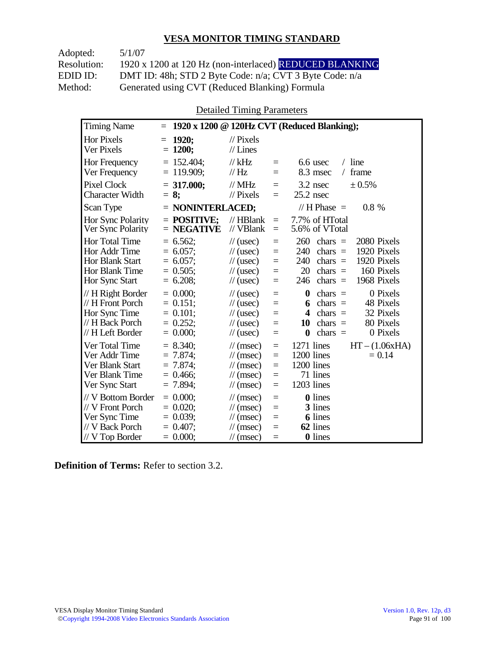Adopted: 5/1/07 Resolution: 1920 x 1200 at 120 Hz (non-interlaced) REDUCED BLANKING EDID ID: DMT ID: 48h; STD 2 Byte Code: n/a; CVT 3 Byte Code: n/a<br>Method: Generated using CVT (Reduced Blanking) Formula Generated using CVT (Reduced Blanking) Formula

Detailed Timing Parameters

| <b>Timing Name</b>                                                                                          | $=$                                                                    |                                                                                                                                                                                            | 1920 x 1200 @ 120Hz CVT (Reduced Blanking);                                                                                                                                                 |
|-------------------------------------------------------------------------------------------------------------|------------------------------------------------------------------------|--------------------------------------------------------------------------------------------------------------------------------------------------------------------------------------------|---------------------------------------------------------------------------------------------------------------------------------------------------------------------------------------------|
| Hor Pixels<br>Ver Pixels                                                                                    | 1920;<br>$=$<br>$= 1200;$                                              | $\frac{1}{2}$ Pixels<br>$//$ Lines                                                                                                                                                         |                                                                                                                                                                                             |
| <b>Hor Frequency</b><br>Ver Frequency                                                                       | $= 152.404$ ;<br>$= 119.909$ ;                                         | $//$ kHz<br>$=$<br>$\mathcal{U}$ Hz<br>$=$                                                                                                                                                 | $/$ line<br>6.6 usec<br>8.3 msec<br>frame<br>$\sqrt{2}$                                                                                                                                     |
| <b>Pixel Clock</b><br><b>Character Width</b>                                                                | $= 317.000$ ;<br>$= 8:$                                                | $//$ MHz<br>$=$<br>$\mathcal{U}$ Pixels<br>$=$                                                                                                                                             | $3.2$ nsec<br>± 0.5%<br>$25.2$ nsec                                                                                                                                                         |
| Scan Type                                                                                                   | $=$ NONINTERLACED;                                                     |                                                                                                                                                                                            | // H Phase $=$<br>$0.8\%$                                                                                                                                                                   |
| Hor Sync Polarity<br>Ver Sync Polarity                                                                      | $=$ POSITIVE:<br>$=$ NEGATIVE                                          | $//$ HBlank<br>$=$<br>$//$ VBlank<br>$=$                                                                                                                                                   | 7.7% of HTotal<br>5.6% of VTotal                                                                                                                                                            |
| <b>Hor Total Time</b><br>Hor Addr Time<br><b>Hor Blank Start</b><br><b>Hor Blank Time</b><br>Hor Sync Start | $= 6.562;$<br>$= 6.057$ ;<br>$= 6.057$ ;<br>$= 0.505$ ;<br>$= 6.208$ ; | $\frac{1}{2}$ (usec)<br>$=$<br>$\frac{1}{2}$ (usec)<br>$=$<br>$\frac{1}{2}$ (usec)<br>$=$<br>$\frac{1}{2}$ (usec)<br>$=$<br>$\frac{1}{2}$ (usec)<br>$=$                                    | 260<br>chars $=$<br>2080 Pixels<br>1920 Pixels<br>240<br>chars $=$<br>1920 Pixels<br>240<br>chars $=$<br>20<br>160 Pixels<br>$chars =$<br>1968 Pixels<br>246<br>$chars =$                   |
| // H Right Border<br>// H Front Porch<br>Hor Sync Time<br>// H Back Porch<br>// H Left Border               | $= 0.000$<br>$= 0.151$ ;<br>$= 0.101$ ;<br>$= 0.252;$<br>$= 0.000;$    | $\frac{1}{2}$ (usec)<br>$=$<br>$\frac{1}{2}$ (usec)<br>$=$<br>$\frac{1}{2}$ (usec)<br>$=$<br>$\frac{1}{2}$ (usec)<br>$=$<br>$\frac{1}{2}$ (usec)<br>$=$                                    | 0 Pixels<br>$\boldsymbol{0}$<br>chars $=$<br>chars $=$<br>48 Pixels<br>6<br>32 Pixels<br>$\boldsymbol{4}$<br>$chars =$<br>80 Pixels<br>10<br>chars $=$<br>chars $=$<br>0 Pixels<br>$\bf{0}$ |
| Ver Total Time<br>Ver Addr Time<br>Ver Blank Start<br>Ver Blank Time<br>Ver Sync Start                      | $= 8.340$ ;<br>$= 7.874$ ;<br>$= 7.874;$<br>$= 0.466$ ;<br>$= 7.894$ ; | $\frac{1}{\sqrt{2}}$ (msec)<br>$=$<br>$\frac{1}{\sqrt{2}}$ (msec)<br>$=$<br>$\frac{1}{\sqrt{2}}$ (msec)<br>$=$<br>$\frac{1}{\sqrt{2}}$ (msec)<br>$=$<br>$\frac{1}{\sqrt{2}}$ (msec)<br>$=$ | 1271 lines<br>$HT - (1.06xHA)$<br>1200 lines<br>$= 0.14$<br>1200 lines<br>71 lines<br>1203 lines                                                                                            |
| // V Bottom Border<br>// V Front Porch<br>Ver Sync Time<br>// V Back Porch<br>$//V$ Top Border              | $= 0.000$<br>$= 0.020$<br>$= 0.039$ ;<br>$= 0.407$ ;<br>$= 0.000;$     | $\mathcal{U}$ (msec)<br>$=$<br>$\frac{1}{\sqrt{2}}$ (msec)<br>$=$<br>$\mathcal{U}$ (msec)<br>$=$<br>$\mathcal{U}$ (msec)<br>$=$<br>$\mathcal{U}$ (msec)<br>$=$                             | <b>0</b> lines<br>3 lines<br><b>6</b> lines<br>62 lines<br>0 lines                                                                                                                          |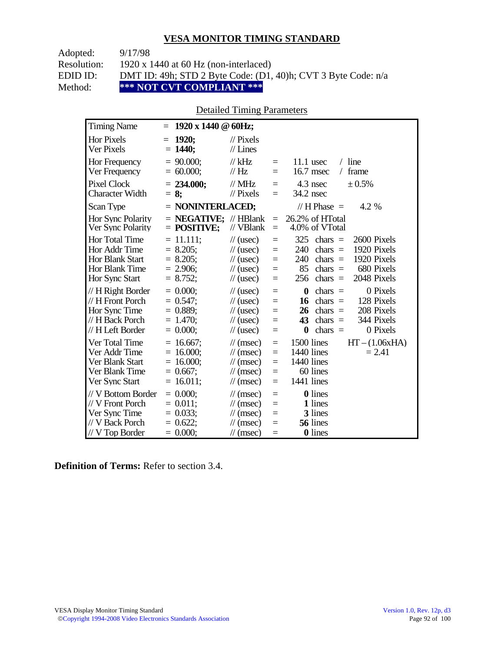| Adopted:    | 9/17/98                                                       |
|-------------|---------------------------------------------------------------|
| Resolution: | 1920 x 1440 at 60 Hz (non-interlaced)                         |
| EDID ID:    | DMT ID: 49h; STD 2 Byte Code: (D1, 40)h; CVT 3 Byte Code: n/a |
| Method:     | *** NOT CVT COMPLIANT ***                                     |

## Detailed Timing Parameters

| <b>Timing Name</b>                                                                              | $1920 \times 1440 \odot 60$ Hz;<br>$=$                                   |                                                                                                                      |                                 |                                                                                                                                                                                   |
|-------------------------------------------------------------------------------------------------|--------------------------------------------------------------------------|----------------------------------------------------------------------------------------------------------------------|---------------------------------|-----------------------------------------------------------------------------------------------------------------------------------------------------------------------------------|
| <b>Hor Pixels</b><br>Ver Pixels                                                                 | 1920:<br>$=$<br>$= 1440;$                                                | $\mathcal{U}$ Pixels<br>$//$ Lines                                                                                   |                                 |                                                                                                                                                                                   |
| Hor Frequency<br>Ver Frequency                                                                  | $= 90.000;$<br>$= 60.000;$                                               | $//$ kHz<br>$\frac{1}{1}$ Hz                                                                                         | $=$<br>$=$                      | $/$ line<br>$11.1$ usec<br>16.7 msec<br>frame<br>$\sqrt{2}$                                                                                                                       |
| <b>Pixel Clock</b><br><b>Character Width</b>                                                    | $= 234.000$ ;<br>$= 8$ ;                                                 | $//$ MHz<br>$\frac{1}{2}$ Pixels                                                                                     | $=$<br>$=$                      | 4.3 nsec<br>$\pm 0.5\%$<br>34.2 nsec                                                                                                                                              |
| Scan Type                                                                                       | $=$ NONINTERLACED;                                                       |                                                                                                                      |                                 | // H Phase $=$<br>4.2 %                                                                                                                                                           |
| Hor Sync Polarity<br>Ver Sync Polarity                                                          | $=$ <b>NEGATIVE:</b> // HBlank<br>$=$ POSITIVE;                          | // VBlank                                                                                                            | $=$<br>$=$                      | 26.2% of HTotal<br>4.0% of VTotal                                                                                                                                                 |
| Hor Total Time<br>Hor Addr Time<br><b>Hor Blank Start</b><br>Hor Blank Time<br>Hor Sync Start   | $= 11.111;$<br>$= 8.205$ ;<br>$= 8.205$ ;<br>$= 2.906$ ;<br>$= 8.752;$   | $\frac{1}{2}$ (usec)<br>$\frac{1}{2}$ (usec)<br>$\frac{1}{2}$ (usec)<br>$\frac{1}{2}$ (usec)<br>$\frac{1}{2}$ (usec) | $=$<br>$=$<br>$=$<br>$=$<br>$=$ | 325<br>chars $=$<br>2600 Pixels<br>1920 Pixels<br>240<br>chars $=$<br>1920 Pixels<br>240<br>chars $=$<br>85<br>680 Pixels<br>chars $=$<br>2048 Pixels<br>256<br>chars $=$         |
| // H Right Border<br>// H Front Porch<br>Hor Sync Time<br>// H Back Porch<br>// H Left Border   | $= 0.000$<br>$= 0.547$ ;<br>$= 0.889$ ;<br>$= 1.470$ ;<br>$= 0.000;$     | $\frac{1}{2}$ (usec)<br>$\frac{1}{2}$ (usec)<br>$\frac{1}{2}$ (usec)<br>$\frac{1}{2}$ (usec)<br>$\frac{1}{2}$ (usec) | $=$<br>$=$<br>$=$<br>$=$<br>$=$ | 0 Pixels<br>$\boldsymbol{0}$<br>$chars =$<br>128 Pixels<br>chars $=$<br>16<br>208 Pixels<br>26<br>chars $=$<br>344 Pixels<br>43<br>chars $=$<br>0 Pixels<br>$\bf{0}$<br>chars $=$ |
| Ver Total Time<br>Ver Addr Time<br>Ver Blank Start<br>Ver Blank Time<br>Ver Sync Start          | $= 16.667$ ;<br>$= 16.000;$<br>$= 16.000;$<br>$= 0.667$ ;<br>$= 16.011;$ | $\mathcal{U}$ (msec)<br>$\mathcal{U}$ (msec)<br>$\mathcal{U}$ (msec)<br>$\mathcal{U}$ (msec)<br>$\mathcal{U}$ (msec) | $=$<br>$=$<br>$=$<br>$=$<br>$=$ | $HT - (1.06xHA)$<br>1500 lines<br>1440 lines<br>$= 2.41$<br>1440 lines<br>60 lines<br>1441 lines                                                                                  |
| // V Bottom Border<br>// V Front Porch<br>Ver Sync Time<br>// V Back Porch<br>$//$ V Top Border | $= 0.000;$<br>$= 0.011$ ;<br>$= 0.033;$<br>$= 0.622$ ;<br>$= 0.000;$     | $\mathcal{U}$ (msec)<br>$\mathcal{U}$ (msec)<br>$\mathcal{U}$ (msec)<br>$\mathcal{U}$ (msec)<br>$\mathcal{U}$ (msec) | $=$<br>$=$<br>$=$<br>$=$<br>$=$ | <b>0</b> lines<br>1 lines<br>3 lines<br>56 lines<br>0 lines                                                                                                                       |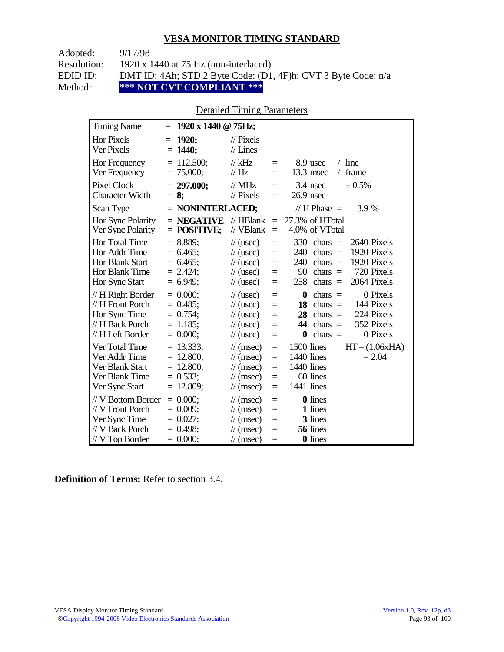Adopted: 9/17/98 Resolution: 1920 x 1440 at 75 Hz (non-interlaced) EDID ID: DMT ID: 4Ah; STD 2 Byte Code: (D1, 4F)h; CVT 3 Byte Code: n/a<br>Method: \*\*\* NOT CVT COMPLIANT \*\*\* **\*\*\* NOT CVT COMPLIANT \*\*\*** 

## Detailed Timing Parameters

| <b>Timing Name</b>                                                                              | $= 1920 \times 1440 \text{ } \textcircled{g}$ 75Hz;                     |                                                                                                                             |                                      |                                                                                                                                                                           |
|-------------------------------------------------------------------------------------------------|-------------------------------------------------------------------------|-----------------------------------------------------------------------------------------------------------------------------|--------------------------------------|---------------------------------------------------------------------------------------------------------------------------------------------------------------------------|
| <b>Hor Pixels</b><br>Ver Pixels                                                                 | 1920;<br>$=$<br>$= 1440$ ;                                              | $\mathcal{U}$ Pixels<br>$//$ Lines                                                                                          |                                      |                                                                                                                                                                           |
| Hor Frequency<br>Ver Frequency                                                                  | $= 112.500$ ;<br>$= 75.000;$                                            | $//$ kHz<br>$\frac{1}{1}$ Hz                                                                                                | $=$<br>$=$                           | $/$ line<br>8.9 usec<br>13.3 msec<br>frame<br>$\sqrt{2}$                                                                                                                  |
| Pixel Clock<br><b>Character Width</b>                                                           | $= 297.000$ ;<br>$= 8$ ;                                                | $//$ MHz<br>$//$ Pixels                                                                                                     | $=$<br>$=$                           | 3.4 nsec<br>± 0.5%<br>$26.9$ nsec                                                                                                                                         |
| Scan Type                                                                                       | $=$ NONINTERLACED;                                                      |                                                                                                                             |                                      | // H Phase $=$<br>3.9 %                                                                                                                                                   |
| Hor Sync Polarity<br>Ver Sync Polarity                                                          | $=$ NEGATIVE<br>$=$ POSITIVE;                                           | $//$ HBlank<br>// VBlank                                                                                                    | $\equiv$<br>$=$                      | 27.3% of HTotal<br>4.0% of VTotal                                                                                                                                         |
| Hor Total Time<br>Hor Addr Time<br><b>Hor Blank Start</b><br>Hor Blank Time<br>Hor Sync Start   | $= 8.889;$<br>$= 6.465$ ;<br>$= 6.465$ ;<br>$= 2.424$ ;<br>$= 6.949$ ;  | $\frac{1}{2}$ (usec)<br>$\frac{1}{2}$ (usec)<br>$\frac{1}{2}$ (usec)<br>$\frac{1}{2}$ (usec)<br>$\frac{1}{2}$ (usec)        | $=$<br>$=$<br>$=$<br>$=$<br>$=$      | 330<br>2640 Pixels<br>$chars =$<br>1920 Pixels<br>240<br>$chars =$<br>1920 Pixels<br>240<br>$chars =$<br>90<br>720 Pixels<br>chars $=$<br>2064 Pixels<br>258<br>$chars =$ |
| // H Right Border<br>// H Front Porch<br>Hor Sync Time<br>// H Back Porch<br>// H Left Border   | $= 0.000$<br>$= 0.485$ ;<br>$= 0.754$ ;<br>$= 1.185$ ;<br>$= 0.000;$    | $\frac{1}{2}$ (usec)<br>$\frac{1}{2}$ (usec)<br>$\frac{1}{2}$ (usec)<br>$\frac{1}{2}$ (usec)<br>$\frac{1}{2}$ (usec)        | $=$<br>$=$<br>$=$<br>$=$<br>$=$      | $\bf{0}$<br>0 Pixels<br>$chars =$<br>18<br>144 Pixels<br>$chars =$<br>28<br>224 Pixels<br>$chars =$<br>44<br>chars $=$<br>352 Pixels<br>$chars =$<br>0 Pixels<br>0        |
| Ver Total Time<br>Ver Addr Time<br>Ver Blank Start<br>Ver Blank Time<br>Ver Sync Start          | $= 13.333$ ;<br>$= 12.800;$<br>$= 12.800;$<br>$= 0.533;$<br>$= 12.809;$ | $\mathcal{U}$ (msec)<br>$\mathcal{U}$ (msec)<br>$\mathcal{U}$ (msec)<br>$\frac{1}{\sqrt{2}}$ (msec)<br>$\mathcal{U}$ (msec) | $\equiv$<br>$=$<br>$=$<br>$=$<br>$=$ | 1500 lines<br>$HT - (1.06xHA)$<br>1440 lines<br>$= 2.04$<br>1440 lines<br>60 lines<br>1441 lines                                                                          |
| // V Bottom Border<br>// V Front Porch<br>Ver Sync Time<br>// V Back Porch<br>$//$ V Top Border | $= 0.000$<br>$= 0.009$ ;<br>$= 0.027;$<br>$= 0.498$ ;<br>$= 0.000;$     | $\mathcal{U}$ (msec)<br>$\mathcal{U}$ (msec)<br>$\mathcal{U}$ (msec)<br>$\mathcal{U}$ (msec)<br>$\mathcal{U}$ (msec)        | $\equiv$<br>$=$<br>$=$<br>$=$<br>$=$ | <b>0</b> lines<br>1 lines<br>3 lines<br>56 lines<br><b>0</b> lines                                                                                                        |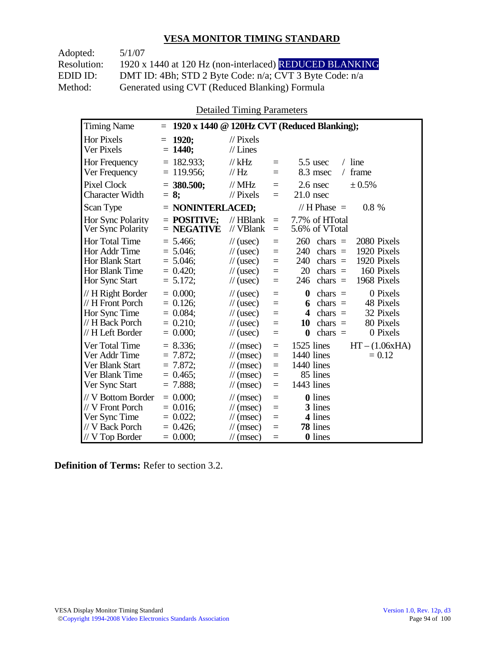Adopted: 5/1/07

Resolution: 1920 x 1440 at 120 Hz (non-interlaced) REDUCED BLANKING EDID ID: DMT ID: 4Bh; STD 2 Byte Code: n/a; CVT 3 Byte Code: n/a<br>Method: Generated using CVT (Reduced Blanking) Formula Generated using CVT (Reduced Blanking) Formula

Detailed Timing Parameters

| <b>Timing Name</b>                                                                                   | $=$                                                                   |                                                                                                                                                                | 1920 x 1440 @ 120Hz CVT (Reduced Blanking);                                                                                                                                  |
|------------------------------------------------------------------------------------------------------|-----------------------------------------------------------------------|----------------------------------------------------------------------------------------------------------------------------------------------------------------|------------------------------------------------------------------------------------------------------------------------------------------------------------------------------|
| <b>Hor Pixels</b><br>Ver Pixels                                                                      | 1920;<br>$=$<br>$= 1440;$                                             | $\mathcal{U}$ Pixels<br>$//$ Lines                                                                                                                             |                                                                                                                                                                              |
| <b>Hor Frequency</b><br>Ver Frequency                                                                | $= 182.933$ ;<br>$= 119.956$ ;                                        | $//$ kHz<br>$=$<br>$\mathcal{U}$ Hz<br>$=$                                                                                                                     | $/$ line<br>$5.5$ usec<br>frame<br>8.3 msec<br>$\sqrt{2}$                                                                                                                    |
| <b>Pixel Clock</b><br><b>Character Width</b>                                                         | $=$ 380.500;<br>$= 8:$                                                | $\frac{1}{10}$ MHz<br>$=$<br>$\frac{1}{2}$ Pixels<br>$=$                                                                                                       | $2.6$ nsec<br>± 0.5%<br>$21.0$ nsec                                                                                                                                          |
| Scan Type                                                                                            | $=$ NONINTERLACED;                                                    |                                                                                                                                                                | // H Phase $=$<br>$0.8\%$                                                                                                                                                    |
| Hor Sync Polarity<br>Ver Sync Polarity                                                               | $=$ POSITIVE:<br>$=$ NEGATIVE                                         | $//$ HBlank<br>$\equiv$<br>// VBlank<br>$=$                                                                                                                    | 7.7% of HTotal<br>5.6% of VTotal                                                                                                                                             |
| <b>Hor Total Time</b><br>Hor Addr Time<br><b>Hor Blank Start</b><br>Hor Blank Time<br>Hor Sync Start | $= 5.466$ ;<br>$= 5.046$ ;<br>$= 5.046;$<br>$= 0.420$ ;<br>$= 5.172;$ | $\frac{1}{2}$ (usec)<br>$=$<br>$\frac{1}{2}$ (usec)<br>$=$<br>$\frac{1}{2}$ (usec)<br>$=$<br>$\frac{1}{2}$ (usec)<br>$=$<br>$\frac{1}{2}$ (usec)<br>$=$        | 260<br>2080 Pixels<br>chars $=$<br>240<br>$chars =$<br>1920 Pixels<br>1920 Pixels<br>240<br>chars $=$<br>20<br>160 Pixels<br>chars $=$<br>chars $=$<br>1968 Pixels<br>246    |
| // H Right Border<br>// H Front Porch<br>Hor Sync Time<br>// H Back Porch<br>// H Left Border        | $= 0.000$<br>$= 0.126$<br>$= 0.084$ ;<br>$= 0.210$ ;<br>$= 0.000$     | $\frac{1}{2}$ (usec)<br>$=$<br>$\frac{1}{2}$ (usec)<br>$=$<br>$\frac{1}{2}$ (usec)<br>$=$<br>$\frac{1}{2}$ (usec)<br>$=$<br>$\frac{1}{2}$ (usec)<br>$=$        | 0 Pixels<br>$\boldsymbol{0}$<br>$chars =$<br>48 Pixels<br>chars $=$<br>6<br>32 Pixels<br>4<br>chars $=$<br>80 Pixels<br>10<br>$chars =$<br>$\bf{0}$<br>chars $=$<br>0 Pixels |
| Ver Total Time<br>Ver Addr Time<br>Ver Blank Start<br>Ver Blank Time<br>Ver Sync Start               | $= 8.336$<br>$= 7.872$<br>$= 7.872$ ;<br>$= 0.465$ ;<br>$= 7.888;$    | $\mathcal{U}$ (msec)<br>$=$<br>$\mathcal{U}$ (msec)<br>$=$<br>$\mathcal{U}$ (msec)<br>$=$<br>$\mathcal{U}$ (msec)<br>$=$<br>$\mathcal{U}$ (msec)<br>$=$        | $1525$ lines<br>$HT - (1.06xHA)$<br>1440 lines<br>$= 0.12$<br>1440 lines<br>85 lines<br>1443 lines                                                                           |
| // V Bottom Border<br>// V Front Porch<br>Ver Sync Time<br>// V Back Porch<br>$//V$ Top Border       | $= 0.000;$<br>$= 0.016$ ;<br>$= 0.022;$<br>$= 0.426$ ;<br>$= 0.000;$  | $\frac{1}{\sqrt{2}}$ (msec)<br>$=$<br>$\mathcal{U}$ (msec)<br>$=$<br>$\mathcal{U}$ (msec)<br>$=$<br>$\mathcal{U}$ (msec)<br>$=$<br>$\mathcal{U}$ (msec)<br>$=$ | <b>0</b> lines<br>3 lines<br>4 lines<br>78 lines<br>0 lines                                                                                                                  |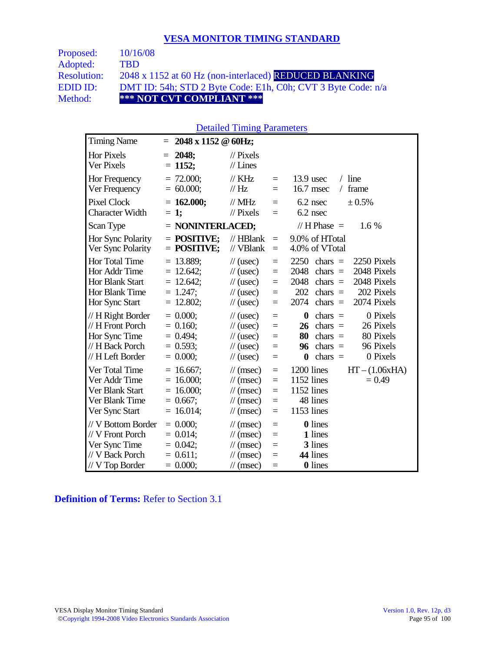| <b>Proposed:</b>   | 10/16/08                                                     |
|--------------------|--------------------------------------------------------------|
| Adopted:           | <b>TBD</b>                                                   |
| <b>Resolution:</b> | 2048 x 1152 at 60 Hz (non-interlaced) REDUCED BLANKING       |
| EDID ID:           | DMT ID: 54h; STD 2 Byte Code: E1h, C0h; CVT 3 Byte Code: n/a |
| Method:            | *** NOT CVT COMPLIANT ***                                    |

#### Detailed Timing Parameters

| <b>Timing Name</b>                                                                              | 2048 x 1152 @ 60Hz;<br>Ξ                                                   |                                                                                                                                                                                  |                                                                                                                                                                                |
|-------------------------------------------------------------------------------------------------|----------------------------------------------------------------------------|----------------------------------------------------------------------------------------------------------------------------------------------------------------------------------|--------------------------------------------------------------------------------------------------------------------------------------------------------------------------------|
| <b>Hor Pixels</b><br>Ver Pixels                                                                 | 2048;<br>$=$<br>$= 1152;$                                                  | $\mathcal{U}$ Pixels<br>$//$ Lines                                                                                                                                               |                                                                                                                                                                                |
| Hor Frequency<br>Ver Frequency                                                                  | $= 72.000;$<br>$= 60.000;$                                                 | $\frac{1}{K}$ KHz<br>$=$<br>$\frac{1}{1}$ Hz<br>$=$                                                                                                                              | $/$ line<br>$13.9$ usec<br>16.7 msec<br>frame<br>$\sqrt{2}$                                                                                                                    |
| Pixel Clock<br><b>Character Width</b>                                                           | $= 162.000;$<br>$= 1;$                                                     | $//$ MHz<br>$=$<br>$//$ Pixels<br>$=$                                                                                                                                            | 6.2 nsec<br>± 0.5%<br>$6.2$ nsec                                                                                                                                               |
| Scan Type                                                                                       | $=$ NONINTERLACED;                                                         |                                                                                                                                                                                  | // H Phase $=$<br>$1.6\%$                                                                                                                                                      |
| Hor Sync Polarity<br>Ver Sync Polarity                                                          | $=$ POSITIVE:<br>$=$ POSITIVE;                                             | $//$ HBlank<br>$\equiv$<br>// VBlank<br>$\equiv$                                                                                                                                 | 9.0% of HTotal<br>4.0% of VTotal                                                                                                                                               |
| Hor Total Time<br>Hor Addr Time<br><b>Hor Blank Start</b><br>Hor Blank Time<br>Hor Sync Start   | $= 13.889$ ;<br>$= 12.642$ ;<br>$= 12.642$ ;<br>$= 1.247$ ;<br>$= 12.802;$ | $\frac{1}{2}$ (usec)<br>$\equiv$<br>$\frac{1}{2}$ (usec)<br>$\equiv$<br>$\mathcal{U}$ (usec)<br>$\equiv$<br>$\frac{1}{2}$ (usec)<br>$\equiv$<br>$\frac{1}{2}$ (usec)<br>$\equiv$ | 2250<br>2250 Pixels<br>chars $=$<br>2048 Pixels<br>2048<br>chars $=$<br>2048<br>2048 Pixels<br>chars $=$<br>202<br>202 Pixels<br>chars $=$<br>2074 Pixels<br>2074<br>chars $=$ |
| // H Right Border<br>// H Front Porch<br>Hor Sync Time<br>// H Back Porch<br>// H Left Border   | $= 0.000;$<br>$= 0.160$ ;<br>$= 0.494;$<br>$= 0.593$ ;<br>$= 0.000;$       | $\frac{1}{2}$ (usec)<br>$\equiv$<br>$\mathcal{U}$ (usec)<br>$\equiv$<br>$\frac{1}{2}$ (usec)<br>$=$<br>$\frac{1}{2}$ (usec)<br>$=$<br>$\frac{1}{2}$ (usec)<br>$\equiv$           | 0 Pixels<br>$\bf{0}$<br>$\text{chars}$ =<br>26 Pixels<br>26<br>chars $=$<br>80 Pixels<br>80<br>$chars =$<br>96 Pixels<br>chars $=$<br>96<br>0 Pixels<br>chars $=$<br>$\bf{0}$  |
| Ver Total Time<br>Ver Addr Time<br>Ver Blank Start<br>Ver Blank Time<br>Ver Sync Start          | $= 16.667$ ;<br>$= 16.000;$<br>$= 16.000$<br>$= 0.667$ ;<br>$= 16.014;$    | $\mathcal{U}$ (msec)<br>$\equiv$<br>$\mathcal{U}$ (msec)<br>$\equiv$<br>$\mathcal{U}$ (msec)<br>$\equiv$<br>$\mathcal{U}$ (msec)<br>$\equiv$<br>$\mathcal{U}$ (msec)<br>$\equiv$ | 1200 lines<br>$HT - (1.06xHA)$<br>1152 lines<br>$= 0.49$<br>1152 lines<br>48 lines<br>1153 lines                                                                               |
| // V Bottom Border<br>// V Front Porch<br>Ver Sync Time<br>// V Back Porch<br>$//$ V Top Border | $= 0.000;$<br>$= 0.014;$<br>$= 0.042;$<br>$= 0.611$ ;<br>$= 0.000;$        | $\mathcal{U}$ (msec)<br>$=$<br>$\mathcal{U}$ (msec)<br>$\equiv$<br>$\mathcal{U}$ (msec)<br>$=$<br>$\mathcal{U}$ (msec)<br>$=$<br>$\mathcal{U}$ (msec)<br>$=$                     | <b>0</b> lines<br>1 lines<br>3 lines<br>44 lines<br><b>0</b> lines                                                                                                             |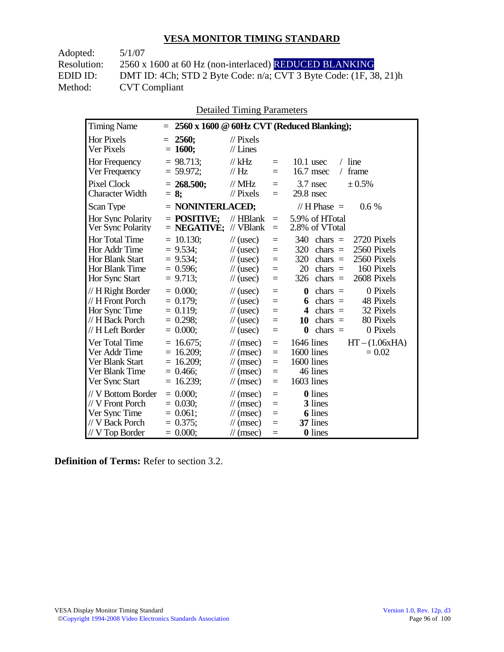Adopted: 5/1/07 **CVT Compliant** 

Resolution: 2560 x 1600 at 60 Hz (non-interlaced) REDUCED BLANKING EDID ID: DMT ID: 4Ch; STD 2 Byte Code: n/a; CVT 3 Byte Code: (1F, 38, 21)h<br>Method: CVT Compliant

Detailed Timing Parameters

| <b>Timing Name</b>                                                                             | 2560 x 1600 @ 60Hz CVT (Reduced Blanking);<br>$=$                                                                                                                                                                                                                                                                                                                                                                                    |
|------------------------------------------------------------------------------------------------|--------------------------------------------------------------------------------------------------------------------------------------------------------------------------------------------------------------------------------------------------------------------------------------------------------------------------------------------------------------------------------------------------------------------------------------|
| <b>Hor Pixels</b><br>Ver Pixels                                                                | 2560;<br>$\mathcal{U}$ Pixels<br>$=$<br>$= 1600;$<br>$//$ Lines                                                                                                                                                                                                                                                                                                                                                                      |
| Hor Frequency<br>Ver Frequency                                                                 | $= 98.713$ ;<br>$//$ kHz<br>$10.1$ usec<br>$/$ line<br>$=$<br>$= 59.972$ ;<br>$\frac{1}{1}$ Hz<br>$16.7$ msec<br>frame<br>$\sqrt{2}$<br>$=$                                                                                                                                                                                                                                                                                          |
| <b>Pixel Clock</b><br><b>Character Width</b>                                                   | $//$ MHz<br>$3.7$ nsec<br>± 0.5%<br>$= 268.500;$<br>$=$<br>$//$ Pixels<br>$29.8$ nsec<br>$= 8:$<br>$=$                                                                                                                                                                                                                                                                                                                               |
| Scan Type                                                                                      | $=$ NONINTERLACED;<br>// H Phase $=$<br>$0.6\%$                                                                                                                                                                                                                                                                                                                                                                                      |
| Hor Sync Polarity<br>Ver Sync Polarity                                                         | 5.9% of HTotal<br>$=$ POSITIVE:<br>$//$ HBlank<br>$=$<br>// VBlank<br>$=$ NEGATIVE;<br>2.8% of VTotal<br>$=$                                                                                                                                                                                                                                                                                                                         |
| Hor Total Time<br>Hor Addr Time<br>Hor Blank Start<br>Hor Blank Time<br>Hor Sync Start         | $= 10.130$ ;<br>340<br>2720 Pixels<br>$\frac{1}{2}$ (usec)<br>chars $=$<br>$=$<br>$= 9.534$ ;<br>320<br>2560 Pixels<br>$\frac{1}{2}$ (usec)<br>chars $=$<br>$=$<br>2560 Pixels<br>$= 9.534$ ;<br>320<br>$\frac{1}{2}$ (usec)<br>chars $=$<br>$=$<br>$= 0.596$ ;<br>20<br>chars $=$<br>160 Pixels<br>$\frac{1}{2}$ (usec)<br>$=$<br>2608 Pixels<br>$= 9.713$ ;<br>chars $=$<br>$\frac{1}{2}$ (usec)<br>326<br>$=$                     |
| // H Right Border<br>// H Front Porch<br>Hor Sync Time<br>// H Back Porch<br>// H Left Border  | $= 0.000$<br>0 Pixels<br>$\frac{1}{2}$ (usec)<br>$\boldsymbol{0}$<br>$chars =$<br>$=$<br>$= 0.179;$<br>chars $=$<br>48 Pixels<br>$\frac{1}{2}$ (usec)<br>6<br>$=$<br>$= 0.119$ ;<br>32 Pixels<br>$\frac{1}{2}$ (usec)<br>$\overline{\mathbf{4}}$<br>chars $=$<br>$=$<br>$= 0.298$ ;<br>80 Pixels<br>$chars =$<br>$\frac{1}{2}$ (usec)<br>10<br>$=$<br>$= 0.000;$<br>$\bf{0}$<br>chars $=$<br>0 Pixels<br>$\frac{1}{2}$ (usec)<br>$=$ |
| Ver Total Time<br>Ver Addr Time<br>Ver Blank Start<br>Ver Blank Time<br>Ver Sync Start         | $= 16.675$ ;<br>1646 lines<br>$HT - (1.06xHA)$<br>$\mathcal{U}$ (msec)<br>$=$<br>$= 16.209$ ;<br>1600 lines<br>$= 0.02$<br>$\mathcal{U}$ (msec)<br>$=$<br>$= 16.209$ ;<br>1600 lines<br>$\mathcal{U}$ (msec)<br>$=$<br>46 lines<br>$= 0.466$ ;<br>$\mathcal{U}$ (msec)<br>$=$<br>1603 lines<br>$= 16.239;$<br>$\mathcal{U}$ (msec)<br>$=$                                                                                            |
| // V Bottom Border<br>// V Front Porch<br>Ver Sync Time<br>// V Back Porch<br>$//V$ Top Border | $= 0.000$<br><b>0</b> lines<br>$\mathcal{U}$ (msec)<br>$=$<br>$= 0.030$ ;<br>3 lines<br>$\mathcal{U}$ (msec)<br>$=$<br><b>6</b> lines<br>$= 0.061$ ;<br>$\mathcal{U}$ (msec)<br>$=$<br>37 lines<br>$= 0.375$ ;<br>$\mathcal{U}$ (msec)<br>$=$<br>0 lines<br>$= 0.000;$<br>$\mathcal{U}$ (msec)<br>$=$                                                                                                                                |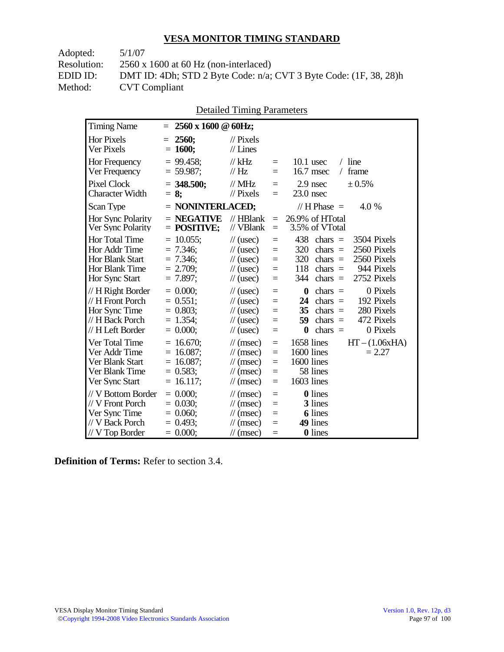| DMT ID: 4Dh; STD 2 Byte Code: n/a; CVT 3 Byte Code: (1F, 38, 28)h |
|-------------------------------------------------------------------|
|                                                                   |
|                                                                   |

| <b>Detailed Timing Parameters</b> |
|-----------------------------------|
|-----------------------------------|

| <b>Timing Name</b>                                                                                   | 2560 x 1600 @ 60Hz;<br>$=$                                                |                                                                                                                      |                                      |                                                                                                                                                                                           |
|------------------------------------------------------------------------------------------------------|---------------------------------------------------------------------------|----------------------------------------------------------------------------------------------------------------------|--------------------------------------|-------------------------------------------------------------------------------------------------------------------------------------------------------------------------------------------|
| <b>Hor Pixels</b><br>Ver Pixels                                                                      | 2560:<br>$=$<br>$= 1600;$                                                 | $\mathcal{U}$ Pixels<br>$//$ Lines                                                                                   |                                      |                                                                                                                                                                                           |
| Hor Frequency<br>Ver Frequency                                                                       | $= 99.458$ ;<br>$= 59.987$ ;                                              | $//$ kHz<br>// $Hz$                                                                                                  | $=$<br>$=$                           | $/$ line<br>$10.1$ usec<br>16.7 msec<br>frame<br>$\sqrt{2}$                                                                                                                               |
| Pixel Clock<br><b>Character Width</b>                                                                | $=$ 348.500;<br>$= 8$ ;                                                   | $//$ MHz<br>$//$ Pixels                                                                                              | $=$<br>$=$                           | ± 0.5%<br>2.9 nsec<br>$23.0$ nsec                                                                                                                                                         |
| Scan Type                                                                                            | $=$ NONINTERLACED;                                                        |                                                                                                                      |                                      | // H Phase $=$<br>4.0 %                                                                                                                                                                   |
| Hor Sync Polarity<br>Ver Sync Polarity                                                               | $=$ NEGATIVE<br>$=$ POSITIVE;                                             | $//$ HBlank<br>// VBlank                                                                                             | $=$<br>$=$                           | 26.9% of HTotal<br>3.5% of VTotal                                                                                                                                                         |
| <b>Hor Total Time</b><br>Hor Addr Time<br><b>Hor Blank Start</b><br>Hor Blank Time<br>Hor Sync Start | $= 10.055$ ;<br>$= 7.346$ ;<br>$= 7.346$ ;<br>$= 2.709$ ;<br>$= 7.897$ ;  | $\frac{1}{2}$ (usec)<br>$\frac{1}{2}$ (usec)<br>$\frac{1}{2}$ (usec)<br>$\frac{1}{2}$ (usec)<br>$\frac{1}{2}$ (usec) | $=$<br>$=$<br>$=$<br>$\equiv$<br>$=$ | 438<br>3504 Pixels<br>$\text{chars}$ =<br>320<br>chars $=$<br>2560 Pixels<br>320<br>2560 Pixels<br>$chars =$<br>944 Pixels<br>118<br>chars $=$<br>2752 Pixels<br>344<br>$chars =$         |
| // H Right Border<br>// H Front Porch<br>Hor Sync Time<br>// H Back Porch<br>// H Left Border        | $= 0.000$<br>$= 0.551$ ;<br>$= 0.803$ ;<br>$= 1.354$ ;<br>$= 0.000;$      | $\frac{1}{2}$ (usec)<br>$\frac{1}{2}$ (usec)<br>$\frac{1}{2}$ (usec)<br>$\frac{1}{2}$ (usec)<br>$\frac{1}{2}$ (usec) | $=$<br>$=$<br>$=$<br>$=$<br>$=$      | 0 Pixels<br>chars $=$<br>$\boldsymbol{0}$<br>chars $=$<br>192 Pixels<br>24<br>35<br>280 Pixels<br>chars $=$<br>472 Pixels<br>59<br>$chars =$<br>chars $=$<br>0 Pixels<br>$\boldsymbol{0}$ |
| Ver Total Time<br>Ver Addr Time<br>Ver Blank Start<br>Ver Blank Time<br>Ver Sync Start               | $= 16.670$ ;<br>$= 16.087$ ;<br>$= 16.087;$<br>$= 0.583$ ;<br>$= 16.117;$ | $\mathcal{U}$ (msec)<br>$\mathcal{U}$ (msec)<br>$\mathcal{U}$ (msec)<br>$\mathcal{U}$ (msec)<br>$\mathcal{U}$ (msec) | $=$<br>$=$<br>$=$<br>$=$<br>$=$      | 1658 lines<br>$HT - (1.06xHA)$<br>1600 lines<br>$= 2.27$<br>1600 lines<br>58 lines<br>1603 lines                                                                                          |
| // V Bottom Border<br>// V Front Porch<br>Ver Sync Time<br>// V Back Porch<br>$//$ V Top Border      | $= 0.000$<br>$= 0.030$<br>$= 0.060$ ;<br>$= 0.493$<br>$= 0.000;$          | $\mathcal{U}$ (msec)<br>$\mathcal{U}$ (msec)<br>$\mathcal{U}$ (msec)<br>$\mathcal{U}$ (msec)<br>$\mathcal{U}$ (msec) | $=$<br>$=$<br>$=$<br>$=$<br>$=$      | 0 lines<br>3 lines<br><b>6</b> lines<br>49 lines<br>0 lines                                                                                                                               |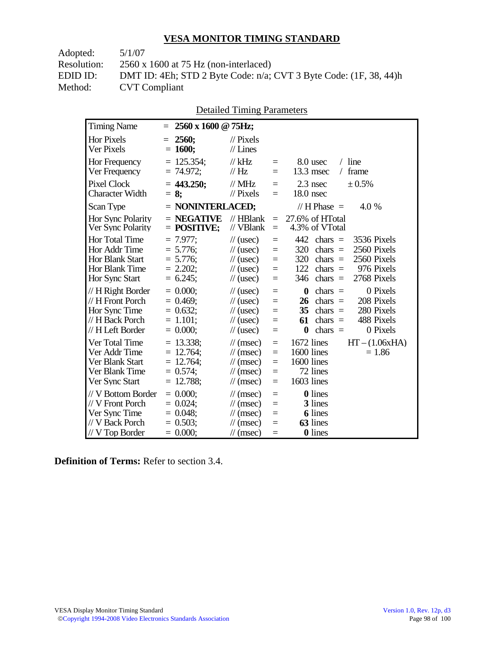| Adopted:    | 5/1/07                                                            |
|-------------|-------------------------------------------------------------------|
| Resolution: | $2560 \times 1600$ at 75 Hz (non-interlaced)                      |
| EDID ID:    | DMT ID: 4Eh; STD 2 Byte Code: n/a; CVT 3 Byte Code: (1F, 38, 44)h |
| Method:     | <b>CVT</b> Compliant                                              |
|             |                                                                   |

| <b>Detailed Timing Parameters</b> |  |
|-----------------------------------|--|
|-----------------------------------|--|

| <b>Timing Name</b>                                                                              | 2560 x 1600 @ 75Hz;<br>$=$                                                        |                                                                                                                      |                                                |                                                                                                                                                                                   |
|-------------------------------------------------------------------------------------------------|-----------------------------------------------------------------------------------|----------------------------------------------------------------------------------------------------------------------|------------------------------------------------|-----------------------------------------------------------------------------------------------------------------------------------------------------------------------------------|
| <b>Hor Pixels</b><br>Ver Pixels                                                                 | 2560:<br>$=$<br>$= 1600;$                                                         | $\mathcal{U}$ Pixels<br>$//$ Lines                                                                                   |                                                |                                                                                                                                                                                   |
| Hor Frequency<br>Ver Frequency                                                                  | $= 125.354$ ;<br>$= 74.972$ ;                                                     | $//$ kHz<br>//Hz                                                                                                     | $\equiv$<br>$=$                                | $/$ line<br>8.0 usec<br>13.3 msec<br>frame<br>$\sqrt{2}$                                                                                                                          |
| <b>Pixel Clock</b><br><b>Character Width</b>                                                    | $= 443.250;$<br>$= 8$ ;                                                           | $\frac{1}{2}$ MHz<br>$//$ Pixels                                                                                     | $=$<br>$=$                                     | $2.3$ nsec<br>± 0.5%<br>18.0 nsec                                                                                                                                                 |
| Scan Type                                                                                       | $=$ NONINTERLACED;                                                                |                                                                                                                      |                                                | // H Phase $=$<br>4.0 %                                                                                                                                                           |
| Hor Sync Polarity<br>Ver Sync Polarity                                                          | $=$ NEGATIVE<br>$=$ POSITIVE;                                                     | $//$ HBlank<br>$//$ VBlank                                                                                           | $\equiv$<br>$\equiv$                           | 27.6% of HTotal<br>4.3% of VTotal                                                                                                                                                 |
| Hor Total Time<br>Hor Addr Time<br>Hor Blank Start<br>Hor Blank Time<br>Hor Sync Start          | $= 7.977$ :<br>$= 5.776;$<br>$= 5.776;$<br>$= 2.202$ ;<br>$= 6.245$ ;             | $\frac{1}{2}$ (usec)<br>$\frac{1}{2}$ (usec)<br>$\frac{1}{2}$ (usec)<br>$\frac{1}{2}$ (usec)<br>$\frac{1}{2}$ (usec) | $\equiv$<br>$=$<br>$=$<br>$=$<br>$\equiv$      | 442<br>3536 Pixels<br>$\text{chars}$ =<br>320<br>2560 Pixels<br>chars $=$<br>320<br>2560 Pixels<br>chars $=$<br>122<br>976 Pixels<br>chars $=$<br>346<br>$chars =$<br>2768 Pixels |
| // H Right Border<br>// H Front Porch<br>Hor Sync Time<br>// H Back Porch<br>// H Left Border   | $= 0.000;$<br>$= 0.469$ ;<br>$= 0.632$ ;<br>$= 1.101;$<br>$= 0.000$               | $\frac{1}{2}$ (usec)<br>$\frac{1}{2}$ (usec)<br>$\frac{1}{2}$ (usec)<br>$\frac{1}{2}$ (usec)<br>$\frac{1}{2}$ (usec) | $=$<br>$=$<br>$=$<br>$=$<br>$\equiv$           | 0 Pixels<br>$\boldsymbol{0}$<br>$chars =$<br>208 Pixels<br>26<br>$chars =$<br>35<br>280 Pixels<br>$chars =$<br>61<br>488 Pixels<br>chars $=$<br>$\bf{0}$<br>0 Pixels<br>chars $=$ |
| Ver Total Time<br>Ver Addr Time<br>Ver Blank Start<br>Ver Blank Time<br>Ver Sync Start          | $= 13.338;$<br>$= 12.764$ ;<br>$= 12.764$ ;<br>$= 0.574$ ;<br>12.788;<br>$\equiv$ | $\mathcal{U}$ (msec)<br>$\mathcal{U}$ (msec)<br>$\mathcal{U}$ (msec)<br>$\mathcal{U}$ (msec)<br>$\mathcal{U}$ (msec) | $\equiv$<br>$=$<br>$\equiv$<br>$=$<br>$\equiv$ | 1672 lines<br>$HT - (1.06xHA)$<br>$1600$ lines<br>$= 1.86$<br>1600 lines<br>72 lines<br>1603 lines                                                                                |
| // V Bottom Border<br>// V Front Porch<br>Ver Sync Time<br>// V Back Porch<br>$//$ V Top Border | $= 0.000;$<br>$= 0.024$<br>$= 0.048;$<br>$= 0.503$ ;<br>$= 0.000;$                | $\mathcal{U}$ (msec)<br>$\mathcal{U}$ (msec)<br>$\mathcal{U}$ (msec)<br>$\mathcal{U}$ (msec)<br>$\mathcal{U}$ (msec) | $\equiv$<br>$\equiv$<br>$=$<br>$=$<br>$=$      | <b>0</b> lines<br>3 lines<br><b>6</b> lines<br>63 lines<br>0 lines                                                                                                                |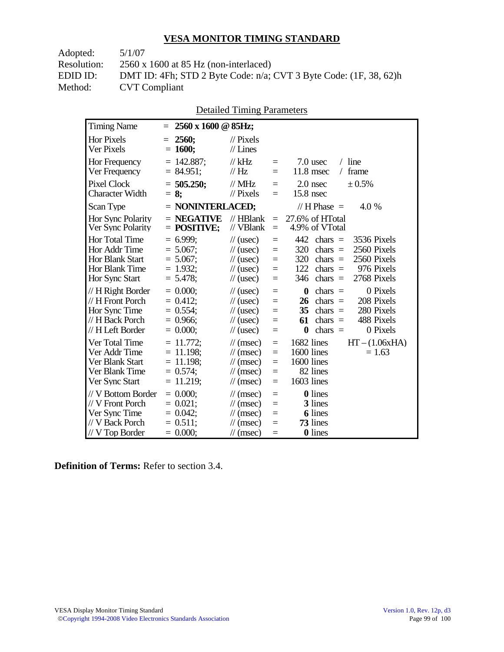| Adopted:    | 5/1/07                                                                 |
|-------------|------------------------------------------------------------------------|
| Resolution: | $2560 \times 1600$ at 85 Hz (non-interlaced)                           |
| EDID ID:    | DMT ID: 4Fh; STD 2 Byte Code: $n/a$ ; CVT 3 Byte Code: $(1F, 38, 62)h$ |
| Method:     | <b>CVT</b> Compliant                                                   |
|             |                                                                        |

| <b>Detailed Timing Parameters</b> |  |
|-----------------------------------|--|
|-----------------------------------|--|

| <b>Timing Name</b>                                                                              | $=$ | 2560 x 1600 @ 85Hz;                                                        |                                                                                                                      |                                                |                                                                                                                                                                                          |
|-------------------------------------------------------------------------------------------------|-----|----------------------------------------------------------------------------|----------------------------------------------------------------------------------------------------------------------|------------------------------------------------|------------------------------------------------------------------------------------------------------------------------------------------------------------------------------------------|
| <b>Hor Pixels</b><br>Ver Pixels                                                                 | $=$ | 2560;<br>$= 1600;$                                                         | $\mathcal{U}$ Pixels<br>$//$ Lines                                                                                   |                                                |                                                                                                                                                                                          |
| Hor Frequency<br>Ver Frequency                                                                  |     | $= 142.887;$<br>$= 84.951$ ;                                               | $//$ kHz<br>// Hz                                                                                                    | $\equiv$<br>$=$                                | 7.0 usec<br>$/$ line<br>11.8 msec<br>frame<br>$\sqrt{2}$                                                                                                                                 |
| <b>Pixel Clock</b><br><b>Character Width</b>                                                    |     | $= 505.250;$<br>$= 8$ ;                                                    | $\frac{1}{2}$ MHz<br>$//$ Pixels                                                                                     | $\equiv$<br>$=$                                | ± 0.5%<br>$2.0$ nsec<br>15.8 nsec                                                                                                                                                        |
| Scan Type                                                                                       |     | $=$ NONINTERLACED;                                                         |                                                                                                                      |                                                | // H Phase $=$<br>4.0 %                                                                                                                                                                  |
| Hor Sync Polarity<br>Ver Sync Polarity                                                          |     | $=$ NEGATIVE<br>$=$ POSITIVE;                                              | $//$ HBlank<br>// VBlank                                                                                             | $\equiv$<br>$\equiv$                           | 27.6% of HTotal<br>4.9% of VTotal                                                                                                                                                        |
| Hor Total Time<br>Hor Addr Time<br><b>Hor Blank Start</b><br>Hor Blank Time<br>Hor Sync Start   |     | $= 6.999$ :<br>$= 5.067$ ;<br>$= 5.067$ ;<br>$= 1.932$ ;<br>$= 5.478$ ;    | $\frac{1}{2}$ (usec)<br>$\frac{1}{2}$ (usec)<br>$\frac{1}{2}$ (usec)<br>$\frac{1}{2}$ (usec)<br>$\frac{1}{2}$ (usec) | $=$<br>$=$<br>$\equiv$<br>$=$<br>$=$           | 442<br>3536 Pixels<br>$\text{chars}$ =<br>2560 Pixels<br>320<br>chars $=$<br>320<br>2560 Pixels<br>$\text{chars}$ =<br>122<br>976 Pixels<br>chars $=$<br>346<br>2768 Pixels<br>$chars =$ |
| // H Right Border<br>// H Front Porch<br>Hor Sync Time<br>// H Back Porch<br>// H Left Border   |     | $= 0.000$<br>$= 0.412$ ;<br>$= 0.554$<br>$= 0.966$ ;<br>$= 0.000;$         | $\frac{1}{2}$ (usec)<br>$\frac{1}{2}$ (usec)<br>$\frac{1}{2}$ (usec)<br>$\frac{1}{2}$ (usec)<br>$\frac{1}{2}$ (usec) | $\equiv$<br>$=$<br>$=$<br>$\equiv$<br>$=$      | 0 Pixels<br>$\bf{0}$<br>$chars =$<br>208 Pixels<br>$chars =$<br>26<br>280 Pixels<br>35<br>$chars =$<br>61<br>488 Pixels<br>chars $=$<br>$\bf{0}$<br>chars $=$<br>0 Pixels                |
| Ver Total Time<br>Ver Addr Time<br>Ver Blank Start<br>Ver Blank Time<br>Ver Sync Start          |     | $= 11.772$ ;<br>$= 11.198;$<br>$= 11.198$ ;<br>$= 0.574$ ;<br>$= 11.219$ ; | $\mathcal{U}$ (msec)<br>$\mathcal{U}$ (msec)<br>$\mathcal{U}$ (msec)<br>$\mathcal{U}$ (msec)<br>$\mathcal{U}$ (msec) | $\equiv$<br>$=$<br>$\equiv$<br>$=$<br>$\equiv$ | 1682 lines<br>$HT - (1.06xHA)$<br>1600 lines<br>$= 1.63$<br>1600 lines<br>82 lines<br>1603 lines                                                                                         |
| // V Bottom Border<br>// V Front Porch<br>Ver Sync Time<br>// V Back Porch<br>$//$ V Top Border |     | $= 0.000;$<br>$= 0.021$ ;<br>$= 0.042$ ;<br>$= 0.511$ ;<br>$= 0.000;$      | $\mathcal{U}$ (msec)<br>$\mathcal{U}$ (msec)<br>$\mathcal{U}$ (msec)<br>$\mathcal{U}$ (msec)<br>$\mathcal{U}$ (msec) | $\equiv$<br>$=$<br>$=$<br>$=$<br>$=$           | <b>0</b> lines<br>3 lines<br><b>6</b> lines<br>73 lines<br>0 lines                                                                                                                       |